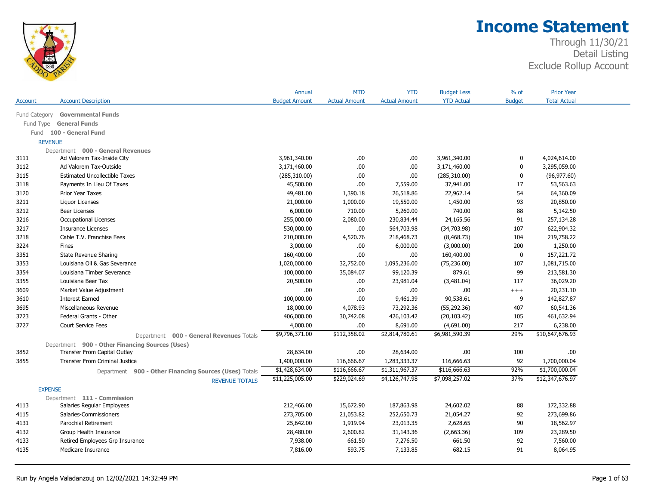

|                |                                                        | Annual               | <b>MTD</b>           | <b>YTD</b>           | <b>Budget Less</b> | % of          | <b>Prior Year</b>   |  |
|----------------|--------------------------------------------------------|----------------------|----------------------|----------------------|--------------------|---------------|---------------------|--|
| Account        | <b>Account Description</b>                             | <b>Budget Amount</b> | <b>Actual Amount</b> | <b>Actual Amount</b> | <b>YTD Actual</b>  | <b>Budget</b> | <b>Total Actual</b> |  |
| Fund Category  | <b>Governmental Funds</b>                              |                      |                      |                      |                    |               |                     |  |
| Fund Type      | <b>General Funds</b>                                   |                      |                      |                      |                    |               |                     |  |
| Fund           | 100 - General Fund                                     |                      |                      |                      |                    |               |                     |  |
| <b>REVENUE</b> |                                                        |                      |                      |                      |                    |               |                     |  |
|                | Department 000 - General Revenues                      |                      |                      |                      |                    |               |                     |  |
| 3111           | Ad Valorem Tax-Inside City                             | 3,961,340.00         | .00                  | .00.                 | 3,961,340.00       | 0             | 4,024,614.00        |  |
| 3112           | Ad Valorem Tax-Outside                                 | 3,171,460.00         | .00.                 | .00                  | 3,171,460.00       | $\mathbf 0$   | 3,295,059.00        |  |
| 3115           | <b>Estimated Uncollectible Taxes</b>                   | (285,310.00)         | .00.                 | .00.                 | (285, 310.00)      | $\mathbf 0$   | (96, 977.60)        |  |
| 3118           | Payments In Lieu Of Taxes                              | 45,500.00            | .00.                 | 7,559.00             | 37,941.00          | 17            | 53,563.63           |  |
| 3120           | Prior Year Taxes                                       | 49,481.00            | 1,390.18             | 26,518.86            | 22,962.14          | 54            | 64,360.09           |  |
| 3211           | Liquor Licenses                                        | 21,000.00            | 1,000.00             | 19,550.00            | 1,450.00           | 93            | 20,850.00           |  |
| 3212           | <b>Beer Licenses</b>                                   | 6,000.00             | 710.00               | 5,260.00             | 740.00             | 88            | 5,142.50            |  |
| 3216           | <b>Occupational Licenses</b>                           | 255,000.00           | 2,080.00             | 230,834.44           | 24,165.56          | 91            | 257,134.28          |  |
| 3217           | <b>Insurance Licenses</b>                              | 530,000.00           | .00                  | 564,703.98           | (34,703.98)        | 107           | 622,904.32          |  |
| 3218           | Cable T.V. Franchise Fees                              | 210,000.00           | 4,520.76             | 218,468.73           | (8,468.73)         | 104           | 219,758.22          |  |
| 3224           | Fines                                                  | 3,000.00             | .00.                 | 6,000.00             | (3,000.00)         | 200           | 1,250.00            |  |
| 3351           | <b>State Revenue Sharing</b>                           | 160,400.00           | .00.                 | .00                  | 160,400.00         | $\mathbf 0$   | 157,221.72          |  |
| 3353           | Louisiana Oil & Gas Severance                          | 1,020,000.00         | 32,752.00            | 1,095,236.00         | (75, 236.00)       | 107           | 1,081,715.00        |  |
| 3354           | Louisiana Timber Severance                             | 100,000.00           | 35,084.07            | 99,120.39            | 879.61             | 99            | 213,581.30          |  |
| 3355           | Louisiana Beer Tax                                     | 20,500.00            | .00.                 | 23,981.04            | (3,481.04)         | 117           | 36,029.20           |  |
| 3609           | Market Value Adjustment                                | .00.                 | .00.                 | .00                  | .00.               | $++++$        | 20,231.10           |  |
| 3610           | <b>Interest Earned</b>                                 | 100,000.00           | .00.                 | 9,461.39             | 90,538.61          | 9             | 142,827.87          |  |
| 3695           | Miscellaneous Revenue                                  | 18,000.00            | 4,078.93             | 73,292.36            | (55, 292.36)       | 407           | 60,541.36           |  |
| 3723           | Federal Grants - Other                                 | 406,000.00           | 30,742.08            | 426,103.42           | (20, 103.42)       | 105           | 461,632.94          |  |
| 3727           | Court Service Fees                                     | 4,000.00             | .00.                 | 8,691.00             | (4,691.00)         | 217           | 6,238.00            |  |
|                | Department 000 - General Revenues Totals               | \$9,796,371.00       | \$112,358.02         | \$2,814,780.61       | \$6,981,590.39     | 29%           | \$10,647,676.93     |  |
|                | Department 900 - Other Financing Sources (Uses)        |                      |                      |                      |                    |               |                     |  |
| 3852           | Transfer From Capital Outlay                           | 28,634.00            | .00.                 | 28,634.00            | .00.               | 100           | .00                 |  |
| 3855           | <b>Transfer From Criminal Justice</b>                  | 1,400,000.00         | 116,666.67           | 1,283,333.37         | 116,666.63         | 92            | 1,700,000.04        |  |
|                | Department 900 - Other Financing Sources (Uses) Totals | \$1,428,634.00       | \$116,666.67         | \$1,311,967.37       | \$116,666.63       | 92%           | \$1,700,000.04      |  |
|                | <b>REVENUE TOTALS</b>                                  | \$11,225,005.00      | \$229,024.69         | \$4,126,747.98       | \$7,098,257.02     | 37%           | \$12,347,676.97     |  |
| <b>EXPENSE</b> |                                                        |                      |                      |                      |                    |               |                     |  |
|                | Department 111 - Commission                            |                      |                      |                      |                    |               |                     |  |
| 4113           | Salaries Regular Employees                             | 212,466.00           | 15,672.90            | 187,863.98           | 24,602.02          | 88            | 172,332.88          |  |
| 4115           | Salaries-Commissioners                                 | 273,705.00           | 21,053.82            | 252,650.73           | 21,054.27          | 92            | 273,699.86          |  |
| 4131           | Parochial Retirement                                   | 25,642.00            | 1,919.94             | 23,013.35            | 2,628.65           | 90            | 18,562.97           |  |
| 4132           | Group Health Insurance                                 | 28,480.00            | 2,600.82             | 31,143.36            | (2,663.36)         | 109           | 23,289.50           |  |
| 4133           | Retired Employees Grp Insurance                        | 7,938.00             | 661.50               | 7,276.50             | 661.50             | 92            | 7,560.00            |  |
| 4135           | Medicare Insurance                                     | 7,816.00             | 593.75               | 7,133.85             | 682.15             | 91            | 8,064.95            |  |
|                |                                                        |                      |                      |                      |                    |               |                     |  |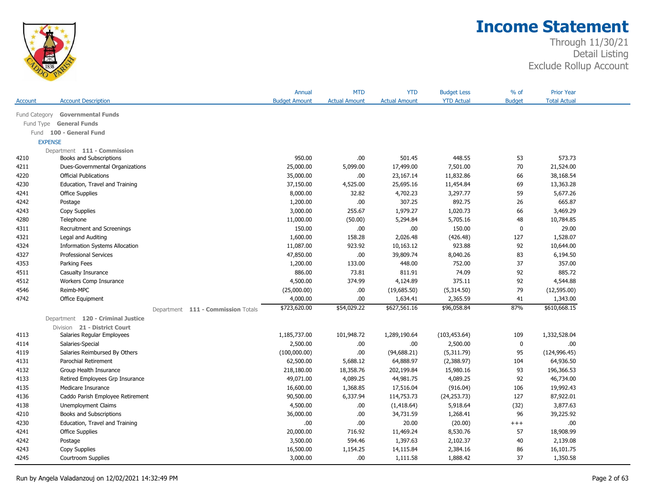

|               |                                       | Annual               | <b>MTD</b>           | <b>YTD</b>           | <b>Budget Less</b> | % of          | <b>Prior Year</b>   |  |
|---------------|---------------------------------------|----------------------|----------------------|----------------------|--------------------|---------------|---------------------|--|
| Account       | <b>Account Description</b>            | <b>Budget Amount</b> | <b>Actual Amount</b> | <b>Actual Amount</b> | <b>YTD Actual</b>  | <b>Budget</b> | <b>Total Actual</b> |  |
| Fund Category | <b>Governmental Funds</b>             |                      |                      |                      |                    |               |                     |  |
| Fund Type     | <b>General Funds</b>                  |                      |                      |                      |                    |               |                     |  |
| Fund          | 100 - General Fund                    |                      |                      |                      |                    |               |                     |  |
|               | <b>EXPENSE</b>                        |                      |                      |                      |                    |               |                     |  |
|               | Department 111 - Commission           |                      |                      |                      |                    |               |                     |  |
| 4210          | Books and Subscriptions               | 950.00               | .00                  | 501.45               | 448.55             | 53            | 573.73              |  |
| 4211          | Dues-Governmental Organizations       | 25,000.00            | 5,099.00             | 17,499.00            | 7,501.00           | 70            | 21,524.00           |  |
| 4220          | <b>Official Publications</b>          | 35,000.00            | .00.                 | 23,167.14            | 11,832.86          | 66            | 38,168.54           |  |
| 4230          | Education, Travel and Training        | 37,150.00            | 4,525.00             | 25,695.16            | 11,454.84          | 69            | 13,363.28           |  |
| 4241          | <b>Office Supplies</b>                | 8,000.00             | 32.82                | 4,702.23             | 3,297.77           | 59            | 5,677.26            |  |
| 4242          | Postage                               | 1,200.00             | .00                  | 307.25               | 892.75             | 26            | 665.87              |  |
| 4243          | Copy Supplies                         | 3,000.00             | 255.67               | 1,979.27             | 1,020.73           | 66            | 3,469.29            |  |
| 4280          | Telephone                             | 11,000.00            | (50.00)              | 5,294.84             | 5,705.16           | 48            | 10,784.85           |  |
| 4311          | Recruitment and Screenings            | 150.00               | .00.                 | .00                  | 150.00             | $\mathbf 0$   | 29.00               |  |
| 4321          | Legal and Auditing                    | 1,600.00             | 158.28               | 2,026.48             | (426.48)           | 127           | 1,528.07            |  |
| 4324          | <b>Information Systems Allocation</b> | 11,087.00            | 923.92               | 10,163.12            | 923.88             | 92            | 10,644.00           |  |
| 4327          | <b>Professional Services</b>          | 47,850.00            | .00.                 | 39,809.74            | 8,040.26           | 83            | 6,194.50            |  |
| 4353          | Parking Fees                          | 1,200.00             | 133.00               | 448.00               | 752.00             | 37            | 357.00              |  |
| 4511          | Casualty Insurance                    | 886.00               | 73.81                | 811.91               | 74.09              | 92            | 885.72              |  |
| 4512          | Workers Comp Insurance                | 4,500.00             | 374.99               | 4,124.89             | 375.11             | 92            | 4,544.88            |  |
| 4546          | Reimb-MPC                             | (25,000.00)          | .00.                 | (19,685.50)          | (5,314.50)         | 79            | (12,595.00)         |  |
| 4742          | Office Equipment                      | 4,000.00             | .00                  | 1,634.41             | 2,365.59           | 41            | 1,343.00            |  |
|               | Department 111 - Commission Totals    | \$723,620.00         | \$54,029.22          | \$627,561.16         | \$96,058.84        | 87%           | \$610,668.15        |  |
|               | Department 120 - Criminal Justice     |                      |                      |                      |                    |               |                     |  |
|               | Division 21 - District Court          |                      |                      |                      |                    |               |                     |  |
| 4113          | Salaries Regular Employees            | 1,185,737.00         | 101,948.72           | 1,289,190.64         | (103, 453.64)      | 109           | 1,332,528.04        |  |
| 4114          | Salaries-Special                      | 2,500.00             | .00.                 | .00.                 | 2,500.00           | $\mathbf 0$   | .00                 |  |
| 4119          | Salaries Reimbursed By Others         | (100,000.00)         | .00                  | (94, 688.21)         | (5,311.79)         | 95            | (124, 996.45)       |  |
| 4131          | Parochial Retirement                  | 62,500.00            | 5,688.12             | 64,888.97            | (2,388.97)         | 104           | 64,936.50           |  |
| 4132          | Group Health Insurance                | 218,180.00           | 18,358.76            | 202,199.84           | 15,980.16          | 93            | 196,366.53          |  |
| 4133          | Retired Employees Grp Insurance       | 49,071.00            | 4,089.25             | 44,981.75            | 4,089.25           | 92            | 46,734.00           |  |
| 4135          | Medicare Insurance                    | 16,600.00            | 1,368.85             | 17,516.04            | (916.04)           | 106           | 19,992.43           |  |
| 4136          | Caddo Parish Employee Retirement      | 90,500.00            | 6,337.94             | 114,753.73           | (24, 253.73)       | 127           | 87,922.01           |  |
| 4138          | Unemployment Claims                   | 4,500.00             | .00.                 | (1,418.64)           | 5,918.64           | (32)          | 3,877.63            |  |
| 4210          | Books and Subscriptions               | 36,000.00            | .00.                 | 34,731.59            | 1,268.41           | 96            | 39,225.92           |  |
| 4230          | Education, Travel and Training        | $.00$                | .00                  | 20.00                | (20.00)            | $^{+++}$      | .00                 |  |
| 4241          | <b>Office Supplies</b>                | 20,000.00            | 716.92               | 11,469.24            | 8,530.76           | 57            | 18,908.99           |  |
| 4242          | Postage                               | 3,500.00             | 594.46               | 1,397.63             | 2,102.37           | 40            | 2,139.08            |  |
| 4243          | Copy Supplies                         | 16,500.00            | 1,154.25             | 14,115.84            | 2,384.16           | 86            | 16,101.75           |  |
| 4245          | Courtroom Supplies                    | 3,000.00             | .00                  | 1,111.58             | 1,888.42           | 37            | 1,350.58            |  |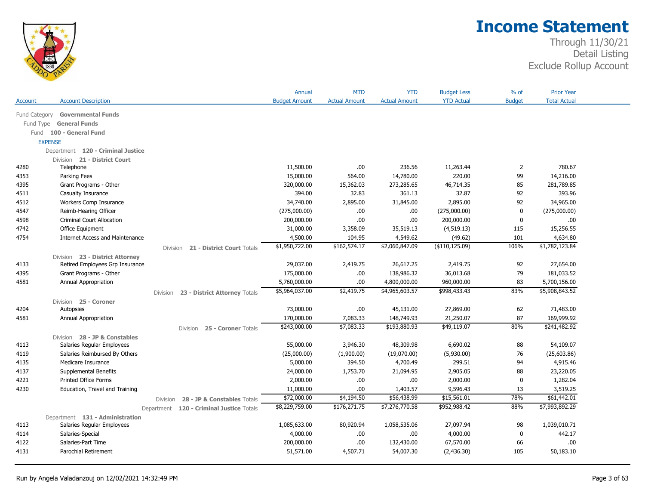

|               |                                        |                                               | Annual               | <b>MTD</b>           | <b>YTD</b>           | <b>Budget Less</b> | $%$ of         | <b>Prior Year</b>   |  |
|---------------|----------------------------------------|-----------------------------------------------|----------------------|----------------------|----------------------|--------------------|----------------|---------------------|--|
| Account       | <b>Account Description</b>             |                                               | <b>Budget Amount</b> | <b>Actual Amount</b> | <b>Actual Amount</b> | <b>YTD Actual</b>  | <b>Budget</b>  | <b>Total Actual</b> |  |
| Fund Category | <b>Governmental Funds</b>              |                                               |                      |                      |                      |                    |                |                     |  |
| Fund Type     | <b>General Funds</b>                   |                                               |                      |                      |                      |                    |                |                     |  |
|               | Fund 100 - General Fund                |                                               |                      |                      |                      |                    |                |                     |  |
|               | <b>EXPENSE</b>                         |                                               |                      |                      |                      |                    |                |                     |  |
|               | Department 120 - Criminal Justice      |                                               |                      |                      |                      |                    |                |                     |  |
|               | Division 21 - District Court           |                                               |                      |                      |                      |                    |                |                     |  |
| 4280          | Telephone                              |                                               | 11,500.00            | .00                  | 236.56               | 11,263.44          | $\overline{2}$ | 780.67              |  |
| 4353          | Parking Fees                           |                                               | 15,000.00            | 564.00               | 14,780.00            | 220.00             | 99             | 14,216.00           |  |
| 4395          | Grant Programs - Other                 |                                               | 320,000.00           | 15,362.03            | 273,285.65           | 46,714.35          | 85             | 281,789.85          |  |
| 4511          | Casualty Insurance                     |                                               | 394.00               | 32.83                | 361.13               | 32.87              | 92             | 393.96              |  |
| 4512          | Workers Comp Insurance                 |                                               | 34,740.00            | 2,895.00             | 31,845.00            | 2,895.00           | 92             | 34,965.00           |  |
| 4547          | Reimb-Hearing Officer                  |                                               | (275,000.00)         | .00                  | .00                  | (275,000.00)       | $\mathbf 0$    | (275,000.00)        |  |
| 4598          | <b>Criminal Court Allocation</b>       |                                               | 200,000.00           | .00                  | .00                  | 200,000.00         | 0              | .00.                |  |
| 4742          | Office Equipment                       |                                               | 31,000.00            | 3,358.09             | 35,519.13            | (4,519.13)         | 115            | 15,256.55           |  |
| 4754          | <b>Internet Access and Maintenance</b> |                                               | 4,500.00             | 104.95               | 4,549.62             | (49.62)            | 101            | 4,634.80            |  |
|               |                                        | 21 - District Court Totals<br><b>Division</b> | \$1,950,722.00       | \$162,574.17         | \$2,060,847.09       | $($ \$110,125.09)  | 106%           | \$1,782,123.84      |  |
|               | Division 23 - District Attorney        |                                               |                      |                      |                      |                    |                |                     |  |
| 4133          | Retired Employees Grp Insurance        |                                               | 29,037.00            | 2,419.75             | 26,617.25            | 2,419.75           | 92             | 27,654.00           |  |
| 4395          | Grant Programs - Other                 |                                               | 175,000.00           | .00                  | 138,986.32           | 36,013.68          | 79             | 181,033.52          |  |
| 4581          | Annual Appropriation                   |                                               | 5,760,000.00         | .00                  | 4,800,000.00         | 960,000.00         | 83             | 5,700,156.00        |  |
|               |                                        | 23 - District Attorney Totals<br>Division     | \$5,964,037.00       | \$2,419.75           | \$4,965,603.57       | \$998,433.43       | 83%            | \$5,908,843.52      |  |
|               | Division 25 - Coroner                  |                                               |                      |                      |                      |                    |                |                     |  |
| 4204          | Autopsies                              |                                               | 73,000.00            | .00.                 | 45,131.00            | 27,869.00          | 62             | 71,483.00           |  |
| 4581          | Annual Appropriation                   |                                               | 170,000.00           | 7,083.33             | 148,749.93           | 21,250.07          | 87             | 169,999.92          |  |
|               |                                        | 25 - Coroner Totals<br><b>Division</b>        | \$243,000.00         | \$7,083.33           | \$193,880.93         | \$49,119.07        | 80%            | \$241,482.92        |  |
|               | Division 28 - JP & Constables          |                                               |                      |                      |                      |                    |                |                     |  |
| 4113          | Salaries Regular Employees             |                                               | 55,000.00            | 3,946.30             | 48,309.98            | 6,690.02           | 88             | 54,109.07           |  |
| 4119          | Salaries Reimbursed By Others          |                                               | (25,000.00)          | (1,900.00)           | (19,070.00)          | (5,930.00)         | 76             | (25,603.86)         |  |
| 4135          | Medicare Insurance                     |                                               | 5,000.00             | 394.50               | 4,700.49             | 299.51             | 94             | 4,915.46            |  |
| 4137          | Supplemental Benefits                  |                                               | 24,000.00            | 1,753.70             | 21,094.95            | 2,905.05           | 88             | 23,220.05           |  |
| 4221          | <b>Printed Office Forms</b>            |                                               | 2,000.00             | .00                  | .00                  | 2,000.00           | $\mathbf 0$    | 1,282.04            |  |
| 4230          | Education, Travel and Training         |                                               | 11,000.00            | .00.                 | 1,403.57             | 9,596.43           | 13             | 3,519.25            |  |
|               |                                        | 28 - JP & Constables Totals<br>Division       | \$72,000.00          | \$4,194.50           | \$56,438.99          | \$15,561.01        | 78%            | \$61,442.01         |  |
|               |                                        | Department 120 - Criminal Justice Totals      | \$8,229,759.00       | \$176,271.75         | \$7,276,770.58       | \$952,988.42       | 88%            | \$7,993,892.29      |  |
|               | Department 131 - Administration        |                                               |                      |                      |                      |                    |                |                     |  |
| 4113          | Salaries Regular Employees             |                                               | 1,085,633.00         | 80,920.94            | 1,058,535.06         | 27,097.94          | 98             | 1,039,010.71        |  |
| 4114          | Salaries-Special                       |                                               | 4,000.00             | .00                  | .00                  | 4,000.00           | 0              | 442.17              |  |
| 4122          | Salaries-Part Time                     |                                               | 200,000.00           | .00                  | 132,430.00           | 67,570.00          | 66             | .00                 |  |
| 4131          | <b>Parochial Retirement</b>            |                                               | 51,571.00            | 4,507.71             | 54,007.30            | (2,436.30)         | 105            | 50,183.10           |  |
|               |                                        |                                               |                      |                      |                      |                    |                |                     |  |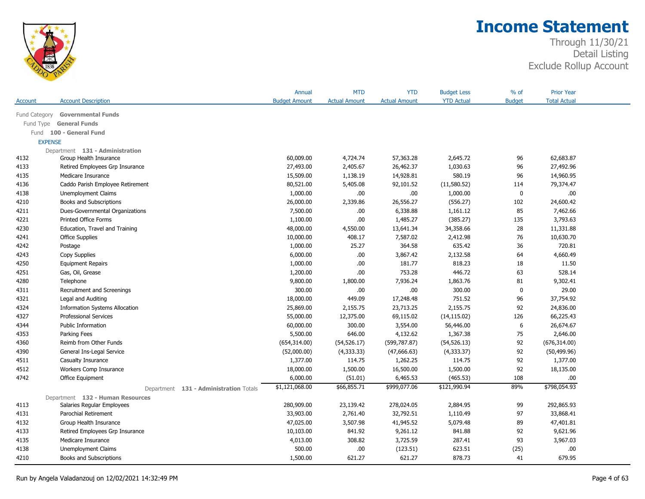

|                |                                        | Annual               | <b>MTD</b>           | <b>YTD</b>           | <b>Budget Less</b> | % of          | <b>Prior Year</b>   |  |
|----------------|----------------------------------------|----------------------|----------------------|----------------------|--------------------|---------------|---------------------|--|
| Account        | <b>Account Description</b>             | <b>Budget Amount</b> | <b>Actual Amount</b> | <b>Actual Amount</b> | <b>YTD Actual</b>  | <b>Budget</b> | <b>Total Actual</b> |  |
| Fund Category  | <b>Governmental Funds</b>              |                      |                      |                      |                    |               |                     |  |
| Fund Type      | <b>General Funds</b>                   |                      |                      |                      |                    |               |                     |  |
| Fund           | 100 - General Fund                     |                      |                      |                      |                    |               |                     |  |
| <b>EXPENSE</b> |                                        |                      |                      |                      |                    |               |                     |  |
|                | Department 131 - Administration        |                      |                      |                      |                    |               |                     |  |
| 4132           | Group Health Insurance                 | 60,009.00            | 4,724.74             | 57,363.28            | 2,645.72           | 96            | 62,683.87           |  |
| 4133           | Retired Employees Grp Insurance        | 27,493.00            | 2,405.67             | 26,462.37            | 1,030.63           | 96            | 27,492.96           |  |
| 4135           | Medicare Insurance                     | 15,509.00            | 1,138.19             | 14,928.81            | 580.19             | 96            | 14,960.95           |  |
| 4136           | Caddo Parish Employee Retirement       | 80,521.00            | 5,405.08             | 92,101.52            | (11,580.52)        | 114           | 79,374.47           |  |
| 4138           | Unemployment Claims                    | 1,000.00             | .00.                 | .00.                 | 1,000.00           | 0             | .00.                |  |
| 4210           | Books and Subscriptions                | 26,000.00            | 2,339.86             | 26,556.27            | (556.27)           | 102           | 24,600.42           |  |
| 4211           | Dues-Governmental Organizations        | 7,500.00             | .00                  | 6,338.88             | 1,161.12           | 85            | 7,462.66            |  |
| 4221           | Printed Office Forms                   | 1,100.00             | .00                  | 1,485.27             | (385.27)           | 135           | 3,793.63            |  |
| 4230           | Education, Travel and Training         | 48,000.00            | 4,550.00             | 13,641.34            | 34,358.66          | 28            | 11,331.88           |  |
| 4241           | <b>Office Supplies</b>                 | 10,000.00            | 408.17               | 7,587.02             | 2,412.98           | 76            | 10,630.70           |  |
| 4242           | Postage                                | 1,000.00             | 25.27                | 364.58               | 635.42             | 36            | 720.81              |  |
| 4243           | Copy Supplies                          | 6,000.00             | .00.                 | 3,867.42             | 2,132.58           | 64            | 4,660.49            |  |
| 4250           | <b>Equipment Repairs</b>               | 1,000.00             | .00                  | 181.77               | 818.23             | 18            | 11.50               |  |
| 4251           | Gas, Oil, Grease                       | 1,200.00             | .00                  | 753.28               | 446.72             | 63            | 528.14              |  |
| 4280           | Telephone                              | 9,800.00             | 1,800.00             | 7,936.24             | 1,863.76           | 81            | 9,302.41            |  |
| 4311           | Recruitment and Screenings             | 300.00               | .00.                 | .00.                 | 300.00             | 0             | 29.00               |  |
| 4321           | Legal and Auditing                     | 18,000.00            | 449.09               | 17,248.48            | 751.52             | 96            | 37,754.92           |  |
| 4324           | <b>Information Systems Allocation</b>  | 25,869.00            | 2,155.75             | 23,713.25            | 2,155.75           | 92            | 24,836.00           |  |
| 4327           | <b>Professional Services</b>           | 55,000.00            | 12,375.00            | 69,115.02            | (14, 115.02)       | 126           | 66,225.43           |  |
| 4344           | Public Information                     | 60,000.00            | 300.00               | 3,554.00             | 56,446.00          | 6             | 26,674.67           |  |
| 4353           | Parking Fees                           | 5,500.00             | 646.00               | 4,132.62             | 1,367.38           | 75            | 2,646.00            |  |
| 4360           | Reimb from Other Funds                 | (654, 314.00)        | (54, 526.17)         | (599, 787.87)        | (54, 526.13)       | 92            | (676, 314.00)       |  |
| 4390           | General Ins-Legal Service              | (52,000.00)          | (4,333.33)           | (47,666.63)          | (4, 333.37)        | 92            | (50, 499.96)        |  |
| 4511           | Casualty Insurance                     | 1,377.00             | 114.75               | 1,262.25             | 114.75             | 92            | 1,377.00            |  |
| 4512           | Workers Comp Insurance                 | 18,000.00            | 1,500.00             | 16,500.00            | 1,500.00           | 92            | 18,135.00           |  |
| 4742           | Office Equipment                       | 6,000.00             | (51.01)              | 6,465.53             | (465.53)           | 108           | .00                 |  |
|                | Department 131 - Administration Totals | \$1,121,068.00       | \$66,855.71          | \$999,077.06         | \$121,990.94       | 89%           | \$798,054.93        |  |
|                | Department 132 - Human Resources       |                      |                      |                      |                    |               |                     |  |
| 4113           | Salaries Regular Employees             | 280,909.00           | 23,139.42            | 278,024.05           | 2,884.95           | 99            | 292,865.93          |  |
| 4131           | Parochial Retirement                   | 33,903.00            | 2,761.40             | 32,792.51            | 1,110.49           | 97            | 33,868.41           |  |
| 4132           | Group Health Insurance                 | 47,025.00            | 3,507.98             | 41,945.52            | 5,079.48           | 89            | 47,401.81           |  |
| 4133           | Retired Employees Grp Insurance        | 10,103.00            | 841.92               | 9,261.12             | 841.88             | 92            | 9,621.96            |  |
| 4135           | Medicare Insurance                     | 4,013.00             | 308.82               | 3,725.59             | 287.41             | 93            | 3,967.03            |  |
| 4138           | <b>Unemployment Claims</b>             | 500.00               | .00.                 | (123.51)             | 623.51             | (25)          | .00.                |  |
| 4210           | Books and Subscriptions                | 1,500.00             | 621.27               | 621.27               | 878.73             | 41            | 679.95              |  |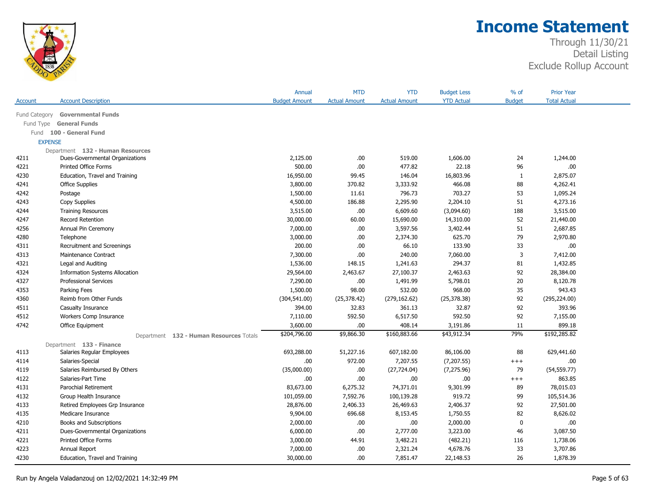

|                |                                         | Annual               | <b>MTD</b>           | <b>YTD</b>           | <b>Budget Less</b> | % of          | <b>Prior Year</b>   |  |
|----------------|-----------------------------------------|----------------------|----------------------|----------------------|--------------------|---------------|---------------------|--|
| Account        | <b>Account Description</b>              | <b>Budget Amount</b> | <b>Actual Amount</b> | <b>Actual Amount</b> | <b>YTD Actual</b>  | <b>Budget</b> | <b>Total Actual</b> |  |
| Fund Category  | <b>Governmental Funds</b>               |                      |                      |                      |                    |               |                     |  |
| Fund Type      | <b>General Funds</b>                    |                      |                      |                      |                    |               |                     |  |
| Fund           | 100 - General Fund                      |                      |                      |                      |                    |               |                     |  |
| <b>EXPENSE</b> |                                         |                      |                      |                      |                    |               |                     |  |
|                | Department 132 - Human Resources        |                      |                      |                      |                    |               |                     |  |
| 4211           | Dues-Governmental Organizations         | 2,125.00             | .00.                 | 519.00               | 1,606.00           | 24            | 1,244.00            |  |
| 4221           | Printed Office Forms                    | 500.00               | .00.                 | 477.82               | 22.18              | 96            | .00.                |  |
| 4230           | Education, Travel and Training          | 16,950.00            | 99.45                | 146.04               | 16,803.96          | 1             | 2,875.07            |  |
| 4241           | <b>Office Supplies</b>                  | 3,800.00             | 370.82               | 3,333.92             | 466.08             | 88            | 4,262.41            |  |
| 4242           | Postage                                 | 1,500.00             | 11.61                | 796.73               | 703.27             | 53            | 1,095.24            |  |
| 4243           | Copy Supplies                           | 4,500.00             | 186.88               | 2,295.90             | 2,204.10           | 51            | 4,273.16            |  |
| 4244           | <b>Training Resources</b>               | 3,515.00             | .00                  | 6,609.60             | (3,094.60)         | 188           | 3,515.00            |  |
| 4247           | <b>Record Retention</b>                 | 30,000.00            | 60.00                | 15,690.00            | 14,310.00          | 52            | 21,440.00           |  |
| 4256           | Annual Pin Ceremony                     | 7,000.00             | .00.                 | 3,597.56             | 3,402.44           | 51            | 2,687.85            |  |
| 4280           | Telephone                               | 3,000.00             | .00.                 | 2,374.30             | 625.70             | 79            | 2,970.80            |  |
| 4311           | Recruitment and Screenings              | 200.00               | .00.                 | 66.10                | 133.90             | 33            | .00.                |  |
| 4313           | Maintenance Contract                    | 7,300.00             | .00.                 | 240.00               | 7,060.00           | 3             | 7,412.00            |  |
| 4321           | Legal and Auditing                      | 1,536.00             | 148.15               | 1,241.63             | 294.37             | 81            | 1,432.85            |  |
| 4324           | <b>Information Systems Allocation</b>   | 29,564.00            | 2,463.67             | 27,100.37            | 2,463.63           | 92            | 28,384.00           |  |
| 4327           | <b>Professional Services</b>            | 7,290.00             | .00.                 | 1,491.99             | 5,798.01           | 20            | 8,120.78            |  |
| 4353           | Parking Fees                            | 1,500.00             | 98.00                | 532.00               | 968.00             | 35            | 943.43              |  |
| 4360           | Reimb from Other Funds                  | (304, 541.00)        | (25, 378.42)         | (279, 162.62)        | (25, 378.38)       | 92            | (295, 224.00)       |  |
| 4511           | Casualty Insurance                      | 394.00               | 32.83                | 361.13               | 32.87              | 92            | 393.96              |  |
| 4512           | Workers Comp Insurance                  | 7,110.00             | 592.50               | 6,517.50             | 592.50             | 92            | 7,155.00            |  |
| 4742           | Office Equipment                        | 3,600.00             | .00.                 | 408.14               | 3,191.86           | 11            | 899.18              |  |
|                | Department 132 - Human Resources Totals | \$204,796.00         | \$9,866.30           | \$160,883.66         | \$43,912.34        | 79%           | \$192,285.82        |  |
|                | Department 133 - Finance                |                      |                      |                      |                    |               |                     |  |
| 4113           | Salaries Regular Employees              | 693,288.00           | 51,227.16            | 607,182.00           | 86,106.00          | 88            | 629,441.60          |  |
| 4114           | Salaries-Special                        | .00.                 | 972.00               | 7,207.55             | (7,207.55)         | $^{+++}$      | .00.                |  |
| 4119           | Salaries Reimbursed By Others           | (35,000.00)          | .00.                 | (27, 724.04)         | (7, 275.96)        | 79            | (54, 559.77)        |  |
| 4122           | Salaries-Part Time                      | .00                  | .00.                 | .00.                 | .00.               | $^{+++}$      | 863.85              |  |
| 4131           | Parochial Retirement                    | 83,673.00            | 6,275.32             | 74,371.01            | 9,301.99           | 89            | 78,015.03           |  |
| 4132           | Group Health Insurance                  | 101,059.00           | 7,592.76             | 100,139.28           | 919.72             | 99            | 105,514.36          |  |
| 4133           | Retired Employees Grp Insurance         | 28,876.00            | 2,406.33             | 26,469.63            | 2,406.37           | 92            | 27,501.00           |  |
| 4135           | Medicare Insurance                      | 9,904.00             | 696.68               | 8,153.45             | 1,750.55           | 82            | 8,626.02            |  |
| 4210           | Books and Subscriptions                 | 2,000.00             | .00.                 | .00                  | 2,000.00           | $\mathbf 0$   | .00.                |  |
| 4211           | Dues-Governmental Organizations         | 6,000.00             | .00.                 | 2,777.00             | 3,223.00           | 46            | 3,087.50            |  |
| 4221           | <b>Printed Office Forms</b>             | 3,000.00             | 44.91                | 3,482.21             | (482.21)           | 116           | 1,738.06            |  |
| 4223           | Annual Report                           | 7,000.00             | .00.                 | 2,321.24             | 4,678.76           | 33            | 3,707.86            |  |
| 4230           | Education, Travel and Training          | 30,000.00            | .00.                 | 7,851.47             | 22,148.53          | 26            | 1,878.39            |  |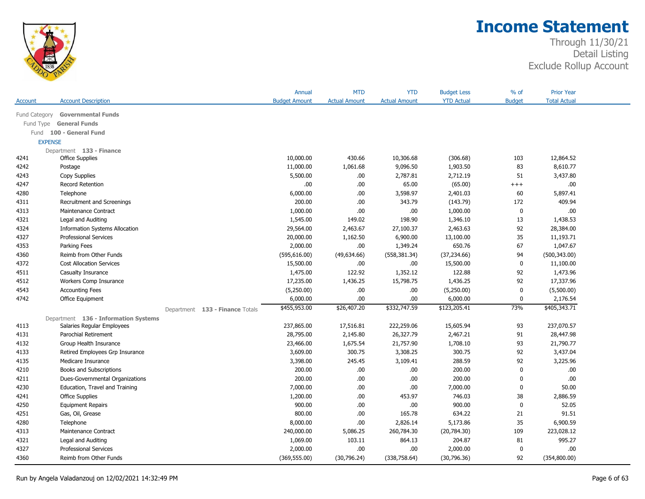

|                |                                       |                                 | Annual               | <b>MTD</b>           | <b>YTD</b>           | <b>Budget Less</b> | % of          | <b>Prior Year</b>   |  |
|----------------|---------------------------------------|---------------------------------|----------------------|----------------------|----------------------|--------------------|---------------|---------------------|--|
| Account        | <b>Account Description</b>            |                                 | <b>Budget Amount</b> | <b>Actual Amount</b> | <b>Actual Amount</b> | <b>YTD Actual</b>  | <b>Budget</b> | <b>Total Actual</b> |  |
| Fund Category  | <b>Governmental Funds</b>             |                                 |                      |                      |                      |                    |               |                     |  |
| Fund Type      | <b>General Funds</b>                  |                                 |                      |                      |                      |                    |               |                     |  |
| Fund           | 100 - General Fund                    |                                 |                      |                      |                      |                    |               |                     |  |
| <b>EXPENSE</b> |                                       |                                 |                      |                      |                      |                    |               |                     |  |
|                | Department 133 - Finance              |                                 |                      |                      |                      |                    |               |                     |  |
| 4241           | <b>Office Supplies</b>                |                                 | 10,000.00            | 430.66               | 10,306.68            | (306.68)           | 103           | 12,864.52           |  |
| 4242           | Postage                               |                                 | 11,000.00            | 1,061.68             | 9,096.50             | 1,903.50           | 83            | 8,610.77            |  |
| 4243           | Copy Supplies                         |                                 | 5,500.00             | .00.                 | 2,787.81             | 2,712.19           | 51            | 3,437.80            |  |
| 4247           | <b>Record Retention</b>               |                                 | .00                  | .00.                 | 65.00                | (65.00)            | $^{+++}$      | .00                 |  |
| 4280           | Telephone                             |                                 | 6,000.00             | .00                  | 3,598.97             | 2,401.03           | 60            | 5,897.41            |  |
| 4311           | Recruitment and Screenings            |                                 | 200.00               | .00                  | 343.79               | (143.79)           | 172           | 409.94              |  |
| 4313           | Maintenance Contract                  |                                 | 1,000.00             | .00                  | .00                  | 1,000.00           | $\mathbf 0$   | .00                 |  |
| 4321           | Legal and Auditing                    |                                 | 1,545.00             | 149.02               | 198.90               | 1,346.10           | 13            | 1,438.53            |  |
| 4324           | <b>Information Systems Allocation</b> |                                 | 29,564.00            | 2,463.67             | 27,100.37            | 2,463.63           | 92            | 28,384.00           |  |
| 4327           | <b>Professional Services</b>          |                                 | 20,000.00            | 1,162.50             | 6,900.00             | 13,100.00          | 35            | 11,193.71           |  |
| 4353           | Parking Fees                          |                                 | 2,000.00             | .00                  | 1,349.24             | 650.76             | 67            | 1,047.67            |  |
| 4360           | Reimb from Other Funds                |                                 | (595, 616.00)        | (49,634.66)          | (558, 381.34)        | (37, 234.66)       | 94            | (500, 343.00)       |  |
| 4372           | <b>Cost Allocation Services</b>       |                                 | 15,500.00            | .00.                 | .00                  | 15,500.00          | 0             | 11,100.00           |  |
| 4511           | Casualty Insurance                    |                                 | 1,475.00             | 122.92               | 1,352.12             | 122.88             | 92            | 1,473.96            |  |
| 4512           | Workers Comp Insurance                |                                 | 17,235.00            | 1,436.25             | 15,798.75            | 1,436.25           | 92            | 17,337.96           |  |
| 4543           | <b>Accounting Fees</b>                |                                 | (5,250.00)           | .00                  | .00.                 | (5,250.00)         | $\mathbf 0$   | (5,500.00)          |  |
| 4742           | Office Equipment                      |                                 | 6,000.00             | .00                  | .00                  | 6,000.00           | $\mathbf 0$   | 2,176.54            |  |
|                |                                       | Department 133 - Finance Totals | \$455,953.00         | \$26,407.20          | \$332,747.59         | \$123,205.41       | 73%           | \$405,343.71        |  |
|                | Department 136 - Information Systems  |                                 |                      |                      |                      |                    |               |                     |  |
| 4113           | Salaries Regular Employees            |                                 | 237,865.00           | 17,516.81            | 222,259.06           | 15,605.94          | 93            | 237,070.57          |  |
| 4131           | Parochial Retirement                  |                                 | 28,795.00            | 2,145.80             | 26,327.79            | 2,467.21           | 91            | 28,447.98           |  |
| 4132           | Group Health Insurance                |                                 | 23,466.00            | 1,675.54             | 21,757.90            | 1,708.10           | 93            | 21,790.77           |  |
| 4133           | Retired Employees Grp Insurance       |                                 | 3,609.00             | 300.75               | 3,308.25             | 300.75             | 92            | 3,437.04            |  |
| 4135           | Medicare Insurance                    |                                 | 3,398.00             | 245.45               | 3,109.41             | 288.59             | 92            | 3,225.96            |  |
| 4210           | Books and Subscriptions               |                                 | 200.00               | .00                  | .00.                 | 200.00             | $\mathbf 0$   | .00                 |  |
| 4211           | Dues-Governmental Organizations       |                                 | 200.00               | .00                  | .00                  | 200.00             | $\mathbf 0$   | .00                 |  |
| 4230           | Education, Travel and Training        |                                 | 7,000.00             | .00                  | .00                  | 7,000.00           | $\mathbf 0$   | 50.00               |  |
| 4241           | <b>Office Supplies</b>                |                                 | 1,200.00             | .00                  | 453.97               | 746.03             | 38            | 2,886.59            |  |
| 4250           | <b>Equipment Repairs</b>              |                                 | 900.00               | .00                  | .00.                 | 900.00             | $\mathbf 0$   | 52.05               |  |
| 4251           | Gas, Oil, Grease                      |                                 | 800.00               | .00                  | 165.78               | 634.22             | 21            | 91.51               |  |
| 4280           | Telephone                             |                                 | 8,000.00             | .00.                 | 2,826.14             | 5,173.86           | 35            | 6,900.59            |  |
| 4313           | Maintenance Contract                  |                                 | 240,000.00           | 5,086.25             | 260,784.30           | (20, 784.30)       | 109           | 223,028.12          |  |
| 4321           | Legal and Auditing                    |                                 | 1,069.00             | 103.11               | 864.13               | 204.87             | 81            | 995.27              |  |
| 4327           | <b>Professional Services</b>          |                                 | 2,000.00             | .00                  | .00                  | 2,000.00           | $\mathbf 0$   | .00                 |  |
| 4360           | Reimb from Other Funds                |                                 | (369, 555.00)        | (30,796.24)          | (338, 758.64)        | (30,796.36)        | 92            | (354,800.00)        |  |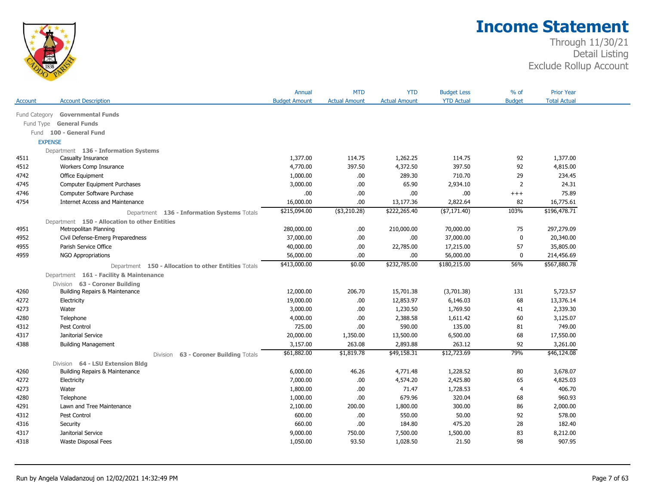

|         |                                                      | Annual               | <b>MTD</b>           | <b>YTD</b>           | <b>Budget Less</b> | $%$ of         | <b>Prior Year</b>   |  |
|---------|------------------------------------------------------|----------------------|----------------------|----------------------|--------------------|----------------|---------------------|--|
| Account | <b>Account Description</b>                           | <b>Budget Amount</b> | <b>Actual Amount</b> | <b>Actual Amount</b> | <b>YTD Actual</b>  | <b>Budget</b>  | <b>Total Actual</b> |  |
|         | Fund Category<br><b>Governmental Funds</b>           |                      |                      |                      |                    |                |                     |  |
|         | <b>General Funds</b><br>Fund Type                    |                      |                      |                      |                    |                |                     |  |
|         | Fund 100 - General Fund                              |                      |                      |                      |                    |                |                     |  |
|         | <b>EXPENSE</b>                                       |                      |                      |                      |                    |                |                     |  |
|         | Department 136 - Information Systems                 |                      |                      |                      |                    |                |                     |  |
| 4511    | Casualty Insurance                                   | 1,377.00             | 114.75               | 1,262.25             | 114.75             | 92             | 1,377.00            |  |
| 4512    | Workers Comp Insurance                               | 4,770.00             | 397.50               | 4,372.50             | 397.50             | 92             | 4,815.00            |  |
| 4742    | Office Equipment                                     | 1,000.00             | .00                  | 289.30               | 710.70             | 29             | 234.45              |  |
| 4745    | Computer Equipment Purchases                         | 3,000.00             | .00.                 | 65.90                | 2,934.10           | $\overline{2}$ | 24.31               |  |
| 4746    | Computer Software Purchase                           | .00                  | .00.                 | .00                  | .00                | $^{+++}$       | 75.89               |  |
| 4754    | <b>Internet Access and Maintenance</b>               | 16,000.00            | .00.                 | 13,177.36            | 2,822.64           | 82             | 16,775.61           |  |
|         | Department 136 - Information Systems Totals          | \$215,094.00         | $($ \$3,210.28)      | \$222,265.40         | ( \$7,171.40)      | 103%           | \$196,478.71        |  |
|         | Department 150 - Allocation to other Entities        |                      |                      |                      |                    |                |                     |  |
| 4951    | Metropolitan Planning                                | 280,000.00           | .00                  | 210,000.00           | 70,000.00          | 75             | 297,279.09          |  |
| 4952    | Civil Defense-Emerg Preparedness                     | 37,000.00            | .00                  | .00                  | 37,000.00          | 0              | 20,340.00           |  |
| 4955    | Parish Service Office                                | 40,000.00            | .00.                 | 22,785.00            | 17,215.00          | 57             | 35,805.00           |  |
| 4959    | <b>NGO Appropriations</b>                            | 56,000.00            | .00.                 | .00                  | 56,000.00          | 0              | 214,456.69          |  |
|         | Department 150 - Allocation to other Entities Totals | \$413,000.00         | \$0.00               | \$232,785.00         | \$180,215.00       | 56%            | \$567,880.78        |  |
|         | Department 161 - Facility & Maintenance              |                      |                      |                      |                    |                |                     |  |
|         | Division 63 - Coroner Building                       |                      |                      |                      |                    |                |                     |  |
| 4260    | Building Repairs & Maintenance                       | 12,000.00            | 206.70               | 15,701.38            | (3,701.38)         | 131            | 5,723.57            |  |
| 4272    | Electricity                                          | 19,000.00            | .00.                 | 12,853.97            | 6,146.03           | 68             | 13,376.14           |  |
| 4273    | Water                                                | 3,000.00             | .00.                 | 1,230.50             | 1,769.50           | 41             | 2,339.30            |  |
| 4280    | Telephone                                            | 4,000.00             | .00                  | 2,388.58             | 1,611.42           | 60             | 3,125.07            |  |
| 4312    | Pest Control                                         | 725.00               | .00.                 | 590.00               | 135.00             | 81             | 749.00              |  |
| 4317    | Janitorial Service                                   | 20,000.00            | 1,350.00             | 13,500.00            | 6,500.00           | 68             | 17,550.00           |  |
| 4388    | <b>Building Management</b>                           | 3,157.00             | 263.08               | 2,893.88             | 263.12             | 92             | 3,261.00            |  |
|         | Division 63 - Coroner Building Totals                | \$61,882.00          | \$1,819.78           | \$49,158.31          | \$12,723.69        | 79%            | \$46,124.08         |  |
|         | Division 64 - LSU Extension Bldg                     |                      |                      |                      |                    |                |                     |  |
| 4260    | Building Repairs & Maintenance                       | 6,000.00             | 46.26                | 4,771.48             | 1,228.52           | 80             | 3,678.07            |  |
| 4272    | Electricity                                          | 7,000.00             | .00.                 | 4,574.20             | 2,425.80           | 65             | 4,825.03            |  |
| 4273    | Water                                                | 1,800.00             | .00.                 | 71.47                | 1,728.53           | $\overline{4}$ | 406.70              |  |
| 4280    | Telephone                                            | 1,000.00             | .00.                 | 679.96               | 320.04             | 68             | 960.93              |  |
| 4291    | Lawn and Tree Maintenance                            | 2,100.00             | 200.00               | 1,800.00             | 300.00             | 86             | 2,000.00            |  |
| 4312    | Pest Control                                         | 600.00               | .00.                 | 550.00               | 50.00              | 92             | 578.00              |  |
| 4316    | Security                                             | 660.00               | .00.                 | 184.80               | 475.20             | 28             | 182.40              |  |
| 4317    | Janitorial Service                                   | 9,000.00             | 750.00               | 7,500.00             | 1,500.00           | 83             | 8,212.00            |  |
| 4318    | Waste Disposal Fees                                  | 1,050.00             | 93.50                | 1,028.50             | 21.50              | 98             | 907.95              |  |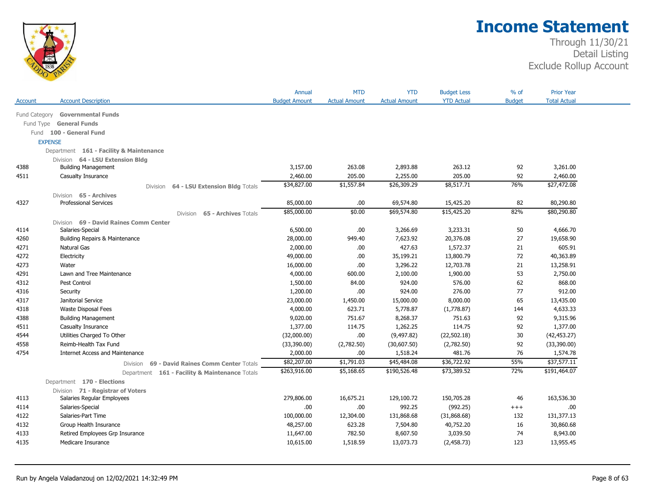

|               |                                                    | Annual                  | <b>MTD</b>           | <b>YTD</b>              | <b>Budget Less</b>   | $%$ of        | <b>Prior Year</b>   |  |
|---------------|----------------------------------------------------|-------------------------|----------------------|-------------------------|----------------------|---------------|---------------------|--|
| Account       | <b>Account Description</b>                         | <b>Budget Amount</b>    | <b>Actual Amount</b> | <b>Actual Amount</b>    | <b>YTD Actual</b>    | <b>Budget</b> | <b>Total Actual</b> |  |
| Fund Category | <b>Governmental Funds</b>                          |                         |                      |                         |                      |               |                     |  |
| Fund Type     | <b>General Funds</b>                               |                         |                      |                         |                      |               |                     |  |
| Fund          | 100 - General Fund                                 |                         |                      |                         |                      |               |                     |  |
|               | <b>EXPENSE</b>                                     |                         |                      |                         |                      |               |                     |  |
|               | Department 161 - Facility & Maintenance            |                         |                      |                         |                      |               |                     |  |
|               | Division 64 - LSU Extension Bldg                   |                         |                      |                         |                      |               |                     |  |
| 4388          | <b>Building Management</b>                         | 3,157.00                | 263.08               | 2,893.88                | 263.12               | 92            | 3,261.00            |  |
| 4511          | Casualty Insurance                                 | 2,460.00                | 205.00               | 2,255.00                | 205.00               | 92            | 2,460.00            |  |
|               | 64 - LSU Extension Bldg Totals<br>Division         | \$34,827.00             | \$1,557.84           | \$26,309.29             | \$8,517.71           | 76%           | \$27,472.08         |  |
|               | Division 65 - Archives                             |                         |                      |                         |                      |               |                     |  |
| 4327          | <b>Professional Services</b>                       | 85,000.00               | .00                  | 69,574.80               | 15,425.20            | 82            | 80,290.80           |  |
|               | 65 - Archives Totals                               | \$85,000.00             | \$0.00               | \$69,574.80             | \$15,425.20          | 82%           | \$80,290.80         |  |
|               | Division<br>Division 69 - David Raines Comm Center |                         |                      |                         |                      |               |                     |  |
| 4114          | Salaries-Special                                   | 6,500.00                | .00.                 | 3,266.69                | 3,233.31             | 50            | 4,666.70            |  |
| 4260          | Building Repairs & Maintenance                     | 28,000.00               | 949.40               | 7,623.92                | 20,376.08            | 27            | 19,658.90           |  |
| 4271          | Natural Gas                                        | 2,000.00                | .00                  | 427.63                  | 1,572.37             | 21            | 605.91              |  |
| 4272          | Electricity                                        | 49,000.00               | .00.                 | 35,199.21               | 13,800.79            | 72            | 40,363.89           |  |
| 4273          | Water                                              | 16,000.00               | .00                  | 3,296.22                | 12,703.78            | 21            | 13,258.91           |  |
| 4291          | Lawn and Tree Maintenance                          | 4,000.00                | 600.00               | 2,100.00                | 1,900.00             | 53            | 2,750.00            |  |
| 4312          | Pest Control                                       | 1,500.00                | 84.00                | 924.00                  | 576.00               | 62            | 868.00              |  |
| 4316          | Security                                           | 1,200.00                | .00                  | 924.00                  | 276.00               | 77            | 912.00              |  |
| 4317          | Janitorial Service                                 | 23,000.00               | 1,450.00             | 15,000.00               | 8,000.00             | 65            | 13,435.00           |  |
| 4318          | Waste Disposal Fees                                | 4,000.00                | 623.71               | 5,778.87                | (1,778.87)           | 144           | 4,633.33            |  |
| 4388          | <b>Building Management</b>                         | 9,020.00                | 751.67               | 8,268.37                | 751.63               | 92            | 9,315.96            |  |
| 4511          | Casualty Insurance                                 | 1,377.00                | 114.75               | 1,262.25                | 114.75               | 92            | 1,377.00            |  |
| 4544          | Utilities Charged To Other                         | (32,000.00)             | .00.                 | (9, 497.82)             | (22, 502.18)         | 30            | (42, 453.27)        |  |
| 4558          | Reimb-Health Tax Fund                              |                         |                      | (30,607.50)             |                      | 92            | (33,390.00)         |  |
|               |                                                    | (33,390.00)             | (2,782.50)           |                         | (2,782.50)<br>481.76 | 76            | 1,574.78            |  |
| 4754          | <b>Internet Access and Maintenance</b>             | 2,000.00<br>\$82,207.00 | .00<br>\$1,791.03    | 1,518.24<br>\$45,484.08 | \$36,722.92          | 55%           | \$37,577.11         |  |
|               | 69 - David Raines Comm Center Totals<br>Division   | \$263,916.00            | \$5,168.65           | \$190,526.48            | \$73,389.52          | 72%           | \$191,464.07        |  |
|               | Department 161 - Facility & Maintenance Totals     |                         |                      |                         |                      |               |                     |  |
|               | Department 170 - Elections                         |                         |                      |                         |                      |               |                     |  |
|               | Division 71 - Registrar of Voters                  |                         |                      |                         |                      |               |                     |  |
| 4113          | Salaries Regular Employees                         | 279,806.00              | 16,675.21            | 129,100.72              | 150,705.28           | 46            | 163,536.30          |  |
| 4114          | Salaries-Special                                   | .00                     | .00                  | 992.25                  | (992.25)             | $^{+++}$      | .00                 |  |
| 4122          | Salaries-Part Time                                 | 100,000.00              | 12,304.00            | 131,868.68              | (31,868.68)          | 132           | 131,377.13          |  |
| 4132          | Group Health Insurance                             | 48,257.00               | 623.28               | 7,504.80                | 40,752.20            | 16            | 30,860.68           |  |
| 4133          | Retired Employees Grp Insurance                    | 11,647.00               | 782.50               | 8,607.50                | 3,039.50             | 74            | 8,943.00            |  |
| 4135          | Medicare Insurance                                 | 10,615.00               | 1,518.59             | 13,073.73               | (2,458.73)           | 123           | 13,955.45           |  |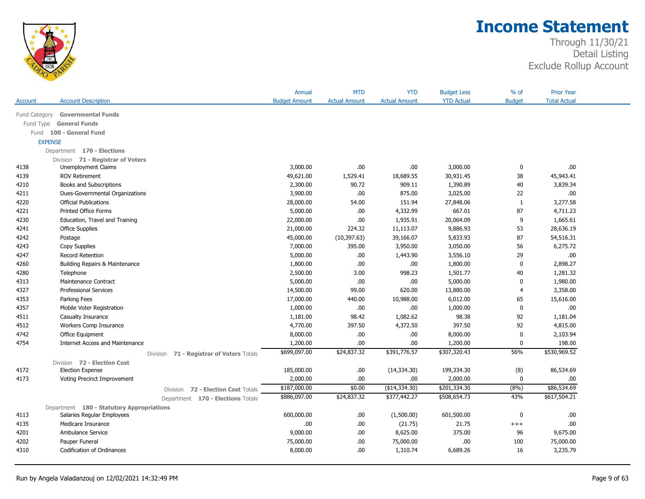

|               |                                                                         | Annual                                                   | <b>MTD</b>           | <b>YTD</b>           | <b>Budget Less</b> | $%$ of         | <b>Prior Year</b>   |  |
|---------------|-------------------------------------------------------------------------|----------------------------------------------------------|----------------------|----------------------|--------------------|----------------|---------------------|--|
| Account       | <b>Account Description</b>                                              | <b>Budget Amount</b>                                     | <b>Actual Amount</b> | <b>Actual Amount</b> | <b>YTD Actual</b>  | <b>Budget</b>  | <b>Total Actual</b> |  |
| Fund Category | <b>Governmental Funds</b>                                               |                                                          |                      |                      |                    |                |                     |  |
| Fund Type     | <b>General Funds</b>                                                    |                                                          |                      |                      |                    |                |                     |  |
| Fund          | 100 - General Fund                                                      |                                                          |                      |                      |                    |                |                     |  |
|               | <b>EXPENSE</b>                                                          |                                                          |                      |                      |                    |                |                     |  |
|               | Department 170 - Elections                                              |                                                          |                      |                      |                    |                |                     |  |
|               | Division 71 - Registrar of Voters                                       |                                                          |                      |                      |                    |                |                     |  |
| 4138          | <b>Unemployment Claims</b>                                              | 3,000.00                                                 | .00                  | .00.                 | 3,000.00           | $\bf{0}$       | .00.                |  |
| 4139          | <b>ROV Retirement</b>                                                   | 49,621.00                                                | 1,529.41             | 18,689.55            | 30,931.45          | 38             | 45,943.41           |  |
| 4210          | Books and Subscriptions                                                 | 2,300.00                                                 | 90.72                | 909.11               | 1,390.89           | 40             | 3,839.34            |  |
| 4211          | Dues-Governmental Organizations                                         | 3,900.00                                                 | .00                  | 875.00               | 3,025.00           | 22             | .00                 |  |
| 4220          | <b>Official Publications</b>                                            | 28,000.00                                                | 54.00                | 151.94               | 27,848.06          | $\mathbf{1}$   | 3,277.58            |  |
| 4221          | <b>Printed Office Forms</b>                                             | 5,000.00                                                 | .00                  | 4,332.99             | 667.01             | 87             | 4,711.23            |  |
| 4230          | Education, Travel and Training                                          | 22,000.00                                                | .00                  | 1,935.91             | 20,064.09          | 9              | 1,665.61            |  |
| 4241          | <b>Office Supplies</b>                                                  | 21,000.00                                                | 224.32               | 11,113.07            | 9,886.93           | 53             | 28,636.19           |  |
| 4242          | Postage                                                                 | 45,000.00                                                | (10, 397.63)         | 39,166.07            | 5,833.93           | 87             | 54,516.31           |  |
| 4243          | Copy Supplies                                                           | 7,000.00                                                 | 395.00               | 3,950.00             | 3,050.00           | 56             | 6,275.72            |  |
| 4247          | Record Retention                                                        | 5,000.00                                                 | .00.                 | 1,443.90             | 3,556.10           | 29             | .00                 |  |
| 4260          | Building Repairs & Maintenance                                          | 1,800.00                                                 | .00                  | .00                  | 1,800.00           | $\bf{0}$       | 2,898.27            |  |
| 4280          | Telephone                                                               | 2,500.00                                                 | 3.00                 | 998.23               | 1,501.77           | 40             | 1,281.32            |  |
| 4313          | Maintenance Contract                                                    | 5,000.00                                                 | .00                  | .00                  | 5,000.00           | $\mathbf 0$    | 1,980.00            |  |
| 4327          | <b>Professional Services</b>                                            | 14,500.00                                                | 99.00                | 620.00               | 13,880.00          | $\overline{4}$ | 3,358.00            |  |
| 4353          | Parking Fees                                                            | 17,000.00                                                | 440.00               | 10,988.00            | 6,012.00           | 65             | 15,616.00           |  |
| 4357          | Mobile Voter Registration                                               | 1,000.00                                                 | .00                  | .00                  | 1,000.00           | 0              | .00                 |  |
| 4511          | Casualty Insurance                                                      | 1,181.00                                                 | 98.42                | 1,082.62             | 98.38              | 92             | 1,181.04            |  |
| 4512          | Workers Comp Insurance                                                  | 4,770.00                                                 | 397.50               | 4,372.50             | 397.50             | 92             | 4,815.00            |  |
| 4742          | Office Equipment                                                        | 8,000.00                                                 | .00                  | .00.                 | 8,000.00           | $\mathbf 0$    | 2,103.94            |  |
| 4754          | <b>Internet Access and Maintenance</b>                                  | 1,200.00                                                 | .00.                 | .00                  | 1,200.00           | 0              | 198.00              |  |
|               |                                                                         | \$699,097.00<br>Division 71 - Registrar of Voters Totals | \$24,837.32          | \$391,776.57         | \$307,320.43       | 56%            | \$530,969.52        |  |
|               | Division 72 - Election Cost                                             |                                                          |                      |                      |                    |                |                     |  |
| 4172          | <b>Election Expense</b>                                                 | 185,000.00                                               | .00                  | (14,334.30)          | 199,334.30         | (8)            | 86,534.69           |  |
| 4173          | <b>Voting Precinct Improvement</b>                                      | 2,000.00                                                 | .00                  | .00                  | 2,000.00           | $\mathbf 0$    | .00                 |  |
|               |                                                                         | \$187,000.00<br>Division 72 - Election Cost Totals       | \$0.00               | (\$14,334.30)        | \$201,334.30       | (8%)           | \$86,534.69         |  |
|               |                                                                         | \$886,097.00<br>Department 170 - Elections Totals        | \$24,837.32          | \$377,442.27         | \$508,654.73       | 43%            | \$617,504.21        |  |
|               |                                                                         |                                                          |                      |                      |                    |                |                     |  |
| 4113          | Department 180 - Statutory Appropriations<br>Salaries Regular Employees | 600,000.00                                               | .00                  | (1,500.00)           | 601,500.00         | $\mathbf 0$    | .00                 |  |
| 4135          | Medicare Insurance                                                      |                                                          | .00<br>.00           | (21.75)              | 21.75              | $^{+++}$       | .00                 |  |
| 4201          | Ambulance Service                                                       | 9,000.00                                                 | .00                  | 8,625.00             | 375.00             | 96             | 9,675.00            |  |
| 4202          | Pauper Funeral                                                          | 75,000.00                                                | .00                  | 75,000.00            | $.00$              | 100            | 75,000.00           |  |
| 4310          | <b>Codification of Ordinances</b>                                       | 8,000.00                                                 | .00.                 | 1,310.74             | 6,689.26           | 16             | 3,235.79            |  |
|               |                                                                         |                                                          |                      |                      |                    |                |                     |  |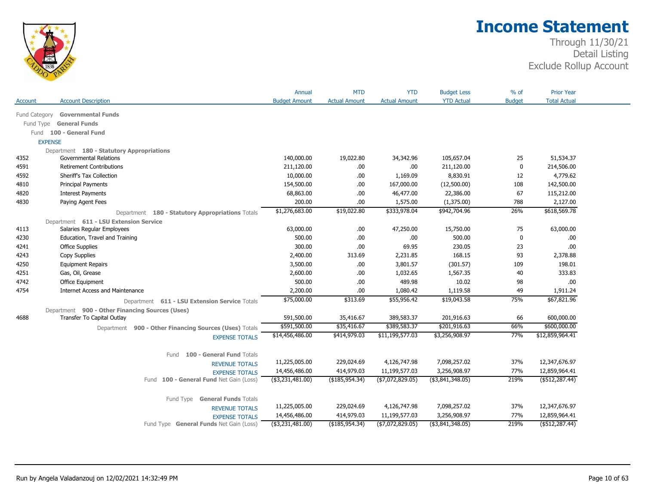

| <b>YTD Actual</b><br><b>Budget</b><br><b>Total Actual</b><br><b>Account Description</b><br><b>Budget Amount</b><br><b>Actual Amount</b><br><b>Actual Amount</b><br>Account<br><b>Governmental Funds</b><br>Fund Category<br><b>General Funds</b><br>Fund Type<br>Fund 100 - General Fund<br><b>EXPENSE</b><br>Department 180 - Statutory Appropriations<br><b>Governmental Relations</b><br>140,000.00<br>19,022.80<br>51,534.37<br>4352<br>34,342.96<br>105,657.04<br>25<br><b>Retirement Contributions</b><br>.00.<br>214,506.00<br>4591<br>211,120.00<br>.00.<br>211,120.00<br>0<br>4,779.62<br>Sheriff's Tax Collection<br>10,000.00<br>.00<br>1,169.09<br>8,830.91<br>12<br>4592<br>142,500.00<br>4810<br><b>Principal Payments</b><br>154,500.00<br>.00.<br>167,000.00<br>(12,500.00)<br>108<br>.00<br>46,477.00<br>67<br>115,212.00<br>4820<br><b>Interest Payments</b><br>68,863.00<br>22,386.00<br>200.00<br>788<br>2,127.00<br>4830<br>.00<br>1,575.00<br>(1,375.00)<br>Paying Agent Fees<br>\$618,569.78<br>\$1,276,683.00<br>\$333,978.04<br>\$942,704.96<br>26%<br>\$19,022.80<br>Department 180 - Statutory Appropriations Totals<br>Department 611 - LSU Extension Service<br>Salaries Regular Employees<br>63,000.00<br>4113<br>63,000.00<br>.00.<br>47,250.00<br>15,750.00<br>75<br>Education, Travel and Training<br>500.00<br>500.00<br>4230<br>.00<br>.00.<br>0<br>.00.<br>300.00<br>230.05<br>.00.<br>4241<br><b>Office Supplies</b><br>.00<br>69.95<br>23<br>168.15<br>4243<br>Copy Supplies<br>2,400.00<br>313.69<br>2,231.85<br>93<br>2,378.88<br><b>Equipment Repairs</b><br>3,500.00<br>.00<br>3,801.57<br>(301.57)<br>109<br>198.01<br>4250<br>Gas, Oil, Grease<br>2,600.00<br>1,032.65<br>1,567.35<br>40<br>333.83<br>4251<br>.00<br>4742<br>Office Equipment<br>500.00<br>.00<br>489.98<br>10.02<br>98<br>.00.<br>2,200.00<br>49<br>4754<br><b>Internet Access and Maintenance</b><br>.00.<br>1,080.42<br>1,119.58<br>1,911.24<br>75%<br>\$75,000.00<br>\$313.69<br>\$55,956.42<br>\$19,043.58<br>\$67,821.96<br>Department 611 - LSU Extension Service Totals<br>Department 900 - Other Financing Sources (Uses)<br>Transfer To Capital Outlay<br>591,500.00<br>35,416.67<br>389,583.37<br>201,916.63<br>66<br>600,000.00<br>4688<br>\$600,000.00<br>\$591,500.00<br>\$389,583.37<br>\$201,916.63<br>66%<br>\$35,416.67<br>Department 900 - Other Financing Sources (Uses) Totals<br>\$14,456,486.00<br>\$414,979.03<br>\$11,199,577.03<br>\$3,256,908.97<br>77%<br>\$12,859,964.41<br><b>EXPENSE TOTALS</b><br>100 - General Fund Totals<br>Fund<br>11,225,005.00<br>7,098,257.02<br>37%<br>12,347,676.97<br>229,024.69<br>4,126,747.98<br><b>REVENUE TOTALS</b><br>77%<br>14,456,486.00<br>414,979.03<br>11,199,577.03<br>3,256,908.97<br>12,859,964.41<br><b>EXPENSE TOTALS</b><br>219%<br>$($ \$512,287.44)<br>Fund 100 - General Fund Net Gain (Loss)<br>( \$3,231,481.00)<br>( \$185, 954.34)<br>(\$7,072,829.05)<br>( \$3,841,348.05)<br>Fund Type General Funds Totals<br>11,225,005.00<br>229,024.69<br>4,126,747.98<br>7,098,257.02<br>37%<br>12,347,676.97<br><b>REVENUE TOTALS</b><br>77%<br>14,456,486.00<br>414,979.03<br>11,199,577.03<br>3,256,908.97<br>12,859,964.41<br><b>EXPENSE TOTALS</b><br>$($ \$3,231,481.00)<br>( \$7,072,829.05)<br>$($ \$3,841,348.05)<br>219%<br>$($ \$512,287.44)<br>Fund Type General Funds Net Gain (Loss)<br>( \$185, 954.34) |  | Annual | <b>MTD</b> | <b>YTD</b> | <b>Budget Less</b> | $%$ of | <b>Prior Year</b> |  |
|--------------------------------------------------------------------------------------------------------------------------------------------------------------------------------------------------------------------------------------------------------------------------------------------------------------------------------------------------------------------------------------------------------------------------------------------------------------------------------------------------------------------------------------------------------------------------------------------------------------------------------------------------------------------------------------------------------------------------------------------------------------------------------------------------------------------------------------------------------------------------------------------------------------------------------------------------------------------------------------------------------------------------------------------------------------------------------------------------------------------------------------------------------------------------------------------------------------------------------------------------------------------------------------------------------------------------------------------------------------------------------------------------------------------------------------------------------------------------------------------------------------------------------------------------------------------------------------------------------------------------------------------------------------------------------------------------------------------------------------------------------------------------------------------------------------------------------------------------------------------------------------------------------------------------------------------------------------------------------------------------------------------------------------------------------------------------------------------------------------------------------------------------------------------------------------------------------------------------------------------------------------------------------------------------------------------------------------------------------------------------------------------------------------------------------------------------------------------------------------------------------------------------------------------------------------------------------------------------------------------------------------------------------------------------------------------------------------------------------------------------------------------------------------------------------------------------------------------------------------------------------------------------------------------------------------------------------------------------------------------------------------------------------------------------------------------------------------------------------------------------------------------------------------------------------------------------------------------------------------------------------------------------------------------------------------------------------------------------------------------------------------------------------------|--|--------|------------|------------|--------------------|--------|-------------------|--|
|                                                                                                                                                                                                                                                                                                                                                                                                                                                                                                                                                                                                                                                                                                                                                                                                                                                                                                                                                                                                                                                                                                                                                                                                                                                                                                                                                                                                                                                                                                                                                                                                                                                                                                                                                                                                                                                                                                                                                                                                                                                                                                                                                                                                                                                                                                                                                                                                                                                                                                                                                                                                                                                                                                                                                                                                                                                                                                                                                                                                                                                                                                                                                                                                                                                                                                                                                                                                              |  |        |            |            |                    |        |                   |  |
|                                                                                                                                                                                                                                                                                                                                                                                                                                                                                                                                                                                                                                                                                                                                                                                                                                                                                                                                                                                                                                                                                                                                                                                                                                                                                                                                                                                                                                                                                                                                                                                                                                                                                                                                                                                                                                                                                                                                                                                                                                                                                                                                                                                                                                                                                                                                                                                                                                                                                                                                                                                                                                                                                                                                                                                                                                                                                                                                                                                                                                                                                                                                                                                                                                                                                                                                                                                                              |  |        |            |            |                    |        |                   |  |
|                                                                                                                                                                                                                                                                                                                                                                                                                                                                                                                                                                                                                                                                                                                                                                                                                                                                                                                                                                                                                                                                                                                                                                                                                                                                                                                                                                                                                                                                                                                                                                                                                                                                                                                                                                                                                                                                                                                                                                                                                                                                                                                                                                                                                                                                                                                                                                                                                                                                                                                                                                                                                                                                                                                                                                                                                                                                                                                                                                                                                                                                                                                                                                                                                                                                                                                                                                                                              |  |        |            |            |                    |        |                   |  |
|                                                                                                                                                                                                                                                                                                                                                                                                                                                                                                                                                                                                                                                                                                                                                                                                                                                                                                                                                                                                                                                                                                                                                                                                                                                                                                                                                                                                                                                                                                                                                                                                                                                                                                                                                                                                                                                                                                                                                                                                                                                                                                                                                                                                                                                                                                                                                                                                                                                                                                                                                                                                                                                                                                                                                                                                                                                                                                                                                                                                                                                                                                                                                                                                                                                                                                                                                                                                              |  |        |            |            |                    |        |                   |  |
|                                                                                                                                                                                                                                                                                                                                                                                                                                                                                                                                                                                                                                                                                                                                                                                                                                                                                                                                                                                                                                                                                                                                                                                                                                                                                                                                                                                                                                                                                                                                                                                                                                                                                                                                                                                                                                                                                                                                                                                                                                                                                                                                                                                                                                                                                                                                                                                                                                                                                                                                                                                                                                                                                                                                                                                                                                                                                                                                                                                                                                                                                                                                                                                                                                                                                                                                                                                                              |  |        |            |            |                    |        |                   |  |
|                                                                                                                                                                                                                                                                                                                                                                                                                                                                                                                                                                                                                                                                                                                                                                                                                                                                                                                                                                                                                                                                                                                                                                                                                                                                                                                                                                                                                                                                                                                                                                                                                                                                                                                                                                                                                                                                                                                                                                                                                                                                                                                                                                                                                                                                                                                                                                                                                                                                                                                                                                                                                                                                                                                                                                                                                                                                                                                                                                                                                                                                                                                                                                                                                                                                                                                                                                                                              |  |        |            |            |                    |        |                   |  |
|                                                                                                                                                                                                                                                                                                                                                                                                                                                                                                                                                                                                                                                                                                                                                                                                                                                                                                                                                                                                                                                                                                                                                                                                                                                                                                                                                                                                                                                                                                                                                                                                                                                                                                                                                                                                                                                                                                                                                                                                                                                                                                                                                                                                                                                                                                                                                                                                                                                                                                                                                                                                                                                                                                                                                                                                                                                                                                                                                                                                                                                                                                                                                                                                                                                                                                                                                                                                              |  |        |            |            |                    |        |                   |  |
|                                                                                                                                                                                                                                                                                                                                                                                                                                                                                                                                                                                                                                                                                                                                                                                                                                                                                                                                                                                                                                                                                                                                                                                                                                                                                                                                                                                                                                                                                                                                                                                                                                                                                                                                                                                                                                                                                                                                                                                                                                                                                                                                                                                                                                                                                                                                                                                                                                                                                                                                                                                                                                                                                                                                                                                                                                                                                                                                                                                                                                                                                                                                                                                                                                                                                                                                                                                                              |  |        |            |            |                    |        |                   |  |
|                                                                                                                                                                                                                                                                                                                                                                                                                                                                                                                                                                                                                                                                                                                                                                                                                                                                                                                                                                                                                                                                                                                                                                                                                                                                                                                                                                                                                                                                                                                                                                                                                                                                                                                                                                                                                                                                                                                                                                                                                                                                                                                                                                                                                                                                                                                                                                                                                                                                                                                                                                                                                                                                                                                                                                                                                                                                                                                                                                                                                                                                                                                                                                                                                                                                                                                                                                                                              |  |        |            |            |                    |        |                   |  |
|                                                                                                                                                                                                                                                                                                                                                                                                                                                                                                                                                                                                                                                                                                                                                                                                                                                                                                                                                                                                                                                                                                                                                                                                                                                                                                                                                                                                                                                                                                                                                                                                                                                                                                                                                                                                                                                                                                                                                                                                                                                                                                                                                                                                                                                                                                                                                                                                                                                                                                                                                                                                                                                                                                                                                                                                                                                                                                                                                                                                                                                                                                                                                                                                                                                                                                                                                                                                              |  |        |            |            |                    |        |                   |  |
|                                                                                                                                                                                                                                                                                                                                                                                                                                                                                                                                                                                                                                                                                                                                                                                                                                                                                                                                                                                                                                                                                                                                                                                                                                                                                                                                                                                                                                                                                                                                                                                                                                                                                                                                                                                                                                                                                                                                                                                                                                                                                                                                                                                                                                                                                                                                                                                                                                                                                                                                                                                                                                                                                                                                                                                                                                                                                                                                                                                                                                                                                                                                                                                                                                                                                                                                                                                                              |  |        |            |            |                    |        |                   |  |
|                                                                                                                                                                                                                                                                                                                                                                                                                                                                                                                                                                                                                                                                                                                                                                                                                                                                                                                                                                                                                                                                                                                                                                                                                                                                                                                                                                                                                                                                                                                                                                                                                                                                                                                                                                                                                                                                                                                                                                                                                                                                                                                                                                                                                                                                                                                                                                                                                                                                                                                                                                                                                                                                                                                                                                                                                                                                                                                                                                                                                                                                                                                                                                                                                                                                                                                                                                                                              |  |        |            |            |                    |        |                   |  |
|                                                                                                                                                                                                                                                                                                                                                                                                                                                                                                                                                                                                                                                                                                                                                                                                                                                                                                                                                                                                                                                                                                                                                                                                                                                                                                                                                                                                                                                                                                                                                                                                                                                                                                                                                                                                                                                                                                                                                                                                                                                                                                                                                                                                                                                                                                                                                                                                                                                                                                                                                                                                                                                                                                                                                                                                                                                                                                                                                                                                                                                                                                                                                                                                                                                                                                                                                                                                              |  |        |            |            |                    |        |                   |  |
|                                                                                                                                                                                                                                                                                                                                                                                                                                                                                                                                                                                                                                                                                                                                                                                                                                                                                                                                                                                                                                                                                                                                                                                                                                                                                                                                                                                                                                                                                                                                                                                                                                                                                                                                                                                                                                                                                                                                                                                                                                                                                                                                                                                                                                                                                                                                                                                                                                                                                                                                                                                                                                                                                                                                                                                                                                                                                                                                                                                                                                                                                                                                                                                                                                                                                                                                                                                                              |  |        |            |            |                    |        |                   |  |
|                                                                                                                                                                                                                                                                                                                                                                                                                                                                                                                                                                                                                                                                                                                                                                                                                                                                                                                                                                                                                                                                                                                                                                                                                                                                                                                                                                                                                                                                                                                                                                                                                                                                                                                                                                                                                                                                                                                                                                                                                                                                                                                                                                                                                                                                                                                                                                                                                                                                                                                                                                                                                                                                                                                                                                                                                                                                                                                                                                                                                                                                                                                                                                                                                                                                                                                                                                                                              |  |        |            |            |                    |        |                   |  |
|                                                                                                                                                                                                                                                                                                                                                                                                                                                                                                                                                                                                                                                                                                                                                                                                                                                                                                                                                                                                                                                                                                                                                                                                                                                                                                                                                                                                                                                                                                                                                                                                                                                                                                                                                                                                                                                                                                                                                                                                                                                                                                                                                                                                                                                                                                                                                                                                                                                                                                                                                                                                                                                                                                                                                                                                                                                                                                                                                                                                                                                                                                                                                                                                                                                                                                                                                                                                              |  |        |            |            |                    |        |                   |  |
|                                                                                                                                                                                                                                                                                                                                                                                                                                                                                                                                                                                                                                                                                                                                                                                                                                                                                                                                                                                                                                                                                                                                                                                                                                                                                                                                                                                                                                                                                                                                                                                                                                                                                                                                                                                                                                                                                                                                                                                                                                                                                                                                                                                                                                                                                                                                                                                                                                                                                                                                                                                                                                                                                                                                                                                                                                                                                                                                                                                                                                                                                                                                                                                                                                                                                                                                                                                                              |  |        |            |            |                    |        |                   |  |
|                                                                                                                                                                                                                                                                                                                                                                                                                                                                                                                                                                                                                                                                                                                                                                                                                                                                                                                                                                                                                                                                                                                                                                                                                                                                                                                                                                                                                                                                                                                                                                                                                                                                                                                                                                                                                                                                                                                                                                                                                                                                                                                                                                                                                                                                                                                                                                                                                                                                                                                                                                                                                                                                                                                                                                                                                                                                                                                                                                                                                                                                                                                                                                                                                                                                                                                                                                                                              |  |        |            |            |                    |        |                   |  |
|                                                                                                                                                                                                                                                                                                                                                                                                                                                                                                                                                                                                                                                                                                                                                                                                                                                                                                                                                                                                                                                                                                                                                                                                                                                                                                                                                                                                                                                                                                                                                                                                                                                                                                                                                                                                                                                                                                                                                                                                                                                                                                                                                                                                                                                                                                                                                                                                                                                                                                                                                                                                                                                                                                                                                                                                                                                                                                                                                                                                                                                                                                                                                                                                                                                                                                                                                                                                              |  |        |            |            |                    |        |                   |  |
|                                                                                                                                                                                                                                                                                                                                                                                                                                                                                                                                                                                                                                                                                                                                                                                                                                                                                                                                                                                                                                                                                                                                                                                                                                                                                                                                                                                                                                                                                                                                                                                                                                                                                                                                                                                                                                                                                                                                                                                                                                                                                                                                                                                                                                                                                                                                                                                                                                                                                                                                                                                                                                                                                                                                                                                                                                                                                                                                                                                                                                                                                                                                                                                                                                                                                                                                                                                                              |  |        |            |            |                    |        |                   |  |
|                                                                                                                                                                                                                                                                                                                                                                                                                                                                                                                                                                                                                                                                                                                                                                                                                                                                                                                                                                                                                                                                                                                                                                                                                                                                                                                                                                                                                                                                                                                                                                                                                                                                                                                                                                                                                                                                                                                                                                                                                                                                                                                                                                                                                                                                                                                                                                                                                                                                                                                                                                                                                                                                                                                                                                                                                                                                                                                                                                                                                                                                                                                                                                                                                                                                                                                                                                                                              |  |        |            |            |                    |        |                   |  |
|                                                                                                                                                                                                                                                                                                                                                                                                                                                                                                                                                                                                                                                                                                                                                                                                                                                                                                                                                                                                                                                                                                                                                                                                                                                                                                                                                                                                                                                                                                                                                                                                                                                                                                                                                                                                                                                                                                                                                                                                                                                                                                                                                                                                                                                                                                                                                                                                                                                                                                                                                                                                                                                                                                                                                                                                                                                                                                                                                                                                                                                                                                                                                                                                                                                                                                                                                                                                              |  |        |            |            |                    |        |                   |  |
|                                                                                                                                                                                                                                                                                                                                                                                                                                                                                                                                                                                                                                                                                                                                                                                                                                                                                                                                                                                                                                                                                                                                                                                                                                                                                                                                                                                                                                                                                                                                                                                                                                                                                                                                                                                                                                                                                                                                                                                                                                                                                                                                                                                                                                                                                                                                                                                                                                                                                                                                                                                                                                                                                                                                                                                                                                                                                                                                                                                                                                                                                                                                                                                                                                                                                                                                                                                                              |  |        |            |            |                    |        |                   |  |
|                                                                                                                                                                                                                                                                                                                                                                                                                                                                                                                                                                                                                                                                                                                                                                                                                                                                                                                                                                                                                                                                                                                                                                                                                                                                                                                                                                                                                                                                                                                                                                                                                                                                                                                                                                                                                                                                                                                                                                                                                                                                                                                                                                                                                                                                                                                                                                                                                                                                                                                                                                                                                                                                                                                                                                                                                                                                                                                                                                                                                                                                                                                                                                                                                                                                                                                                                                                                              |  |        |            |            |                    |        |                   |  |
|                                                                                                                                                                                                                                                                                                                                                                                                                                                                                                                                                                                                                                                                                                                                                                                                                                                                                                                                                                                                                                                                                                                                                                                                                                                                                                                                                                                                                                                                                                                                                                                                                                                                                                                                                                                                                                                                                                                                                                                                                                                                                                                                                                                                                                                                                                                                                                                                                                                                                                                                                                                                                                                                                                                                                                                                                                                                                                                                                                                                                                                                                                                                                                                                                                                                                                                                                                                                              |  |        |            |            |                    |        |                   |  |
|                                                                                                                                                                                                                                                                                                                                                                                                                                                                                                                                                                                                                                                                                                                                                                                                                                                                                                                                                                                                                                                                                                                                                                                                                                                                                                                                                                                                                                                                                                                                                                                                                                                                                                                                                                                                                                                                                                                                                                                                                                                                                                                                                                                                                                                                                                                                                                                                                                                                                                                                                                                                                                                                                                                                                                                                                                                                                                                                                                                                                                                                                                                                                                                                                                                                                                                                                                                                              |  |        |            |            |                    |        |                   |  |
|                                                                                                                                                                                                                                                                                                                                                                                                                                                                                                                                                                                                                                                                                                                                                                                                                                                                                                                                                                                                                                                                                                                                                                                                                                                                                                                                                                                                                                                                                                                                                                                                                                                                                                                                                                                                                                                                                                                                                                                                                                                                                                                                                                                                                                                                                                                                                                                                                                                                                                                                                                                                                                                                                                                                                                                                                                                                                                                                                                                                                                                                                                                                                                                                                                                                                                                                                                                                              |  |        |            |            |                    |        |                   |  |
|                                                                                                                                                                                                                                                                                                                                                                                                                                                                                                                                                                                                                                                                                                                                                                                                                                                                                                                                                                                                                                                                                                                                                                                                                                                                                                                                                                                                                                                                                                                                                                                                                                                                                                                                                                                                                                                                                                                                                                                                                                                                                                                                                                                                                                                                                                                                                                                                                                                                                                                                                                                                                                                                                                                                                                                                                                                                                                                                                                                                                                                                                                                                                                                                                                                                                                                                                                                                              |  |        |            |            |                    |        |                   |  |
|                                                                                                                                                                                                                                                                                                                                                                                                                                                                                                                                                                                                                                                                                                                                                                                                                                                                                                                                                                                                                                                                                                                                                                                                                                                                                                                                                                                                                                                                                                                                                                                                                                                                                                                                                                                                                                                                                                                                                                                                                                                                                                                                                                                                                                                                                                                                                                                                                                                                                                                                                                                                                                                                                                                                                                                                                                                                                                                                                                                                                                                                                                                                                                                                                                                                                                                                                                                                              |  |        |            |            |                    |        |                   |  |
|                                                                                                                                                                                                                                                                                                                                                                                                                                                                                                                                                                                                                                                                                                                                                                                                                                                                                                                                                                                                                                                                                                                                                                                                                                                                                                                                                                                                                                                                                                                                                                                                                                                                                                                                                                                                                                                                                                                                                                                                                                                                                                                                                                                                                                                                                                                                                                                                                                                                                                                                                                                                                                                                                                                                                                                                                                                                                                                                                                                                                                                                                                                                                                                                                                                                                                                                                                                                              |  |        |            |            |                    |        |                   |  |
|                                                                                                                                                                                                                                                                                                                                                                                                                                                                                                                                                                                                                                                                                                                                                                                                                                                                                                                                                                                                                                                                                                                                                                                                                                                                                                                                                                                                                                                                                                                                                                                                                                                                                                                                                                                                                                                                                                                                                                                                                                                                                                                                                                                                                                                                                                                                                                                                                                                                                                                                                                                                                                                                                                                                                                                                                                                                                                                                                                                                                                                                                                                                                                                                                                                                                                                                                                                                              |  |        |            |            |                    |        |                   |  |
|                                                                                                                                                                                                                                                                                                                                                                                                                                                                                                                                                                                                                                                                                                                                                                                                                                                                                                                                                                                                                                                                                                                                                                                                                                                                                                                                                                                                                                                                                                                                                                                                                                                                                                                                                                                                                                                                                                                                                                                                                                                                                                                                                                                                                                                                                                                                                                                                                                                                                                                                                                                                                                                                                                                                                                                                                                                                                                                                                                                                                                                                                                                                                                                                                                                                                                                                                                                                              |  |        |            |            |                    |        |                   |  |
|                                                                                                                                                                                                                                                                                                                                                                                                                                                                                                                                                                                                                                                                                                                                                                                                                                                                                                                                                                                                                                                                                                                                                                                                                                                                                                                                                                                                                                                                                                                                                                                                                                                                                                                                                                                                                                                                                                                                                                                                                                                                                                                                                                                                                                                                                                                                                                                                                                                                                                                                                                                                                                                                                                                                                                                                                                                                                                                                                                                                                                                                                                                                                                                                                                                                                                                                                                                                              |  |        |            |            |                    |        |                   |  |
|                                                                                                                                                                                                                                                                                                                                                                                                                                                                                                                                                                                                                                                                                                                                                                                                                                                                                                                                                                                                                                                                                                                                                                                                                                                                                                                                                                                                                                                                                                                                                                                                                                                                                                                                                                                                                                                                                                                                                                                                                                                                                                                                                                                                                                                                                                                                                                                                                                                                                                                                                                                                                                                                                                                                                                                                                                                                                                                                                                                                                                                                                                                                                                                                                                                                                                                                                                                                              |  |        |            |            |                    |        |                   |  |
|                                                                                                                                                                                                                                                                                                                                                                                                                                                                                                                                                                                                                                                                                                                                                                                                                                                                                                                                                                                                                                                                                                                                                                                                                                                                                                                                                                                                                                                                                                                                                                                                                                                                                                                                                                                                                                                                                                                                                                                                                                                                                                                                                                                                                                                                                                                                                                                                                                                                                                                                                                                                                                                                                                                                                                                                                                                                                                                                                                                                                                                                                                                                                                                                                                                                                                                                                                                                              |  |        |            |            |                    |        |                   |  |
|                                                                                                                                                                                                                                                                                                                                                                                                                                                                                                                                                                                                                                                                                                                                                                                                                                                                                                                                                                                                                                                                                                                                                                                                                                                                                                                                                                                                                                                                                                                                                                                                                                                                                                                                                                                                                                                                                                                                                                                                                                                                                                                                                                                                                                                                                                                                                                                                                                                                                                                                                                                                                                                                                                                                                                                                                                                                                                                                                                                                                                                                                                                                                                                                                                                                                                                                                                                                              |  |        |            |            |                    |        |                   |  |
|                                                                                                                                                                                                                                                                                                                                                                                                                                                                                                                                                                                                                                                                                                                                                                                                                                                                                                                                                                                                                                                                                                                                                                                                                                                                                                                                                                                                                                                                                                                                                                                                                                                                                                                                                                                                                                                                                                                                                                                                                                                                                                                                                                                                                                                                                                                                                                                                                                                                                                                                                                                                                                                                                                                                                                                                                                                                                                                                                                                                                                                                                                                                                                                                                                                                                                                                                                                                              |  |        |            |            |                    |        |                   |  |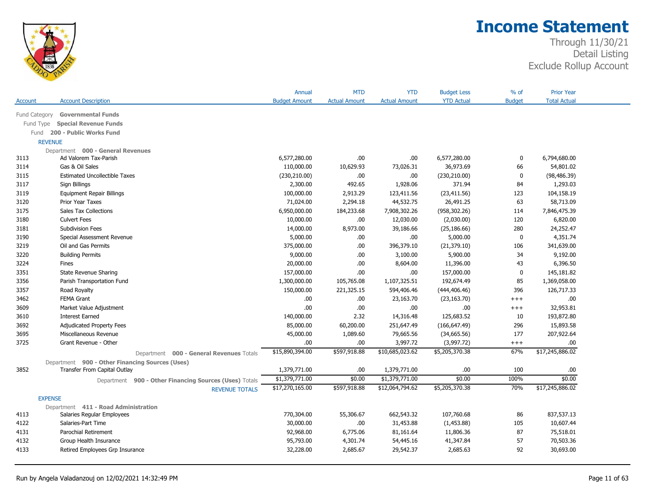

|                |                                                        | Annual               | <b>MTD</b>           | <b>YTD</b>           | <b>Budget Less</b> | $%$ of        | <b>Prior Year</b>   |  |
|----------------|--------------------------------------------------------|----------------------|----------------------|----------------------|--------------------|---------------|---------------------|--|
| Account        | <b>Account Description</b>                             | <b>Budget Amount</b> | <b>Actual Amount</b> | <b>Actual Amount</b> | <b>YTD Actual</b>  | <b>Budget</b> | <b>Total Actual</b> |  |
| Fund Category  | <b>Governmental Funds</b>                              |                      |                      |                      |                    |               |                     |  |
| Fund Type      | <b>Special Revenue Funds</b>                           |                      |                      |                      |                    |               |                     |  |
| Fund           | 200 - Public Works Fund                                |                      |                      |                      |                    |               |                     |  |
| <b>REVENUE</b> |                                                        |                      |                      |                      |                    |               |                     |  |
|                | Department 000 - General Revenues                      |                      |                      |                      |                    |               |                     |  |
| 3113           | Ad Valorem Tax-Parish                                  | 6,577,280.00         | .00                  | .00                  | 6,577,280.00       | $\mathbf 0$   | 6,794,680.00        |  |
| 3114           | Gas & Oil Sales                                        | 110,000.00           | 10,629.93            | 73,026.31            | 36,973.69          | 66            | 54,801.02           |  |
| 3115           | <b>Estimated Uncollectible Taxes</b>                   | (230, 210.00)        | .00.                 | .00                  | (230, 210.00)      | $\mathbf 0$   | (98, 486.39)        |  |
| 3117           | Sign Billings                                          | 2,300.00             | 492.65               | 1,928.06             | 371.94             | 84            | 1,293.03            |  |
| 3119           | <b>Equipment Repair Billings</b>                       | 100,000.00           | 2,913.29             | 123,411.56           | (23, 411.56)       | 123           | 104,158.19          |  |
| 3120           | <b>Prior Year Taxes</b>                                | 71,024.00            | 2,294.18             | 44,532.75            | 26,491.25          | 63            | 58,713.09           |  |
| 3175           | <b>Sales Tax Collections</b>                           | 6,950,000.00         | 184,233.68           | 7,908,302.26         | (958, 302.26)      | 114           | 7,846,475.39        |  |
| 3180           | <b>Culvert Fees</b>                                    | 10,000.00            | .00.                 | 12,030.00            | (2,030.00)         | 120           | 6,820.00            |  |
| 3181           | <b>Subdivision Fees</b>                                | 14,000.00            | 8,973.00             | 39,186.66            | (25, 186.66)       | 280           | 24,252.47           |  |
| 3190           | Special Assessment Revenue                             | 5,000.00             | .00.                 | .00                  | 5,000.00           | $\mathbf 0$   | 4,351.74            |  |
| 3219           | Oil and Gas Permits                                    | 375,000.00           | .00.                 | 396,379.10           | (21, 379.10)       | 106           | 341,639.00          |  |
| 3220           | <b>Building Permits</b>                                | 9,000.00             | .00.                 | 3,100.00             | 5,900.00           | 34            | 9,192.00            |  |
| 3224           | Fines                                                  | 20,000.00            | .00.                 | 8,604.00             | 11,396.00          | 43            | 6,396.50            |  |
| 3351           | <b>State Revenue Sharing</b>                           | 157,000.00           | .00.                 | .00                  | 157,000.00         | $\mathbf 0$   | 145,181.82          |  |
| 3356           | Parish Transportation Fund                             | 1,300,000.00         | 105,765.08           | 1,107,325.51         | 192,674.49         | 85            | 1,369,058.00        |  |
| 3357           | Road Royalty                                           | 150,000.00           | 221,325.15           | 594,406.46           | (444, 406.46)      | 396           | 126,717.33          |  |
| 3462           | <b>FEMA Grant</b>                                      | .00                  | .00.                 | 23,163.70            | (23, 163.70)       | $^{+++}$      | .00.                |  |
| 3609           | Market Value Adjustment                                | .00                  | .00                  | .00.                 | .00.               | $^{+++}$      | 32,953.81           |  |
| 3610           | <b>Interest Earned</b>                                 | 140,000.00           | 2.32                 | 14,316.48            | 125,683.52         | 10            | 193,872.80          |  |
| 3692           | <b>Adjudicated Property Fees</b>                       | 85,000.00            | 60,200.00            | 251,647.49           | (166, 647.49)      | 296           | 15,893.58           |  |
| 3695           | Miscellaneous Revenue                                  | 45,000.00            | 1,089.60             | 79,665.56            | (34, 665.56)       | 177           | 207,922.64          |  |
| 3725           | Grant Revenue - Other                                  | .00                  | .00                  | 3,997.72             | (3,997.72)         | $^{+++}$      | .00.                |  |
|                | Department 000 - General Revenues Totals               | \$15,890,394.00      | \$597,918.88         | \$10,685,023.62      | \$5,205,370.38     | 67%           | \$17,245,886.02     |  |
|                | Department 900 - Other Financing Sources (Uses)        |                      |                      |                      |                    |               |                     |  |
| 3852           | Transfer From Capital Outlay                           | 1,379,771.00         | .00.                 | 1,379,771.00         | .00                | 100           | .00.                |  |
|                | Department 900 - Other Financing Sources (Uses) Totals | \$1,379,771.00       | \$0.00               | \$1,379,771.00       | \$0.00             | 100%          | \$0.00              |  |
|                | <b>REVENUE TOTALS</b>                                  | \$17,270,165.00      | \$597,918.88         | \$12,064,794.62      | \$5,205,370.38     | 70%           | \$17,245,886.02     |  |
| <b>EXPENSE</b> |                                                        |                      |                      |                      |                    |               |                     |  |
|                | Department 411 - Road Administration                   |                      |                      |                      |                    |               |                     |  |
| 4113           | Salaries Regular Employees                             | 770,304.00           | 55,306.67            | 662,543.32           | 107,760.68         | 86            | 837,537.13          |  |
| 4122           | Salaries-Part Time                                     | 30,000.00            | .00.                 | 31,453.88            | (1,453.88)         | 105           | 10,607.44           |  |
| 4131           | Parochial Retirement                                   | 92,968.00            | 6,775.06             | 81,161.64            | 11,806.36          | 87            | 75,518.01           |  |
| 4132           | Group Health Insurance                                 | 95,793.00            | 4,301.74             | 54,445.16            | 41,347.84          | 57            | 70,503.36           |  |
| 4133           | Retired Employees Grp Insurance                        | 32,228.00            | 2,685.67             | 29,542.37            | 2,685.63           | 92            | 30,693.00           |  |
|                |                                                        |                      |                      |                      |                    |               |                     |  |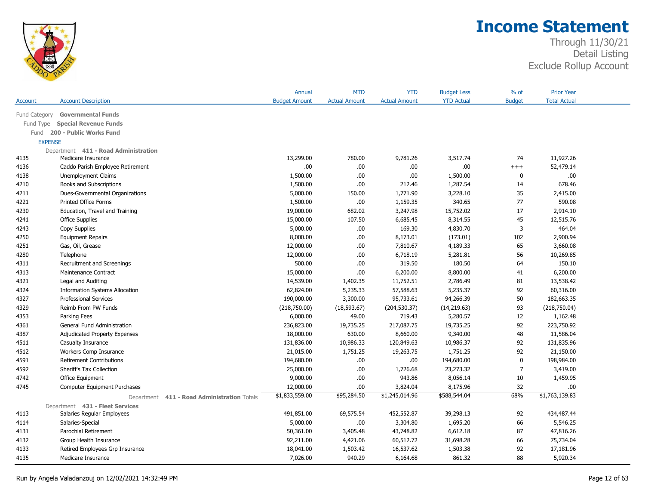

|               |                                                | Annual               | <b>MTD</b>           | <b>YTD</b>           | <b>Budget Less</b> | $%$ of         | <b>Prior Year</b>   |  |
|---------------|------------------------------------------------|----------------------|----------------------|----------------------|--------------------|----------------|---------------------|--|
| Account       | <b>Account Description</b>                     | <b>Budget Amount</b> | <b>Actual Amount</b> | <b>Actual Amount</b> | <b>YTD Actual</b>  | <b>Budget</b>  | <b>Total Actual</b> |  |
| Fund Category | <b>Governmental Funds</b>                      |                      |                      |                      |                    |                |                     |  |
| Fund Type     | <b>Special Revenue Funds</b>                   |                      |                      |                      |                    |                |                     |  |
| Fund          | 200 - Public Works Fund                        |                      |                      |                      |                    |                |                     |  |
|               | <b>EXPENSE</b>                                 |                      |                      |                      |                    |                |                     |  |
|               | Department 411 - Road Administration           |                      |                      |                      |                    |                |                     |  |
| 4135          | Medicare Insurance                             | 13,299.00            | 780.00               | 9,781.26             | 3,517.74           | 74             | 11,927.26           |  |
| 4136          | Caddo Parish Employee Retirement               | .00.                 | .00.                 | .00                  | .00                | $^{+++}$       | 52,479.14           |  |
| 4138          | Unemployment Claims                            | 1,500.00             | .00                  | .00                  | 1,500.00           | 0              | .00                 |  |
| 4210          | Books and Subscriptions                        | 1,500.00             | .00.                 | 212.46               | 1,287.54           | 14             | 678.46              |  |
| 4211          | Dues-Governmental Organizations                | 5,000.00             | 150.00               | 1,771.90             | 3,228.10           | 35             | 2,415.00            |  |
| 4221          | <b>Printed Office Forms</b>                    | 1,500.00             | .00                  | 1,159.35             | 340.65             | 77             | 590.08              |  |
| 4230          | Education, Travel and Training                 | 19,000.00            | 682.02               | 3,247.98             | 15,752.02          | 17             | 2,914.10            |  |
| 4241          | <b>Office Supplies</b>                         | 15,000.00            | 107.50               | 6,685.45             | 8,314.55           | 45             | 12,515.76           |  |
| 4243          | Copy Supplies                                  | 5,000.00             | .00                  | 169.30               | 4,830.70           | 3              | 464.04              |  |
| 4250          | <b>Equipment Repairs</b>                       | 8,000.00             | .00                  | 8,173.01             | (173.01)           | 102            | 2,900.94            |  |
| 4251          | Gas, Oil, Grease                               | 12,000.00            | .00.                 | 7,810.67             | 4,189.33           | 65             | 3,660.08            |  |
| 4280          | Telephone                                      | 12,000.00            | .00                  | 6,718.19             | 5,281.81           | 56             | 10,269.85           |  |
| 4311          | Recruitment and Screenings                     | 500.00               | .00                  | 319.50               | 180.50             | 64             | 150.10              |  |
| 4313          | Maintenance Contract                           | 15,000.00            | .00                  | 6,200.00             | 8,800.00           | 41             | 6,200.00            |  |
| 4321          | Legal and Auditing                             | 14,539.00            | 1,402.35             | 11,752.51            | 2,786.49           | 81             | 13,538.42           |  |
| 4324          | <b>Information Systems Allocation</b>          | 62,824.00            | 5,235.33             | 57,588.63            | 5,235.37           | 92             | 60,316.00           |  |
| 4327          | <b>Professional Services</b>                   | 190,000.00           | 3,300.00             | 95,733.61            | 94,266.39          | 50             | 182,663.35          |  |
| 4329          | Reimb From PW Funds                            | (218,750.00)         | (18, 593.67)         | (204, 530.37)        | (14, 219.63)       | 93             | (218,750.04)        |  |
| 4353          | Parking Fees                                   | 6,000.00             | 49.00                | 719.43               | 5,280.57           | 12             | 1,162.48            |  |
| 4361          | General Fund Administration                    | 236,823.00           | 19,735.25            | 217,087.75           | 19,735.25          | 92             | 223,750.92          |  |
| 4387          | Adjudicated Property Expenses                  | 18,000.00            | 630.00               | 8,660.00             | 9,340.00           | 48             | 11,586.04           |  |
| 4511          | Casualty Insurance                             | 131,836.00           | 10,986.33            | 120,849.63           | 10,986.37          | 92             | 131,835.96          |  |
| 4512          | Workers Comp Insurance                         | 21,015.00            | 1,751.25             | 19,263.75            | 1,751.25           | 92             | 21,150.00           |  |
| 4591          | <b>Retirement Contributions</b>                | 194,680.00           | .00                  | .00.                 | 194,680.00         | $\mathbf 0$    | 198,984.00          |  |
| 4592          | Sheriff's Tax Collection                       | 25,000.00            | .00                  | 1,726.68             | 23,273.32          | $\overline{7}$ | 3,419.00            |  |
| 4742          | Office Equipment                               | 9,000.00             | .00                  | 943.86               | 8,056.14           | 10             | 1,459.95            |  |
| 4745          | Computer Equipment Purchases                   | 12,000.00            | .00.                 | 3,824.04             | 8,175.96           | 32             | .00                 |  |
|               | 411 - Road Administration Totals<br>Department | \$1,833,559.00       | \$95,284.50          | \$1,245,014.96       | \$588,544.04       | 68%            | \$1,763,139.83      |  |
|               | Department 431 - Fleet Services                |                      |                      |                      |                    |                |                     |  |
| 4113          | Salaries Regular Employees                     | 491,851.00           | 69,575.54            | 452,552.87           | 39,298.13          | 92             | 434,487.44          |  |
| 4114          | Salaries-Special                               | 5,000.00             | .00                  | 3,304.80             | 1,695.20           | 66             | 5,546.25            |  |
| 4131          | <b>Parochial Retirement</b>                    | 50,361.00            | 3,405.48             | 43,748.82            | 6,612.18           | 87             | 47,816.26           |  |
| 4132          | Group Health Insurance                         | 92,211.00            | 4,421.06             | 60,512.72            | 31,698.28          | 66             | 75,734.04           |  |
| 4133          | Retired Employees Grp Insurance                | 18,041.00            | 1,503.42             | 16,537.62            | 1,503.38           | 92             | 17,181.96           |  |
| 4135          | Medicare Insurance                             | 7,026.00             | 940.29               | 6,164.68             | 861.32             | 88             | 5,920.34            |  |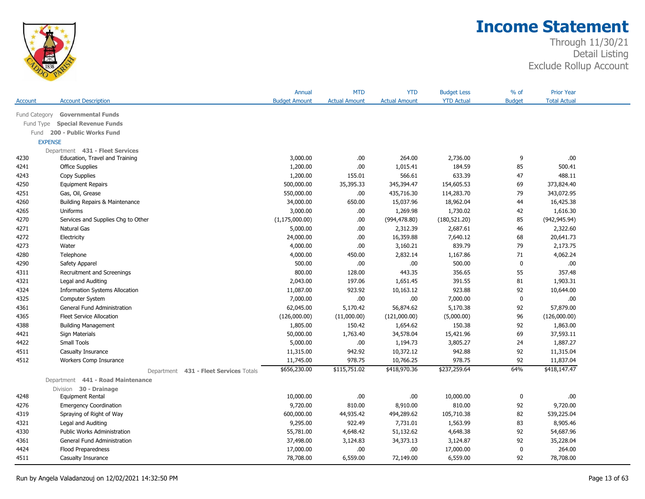

|                |                                           | Annual               | <b>MTD</b>           | <b>YTD</b>           | <b>Budget Less</b> | % of          | <b>Prior Year</b>   |  |
|----------------|-------------------------------------------|----------------------|----------------------|----------------------|--------------------|---------------|---------------------|--|
| Account        | <b>Account Description</b>                | <b>Budget Amount</b> | <b>Actual Amount</b> | <b>Actual Amount</b> | <b>YTD Actual</b>  | <b>Budget</b> | <b>Total Actual</b> |  |
| Fund Category  | <b>Governmental Funds</b>                 |                      |                      |                      |                    |               |                     |  |
| Fund Type      | <b>Special Revenue Funds</b>              |                      |                      |                      |                    |               |                     |  |
| Fund           | 200 - Public Works Fund                   |                      |                      |                      |                    |               |                     |  |
| <b>EXPENSE</b> |                                           |                      |                      |                      |                    |               |                     |  |
|                | Department 431 - Fleet Services           |                      |                      |                      |                    |               |                     |  |
| 4230           | Education, Travel and Training            | 3,000.00             | .00.                 | 264.00               | 2,736.00           | 9             | .00.                |  |
| 4241           | <b>Office Supplies</b>                    | 1,200.00             | .00.                 | 1,015.41             | 184.59             | 85            | 500.41              |  |
| 4243           | Copy Supplies                             | 1,200.00             | 155.01               | 566.61               | 633.39             | 47            | 488.11              |  |
| 4250           | <b>Equipment Repairs</b>                  | 500,000.00           | 35,395.33            | 345,394.47           | 154,605.53         | 69            | 373,824.40          |  |
| 4251           | Gas, Oil, Grease                          | 550,000.00           | .00.                 | 435,716.30           | 114,283.70         | 79            | 343,072.95          |  |
| 4260           | Building Repairs & Maintenance            | 34,000.00            | 650.00               | 15,037.96            | 18,962.04          | 44            | 16,425.38           |  |
| 4265           | Uniforms                                  | 3,000.00             | .00                  | 1,269.98             | 1,730.02           | 42            | 1,616.30            |  |
| 4270           | Services and Supplies Chg to Other        | (1, 175, 000.00)     | .00                  | (994, 478.80)        | (180, 521.20)      | 85            | (942, 945.94)       |  |
| 4271           | <b>Natural Gas</b>                        | 5,000.00             | .00.                 | 2,312.39             | 2,687.61           | 46            | 2,322.60            |  |
| 4272           | Electricity                               | 24,000.00            | .00.                 | 16,359.88            | 7,640.12           | 68            | 20,641.73           |  |
| 4273           | Water                                     | 4,000.00             | .00.                 | 3,160.21             | 839.79             | 79            | 2,173.75            |  |
| 4280           | Telephone                                 | 4,000.00             | 450.00               | 2,832.14             | 1,167.86           | 71            | 4,062.24            |  |
| 4290           | Safety Apparel                            | 500.00               | .00.                 | $.00$                | 500.00             | $\mathbf 0$   | .00                 |  |
| 4311           | Recruitment and Screenings                | 800.00               | 128.00               | 443.35               | 356.65             | 55            | 357.48              |  |
| 4321           | Legal and Auditing                        | 2,043.00             | 197.06               | 1,651.45             | 391.55             | 81            | 1,903.31            |  |
| 4324           | <b>Information Systems Allocation</b>     | 11,087.00            | 923.92               | 10,163.12            | 923.88             | 92            | 10,644.00           |  |
| 4325           | Computer System                           | 7,000.00             | 00.                  | .00                  | 7,000.00           | $\mathbf 0$   | .00.                |  |
| 4361           | <b>General Fund Administration</b>        | 62,045.00            | 5,170.42             | 56,874.62            | 5,170.38           | 92            | 57,879.00           |  |
| 4365           | <b>Fleet Service Allocation</b>           | (126,000.00)         | (11,000.00)          | (121,000.00)         | (5,000.00)         | 96            | (126,000.00)        |  |
| 4388           | <b>Building Management</b>                | 1,805.00             | 150.42               | 1,654.62             | 150.38             | 92            | 1,863.00            |  |
| 4421           | Sign Materials                            | 50,000.00            | 1,763.40             | 34,578.04            | 15,421.96          | 69            | 37,593.11           |  |
| 4422           | Small Tools                               | 5,000.00             | .00.                 | 1,194.73             | 3,805.27           | 24            | 1,887.27            |  |
| 4511           | Casualty Insurance                        | 11,315.00            | 942.92               | 10,372.12            | 942.88             | 92            | 11,315.04           |  |
| 4512           | Workers Comp Insurance                    | 11,745.00            | 978.75               | 10,766.25            | 978.75             | 92            | 11,837.04           |  |
|                | 431 - Fleet Services Totals<br>Department | \$656,230.00         | \$115,751.02         | \$418,970.36         | \$237,259.64       | 64%           | \$418,147.47        |  |
|                | Department 441 - Road Maintenance         |                      |                      |                      |                    |               |                     |  |
|                | Division 30 - Drainage                    |                      |                      |                      |                    |               |                     |  |
| 4248           | <b>Equipment Rental</b>                   | 10,000.00            | .00                  | .00                  | 10,000.00          | 0             | .00.                |  |
| 4276           | <b>Emergency Coordination</b>             | 9,720.00             | 810.00               | 8,910.00             | 810.00             | 92            | 9,720.00            |  |
| 4319           | Spraying of Right of Way                  | 600,000.00           | 44,935.42            | 494,289.62           | 105,710.38         | 82            | 539,225.04          |  |
| 4321           | Legal and Auditing                        | 9,295.00             | 922.49               | 7,731.01             | 1,563.99           | 83            | 8,905.46            |  |
| 4330           | <b>Public Works Administration</b>        | 55,781.00            | 4,648.42             | 51,132.62            | 4,648.38           | 92            | 54,687.96           |  |
| 4361           | <b>General Fund Administration</b>        | 37,498.00            | 3,124.83             | 34,373.13            | 3,124.87           | 92            | 35,228.04           |  |
| 4424           | Flood Preparedness                        | 17,000.00            | .00.                 | .00                  | 17,000.00          | $\mathbf 0$   | 264.00              |  |
| 4511           | Casualty Insurance                        | 78,708.00            | 6,559.00             | 72,149.00            | 6,559.00           | 92            | 78,708.00           |  |
|                |                                           |                      |                      |                      |                    |               |                     |  |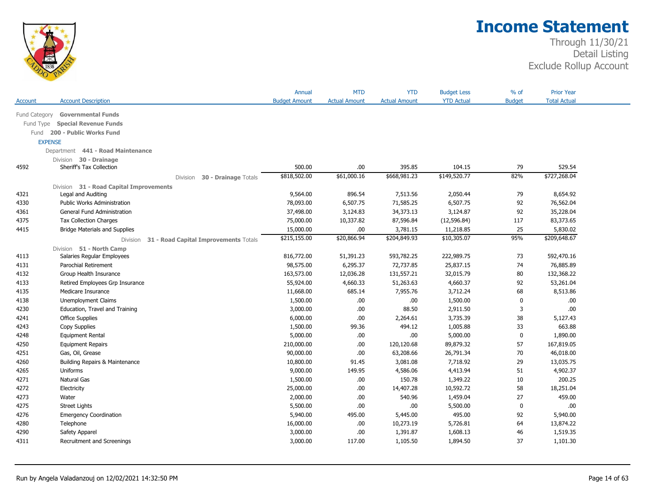

|                |                                                   | Annual               | <b>MTD</b>           | <b>YTD</b>           | <b>Budget Less</b> | $%$ of        | <b>Prior Year</b>   |  |
|----------------|---------------------------------------------------|----------------------|----------------------|----------------------|--------------------|---------------|---------------------|--|
| Account        | <b>Account Description</b>                        | <b>Budget Amount</b> | <b>Actual Amount</b> | <b>Actual Amount</b> | <b>YTD Actual</b>  | <b>Budget</b> | <b>Total Actual</b> |  |
| Fund Category  | <b>Governmental Funds</b>                         |                      |                      |                      |                    |               |                     |  |
| Fund Type      | <b>Special Revenue Funds</b>                      |                      |                      |                      |                    |               |                     |  |
| Fund           | 200 - Public Works Fund                           |                      |                      |                      |                    |               |                     |  |
| <b>EXPENSE</b> |                                                   |                      |                      |                      |                    |               |                     |  |
|                | Department 441 - Road Maintenance                 |                      |                      |                      |                    |               |                     |  |
|                | 30 - Drainage<br>Division                         |                      |                      |                      |                    |               |                     |  |
| 4592           | Sheriff's Tax Collection                          | 500.00               | .00.                 | 395.85               | 104.15             | 79            | 529.54              |  |
|                | 30 - Drainage Totals<br>Division                  | \$818,502.00         | \$61,000.16          | \$668,981.23         | \$149,520.77       | 82%           | \$727,268.04        |  |
|                | Division 31 - Road Capital Improvements           |                      |                      |                      |                    |               |                     |  |
| 4321           | Legal and Auditing                                | 9,564.00             | 896.54               | 7,513.56             | 2,050.44           | 79            | 8,654.92            |  |
| 4330           | <b>Public Works Administration</b>                | 78,093.00            | 6,507.75             | 71,585.25            | 6,507.75           | 92            | 76,562.04           |  |
| 4361           | General Fund Administration                       | 37,498.00            | 3,124.83             | 34,373.13            | 3,124.87           | 92            | 35,228.04           |  |
| 4375           | <b>Tax Collection Charges</b>                     | 75,000.00            | 10,337.82            | 87,596.84            | (12, 596.84)       | 117           | 83,373.65           |  |
| 4415           | <b>Bridge Materials and Supplies</b>              | 15,000.00            | .00.                 | 3,781.15             | 11,218.85          | 25            | 5,830.02            |  |
|                | 31 - Road Capital Improvements Totals<br>Division | \$215,155.00         | \$20,866.94          | \$204,849.93         | \$10,305.07        | 95%           | \$209,648.67        |  |
|                | Division 51 - North Camp                          |                      |                      |                      |                    |               |                     |  |
| 4113           | Salaries Regular Employees                        | 816,772.00           | 51,391.23            | 593,782.25           | 222,989.75         | 73            | 592,470.16          |  |
| 4131           | Parochial Retirement                              | 98,575.00            | 6,295.37             | 72,737.85            | 25,837.15          | 74            | 76,885.89           |  |
| 4132           | Group Health Insurance                            | 163,573.00           | 12,036.28            | 131,557.21           | 32,015.79          | 80            | 132,368.22          |  |
| 4133           | Retired Employees Grp Insurance                   | 55,924.00            | 4,660.33             | 51,263.63            | 4,660.37           | 92            | 53,261.04           |  |
| 4135           | Medicare Insurance                                | 11,668.00            | 685.14               | 7,955.76             | 3,712.24           | 68            | 8,513.86            |  |
| 4138           | Unemployment Claims                               | 1,500.00             | .00                  | .00                  | 1,500.00           | 0             | .00.                |  |
| 4230           | Education, Travel and Training                    | 3,000.00             | .00.                 | 88.50                | 2,911.50           | 3             | .00                 |  |
| 4241           | <b>Office Supplies</b>                            | 6,000.00             | .00.                 | 2,264.61             | 3,735.39           | 38            | 5,127.43            |  |
| 4243           | Copy Supplies                                     | 1,500.00             | 99.36                | 494.12               | 1,005.88           | 33            | 663.88              |  |
| 4248           | <b>Equipment Rental</b>                           | 5,000.00             | .00.                 | .00                  | 5,000.00           | $\mathbf 0$   | 1,890.00            |  |
| 4250           | <b>Equipment Repairs</b>                          | 210,000.00           | .00.                 | 120,120.68           | 89,879.32          | 57            | 167,819.05          |  |
| 4251           | Gas, Oil, Grease                                  | 90,000.00            | .00.                 | 63,208.66            | 26,791.34          | 70            | 46,018.00           |  |
| 4260           | Building Repairs & Maintenance                    | 10,800.00            | 91.45                | 3,081.08             | 7,718.92           | 29            | 13,035.75           |  |
| 4265           | Uniforms                                          | 9,000.00             | 149.95               | 4,586.06             | 4,413.94           | 51            | 4,902.37            |  |
| 4271           | Natural Gas                                       | 1,500.00             | .00.                 | 150.78               | 1,349.22           | 10            | 200.25              |  |
| 4272           | Electricity                                       | 25,000.00            | .00.                 | 14,407.28            | 10,592.72          | 58            | 18,251.04           |  |
| 4273           | Water                                             | 2,000.00             | .00.                 | 540.96               | 1,459.04           | 27            | 459.00              |  |
| 4275           | <b>Street Lights</b>                              | 5,500.00             | .00.                 | .00                  | 5,500.00           | 0             | .00.                |  |
| 4276           | <b>Emergency Coordination</b>                     | 5,940.00             | 495.00               | 5,445.00             | 495.00             | 92            | 5,940.00            |  |
| 4280           | Telephone                                         | 16,000.00            | .00                  | 10,273.19            | 5,726.81           | 64            | 13,874.22           |  |
| 4290           | Safety Apparel                                    | 3,000.00             | .00.                 | 1,391.87             | 1,608.13           | 46            | 1,519.35            |  |
| 4311           | Recruitment and Screenings                        | 3,000.00             | 117.00               | 1,105.50             | 1,894.50           | 37            | 1,101.30            |  |
|                |                                                   |                      |                      |                      |                    |               |                     |  |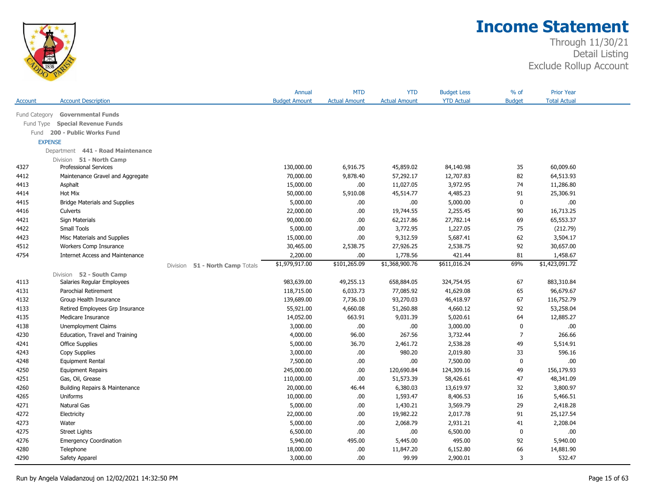

|                |                                        |                                 | Annual               | <b>MTD</b>           | <b>YTD</b>           | <b>Budget Less</b> | $%$ of         | <b>Prior Year</b>   |  |
|----------------|----------------------------------------|---------------------------------|----------------------|----------------------|----------------------|--------------------|----------------|---------------------|--|
| Account        | <b>Account Description</b>             |                                 | <b>Budget Amount</b> | <b>Actual Amount</b> | <b>Actual Amount</b> | <b>YTD Actual</b>  | <b>Budget</b>  | <b>Total Actual</b> |  |
| Fund Category  | <b>Governmental Funds</b>              |                                 |                      |                      |                      |                    |                |                     |  |
| Fund Type      | <b>Special Revenue Funds</b>           |                                 |                      |                      |                      |                    |                |                     |  |
| Fund           | 200 - Public Works Fund                |                                 |                      |                      |                      |                    |                |                     |  |
| <b>EXPENSE</b> |                                        |                                 |                      |                      |                      |                    |                |                     |  |
|                | Department 441 - Road Maintenance      |                                 |                      |                      |                      |                    |                |                     |  |
|                | Division 51 - North Camp               |                                 |                      |                      |                      |                    |                |                     |  |
| 4327           | <b>Professional Services</b>           |                                 | 130,000.00           | 6,916.75             | 45,859.02            | 84,140.98          | 35             | 60,009.60           |  |
| 4412           | Maintenance Gravel and Aggregate       |                                 | 70,000.00            | 9,878.40             | 57,292.17            | 12,707.83          | 82             | 64,513.93           |  |
| 4413           | Asphalt                                |                                 | 15,000.00            | .00.                 | 11,027.05            | 3,972.95           | 74             | 11,286.80           |  |
| 4414           | Hot Mix                                |                                 | 50,000.00            | 5,910.08             | 45,514.77            | 4,485.23           | 91             | 25,306.91           |  |
| 4415           | <b>Bridge Materials and Supplies</b>   |                                 | 5,000.00             | .00                  | .00                  | 5,000.00           | $\mathbf 0$    | .00.                |  |
| 4416           | Culverts                               |                                 | 22,000.00            | .00.                 | 19,744.55            | 2,255.45           | 90             | 16,713.25           |  |
| 4421           | Sign Materials                         |                                 | 90,000.00            | .00.                 | 62,217.86            | 27,782.14          | 69             | 65,553.37           |  |
| 4422           | <b>Small Tools</b>                     |                                 | 5,000.00             | .00.                 | 3,772.95             | 1,227.05           | 75             | (212.79)            |  |
| 4423           | Misc Materials and Supplies            |                                 | 15,000.00            | .00.                 | 9,312.59             | 5,687.41           | 62             | 3,504.17            |  |
| 4512           | Workers Comp Insurance                 |                                 | 30,465.00            | 2,538.75             | 27,926.25            | 2,538.75           | 92             | 30,657.00           |  |
| 4754           | <b>Internet Access and Maintenance</b> |                                 | 2,200.00             | .00.                 | 1,778.56             | 421.44             | 81             | 1,458.67            |  |
|                |                                        | Division 51 - North Camp Totals | \$1,979,917.00       | \$101,265.09         | \$1,368,900.76       | \$611,016.24       | 69%            | \$1,423,091.72      |  |
|                | Division 52 - South Camp               |                                 |                      |                      |                      |                    |                |                     |  |
| 4113           | Salaries Regular Employees             |                                 | 983,639.00           | 49,255.13            | 658,884.05           | 324,754.95         | 67             | 883,310.84          |  |
| 4131           | Parochial Retirement                   |                                 | 118,715.00           | 6,033.73             | 77,085.92            | 41,629.08          | 65             | 96,679.67           |  |
| 4132           | Group Health Insurance                 |                                 | 139,689.00           | 7,736.10             | 93,270.03            | 46,418.97          | 67             | 116,752.79          |  |
| 4133           | Retired Employees Grp Insurance        |                                 | 55,921.00            | 4,660.08             | 51,260.88            | 4,660.12           | 92             | 53,258.04           |  |
| 4135           | Medicare Insurance                     |                                 | 14,052.00            | 663.91               | 9,031.39             | 5,020.61           | 64             | 12,885.27           |  |
| 4138           | Unemployment Claims                    |                                 | 3,000.00             | .00.                 | .00                  | 3,000.00           | $\mathbf 0$    | .00                 |  |
| 4230           | Education, Travel and Training         |                                 | 4,000.00             | 96.00                | 267.56               | 3,732.44           | $\overline{7}$ | 266.66              |  |
| 4241           | <b>Office Supplies</b>                 |                                 | 5,000.00             | 36.70                | 2,461.72             | 2,538.28           | 49             | 5,514.91            |  |
| 4243           | Copy Supplies                          |                                 | 3,000.00             | .00                  | 980.20               | 2,019.80           | 33             | 596.16              |  |
| 4248           | Equipment Rental                       |                                 | 7,500.00             | .00.                 | .00                  | 7,500.00           | $\mathbf 0$    | .00                 |  |
| 4250           | <b>Equipment Repairs</b>               |                                 | 245,000.00           | .00.                 | 120,690.84           | 124,309.16         | 49             | 156,179.93          |  |
| 4251           | Gas, Oil, Grease                       |                                 | 110,000.00           | .00.                 | 51,573.39            | 58,426.61          | 47             | 48,341.09           |  |
| 4260           | Building Repairs & Maintenance         |                                 | 20,000.00            | 46.44                | 6,380.03             | 13,619.97          | 32             | 3,800.97            |  |
| 4265           | Uniforms                               |                                 | 10,000.00            | .00                  | 1,593.47             | 8,406.53           | 16             | 5,466.51            |  |
| 4271           | Natural Gas                            |                                 | 5,000.00             | .00.                 | 1,430.21             | 3,569.79           | 29             | 2,418.28            |  |
| 4272           | Electricity                            |                                 | 22,000.00            | .00.                 | 19,982.22            | 2,017.78           | 91             | 25,127.54           |  |
| 4273           | Water                                  |                                 | 5,000.00             | .00.                 | 2,068.79             | 2,931.21           | 41             | 2,208.04            |  |
| 4275           | <b>Street Lights</b>                   |                                 | 6,500.00             | .00.                 | .00                  | 6,500.00           | $\mathbf 0$    | .00                 |  |
| 4276           | <b>Emergency Coordination</b>          |                                 | 5,940.00             | 495.00               | 5,445.00             | 495.00             | 92             | 5,940.00            |  |
| 4280           | Telephone                              |                                 | 18,000.00            | .00                  | 11,847.20            | 6,152.80           | 66             | 14,881.90           |  |
| 4290           | Safety Apparel                         |                                 | 3,000.00             | .00.                 | 99.99                | 2,900.01           | 3              | 532.47              |  |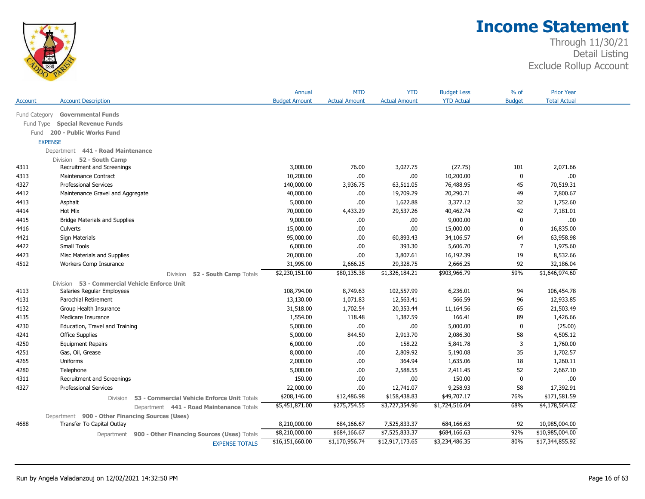

|               |                                                         | Annual               | <b>MTD</b>           | <b>YTD</b>           | <b>Budget Less</b> | % of           | <b>Prior Year</b>   |
|---------------|---------------------------------------------------------|----------------------|----------------------|----------------------|--------------------|----------------|---------------------|
| Account       | <b>Account Description</b>                              | <b>Budget Amount</b> | <b>Actual Amount</b> | <b>Actual Amount</b> | <b>YTD Actual</b>  | <b>Budget</b>  | <b>Total Actual</b> |
| Fund Category | <b>Governmental Funds</b>                               |                      |                      |                      |                    |                |                     |
| Fund Type     | <b>Special Revenue Funds</b>                            |                      |                      |                      |                    |                |                     |
|               | Fund 200 - Public Works Fund                            |                      |                      |                      |                    |                |                     |
|               | <b>EXPENSE</b>                                          |                      |                      |                      |                    |                |                     |
|               | Department 441 - Road Maintenance                       |                      |                      |                      |                    |                |                     |
|               | Division 52 - South Camp                                |                      |                      |                      |                    |                |                     |
| 4311          | Recruitment and Screenings                              | 3,000.00             | 76.00                | 3,027.75             | (27.75)            | 101            | 2,071.66            |
| 4313          | <b>Maintenance Contract</b>                             | 10,200.00            | .00.                 | .00                  | 10,200.00          | $\mathbf 0$    | .00.                |
| 4327          | <b>Professional Services</b>                            | 140,000.00           | 3,936.75             | 63,511.05            | 76,488.95          | 45             | 70,519.31           |
| 4412          | Maintenance Gravel and Aggregate                        | 40,000.00            | .00                  | 19,709.29            | 20,290.71          | 49             | 7,800.67            |
| 4413          | Asphalt                                                 | 5,000.00             | .00.                 | 1,622.88             | 3,377.12           | 32             | 1,752.60            |
| 4414          | <b>Hot Mix</b>                                          | 70,000.00            | 4,433.29             | 29,537.26            | 40,462.74          | 42             | 7,181.01            |
| 4415          | <b>Bridge Materials and Supplies</b>                    | 9,000.00             | .00.                 | .00                  | 9,000.00           | 0              | .00.                |
| 4416          | Culverts                                                | 15,000.00            | .00.                 | .00                  | 15,000.00          | 0              | 16,835.00           |
| 4421          | Sign Materials                                          | 95,000.00            | .00.                 | 60,893.43            | 34,106.57          | 64             | 63,958.98           |
| 4422          | Small Tools                                             | 6,000.00             | .00.                 | 393.30               | 5,606.70           | $\overline{7}$ | 1,975.60            |
| 4423          | Misc Materials and Supplies                             | 20,000.00            | 00.                  | 3,807.61             | 16,192.39          | 19             | 8,532.66            |
| 4512          | Workers Comp Insurance                                  | 31,995.00            | 2,666.25             | 29,328.75            | 2,666.25           | 92             | 32,186.04           |
|               | Division<br>52 - South Camp Totals                      | \$2,230,151.00       | \$80,135.38          | \$1,326,184.21       | \$903,966.79       | 59%            | \$1,646,974.60      |
|               | Division 53 - Commercial Vehicle Enforce Unit           |                      |                      |                      |                    |                |                     |
| 4113          | Salaries Regular Employees                              | 108,794.00           | 8,749.63             | 102,557.99           | 6,236.01           | 94             | 106,454.78          |
| 4131          | Parochial Retirement                                    | 13,130.00            | 1,071.83             | 12,563.41            | 566.59             | 96             | 12,933.85           |
| 4132          | Group Health Insurance                                  | 31,518.00            | 1,702.54             | 20,353.44            | 11,164.56          | 65             | 21,503.49           |
| 4135          | Medicare Insurance                                      | 1,554.00             | 118.48               | 1,387.59             | 166.41             | 89             | 1,426.66            |
| 4230          | Education, Travel and Training                          | 5,000.00             | .00.                 | .00                  | 5,000.00           | 0              | (25.00)             |
| 4241          | <b>Office Supplies</b>                                  | 5,000.00             | 844.50               | 2,913.70             | 2,086.30           | 58             | 4,505.12            |
| 4250          | <b>Equipment Repairs</b>                                | 6,000.00             | .00.                 | 158.22               | 5,841.78           | 3              | 1,760.00            |
| 4251          | Gas, Oil, Grease                                        | 8,000.00             | .00.                 | 2,809.92             | 5,190.08           | 35             | 1,702.57            |
| 4265          | Uniforms                                                | 2,000.00             | .00.                 | 364.94               | 1,635.06           | 18             | 1,260.11            |
| 4280          | Telephone                                               | 5,000.00             | .00.                 | 2,588.55             | 2,411.45           | 52             | 2,667.10            |
| 4311          | Recruitment and Screenings                              | 150.00               | .00.                 | .00                  | 150.00             | $\mathbf 0$    | .00.                |
| 4327          | <b>Professional Services</b>                            | 22,000.00            | 00.                  | 12,741.07            | 9,258.93           | 58             | 17,392.91           |
|               | 53 - Commercial Vehicle Enforce Unit Totals<br>Division | \$208,146.00         | \$12,486.98          | \$158,438.83         | \$49,707.17        | 76%            | \$171,581.59        |
|               | Department 441 - Road Maintenance Totals                | \$5,451,871.00       | \$275,754.55         | \$3,727,354.96       | \$1,724,516.04     | 68%            | \$4,178,564.62      |
|               | Department 900 - Other Financing Sources (Uses)         |                      |                      |                      |                    |                |                     |
| 4688          | Transfer To Capital Outlay                              | 8,210,000.00         | 684,166.67           | 7,525,833.37         | 684,166.63         | 92             | 10,985,004.00       |
|               | Department 900 - Other Financing Sources (Uses) Totals  | \$8,210,000.00       | \$684,166.67         | \$7,525,833.37       | \$684,166.63       | 92%            | \$10,985,004.00     |
|               | <b>EXPENSE TOTALS</b>                                   | \$16,151,660.00      | \$1,170,956.74       | \$12,917,173.65      | \$3,234,486.35     | 80%            | \$17,344,855.92     |
|               |                                                         |                      |                      |                      |                    |                |                     |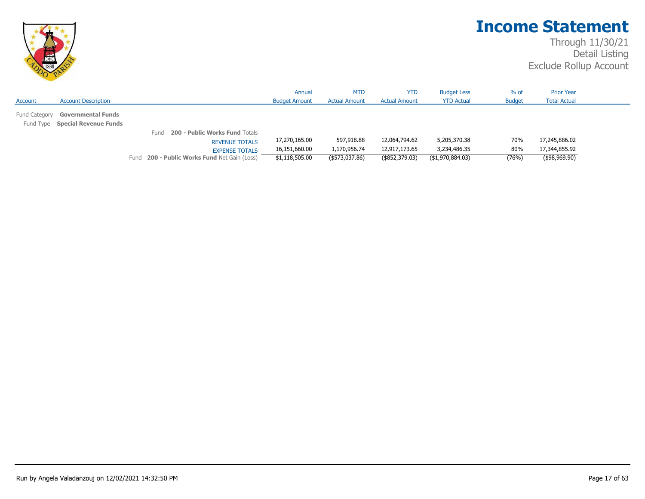

|                                                                     |                                                                                                                                                    | Annual                                           | <b>MTD</b>                                   | <b>YTD</b>                                       | <b>Budget Less</b>                               | $%$ of              | <b>Prior Year</b>                               |  |
|---------------------------------------------------------------------|----------------------------------------------------------------------------------------------------------------------------------------------------|--------------------------------------------------|----------------------------------------------|--------------------------------------------------|--------------------------------------------------|---------------------|-------------------------------------------------|--|
| <b>Account Description</b><br>Account                               |                                                                                                                                                    | <b>Budget Amount</b>                             | <b>Actual Amount</b>                         | <b>Actual Amount</b>                             | <b>YTD Actual</b>                                | <b>Budget</b>       | <b>Total Actual</b>                             |  |
| Fund Category Governmental Funds<br>Fund Type Special Revenue Funds |                                                                                                                                                    |                                                  |                                              |                                                  |                                                  |                     |                                                 |  |
|                                                                     | 200 - Public Works Fund Totals<br>Fund<br><b>REVENUE TOTALS</b><br><b>EXPENSE TOTALS</b><br><b>200 - Public Works Fund Net Gain (Loss)</b><br>Fund | 17,270,165.00<br>16,151,660.00<br>\$1,118,505.00 | 597,918.88<br>1,170,956.74<br>(\$573,037.86) | 12,064,794.62<br>12,917,173.65<br>(\$852,379.03) | 5,205,370.38<br>3,234,486.35<br>(\$1,970,884.03) | 70%<br>80%<br>(76%) | 17,245,886.02<br>17,344,855.92<br>(\$98,969.90) |  |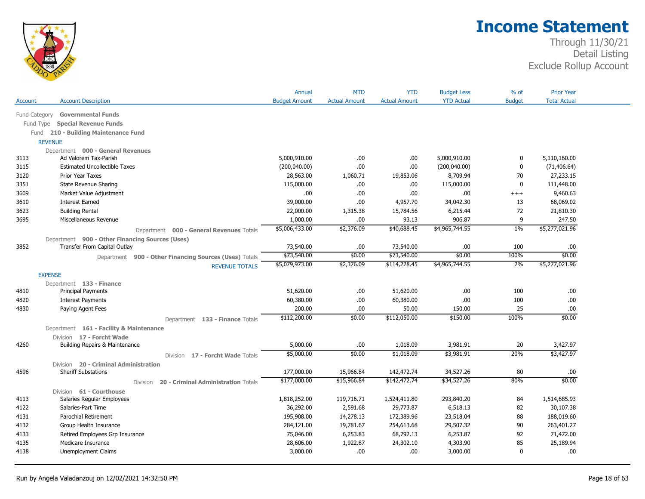

|               |                                                        | Annual               | <b>MTD</b>           | <b>YTD</b>           | <b>Budget Less</b> | $%$ of        | <b>Prior Year</b>   |  |
|---------------|--------------------------------------------------------|----------------------|----------------------|----------------------|--------------------|---------------|---------------------|--|
| Account       | <b>Account Description</b>                             | <b>Budget Amount</b> | <b>Actual Amount</b> | <b>Actual Amount</b> | <b>YTD Actual</b>  | <b>Budget</b> | <b>Total Actual</b> |  |
| Fund Category | <b>Governmental Funds</b>                              |                      |                      |                      |                    |               |                     |  |
| Fund Type     | <b>Special Revenue Funds</b>                           |                      |                      |                      |                    |               |                     |  |
|               | Fund 210 - Building Maintenance Fund                   |                      |                      |                      |                    |               |                     |  |
|               | <b>REVENUE</b>                                         |                      |                      |                      |                    |               |                     |  |
|               | Department 000 - General Revenues                      |                      |                      |                      |                    |               |                     |  |
| 3113          | Ad Valorem Tax-Parish                                  | 5,000,910.00         | .00.                 | .00                  | 5,000,910.00       | 0             | 5,110,160.00        |  |
| 3115          | <b>Estimated Uncollectible Taxes</b>                   | (200,040.00)         | .00.                 | .00                  | (200, 040.00)      | 0             | (71, 406.64)        |  |
| 3120          | Prior Year Taxes                                       | 28,563.00            | 1,060.71             | 19,853.06            | 8,709.94           | 70            | 27,233.15           |  |
| 3351          | State Revenue Sharing                                  | 115,000.00           | .00.                 | .00                  | 115,000.00         | $\mathbf{0}$  | 111,448.00          |  |
| 3609          | Market Value Adjustment                                | .00.                 | .00.                 | .00                  | .00                | $^{+++}$      | 9,460.63            |  |
| 3610          | <b>Interest Earned</b>                                 | 39,000.00            | .00.                 | 4,957.70             | 34,042.30          | 13            | 68,069.02           |  |
| 3623          | <b>Building Rental</b>                                 | 22,000.00            | 1,315.38             | 15,784.56            | 6,215.44           | 72            | 21,810.30           |  |
| 3695          | Miscellaneous Revenue                                  | 1,000.00             | .00.                 | 93.13                | 906.87             | 9             | 247.50              |  |
|               | Department 000 - General Revenues Totals               | \$5,006,433.00       | \$2,376.09           | \$40,688.45          | \$4,965,744.55     | $1\%$         | \$5,277,021.96      |  |
|               | Department 900 - Other Financing Sources (Uses)        |                      |                      |                      |                    |               |                     |  |
| 3852          | Transfer From Capital Outlay                           | 73,540.00            | .00.                 | 73,540.00            | .00.               | 100           | .00                 |  |
|               | Department 900 - Other Financing Sources (Uses) Totals | \$73,540.00          | \$0.00               | \$73,540.00          | \$0.00             | 100%          | \$0.00              |  |
|               | <b>REVENUE TOTALS</b>                                  | \$5,079,973.00       | \$2,376.09           | \$114,228.45         | \$4,965,744.55     | 2%            | \$5,277,021.96      |  |
|               | <b>EXPENSE</b>                                         |                      |                      |                      |                    |               |                     |  |
|               | Department 133 - Finance                               |                      |                      |                      |                    |               |                     |  |
| 4810          | <b>Principal Payments</b>                              | 51,620.00            | .00.                 | 51,620.00            | .00.               | 100           | .00.                |  |
| 4820          | <b>Interest Payments</b>                               | 60,380.00            | .00.                 | 60,380.00            | .00                | 100           | $.00$               |  |
| 4830          | Paying Agent Fees                                      | 200.00               | .00.                 | 50.00                | 150.00             | 25            | .00                 |  |
|               | Department 133 - Finance Totals                        | \$112,200.00         | \$0.00               | \$112,050.00         | \$150.00           | 100%          | \$0.00              |  |
|               | Department 161 - Facility & Maintenance                |                      |                      |                      |                    |               |                     |  |
|               | Division 17 - Forcht Wade                              |                      |                      |                      |                    |               |                     |  |
| 4260          | Building Repairs & Maintenance                         | 5,000.00             | .00.                 | 1,018.09             | 3,981.91           | 20            | 3,427.97            |  |
|               | Division 17 - Forcht Wade Totals                       | \$5,000.00           | \$0.00               | \$1,018.09           | \$3,981.91         | 20%           | \$3,427.97          |  |
|               | Division 20 - Criminal Administration                  |                      |                      |                      |                    |               |                     |  |
| 4596          | <b>Sheriff Substations</b>                             | 177,000.00           | 15,966.84            | 142,472.74           | 34,527.26          | 80            | .00                 |  |
|               | Division<br><b>20 - Criminal Administration Totals</b> | \$177,000.00         | \$15,966.84          | \$142,472.74         | \$34,527.26        | 80%           | \$0.00              |  |
|               | Division 61 - Courthouse                               |                      |                      |                      |                    |               |                     |  |
| 4113          | Salaries Regular Employees                             | 1,818,252.00         | 119,716.71           | 1,524,411.80         | 293,840.20         | 84            | 1,514,685.93        |  |
| 4122          | Salaries-Part Time                                     | 36,292.00            | 2,591.68             | 29,773.87            | 6,518.13           | 82            | 30,107.38           |  |
| 4131          | Parochial Retirement                                   | 195,908.00           | 14,278.13            | 172,389.96           | 23,518.04          | 88            | 188,019.60          |  |
| 4132          | Group Health Insurance                                 | 284,121.00           | 19,781.67            | 254,613.68           | 29,507.32          | 90            | 263,401.27          |  |
| 4133          | Retired Employees Grp Insurance                        | 75,046.00            | 6,253.83             | 68,792.13            | 6,253.87           | 92            | 71,472.00           |  |
| 4135          | Medicare Insurance                                     | 28,606.00            | 1,922.87             | 24,302.10            | 4,303.90           | 85            | 25,189.94           |  |
| 4138          | Unemployment Claims                                    | 3,000.00             | .00.                 | .00                  | 3,000.00           | $\mathbf{0}$  | .00                 |  |
|               |                                                        |                      |                      |                      |                    |               |                     |  |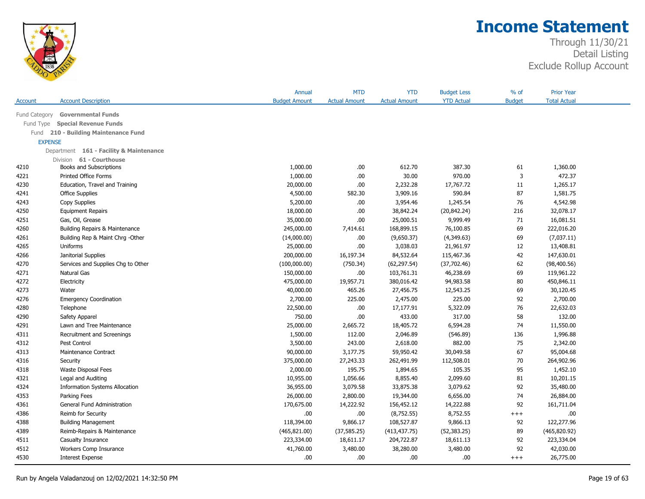

|                |                                         | Annual               | <b>MTD</b>           | <b>YTD</b>           | <b>Budget Less</b> | % of           | <b>Prior Year</b>   |  |
|----------------|-----------------------------------------|----------------------|----------------------|----------------------|--------------------|----------------|---------------------|--|
| Account        | <b>Account Description</b>              | <b>Budget Amount</b> | <b>Actual Amount</b> | <b>Actual Amount</b> | <b>YTD Actual</b>  | <b>Budget</b>  | <b>Total Actual</b> |  |
| Fund Category  | <b>Governmental Funds</b>               |                      |                      |                      |                    |                |                     |  |
| Fund Type      | <b>Special Revenue Funds</b>            |                      |                      |                      |                    |                |                     |  |
| Fund           | 210 - Building Maintenance Fund         |                      |                      |                      |                    |                |                     |  |
| <b>EXPENSE</b> |                                         |                      |                      |                      |                    |                |                     |  |
|                | Department 161 - Facility & Maintenance |                      |                      |                      |                    |                |                     |  |
|                | Division 61 - Courthouse                |                      |                      |                      |                    |                |                     |  |
| 4210           | Books and Subscriptions                 | 1,000.00             | .00.                 | 612.70               | 387.30             | 61             | 1,360.00            |  |
| 4221           | <b>Printed Office Forms</b>             | 1,000.00             | .00                  | 30.00                | 970.00             | $\overline{3}$ | 472.37              |  |
| 4230           | Education, Travel and Training          | 20,000.00            | .00                  | 2,232.28             | 17,767.72          | 11             | 1,265.17            |  |
| 4241           | <b>Office Supplies</b>                  | 4,500.00             | 582.30               | 3,909.16             | 590.84             | 87             | 1,581.75            |  |
| 4243           | Copy Supplies                           | 5,200.00             | .00                  | 3,954.46             | 1,245.54           | 76             | 4,542.98            |  |
| 4250           | <b>Equipment Repairs</b>                | 18,000.00            | .00.                 | 38,842.24            | (20, 842.24)       | 216            | 32,078.17           |  |
| 4251           | Gas, Oil, Grease                        | 35,000.00            | .00.                 | 25,000.51            | 9,999.49           | 71             | 16,081.51           |  |
| 4260           | Building Repairs & Maintenance          | 245,000.00           | 7,414.61             | 168,899.15           | 76,100.85          | 69             | 222,016.20          |  |
| 4261           | Building Rep & Maint Chrg - Other       | (14,000.00)          | .00.                 | (9,650.37)           | (4,349.63)         | 69             | (7,037.11)          |  |
| 4265           | Uniforms                                | 25,000.00            | .00                  | 3,038.03             | 21,961.97          | 12             | 13,408.81           |  |
| 4266           | Janitorial Supplies                     | 200,000.00           | 16,197.34            | 84,532.64            | 115,467.36         | 42             | 147,630.01          |  |
| 4270           | Services and Supplies Chg to Other      | (100,000.00)         | (750.34)             | (62, 297.54)         | (37,702.46)        | 62             | (98, 400.56)        |  |
| 4271           | Natural Gas                             | 150,000.00           | .00.                 | 103,761.31           | 46,238.69          | 69             | 119,961.22          |  |
| 4272           | Electricity                             | 475,000.00           | 19,957.71            | 380,016.42           | 94,983.58          | 80             | 450,846.11          |  |
| 4273           | Water                                   | 40,000.00            | 465.26               | 27,456.75            | 12,543.25          | 69             | 30,120.45           |  |
| 4276           | <b>Emergency Coordination</b>           | 2,700.00             | 225.00               | 2,475.00             | 225.00             | 92             | 2,700.00            |  |
| 4280           | Telephone                               | 22,500.00            | .00.                 | 17,177.91            | 5,322.09           | 76             | 22,632.03           |  |
| 4290           | Safety Apparel                          | 750.00               | .00                  | 433.00               | 317.00             | 58             | 132.00              |  |
| 4291           | Lawn and Tree Maintenance               | 25,000.00            | 2,665.72             | 18,405.72            | 6,594.28           | 74             | 11,550.00           |  |
| 4311           | Recruitment and Screenings              | 1,500.00             | 112.00               | 2,046.89             | (546.89)           | 136            | 1,996.88            |  |
| 4312           | Pest Control                            | 3,500.00             | 243.00               | 2,618.00             | 882.00             | 75             | 2,342.00            |  |
| 4313           | Maintenance Contract                    | 90,000.00            | 3,177.75             | 59,950.42            | 30,049.58          | 67             | 95,004.68           |  |
| 4316           | Security                                | 375,000.00           | 27,243.33            | 262,491.99           | 112,508.01         | 70             | 264,902.96          |  |
| 4318           | <b>Waste Disposal Fees</b>              | 2,000.00             | 195.75               | 1,894.65             | 105.35             | 95             | 1,452.10            |  |
| 4321           | Legal and Auditing                      | 10,955.00            | 1,056.66             | 8,855.40             | 2,099.60           | 81             | 10,201.15           |  |
| 4324           | <b>Information Systems Allocation</b>   | 36,955.00            | 3,079.58             | 33,875.38            | 3,079.62           | 92             | 35,480.00           |  |
| 4353           | Parking Fees                            | 26,000.00            | 2,800.00             | 19,344.00            | 6,656.00           | 74             | 26,884.00           |  |
| 4361           | General Fund Administration             | 170,675.00           | 14,222.92            | 156,452.12           | 14,222.88          | 92             | 161,711.04          |  |
| 4386           | Reimb for Security                      | .00                  | .00.                 | (8,752.55)           | 8,752.55           | $^{+++}$       | .00                 |  |
| 4388           | <b>Building Management</b>              | 118,394.00           | 9,866.17             | 108,527.87           | 9,866.13           | 92             | 122,277.96          |  |
| 4389           | Reimb-Repairs & Maintenance             | (465, 821.00)        | (37, 585.25)         | (413, 437.75)        | (52, 383.25)       | 89             | (465, 820.92)       |  |
| 4511           | Casualty Insurance                      | 223,334.00           | 18,611.17            | 204,722.87           | 18,611.13          | 92             | 223,334.04          |  |
| 4512           | Workers Comp Insurance                  | 41,760.00            | 3,480.00             | 38,280.00            | 3,480.00           | 92             | 42,030.00           |  |
| 4530           | <b>Interest Expense</b>                 | .00                  | .00                  | .00.                 | .00.               | $+++$          | 26,775.00           |  |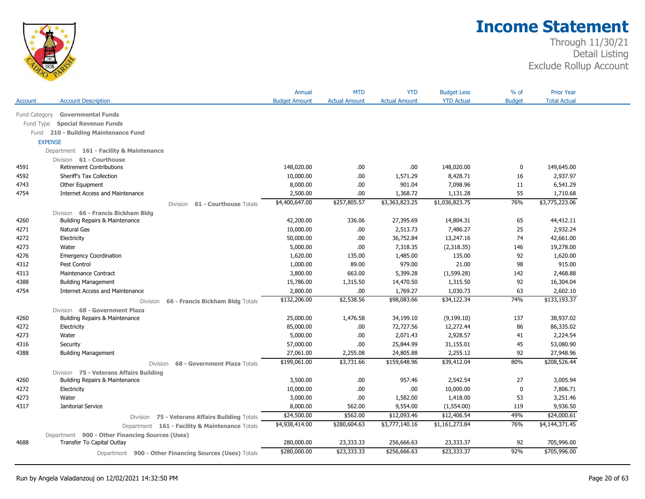

|               |                                                        | Annual               | <b>MTD</b>           | <b>YTD</b>           | <b>Budget Less</b> | % of          | <b>Prior Year</b>   |  |
|---------------|--------------------------------------------------------|----------------------|----------------------|----------------------|--------------------|---------------|---------------------|--|
| Account       | <b>Account Description</b>                             | <b>Budget Amount</b> | <b>Actual Amount</b> | <b>Actual Amount</b> | <b>YTD Actual</b>  | <b>Budget</b> | <b>Total Actual</b> |  |
| Fund Category | <b>Governmental Funds</b>                              |                      |                      |                      |                    |               |                     |  |
| Fund Type     | <b>Special Revenue Funds</b>                           |                      |                      |                      |                    |               |                     |  |
| Fund          | 210 - Building Maintenance Fund                        |                      |                      |                      |                    |               |                     |  |
|               | <b>EXPENSE</b>                                         |                      |                      |                      |                    |               |                     |  |
|               | Department 161 - Facility & Maintenance                |                      |                      |                      |                    |               |                     |  |
|               | Division 61 - Courthouse                               |                      |                      |                      |                    |               |                     |  |
| 4591          | <b>Retirement Contributions</b>                        | 148,020.00           | .00.                 | .00                  | 148,020.00         | $\bf{0}$      | 149,645.00          |  |
| 4592          | Sheriff's Tax Collection                               | 10,000.00            | .00.                 | 1,571.29             | 8,428.71           | 16            | 2,937.97            |  |
| 4743          | Other Equipment                                        | 8,000.00             | .00                  | 901.04               | 7,098.96           | 11            | 6,541.29            |  |
| 4754          | <b>Internet Access and Maintenance</b>                 | 2,500.00             | .00                  | 1,368.72             | 1,131.28           | 55            | 1,710.68            |  |
|               | 61 - Courthouse Totals<br>Division                     | \$4,400,647.00       | \$257,805.57         | \$3,363,823.25       | \$1,036,823.75     | 76%           | \$3,775,223.06      |  |
|               | Division 66 - Francis Bickham Bldg                     |                      |                      |                      |                    |               |                     |  |
| 4260          | Building Repairs & Maintenance                         | 42,200.00            | 336.06               | 27,395.69            | 14,804.31          | 65            | 44,412.11           |  |
| 4271          | Natural Gas                                            | 10,000.00            | .00.                 | 2,513.73             | 7,486.27           | 25            | 2,932.24            |  |
| 4272          | Electricity                                            | 50,000.00            | .00.                 | 36,752.84            | 13,247.16          | 74            | 42,661.00           |  |
| 4273          | Water                                                  | 5,000.00             | .00.                 | 7,318.35             | (2,318.35)         | 146           | 19,278.00           |  |
| 4276          | <b>Emergency Coordination</b>                          | 1,620.00             | 135.00               | 1,485.00             | 135.00             | 92            | 1,620.00            |  |
| 4312          | Pest Control                                           | 1,000.00             | 89.00                | 979.00               | 21.00              | 98            | 915.00              |  |
| 4313          | Maintenance Contract                                   | 3,800.00             | 663.00               | 5,399.28             | (1,599.28)         | 142           | 2,468.88            |  |
| 4388          | <b>Building Management</b>                             | 15,786.00            | 1,315.50             | 14,470.50            | 1,315.50           | 92            | 16,304.04           |  |
| 4754          | <b>Internet Access and Maintenance</b>                 | 2,800.00             | .00.                 | 1,769.27             | 1,030.73           | 63            | 2,602.10            |  |
|               | 66 - Francis Bickham Bldg Totals<br>Division           | \$132,206.00         | \$2,538.56           | \$98,083.66          | \$34,122.34        | 74%           | \$133,193,37        |  |
|               | Division 68 - Government Plaza                         |                      |                      |                      |                    |               |                     |  |
| 4260          | Building Repairs & Maintenance                         | 25,000.00            | 1,476.58             | 34,199.10            | (9, 199.10)        | 137           | 38,937.02           |  |
| 4272          | Electricity                                            | 85,000.00            | .00                  | 72,727.56            | 12,272.44          | 86            | 86,335.02           |  |
| 4273          | Water                                                  | 5,000.00             | .00.                 | 2,071.43             | 2,928.57           | 41            | 2,224.54            |  |
| 4316          | Security                                               | 57,000.00            | .00.                 | 25,844.99            | 31,155.01          | 45            | 53,080.90           |  |
| 4388          | <b>Building Management</b>                             | 27,061.00            | 2,255.08             | 24,805.88            | 2,255.12           | 92            | 27,948.96           |  |
|               | 68 - Government Plaza Totals<br><b>Division</b>        | \$199,061.00         | \$3,731.66           | \$159,648.96         | \$39,412.04        | 80%           | \$208,526.44        |  |
|               | Division 75 - Veterans Affairs Building                |                      |                      |                      |                    |               |                     |  |
| 4260          | Building Repairs & Maintenance                         | 3,500.00             | .00.                 | 957.46               | 2,542.54           | 27            | 3,005.94            |  |
| 4272          | Electricity                                            | 10,000.00            | .00.                 | .00                  | 10,000.00          | 0             | 7,806.71            |  |
| 4273          | Water                                                  | 3,000.00             | .00.                 | 1,582.00             | 1,418.00           | 53            | 3,251.46            |  |
| 4317          | Janitorial Service                                     | 8,000.00             | 562.00               | 9,554.00             | (1,554.00)         | 119           | 9,936.50            |  |
|               | Division 75 - Veterans Affairs Building Totals         | \$24,500.00          | \$562.00             | \$12,093.46          | \$12,406.54        | 49%           | \$24,000.61         |  |
|               | Department 161 - Facility & Maintenance Totals         | \$4,938,414.00       | \$280,604.63         | \$3,777,140.16       | \$1,161,273.84     | 76%           | \$4,144,371.45      |  |
|               | Department 900 - Other Financing Sources (Uses)        |                      |                      |                      |                    |               |                     |  |
| 4688          | Transfer To Capital Outlay                             | 280,000.00           | 23,333.33            | 256,666.63           | 23,333.37          | 92            | 705,996.00          |  |
|               | Department 900 - Other Financing Sources (Uses) Totals | \$280,000.00         | \$23,333.33          | \$256,666.63         | \$23,333.37        | 92%           | \$705,996.00        |  |
|               |                                                        |                      |                      |                      |                    |               |                     |  |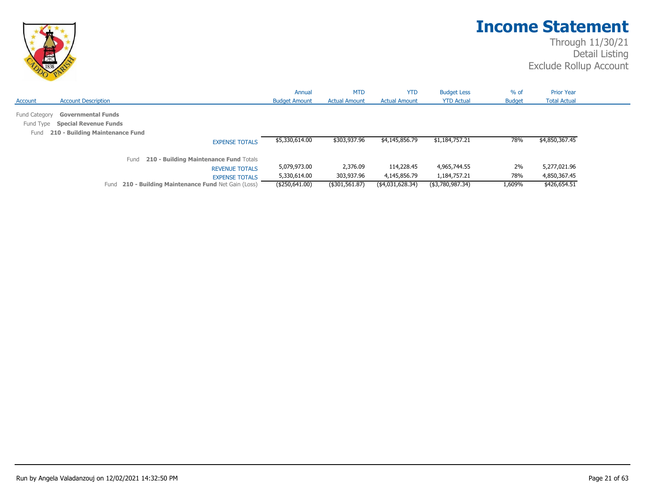

|                                    |                                                                                              |                                                 | Annual               | <b>MTD</b>           | <b>YTD</b>           | <b>Budget Less</b> | $%$ of        | <b>Prior Year</b>   |  |
|------------------------------------|----------------------------------------------------------------------------------------------|-------------------------------------------------|----------------------|----------------------|----------------------|--------------------|---------------|---------------------|--|
| Account                            | <b>Account Description</b>                                                                   |                                                 | <b>Budget Amount</b> | <b>Actual Amount</b> | <b>Actual Amount</b> | <b>YTD Actual</b>  | <b>Budget</b> | <b>Total Actual</b> |  |
| Fund Category<br>Fund Type<br>Fund | <b>Governmental Funds</b><br><b>Special Revenue Funds</b><br>210 - Building Maintenance Fund |                                                 |                      |                      |                      |                    |               |                     |  |
|                                    |                                                                                              | <b>EXPENSE TOTALS</b>                           | \$5,330,614.00       | \$303,937.96         | \$4,145,856.79       | \$1,184,757.21     | 78%           | \$4,850,367.45      |  |
|                                    |                                                                                              | 210 - Building Maintenance Fund Totals<br>Fund  |                      |                      |                      |                    |               |                     |  |
|                                    |                                                                                              | <b>REVENUE TOTALS</b>                           | 5,079,973.00         | 2,376.09             | 114,228.45           | 4,965,744.55       | 2%            | 5,277,021.96        |  |
|                                    |                                                                                              | <b>EXPENSE TOTALS</b>                           | 5,330,614.00         | 303,937.96           | 4,145,856.79         | 1,184,757.21       | 78%           | 4,850,367.45        |  |
|                                    | Fund                                                                                         | 210 - Building Maintenance Fund Net Gain (Loss) | (\$250,641.00)       | (\$301,561.87)       | (\$4,031,628.34)     | (\$3,780,987.34)   | 1,609%        | \$426,654.51        |  |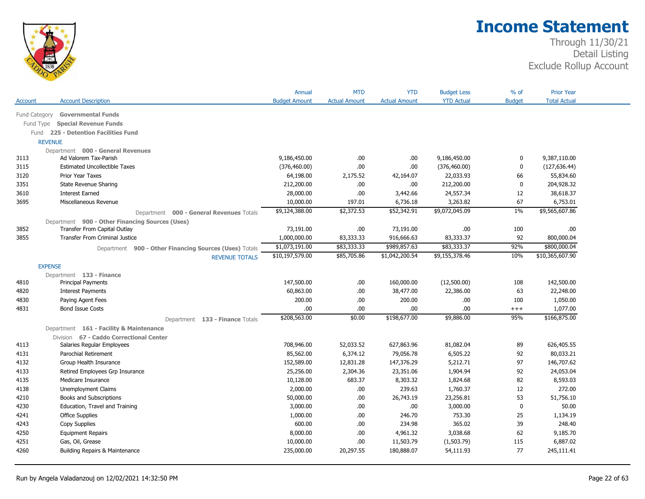

|               |                                                        | Annual               | <b>MTD</b>           | <b>YTD</b>           | <b>Budget Less</b> | $%$ of        | <b>Prior Year</b>   |  |
|---------------|--------------------------------------------------------|----------------------|----------------------|----------------------|--------------------|---------------|---------------------|--|
| Account       | <b>Account Description</b>                             | <b>Budget Amount</b> | <b>Actual Amount</b> | <b>Actual Amount</b> | <b>YTD Actual</b>  | <b>Budget</b> | <b>Total Actual</b> |  |
| Fund Category | <b>Governmental Funds</b>                              |                      |                      |                      |                    |               |                     |  |
| Fund Type     | <b>Special Revenue Funds</b>                           |                      |                      |                      |                    |               |                     |  |
|               | Fund 225 - Detention Facilities Fund                   |                      |                      |                      |                    |               |                     |  |
|               | <b>REVENUE</b>                                         |                      |                      |                      |                    |               |                     |  |
|               | Department 000 - General Revenues                      |                      |                      |                      |                    |               |                     |  |
| 3113          | Ad Valorem Tax-Parish                                  | 9,186,450.00         | .00                  | .00.                 | 9,186,450.00       | 0             | 9,387,110.00        |  |
| 3115          | <b>Estimated Uncollectible Taxes</b>                   | (376, 460.00)        | .00                  | .00                  | (376, 460.00)      | $\mathbf 0$   | (127, 636.44)       |  |
| 3120          | Prior Year Taxes                                       | 64,198.00            | 2,175.52             | 42,164.07            | 22,033.93          | 66            | 55,834.60           |  |
| 3351          | State Revenue Sharing                                  | 212,200.00           | .00                  | .00.                 | 212,200.00         | $\mathbf 0$   | 204,928.32          |  |
| 3610          | <b>Interest Earned</b>                                 | 28,000.00            | .00                  | 3,442.66             | 24,557.34          | 12            | 38,618.37           |  |
| 3695          | Miscellaneous Revenue                                  | 10,000.00            | 197.01               | 6,736.18             | 3,263.82           | 67            | 6,753.01            |  |
|               | Department 000 - General Revenues Totals               | \$9,124,388.00       | \$2,372.53           | \$52,342.91          | \$9,072,045.09     | $1\%$         | \$9,565,607.86      |  |
|               | Department 900 - Other Financing Sources (Uses)        |                      |                      |                      |                    |               |                     |  |
| 3852          | Transfer From Capital Outlay                           | 73,191.00            | .00                  | 73,191.00            | .00.               | 100           | .00                 |  |
| 3855          | <b>Transfer From Criminal Justice</b>                  | 1,000,000.00         | 83,333.33            | 916,666.63           | 83,333.37          | 92            | 800,000.04          |  |
|               | Department 900 - Other Financing Sources (Uses) Totals | \$1,073,191.00       | \$83,333.33          | \$989,857.63         | \$83,333.37        | 92%           | \$800,000.04        |  |
|               | <b>REVENUE TOTALS</b>                                  | \$10,197,579.00      | \$85,705.86          | \$1,042,200.54       | \$9,155,378.46     | 10%           | \$10,365,607.90     |  |
|               | <b>EXPENSE</b>                                         |                      |                      |                      |                    |               |                     |  |
|               | Department 133 - Finance                               |                      |                      |                      |                    |               |                     |  |
| 4810          | <b>Principal Payments</b>                              | 147,500.00           | .00.                 | 160,000.00           | (12,500.00)        | 108           | 142,500.00          |  |
| 4820          | <b>Interest Payments</b>                               | 60,863.00            | .00                  | 38,477.00            | 22,386.00          | 63            | 22,248.00           |  |
| 4830          | Paying Agent Fees                                      | 200.00               | .00.                 | 200.00               | .00.               | 100           | 1,050.00            |  |
| 4831          | <b>Bond Issue Costs</b>                                | .00                  | .00                  | .00                  | .00.               | $^{+++}$      | 1,077.00            |  |
|               | Department 133 - Finance Totals                        | \$208,563.00         | \$0.00               | \$198,677.00         | \$9,886.00         | 95%           | \$166,875.00        |  |
|               | Department 161 - Facility & Maintenance                |                      |                      |                      |                    |               |                     |  |
|               | Division 67 - Caddo Correctional Center                |                      |                      |                      |                    |               |                     |  |
| 4113          | Salaries Regular Employees                             | 708,946.00           | 52,033.52            | 627,863.96           | 81,082.04          | 89            | 626,405.55          |  |
| 4131          | Parochial Retirement                                   | 85,562.00            | 6,374.12             | 79,056.78            | 6,505.22           | 92            | 80,033.21           |  |
| 4132          | Group Health Insurance                                 | 152,589.00           | 12,831.28            | 147,376.29           | 5,212.71           | 97            | 146,707.62          |  |
| 4133          | Retired Employees Grp Insurance                        | 25,256.00            | 2,304.36             | 23,351.06            | 1,904.94           | 92            | 24,053.04           |  |
| 4135          | Medicare Insurance                                     | 10,128.00            | 683.37               | 8,303.32             | 1,824.68           | 82            | 8,593.03            |  |
| 4138          | Unemployment Claims                                    | 2,000.00             | .00.                 | 239.63               | 1,760.37           | 12            | 272.00              |  |
| 4210          | Books and Subscriptions                                | 50,000.00            | .00                  | 26,743.19            | 23,256.81          | 53            | 51,756.10           |  |
| 4230          | Education, Travel and Training                         | 3,000.00             | .00.                 | .00.                 | 3,000.00           | $\mathbf 0$   | 50.00               |  |
| 4241          | <b>Office Supplies</b>                                 | 1,000.00             | .00.                 | 246.70               | 753.30             | 25            | 1,134.19            |  |
| 4243          | Copy Supplies                                          | 600.00               | .00                  | 234.98               | 365.02             | 39            | 248.40              |  |
| 4250          | <b>Equipment Repairs</b>                               | 8,000.00             | .00                  | 4,961.32             | 3,038.68           | 62            | 9,185.70            |  |
| 4251          | Gas, Oil, Grease                                       | 10,000.00            | .00                  | 11,503.79            | (1,503.79)         | 115           | 6,887.02            |  |
| 4260          | Building Repairs & Maintenance                         | 235,000.00           | 20,297.55            | 180,888.07           | 54,111.93          | 77            | 245,111.41          |  |
|               |                                                        |                      |                      |                      |                    |               |                     |  |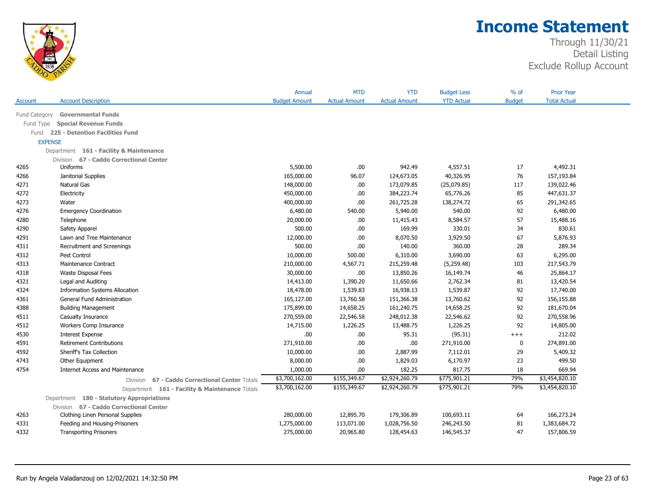

| <b>YTD Actual</b><br><b>Account Description</b><br><b>Budget Amount</b><br><b>Actual Amount</b><br><b>Actual Amount</b><br><b>Budget</b><br><b>Total Actual</b><br>Account<br>Fund Category<br><b>Governmental Funds</b><br><b>Special Revenue Funds</b><br>Fund Type<br>Fund 225 - Detention Facilities Fund<br><b>EXPENSE</b><br>Department 161 - Facility & Maintenance<br>Division 67 - Caddo Correctional Center<br>942.49<br>17<br>4,492.31<br>4265<br>Uniforms<br>5,500.00<br>.00<br>4,557.51<br>124,673.05<br>40,326.95<br>76<br>4266<br>Janitorial Supplies<br>165,000.00<br>96.07<br>157,193.84<br>Natural Gas<br>148,000.00<br>173,079.85<br>(25,079.85)<br>117<br>139,022.46<br>4271<br>.00<br>4272<br>.00<br>384,223.74<br>65,776.26<br>85<br>447,631.37<br>Electricity<br>450,000.00<br>4273<br>400,000.00<br>.00<br>261,725.28<br>138,274.72<br>65<br>291,342.65<br>Water<br>4276<br>540.00<br>5,940.00<br>92<br><b>Emergency Coordination</b><br>6,480.00<br>540.00<br>6,480.00<br>57<br>4280<br>20,000.00<br>.00<br>11,415.43<br>8,584.57<br>15,488.16<br>Telephone<br>500.00<br>169.99<br>330.01<br>34<br>830.61<br>4290<br>Safety Apparel<br>.00<br>8,070.50<br>67<br>5,876.93<br>4291<br>12,000.00<br>.00<br>3,929.50<br>Lawn and Tree Maintenance<br>500.00<br>.00<br>140.00<br>360.00<br>28<br>289.34<br>4311<br>Recruitment and Screenings<br>10,000.00<br>500.00<br>6,310.00<br>3,690.00<br>6,295.00<br>4312<br>Pest Control<br>63<br>4313<br><b>Maintenance Contract</b><br>210,000.00<br>4,567.71<br>215,259.48<br>(5,259.48)<br>103<br>217,543.79<br>.00<br>13,850.26<br>46<br>4318<br>Waste Disposal Fees<br>30,000.00<br>16,149.74<br>25,864.17<br>11,650.66<br>4321<br>14,413.00<br>1,390.20<br>2,762.34<br>81<br>13,420.54<br>Legal and Auditing<br>16,938.13<br>92<br>4324<br><b>Information Systems Allocation</b><br>18,478.00<br>1,539.83<br>1,539.87<br>17,740.00<br>92<br>4361<br>General Fund Administration<br>165,127.00<br>13,760.58<br>151,366.38<br>13,760.62<br>156,155.88<br>92<br>181,670.04<br>4388<br><b>Building Management</b><br>175,899.00<br>14,658.25<br>161,240.75<br>14,658.25<br>270,559.00<br>92<br>270,558.96<br>4511<br>Casualty Insurance<br>22,546.58<br>248,012.38<br>22,546.62<br>4512<br>Workers Comp Insurance<br>14,715.00<br>1,226.25<br>13,488.75<br>1,226.25<br>92<br>14,805.00<br>212.02<br>4530<br>.00<br>.00<br>95.31<br><b>Interest Expense</b><br>(95.31)<br>$^{+++}$<br>4591<br><b>Retirement Contributions</b><br>271,910.00<br>.00<br>.00.<br>271,910.00<br>274,891.00<br>0<br>4592<br>2,887.99<br>29<br>5,409.32<br>Sheriff's Tax Collection<br>10,000.00<br>.00<br>7,112.01<br>.00<br>23<br>499.50<br>4743<br>Other Equipment<br>8,000.00<br>1,829.03<br>6,170.97<br>669.94<br>4754<br><b>Internet Access and Maintenance</b><br>1,000.00<br>.00<br>182.25<br>817.75<br>18<br>\$775,901.21<br>79%<br>\$3,454,820.10<br>\$3,700,162.00<br>\$155,349.67<br>\$2,924,260.79<br>67 - Caddo Correctional Center Totals<br>Division<br>\$3,700,162.00<br>\$2,924,260.79<br>\$775,901.21<br>79%<br>\$3,454,820.10<br>\$155,349.67<br>Department 161 - Facility & Maintenance Totals<br>Department 180 - Statutory Appropriations<br>Division 67 - Caddo Correctional Center<br>280,000.00<br>12,895.70<br>179,306.89<br>100,693.11<br>64<br>166,273.24<br>4263<br>Clothing Linen Personal Supplies<br>1,275,000.00<br>113,071.00<br>1,028,756.50<br>246,243.50<br>81<br>1,383,684.72<br>4331<br>Feeding and Housing-Prisoners |      |                               | Annual     | <b>MTD</b> | <b>YTD</b> | <b>Budget Less</b> | $%$ of | <b>Prior Year</b> |  |
|-------------------------------------------------------------------------------------------------------------------------------------------------------------------------------------------------------------------------------------------------------------------------------------------------------------------------------------------------------------------------------------------------------------------------------------------------------------------------------------------------------------------------------------------------------------------------------------------------------------------------------------------------------------------------------------------------------------------------------------------------------------------------------------------------------------------------------------------------------------------------------------------------------------------------------------------------------------------------------------------------------------------------------------------------------------------------------------------------------------------------------------------------------------------------------------------------------------------------------------------------------------------------------------------------------------------------------------------------------------------------------------------------------------------------------------------------------------------------------------------------------------------------------------------------------------------------------------------------------------------------------------------------------------------------------------------------------------------------------------------------------------------------------------------------------------------------------------------------------------------------------------------------------------------------------------------------------------------------------------------------------------------------------------------------------------------------------------------------------------------------------------------------------------------------------------------------------------------------------------------------------------------------------------------------------------------------------------------------------------------------------------------------------------------------------------------------------------------------------------------------------------------------------------------------------------------------------------------------------------------------------------------------------------------------------------------------------------------------------------------------------------------------------------------------------------------------------------------------------------------------------------------------------------------------------------------------------------------------------------------------------------------------------------------------------------------------------------------------------------------------------------------------------------------------------------------------------------------------------------------------------------------------------------------------------------------------------------------------------------------------------------------------------------------------------------------------------------------------------------------------------|------|-------------------------------|------------|------------|------------|--------------------|--------|-------------------|--|
|                                                                                                                                                                                                                                                                                                                                                                                                                                                                                                                                                                                                                                                                                                                                                                                                                                                                                                                                                                                                                                                                                                                                                                                                                                                                                                                                                                                                                                                                                                                                                                                                                                                                                                                                                                                                                                                                                                                                                                                                                                                                                                                                                                                                                                                                                                                                                                                                                                                                                                                                                                                                                                                                                                                                                                                                                                                                                                                                                                                                                                                                                                                                                                                                                                                                                                                                                                                                                                                                                                       |      |                               |            |            |            |                    |        |                   |  |
|                                                                                                                                                                                                                                                                                                                                                                                                                                                                                                                                                                                                                                                                                                                                                                                                                                                                                                                                                                                                                                                                                                                                                                                                                                                                                                                                                                                                                                                                                                                                                                                                                                                                                                                                                                                                                                                                                                                                                                                                                                                                                                                                                                                                                                                                                                                                                                                                                                                                                                                                                                                                                                                                                                                                                                                                                                                                                                                                                                                                                                                                                                                                                                                                                                                                                                                                                                                                                                                                                                       |      |                               |            |            |            |                    |        |                   |  |
|                                                                                                                                                                                                                                                                                                                                                                                                                                                                                                                                                                                                                                                                                                                                                                                                                                                                                                                                                                                                                                                                                                                                                                                                                                                                                                                                                                                                                                                                                                                                                                                                                                                                                                                                                                                                                                                                                                                                                                                                                                                                                                                                                                                                                                                                                                                                                                                                                                                                                                                                                                                                                                                                                                                                                                                                                                                                                                                                                                                                                                                                                                                                                                                                                                                                                                                                                                                                                                                                                                       |      |                               |            |            |            |                    |        |                   |  |
|                                                                                                                                                                                                                                                                                                                                                                                                                                                                                                                                                                                                                                                                                                                                                                                                                                                                                                                                                                                                                                                                                                                                                                                                                                                                                                                                                                                                                                                                                                                                                                                                                                                                                                                                                                                                                                                                                                                                                                                                                                                                                                                                                                                                                                                                                                                                                                                                                                                                                                                                                                                                                                                                                                                                                                                                                                                                                                                                                                                                                                                                                                                                                                                                                                                                                                                                                                                                                                                                                                       |      |                               |            |            |            |                    |        |                   |  |
|                                                                                                                                                                                                                                                                                                                                                                                                                                                                                                                                                                                                                                                                                                                                                                                                                                                                                                                                                                                                                                                                                                                                                                                                                                                                                                                                                                                                                                                                                                                                                                                                                                                                                                                                                                                                                                                                                                                                                                                                                                                                                                                                                                                                                                                                                                                                                                                                                                                                                                                                                                                                                                                                                                                                                                                                                                                                                                                                                                                                                                                                                                                                                                                                                                                                                                                                                                                                                                                                                                       |      |                               |            |            |            |                    |        |                   |  |
|                                                                                                                                                                                                                                                                                                                                                                                                                                                                                                                                                                                                                                                                                                                                                                                                                                                                                                                                                                                                                                                                                                                                                                                                                                                                                                                                                                                                                                                                                                                                                                                                                                                                                                                                                                                                                                                                                                                                                                                                                                                                                                                                                                                                                                                                                                                                                                                                                                                                                                                                                                                                                                                                                                                                                                                                                                                                                                                                                                                                                                                                                                                                                                                                                                                                                                                                                                                                                                                                                                       |      |                               |            |            |            |                    |        |                   |  |
|                                                                                                                                                                                                                                                                                                                                                                                                                                                                                                                                                                                                                                                                                                                                                                                                                                                                                                                                                                                                                                                                                                                                                                                                                                                                                                                                                                                                                                                                                                                                                                                                                                                                                                                                                                                                                                                                                                                                                                                                                                                                                                                                                                                                                                                                                                                                                                                                                                                                                                                                                                                                                                                                                                                                                                                                                                                                                                                                                                                                                                                                                                                                                                                                                                                                                                                                                                                                                                                                                                       |      |                               |            |            |            |                    |        |                   |  |
|                                                                                                                                                                                                                                                                                                                                                                                                                                                                                                                                                                                                                                                                                                                                                                                                                                                                                                                                                                                                                                                                                                                                                                                                                                                                                                                                                                                                                                                                                                                                                                                                                                                                                                                                                                                                                                                                                                                                                                                                                                                                                                                                                                                                                                                                                                                                                                                                                                                                                                                                                                                                                                                                                                                                                                                                                                                                                                                                                                                                                                                                                                                                                                                                                                                                                                                                                                                                                                                                                                       |      |                               |            |            |            |                    |        |                   |  |
|                                                                                                                                                                                                                                                                                                                                                                                                                                                                                                                                                                                                                                                                                                                                                                                                                                                                                                                                                                                                                                                                                                                                                                                                                                                                                                                                                                                                                                                                                                                                                                                                                                                                                                                                                                                                                                                                                                                                                                                                                                                                                                                                                                                                                                                                                                                                                                                                                                                                                                                                                                                                                                                                                                                                                                                                                                                                                                                                                                                                                                                                                                                                                                                                                                                                                                                                                                                                                                                                                                       |      |                               |            |            |            |                    |        |                   |  |
|                                                                                                                                                                                                                                                                                                                                                                                                                                                                                                                                                                                                                                                                                                                                                                                                                                                                                                                                                                                                                                                                                                                                                                                                                                                                                                                                                                                                                                                                                                                                                                                                                                                                                                                                                                                                                                                                                                                                                                                                                                                                                                                                                                                                                                                                                                                                                                                                                                                                                                                                                                                                                                                                                                                                                                                                                                                                                                                                                                                                                                                                                                                                                                                                                                                                                                                                                                                                                                                                                                       |      |                               |            |            |            |                    |        |                   |  |
|                                                                                                                                                                                                                                                                                                                                                                                                                                                                                                                                                                                                                                                                                                                                                                                                                                                                                                                                                                                                                                                                                                                                                                                                                                                                                                                                                                                                                                                                                                                                                                                                                                                                                                                                                                                                                                                                                                                                                                                                                                                                                                                                                                                                                                                                                                                                                                                                                                                                                                                                                                                                                                                                                                                                                                                                                                                                                                                                                                                                                                                                                                                                                                                                                                                                                                                                                                                                                                                                                                       |      |                               |            |            |            |                    |        |                   |  |
|                                                                                                                                                                                                                                                                                                                                                                                                                                                                                                                                                                                                                                                                                                                                                                                                                                                                                                                                                                                                                                                                                                                                                                                                                                                                                                                                                                                                                                                                                                                                                                                                                                                                                                                                                                                                                                                                                                                                                                                                                                                                                                                                                                                                                                                                                                                                                                                                                                                                                                                                                                                                                                                                                                                                                                                                                                                                                                                                                                                                                                                                                                                                                                                                                                                                                                                                                                                                                                                                                                       |      |                               |            |            |            |                    |        |                   |  |
|                                                                                                                                                                                                                                                                                                                                                                                                                                                                                                                                                                                                                                                                                                                                                                                                                                                                                                                                                                                                                                                                                                                                                                                                                                                                                                                                                                                                                                                                                                                                                                                                                                                                                                                                                                                                                                                                                                                                                                                                                                                                                                                                                                                                                                                                                                                                                                                                                                                                                                                                                                                                                                                                                                                                                                                                                                                                                                                                                                                                                                                                                                                                                                                                                                                                                                                                                                                                                                                                                                       |      |                               |            |            |            |                    |        |                   |  |
|                                                                                                                                                                                                                                                                                                                                                                                                                                                                                                                                                                                                                                                                                                                                                                                                                                                                                                                                                                                                                                                                                                                                                                                                                                                                                                                                                                                                                                                                                                                                                                                                                                                                                                                                                                                                                                                                                                                                                                                                                                                                                                                                                                                                                                                                                                                                                                                                                                                                                                                                                                                                                                                                                                                                                                                                                                                                                                                                                                                                                                                                                                                                                                                                                                                                                                                                                                                                                                                                                                       |      |                               |            |            |            |                    |        |                   |  |
|                                                                                                                                                                                                                                                                                                                                                                                                                                                                                                                                                                                                                                                                                                                                                                                                                                                                                                                                                                                                                                                                                                                                                                                                                                                                                                                                                                                                                                                                                                                                                                                                                                                                                                                                                                                                                                                                                                                                                                                                                                                                                                                                                                                                                                                                                                                                                                                                                                                                                                                                                                                                                                                                                                                                                                                                                                                                                                                                                                                                                                                                                                                                                                                                                                                                                                                                                                                                                                                                                                       |      |                               |            |            |            |                    |        |                   |  |
|                                                                                                                                                                                                                                                                                                                                                                                                                                                                                                                                                                                                                                                                                                                                                                                                                                                                                                                                                                                                                                                                                                                                                                                                                                                                                                                                                                                                                                                                                                                                                                                                                                                                                                                                                                                                                                                                                                                                                                                                                                                                                                                                                                                                                                                                                                                                                                                                                                                                                                                                                                                                                                                                                                                                                                                                                                                                                                                                                                                                                                                                                                                                                                                                                                                                                                                                                                                                                                                                                                       |      |                               |            |            |            |                    |        |                   |  |
|                                                                                                                                                                                                                                                                                                                                                                                                                                                                                                                                                                                                                                                                                                                                                                                                                                                                                                                                                                                                                                                                                                                                                                                                                                                                                                                                                                                                                                                                                                                                                                                                                                                                                                                                                                                                                                                                                                                                                                                                                                                                                                                                                                                                                                                                                                                                                                                                                                                                                                                                                                                                                                                                                                                                                                                                                                                                                                                                                                                                                                                                                                                                                                                                                                                                                                                                                                                                                                                                                                       |      |                               |            |            |            |                    |        |                   |  |
|                                                                                                                                                                                                                                                                                                                                                                                                                                                                                                                                                                                                                                                                                                                                                                                                                                                                                                                                                                                                                                                                                                                                                                                                                                                                                                                                                                                                                                                                                                                                                                                                                                                                                                                                                                                                                                                                                                                                                                                                                                                                                                                                                                                                                                                                                                                                                                                                                                                                                                                                                                                                                                                                                                                                                                                                                                                                                                                                                                                                                                                                                                                                                                                                                                                                                                                                                                                                                                                                                                       |      |                               |            |            |            |                    |        |                   |  |
|                                                                                                                                                                                                                                                                                                                                                                                                                                                                                                                                                                                                                                                                                                                                                                                                                                                                                                                                                                                                                                                                                                                                                                                                                                                                                                                                                                                                                                                                                                                                                                                                                                                                                                                                                                                                                                                                                                                                                                                                                                                                                                                                                                                                                                                                                                                                                                                                                                                                                                                                                                                                                                                                                                                                                                                                                                                                                                                                                                                                                                                                                                                                                                                                                                                                                                                                                                                                                                                                                                       |      |                               |            |            |            |                    |        |                   |  |
|                                                                                                                                                                                                                                                                                                                                                                                                                                                                                                                                                                                                                                                                                                                                                                                                                                                                                                                                                                                                                                                                                                                                                                                                                                                                                                                                                                                                                                                                                                                                                                                                                                                                                                                                                                                                                                                                                                                                                                                                                                                                                                                                                                                                                                                                                                                                                                                                                                                                                                                                                                                                                                                                                                                                                                                                                                                                                                                                                                                                                                                                                                                                                                                                                                                                                                                                                                                                                                                                                                       |      |                               |            |            |            |                    |        |                   |  |
|                                                                                                                                                                                                                                                                                                                                                                                                                                                                                                                                                                                                                                                                                                                                                                                                                                                                                                                                                                                                                                                                                                                                                                                                                                                                                                                                                                                                                                                                                                                                                                                                                                                                                                                                                                                                                                                                                                                                                                                                                                                                                                                                                                                                                                                                                                                                                                                                                                                                                                                                                                                                                                                                                                                                                                                                                                                                                                                                                                                                                                                                                                                                                                                                                                                                                                                                                                                                                                                                                                       |      |                               |            |            |            |                    |        |                   |  |
|                                                                                                                                                                                                                                                                                                                                                                                                                                                                                                                                                                                                                                                                                                                                                                                                                                                                                                                                                                                                                                                                                                                                                                                                                                                                                                                                                                                                                                                                                                                                                                                                                                                                                                                                                                                                                                                                                                                                                                                                                                                                                                                                                                                                                                                                                                                                                                                                                                                                                                                                                                                                                                                                                                                                                                                                                                                                                                                                                                                                                                                                                                                                                                                                                                                                                                                                                                                                                                                                                                       |      |                               |            |            |            |                    |        |                   |  |
|                                                                                                                                                                                                                                                                                                                                                                                                                                                                                                                                                                                                                                                                                                                                                                                                                                                                                                                                                                                                                                                                                                                                                                                                                                                                                                                                                                                                                                                                                                                                                                                                                                                                                                                                                                                                                                                                                                                                                                                                                                                                                                                                                                                                                                                                                                                                                                                                                                                                                                                                                                                                                                                                                                                                                                                                                                                                                                                                                                                                                                                                                                                                                                                                                                                                                                                                                                                                                                                                                                       |      |                               |            |            |            |                    |        |                   |  |
|                                                                                                                                                                                                                                                                                                                                                                                                                                                                                                                                                                                                                                                                                                                                                                                                                                                                                                                                                                                                                                                                                                                                                                                                                                                                                                                                                                                                                                                                                                                                                                                                                                                                                                                                                                                                                                                                                                                                                                                                                                                                                                                                                                                                                                                                                                                                                                                                                                                                                                                                                                                                                                                                                                                                                                                                                                                                                                                                                                                                                                                                                                                                                                                                                                                                                                                                                                                                                                                                                                       |      |                               |            |            |            |                    |        |                   |  |
|                                                                                                                                                                                                                                                                                                                                                                                                                                                                                                                                                                                                                                                                                                                                                                                                                                                                                                                                                                                                                                                                                                                                                                                                                                                                                                                                                                                                                                                                                                                                                                                                                                                                                                                                                                                                                                                                                                                                                                                                                                                                                                                                                                                                                                                                                                                                                                                                                                                                                                                                                                                                                                                                                                                                                                                                                                                                                                                                                                                                                                                                                                                                                                                                                                                                                                                                                                                                                                                                                                       |      |                               |            |            |            |                    |        |                   |  |
|                                                                                                                                                                                                                                                                                                                                                                                                                                                                                                                                                                                                                                                                                                                                                                                                                                                                                                                                                                                                                                                                                                                                                                                                                                                                                                                                                                                                                                                                                                                                                                                                                                                                                                                                                                                                                                                                                                                                                                                                                                                                                                                                                                                                                                                                                                                                                                                                                                                                                                                                                                                                                                                                                                                                                                                                                                                                                                                                                                                                                                                                                                                                                                                                                                                                                                                                                                                                                                                                                                       |      |                               |            |            |            |                    |        |                   |  |
|                                                                                                                                                                                                                                                                                                                                                                                                                                                                                                                                                                                                                                                                                                                                                                                                                                                                                                                                                                                                                                                                                                                                                                                                                                                                                                                                                                                                                                                                                                                                                                                                                                                                                                                                                                                                                                                                                                                                                                                                                                                                                                                                                                                                                                                                                                                                                                                                                                                                                                                                                                                                                                                                                                                                                                                                                                                                                                                                                                                                                                                                                                                                                                                                                                                                                                                                                                                                                                                                                                       |      |                               |            |            |            |                    |        |                   |  |
|                                                                                                                                                                                                                                                                                                                                                                                                                                                                                                                                                                                                                                                                                                                                                                                                                                                                                                                                                                                                                                                                                                                                                                                                                                                                                                                                                                                                                                                                                                                                                                                                                                                                                                                                                                                                                                                                                                                                                                                                                                                                                                                                                                                                                                                                                                                                                                                                                                                                                                                                                                                                                                                                                                                                                                                                                                                                                                                                                                                                                                                                                                                                                                                                                                                                                                                                                                                                                                                                                                       |      |                               |            |            |            |                    |        |                   |  |
|                                                                                                                                                                                                                                                                                                                                                                                                                                                                                                                                                                                                                                                                                                                                                                                                                                                                                                                                                                                                                                                                                                                                                                                                                                                                                                                                                                                                                                                                                                                                                                                                                                                                                                                                                                                                                                                                                                                                                                                                                                                                                                                                                                                                                                                                                                                                                                                                                                                                                                                                                                                                                                                                                                                                                                                                                                                                                                                                                                                                                                                                                                                                                                                                                                                                                                                                                                                                                                                                                                       |      |                               |            |            |            |                    |        |                   |  |
|                                                                                                                                                                                                                                                                                                                                                                                                                                                                                                                                                                                                                                                                                                                                                                                                                                                                                                                                                                                                                                                                                                                                                                                                                                                                                                                                                                                                                                                                                                                                                                                                                                                                                                                                                                                                                                                                                                                                                                                                                                                                                                                                                                                                                                                                                                                                                                                                                                                                                                                                                                                                                                                                                                                                                                                                                                                                                                                                                                                                                                                                                                                                                                                                                                                                                                                                                                                                                                                                                                       |      |                               |            |            |            |                    |        |                   |  |
|                                                                                                                                                                                                                                                                                                                                                                                                                                                                                                                                                                                                                                                                                                                                                                                                                                                                                                                                                                                                                                                                                                                                                                                                                                                                                                                                                                                                                                                                                                                                                                                                                                                                                                                                                                                                                                                                                                                                                                                                                                                                                                                                                                                                                                                                                                                                                                                                                                                                                                                                                                                                                                                                                                                                                                                                                                                                                                                                                                                                                                                                                                                                                                                                                                                                                                                                                                                                                                                                                                       |      |                               |            |            |            |                    |        |                   |  |
|                                                                                                                                                                                                                                                                                                                                                                                                                                                                                                                                                                                                                                                                                                                                                                                                                                                                                                                                                                                                                                                                                                                                                                                                                                                                                                                                                                                                                                                                                                                                                                                                                                                                                                                                                                                                                                                                                                                                                                                                                                                                                                                                                                                                                                                                                                                                                                                                                                                                                                                                                                                                                                                                                                                                                                                                                                                                                                                                                                                                                                                                                                                                                                                                                                                                                                                                                                                                                                                                                                       |      |                               |            |            |            |                    |        |                   |  |
|                                                                                                                                                                                                                                                                                                                                                                                                                                                                                                                                                                                                                                                                                                                                                                                                                                                                                                                                                                                                                                                                                                                                                                                                                                                                                                                                                                                                                                                                                                                                                                                                                                                                                                                                                                                                                                                                                                                                                                                                                                                                                                                                                                                                                                                                                                                                                                                                                                                                                                                                                                                                                                                                                                                                                                                                                                                                                                                                                                                                                                                                                                                                                                                                                                                                                                                                                                                                                                                                                                       |      |                               |            |            |            |                    |        |                   |  |
|                                                                                                                                                                                                                                                                                                                                                                                                                                                                                                                                                                                                                                                                                                                                                                                                                                                                                                                                                                                                                                                                                                                                                                                                                                                                                                                                                                                                                                                                                                                                                                                                                                                                                                                                                                                                                                                                                                                                                                                                                                                                                                                                                                                                                                                                                                                                                                                                                                                                                                                                                                                                                                                                                                                                                                                                                                                                                                                                                                                                                                                                                                                                                                                                                                                                                                                                                                                                                                                                                                       |      |                               |            |            |            |                    |        |                   |  |
|                                                                                                                                                                                                                                                                                                                                                                                                                                                                                                                                                                                                                                                                                                                                                                                                                                                                                                                                                                                                                                                                                                                                                                                                                                                                                                                                                                                                                                                                                                                                                                                                                                                                                                                                                                                                                                                                                                                                                                                                                                                                                                                                                                                                                                                                                                                                                                                                                                                                                                                                                                                                                                                                                                                                                                                                                                                                                                                                                                                                                                                                                                                                                                                                                                                                                                                                                                                                                                                                                                       |      |                               |            |            |            |                    |        |                   |  |
|                                                                                                                                                                                                                                                                                                                                                                                                                                                                                                                                                                                                                                                                                                                                                                                                                                                                                                                                                                                                                                                                                                                                                                                                                                                                                                                                                                                                                                                                                                                                                                                                                                                                                                                                                                                                                                                                                                                                                                                                                                                                                                                                                                                                                                                                                                                                                                                                                                                                                                                                                                                                                                                                                                                                                                                                                                                                                                                                                                                                                                                                                                                                                                                                                                                                                                                                                                                                                                                                                                       |      |                               |            |            |            |                    |        |                   |  |
|                                                                                                                                                                                                                                                                                                                                                                                                                                                                                                                                                                                                                                                                                                                                                                                                                                                                                                                                                                                                                                                                                                                                                                                                                                                                                                                                                                                                                                                                                                                                                                                                                                                                                                                                                                                                                                                                                                                                                                                                                                                                                                                                                                                                                                                                                                                                                                                                                                                                                                                                                                                                                                                                                                                                                                                                                                                                                                                                                                                                                                                                                                                                                                                                                                                                                                                                                                                                                                                                                                       |      |                               |            |            |            |                    |        |                   |  |
|                                                                                                                                                                                                                                                                                                                                                                                                                                                                                                                                                                                                                                                                                                                                                                                                                                                                                                                                                                                                                                                                                                                                                                                                                                                                                                                                                                                                                                                                                                                                                                                                                                                                                                                                                                                                                                                                                                                                                                                                                                                                                                                                                                                                                                                                                                                                                                                                                                                                                                                                                                                                                                                                                                                                                                                                                                                                                                                                                                                                                                                                                                                                                                                                                                                                                                                                                                                                                                                                                                       | 4332 | <b>Transporting Prisoners</b> | 275,000.00 | 20,965.80  | 128,454.63 | 146,545.37         | 47     | 157,806.59        |  |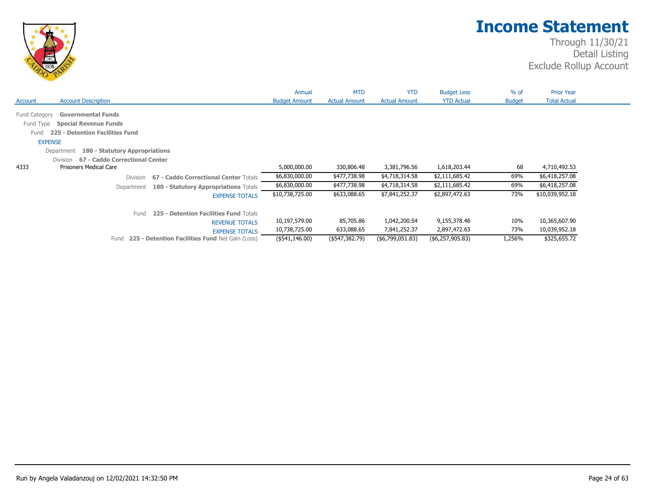

|                                    |                                                                                              |                                                 | Annual               | <b>MTD</b>           | <b>YTD</b>           | <b>Budget Less</b> | $%$ of        | <b>Prior Year</b>   |
|------------------------------------|----------------------------------------------------------------------------------------------|-------------------------------------------------|----------------------|----------------------|----------------------|--------------------|---------------|---------------------|
| Account                            | <b>Account Description</b>                                                                   |                                                 | <b>Budget Amount</b> | <b>Actual Amount</b> | <b>Actual Amount</b> | <b>YTD Actual</b>  | <b>Budget</b> | <b>Total Actual</b> |
| Fund Category<br>Fund Type<br>Fund | <b>Governmental Funds</b><br><b>Special Revenue Funds</b><br>225 - Detention Facilities Fund |                                                 |                      |                      |                      |                    |               |                     |
| <b>EXPENSE</b>                     |                                                                                              |                                                 |                      |                      |                      |                    |               |                     |
|                                    | 180 - Statutory Appropriations<br>Department                                                 |                                                 |                      |                      |                      |                    |               |                     |
|                                    | 67 - Caddo Correctional Center<br>Division                                                   |                                                 |                      |                      |                      |                    |               |                     |
| 4333                               | <b>Prisoners Medical Care</b>                                                                |                                                 | 5,000,000.00         | 330,806.48           | 3,381,796.56         | 1,618,203.44       | 68            | 4,710,492.53        |
|                                    | <b>Division</b>                                                                              | 67 - Caddo Correctional Center Totals           | \$6,830,000.00       | \$477,738.98         | \$4,718,314.58       | \$2,111,685.42     | 69%           | \$6,418,257.08      |
|                                    | Department                                                                                   | 180 - Statutory Appropriations Totals           | \$6,830,000.00       | \$477,738.98         | \$4,718,314.58       | \$2,111,685.42     | 69%           | \$6,418,257.08      |
|                                    |                                                                                              | <b>EXPENSE TOTALS</b>                           | \$10,738,725.00      | \$633,088.65         | \$7,841,252.37       | \$2,897,472.63     | 73%           | \$10,039,952.18     |
|                                    | Fund                                                                                         | 225 - Detention Facilities Fund Totals          |                      |                      |                      |                    |               |                     |
|                                    |                                                                                              | <b>REVENUE TOTALS</b>                           | 10,197,579.00        | 85,705.86            | 1,042,200.54         | 9,155,378.46       | 10%           | 10,365,607.90       |
|                                    |                                                                                              | <b>EXPENSE TOTALS</b>                           | 10,738,725.00        | 633,088.65           | 7,841,252.37         | 2,897,472.63       | 73%           | 10,039,952.18       |
|                                    | Fund                                                                                         | 225 - Detention Facilities Fund Net Gain (Loss) | (\$541,146.00)       | (\$547,382.79)       | $($ \$6,799,051.83)  | (\$6,257,905.83)   | 1,256%        | \$325,655.72        |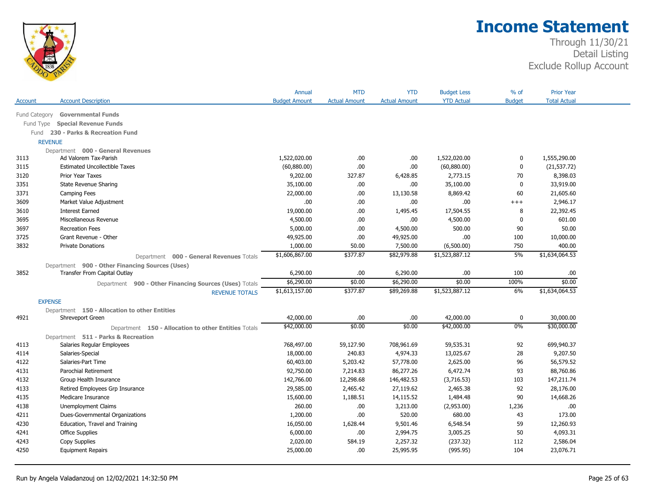

|                |                                                        | Annual               | <b>MTD</b>           | <b>YTD</b>           | <b>Budget Less</b> | % of          | <b>Prior Year</b>   |  |
|----------------|--------------------------------------------------------|----------------------|----------------------|----------------------|--------------------|---------------|---------------------|--|
| Account        | <b>Account Description</b>                             | <b>Budget Amount</b> | <b>Actual Amount</b> | <b>Actual Amount</b> | <b>YTD Actual</b>  | <b>Budget</b> | <b>Total Actual</b> |  |
| Fund Category  | <b>Governmental Funds</b>                              |                      |                      |                      |                    |               |                     |  |
| Fund Type      | <b>Special Revenue Funds</b>                           |                      |                      |                      |                    |               |                     |  |
| Fund           | 230 - Parks & Recreation Fund                          |                      |                      |                      |                    |               |                     |  |
| <b>REVENUE</b> |                                                        |                      |                      |                      |                    |               |                     |  |
|                | Department 000 - General Revenues                      |                      |                      |                      |                    |               |                     |  |
| 3113           | Ad Valorem Tax-Parish                                  | 1,522,020.00         | .00                  | .00                  | 1,522,020.00       | 0             | 1,555,290.00        |  |
| 3115           | <b>Estimated Uncollectible Taxes</b>                   | (60, 880.00)         | .00                  | .00                  | (60,880.00)        | 0             | (21, 537.72)        |  |
| 3120           | Prior Year Taxes                                       | 9,202.00             | 327.87               | 6,428.85             | 2,773.15           | 70            | 8,398.03            |  |
| 3351           | State Revenue Sharing                                  | 35,100.00            | .00                  | .00                  | 35,100.00          | $\mathbf{0}$  | 33,919.00           |  |
| 3371           | Camping Fees                                           | 22,000.00            | .00                  | 13,130.58            | 8,869.42           | 60            | 21,605.60           |  |
| 3609           | Market Value Adjustment                                | .00.                 | .00                  | .00                  | .00.               | $^{++}$       | 2,946.17            |  |
| 3610           | <b>Interest Earned</b>                                 | 19,000.00            | .00                  | 1,495.45             | 17,504.55          | 8             | 22,392.45           |  |
| 3695           | Miscellaneous Revenue                                  | 4,500.00             | .00                  | .00                  | 4,500.00           | 0             | 601.00              |  |
| 3697           | <b>Recreation Fees</b>                                 | 5,000.00             | .00                  | 4,500.00             | 500.00             | 90            | 50.00               |  |
| 3725           | Grant Revenue - Other                                  | 49,925.00            | .00                  | 49,925.00            | .00.               | 100           | 10,000.00           |  |
| 3832           | <b>Private Donations</b>                               | 1,000.00             | 50.00                | 7,500.00             | (6,500.00)         | 750           | 400.00              |  |
|                | Department 000 - General Revenues Totals               | \$1,606,867.00       | \$377.87             | \$82,979.88          | \$1,523,887.12     | 5%            | \$1,634,064.53      |  |
|                | Department 900 - Other Financing Sources (Uses)        |                      |                      |                      |                    |               |                     |  |
| 3852           | Transfer From Capital Outlay                           | 6,290.00             | .00                  | 6,290.00             | .00.               | 100           | .00                 |  |
|                | Department 900 - Other Financing Sources (Uses) Totals | \$6,290.00           | \$0.00               | \$6,290.00           | \$0.00             | 100%          | \$0.00              |  |
|                | <b>REVENUE TOTALS</b>                                  | \$1,613,157.00       | \$377.87             | \$89,269.88          | \$1,523,887.12     | 6%            | \$1,634,064.53      |  |
| <b>EXPENSE</b> |                                                        |                      |                      |                      |                    |               |                     |  |
|                | Department 150 - Allocation to other Entities          |                      |                      |                      |                    |               |                     |  |
| 4921           | Shreveport Green                                       | 42,000.00            | .00                  | .00                  | 42,000.00          | 0             | 30,000.00           |  |
|                | Department 150 - Allocation to other Entities Totals   | \$42,000.00          | \$0.00               | \$0.00               | \$42,000.00        | 0%            | \$30,000.00         |  |
|                | Department 511 - Parks & Recreation                    |                      |                      |                      |                    |               |                     |  |
| 4113           | Salaries Regular Employees                             | 768,497.00           | 59,127.90            | 708,961.69           | 59,535.31          | 92            | 699,940.37          |  |
| 4114           | Salaries-Special                                       | 18,000.00            | 240.83               | 4,974.33             | 13,025.67          | 28            | 9,207.50            |  |
| 4122           | Salaries-Part Time                                     | 60,403.00            | 5,203.42             | 57,778.00            | 2,625.00           | 96            | 56,579.52           |  |
| 4131           | Parochial Retirement                                   | 92,750.00            | 7,214.83             | 86,277.26            | 6,472.74           | 93            | 88,760.86           |  |
| 4132           | Group Health Insurance                                 | 142,766.00           | 12,298.68            | 146,482.53           | (3,716.53)         | 103           | 147,211.74          |  |
| 4133           | Retired Employees Grp Insurance                        | 29,585.00            | 2,465.42             | 27,119.62            | 2,465.38           | 92            | 28,176.00           |  |
| 4135           | Medicare Insurance                                     | 15,600.00            | 1,188.51             | 14,115.52            | 1,484.48           | 90            | 14,668.26           |  |
| 4138           | <b>Unemployment Claims</b>                             | 260.00               | .00                  | 3,213.00             | (2,953.00)         | 1,236         | .00                 |  |
| 4211           | Dues-Governmental Organizations                        | 1,200.00             | .00                  | 520.00               | 680.00             | 43            | 173.00              |  |
| 4230           | Education, Travel and Training                         | 16,050.00            | 1,628.44             | 9,501.46             | 6,548.54           | 59            | 12,260.93           |  |
| 4241           | <b>Office Supplies</b>                                 | 6,000.00             | .00                  | 2,994.75             | 3,005.25           | 50            | 4,093.31            |  |
| 4243           | Copy Supplies                                          | 2,020.00             | 584.19               | 2,257.32             | (237.32)           | 112           | 2,586.04            |  |
| 4250           | <b>Equipment Repairs</b>                               | 25,000.00            | .00                  | 25,995.95            | (995.95)           | 104           | 23,076.71           |  |
|                |                                                        |                      |                      |                      |                    |               |                     |  |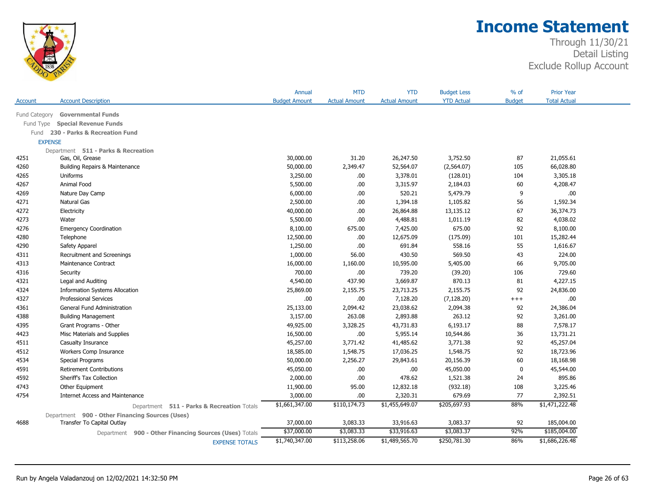

| <b>YTD Actual</b><br><b>Account Description</b><br><b>Budget Amount</b><br><b>Actual Amount</b><br><b>Budget</b><br><b>Total Actual</b><br><b>Actual Amount</b><br>Account<br><b>Governmental Funds</b><br>Fund Category<br><b>Special Revenue Funds</b><br>Fund Type<br>230 - Parks & Recreation Fund<br>Fund<br><b>EXPENSE</b><br>Department 511 - Parks & Recreation<br>Gas, Oil, Grease<br>30,000.00<br>31.20<br>26,247.50<br>3,752.50<br>87<br>21,055.61<br>4251<br>4260<br>50,000.00<br>2,349.47<br>52,564.07<br>105<br>66,028.80<br>Building Repairs & Maintenance<br>(2,564.07)<br>Uniforms<br>3,250.00<br>3,378.01<br>(128.01)<br>104<br>3,305.18<br>4265<br>.00.<br>4267<br>Animal Food<br>5,500.00<br>.00.<br>3,315.97<br>60<br>4,208.47<br>2,184.03<br>9<br>.00<br>4269<br>Nature Day Camp<br>6,000.00<br>.00.<br>520.21<br>5,479.79<br>4271<br>2,500.00<br>56<br>1,592.34<br><b>Natural Gas</b><br>.00<br>1,394.18<br>1,105.82<br>4272<br>Electricity<br>40,000.00<br>.00.<br>26,864.88<br>67<br>36,374.73<br>13,135.12<br>4273<br>5,500.00<br>.00.<br>4,488.81<br>82<br>4,038.02<br>1,011.19<br>Water<br>92<br>8,100.00<br>7,425.00<br>675.00<br>8,100.00<br>4276<br><b>Emergency Coordination</b><br>675.00<br>12,500.00<br>.00.<br>101<br>15,282.44<br>4280<br>Telephone<br>12,675.09<br>(175.09)<br>4290<br>1,250.00<br>.00<br>691.84<br>558.16<br>55<br>1,616.67<br>Safety Apparel<br>430.50<br>569.50<br>43<br>224.00<br>4311<br>Recruitment and Screenings<br>1,000.00<br>56.00<br>4313<br>16,000.00<br>1,160.00<br>10,595.00<br>5,405.00<br>9,705.00<br>Maintenance Contract<br>66<br>700.00<br>.00.<br>739.20<br>729.60<br>4316<br>(39.20)<br>106<br>Security<br>437.90<br>3,669.87<br>870.13<br>81<br>4,227.15<br>4321<br>Legal and Auditing<br>4,540.00<br>4324<br><b>Information Systems Allocation</b><br>25,869.00<br>2,155.75<br>23,713.25<br>92<br>24,836.00<br>2,155.75<br>4327<br>.00.<br>.00.<br>7,128.20<br>(7, 128.20)<br>.00.<br><b>Professional Services</b><br>$^{+++}$<br>4361<br>General Fund Administration<br>25,133.00<br>2,094.42<br>23,038.62<br>2,094.38<br>92<br>24,386.04<br>3,157.00<br>263.08<br>2,893.88<br>263.12<br>92<br>4388<br><b>Building Management</b><br>3,261.00<br>88<br>7,578.17<br>4395<br>Grant Programs - Other<br>49,925.00<br>3,328.25<br>43,731.83<br>6,193.17<br>.00.<br>5,955.14<br>36<br>13,731.21<br>4423<br>Misc Materials and Supplies<br>16,500.00<br>10,544.86<br>4511<br>45,257.00<br>3,771.42<br>41,485.62<br>3,771.38<br>92<br>45,257.04<br>Casualty Insurance<br>4512<br>18,585.00<br>1,548.75<br>1,548.75<br>92<br>18,723.96<br>Workers Comp Insurance<br>17,036.25<br>50,000.00<br>2,256.27<br>29,843.61<br>20,156.39<br>60<br>18,168.98<br>4534<br>Special Programs<br>.00.<br>$\mathbf 0$<br>45,544.00<br>4591<br><b>Retirement Contributions</b><br>45,050.00<br>.00<br>45,050.00<br>4592<br>2,000.00<br>.00.<br>478.62<br>1,521.38<br>24<br>895.86<br>Sheriff's Tax Collection<br>4743<br>95.00<br>12,832.18<br>(932.18)<br>108<br>3,225.46<br>Other Equipment<br>11,900.00<br>4754<br>.00.<br>679.69<br>77<br>2,392.51<br><b>Internet Access and Maintenance</b><br>3,000.00<br>2,320.31<br>\$1,471,222.48<br>\$1,661,347.00<br>\$110,174.73<br>\$205,697.93<br>88%<br>\$1,455,649.07<br>Department 511 - Parks & Recreation Totals<br>Department 900 - Other Financing Sources (Uses)<br>4688<br>37,000.00<br>3,083.33<br>3,083.37<br>92<br>185,004.00<br>Transfer To Capital Outlay<br>33,916.63<br>\$37,000.00<br>\$3,083.33<br>\$33,916.63<br>\$3,083.37<br>92%<br>\$185,004.00<br>900 - Other Financing Sources (Uses) Totals<br>Department<br>\$1,740,347.00<br>\$113,258.06<br>\$1,489,565.70<br>\$250,781.30<br>86%<br>\$1,686,226.48<br><b>EXPENSE TOTALS</b> |  | Annual | <b>MTD</b> | <b>YTD</b> | <b>Budget Less</b> | $%$ of | <b>Prior Year</b> |
|---------------------------------------------------------------------------------------------------------------------------------------------------------------------------------------------------------------------------------------------------------------------------------------------------------------------------------------------------------------------------------------------------------------------------------------------------------------------------------------------------------------------------------------------------------------------------------------------------------------------------------------------------------------------------------------------------------------------------------------------------------------------------------------------------------------------------------------------------------------------------------------------------------------------------------------------------------------------------------------------------------------------------------------------------------------------------------------------------------------------------------------------------------------------------------------------------------------------------------------------------------------------------------------------------------------------------------------------------------------------------------------------------------------------------------------------------------------------------------------------------------------------------------------------------------------------------------------------------------------------------------------------------------------------------------------------------------------------------------------------------------------------------------------------------------------------------------------------------------------------------------------------------------------------------------------------------------------------------------------------------------------------------------------------------------------------------------------------------------------------------------------------------------------------------------------------------------------------------------------------------------------------------------------------------------------------------------------------------------------------------------------------------------------------------------------------------------------------------------------------------------------------------------------------------------------------------------------------------------------------------------------------------------------------------------------------------------------------------------------------------------------------------------------------------------------------------------------------------------------------------------------------------------------------------------------------------------------------------------------------------------------------------------------------------------------------------------------------------------------------------------------------------------------------------------------------------------------------------------------------------------------------------------------------------------------------------------------------------------------------------------------------------------------------------------------------------------------------------------------------------------------------------------------------------------------------------------------------------------------------------------------------------------------------------------------------------------------------------------------------------------------|--|--------|------------|------------|--------------------|--------|-------------------|
|                                                                                                                                                                                                                                                                                                                                                                                                                                                                                                                                                                                                                                                                                                                                                                                                                                                                                                                                                                                                                                                                                                                                                                                                                                                                                                                                                                                                                                                                                                                                                                                                                                                                                                                                                                                                                                                                                                                                                                                                                                                                                                                                                                                                                                                                                                                                                                                                                                                                                                                                                                                                                                                                                                                                                                                                                                                                                                                                                                                                                                                                                                                                                                                                                                                                                                                                                                                                                                                                                                                                                                                                                                                                                                                                                               |  |        |            |            |                    |        |                   |
|                                                                                                                                                                                                                                                                                                                                                                                                                                                                                                                                                                                                                                                                                                                                                                                                                                                                                                                                                                                                                                                                                                                                                                                                                                                                                                                                                                                                                                                                                                                                                                                                                                                                                                                                                                                                                                                                                                                                                                                                                                                                                                                                                                                                                                                                                                                                                                                                                                                                                                                                                                                                                                                                                                                                                                                                                                                                                                                                                                                                                                                                                                                                                                                                                                                                                                                                                                                                                                                                                                                                                                                                                                                                                                                                                               |  |        |            |            |                    |        |                   |
|                                                                                                                                                                                                                                                                                                                                                                                                                                                                                                                                                                                                                                                                                                                                                                                                                                                                                                                                                                                                                                                                                                                                                                                                                                                                                                                                                                                                                                                                                                                                                                                                                                                                                                                                                                                                                                                                                                                                                                                                                                                                                                                                                                                                                                                                                                                                                                                                                                                                                                                                                                                                                                                                                                                                                                                                                                                                                                                                                                                                                                                                                                                                                                                                                                                                                                                                                                                                                                                                                                                                                                                                                                                                                                                                                               |  |        |            |            |                    |        |                   |
|                                                                                                                                                                                                                                                                                                                                                                                                                                                                                                                                                                                                                                                                                                                                                                                                                                                                                                                                                                                                                                                                                                                                                                                                                                                                                                                                                                                                                                                                                                                                                                                                                                                                                                                                                                                                                                                                                                                                                                                                                                                                                                                                                                                                                                                                                                                                                                                                                                                                                                                                                                                                                                                                                                                                                                                                                                                                                                                                                                                                                                                                                                                                                                                                                                                                                                                                                                                                                                                                                                                                                                                                                                                                                                                                                               |  |        |            |            |                    |        |                   |
|                                                                                                                                                                                                                                                                                                                                                                                                                                                                                                                                                                                                                                                                                                                                                                                                                                                                                                                                                                                                                                                                                                                                                                                                                                                                                                                                                                                                                                                                                                                                                                                                                                                                                                                                                                                                                                                                                                                                                                                                                                                                                                                                                                                                                                                                                                                                                                                                                                                                                                                                                                                                                                                                                                                                                                                                                                                                                                                                                                                                                                                                                                                                                                                                                                                                                                                                                                                                                                                                                                                                                                                                                                                                                                                                                               |  |        |            |            |                    |        |                   |
|                                                                                                                                                                                                                                                                                                                                                                                                                                                                                                                                                                                                                                                                                                                                                                                                                                                                                                                                                                                                                                                                                                                                                                                                                                                                                                                                                                                                                                                                                                                                                                                                                                                                                                                                                                                                                                                                                                                                                                                                                                                                                                                                                                                                                                                                                                                                                                                                                                                                                                                                                                                                                                                                                                                                                                                                                                                                                                                                                                                                                                                                                                                                                                                                                                                                                                                                                                                                                                                                                                                                                                                                                                                                                                                                                               |  |        |            |            |                    |        |                   |
|                                                                                                                                                                                                                                                                                                                                                                                                                                                                                                                                                                                                                                                                                                                                                                                                                                                                                                                                                                                                                                                                                                                                                                                                                                                                                                                                                                                                                                                                                                                                                                                                                                                                                                                                                                                                                                                                                                                                                                                                                                                                                                                                                                                                                                                                                                                                                                                                                                                                                                                                                                                                                                                                                                                                                                                                                                                                                                                                                                                                                                                                                                                                                                                                                                                                                                                                                                                                                                                                                                                                                                                                                                                                                                                                                               |  |        |            |            |                    |        |                   |
|                                                                                                                                                                                                                                                                                                                                                                                                                                                                                                                                                                                                                                                                                                                                                                                                                                                                                                                                                                                                                                                                                                                                                                                                                                                                                                                                                                                                                                                                                                                                                                                                                                                                                                                                                                                                                                                                                                                                                                                                                                                                                                                                                                                                                                                                                                                                                                                                                                                                                                                                                                                                                                                                                                                                                                                                                                                                                                                                                                                                                                                                                                                                                                                                                                                                                                                                                                                                                                                                                                                                                                                                                                                                                                                                                               |  |        |            |            |                    |        |                   |
|                                                                                                                                                                                                                                                                                                                                                                                                                                                                                                                                                                                                                                                                                                                                                                                                                                                                                                                                                                                                                                                                                                                                                                                                                                                                                                                                                                                                                                                                                                                                                                                                                                                                                                                                                                                                                                                                                                                                                                                                                                                                                                                                                                                                                                                                                                                                                                                                                                                                                                                                                                                                                                                                                                                                                                                                                                                                                                                                                                                                                                                                                                                                                                                                                                                                                                                                                                                                                                                                                                                                                                                                                                                                                                                                                               |  |        |            |            |                    |        |                   |
|                                                                                                                                                                                                                                                                                                                                                                                                                                                                                                                                                                                                                                                                                                                                                                                                                                                                                                                                                                                                                                                                                                                                                                                                                                                                                                                                                                                                                                                                                                                                                                                                                                                                                                                                                                                                                                                                                                                                                                                                                                                                                                                                                                                                                                                                                                                                                                                                                                                                                                                                                                                                                                                                                                                                                                                                                                                                                                                                                                                                                                                                                                                                                                                                                                                                                                                                                                                                                                                                                                                                                                                                                                                                                                                                                               |  |        |            |            |                    |        |                   |
|                                                                                                                                                                                                                                                                                                                                                                                                                                                                                                                                                                                                                                                                                                                                                                                                                                                                                                                                                                                                                                                                                                                                                                                                                                                                                                                                                                                                                                                                                                                                                                                                                                                                                                                                                                                                                                                                                                                                                                                                                                                                                                                                                                                                                                                                                                                                                                                                                                                                                                                                                                                                                                                                                                                                                                                                                                                                                                                                                                                                                                                                                                                                                                                                                                                                                                                                                                                                                                                                                                                                                                                                                                                                                                                                                               |  |        |            |            |                    |        |                   |
|                                                                                                                                                                                                                                                                                                                                                                                                                                                                                                                                                                                                                                                                                                                                                                                                                                                                                                                                                                                                                                                                                                                                                                                                                                                                                                                                                                                                                                                                                                                                                                                                                                                                                                                                                                                                                                                                                                                                                                                                                                                                                                                                                                                                                                                                                                                                                                                                                                                                                                                                                                                                                                                                                                                                                                                                                                                                                                                                                                                                                                                                                                                                                                                                                                                                                                                                                                                                                                                                                                                                                                                                                                                                                                                                                               |  |        |            |            |                    |        |                   |
|                                                                                                                                                                                                                                                                                                                                                                                                                                                                                                                                                                                                                                                                                                                                                                                                                                                                                                                                                                                                                                                                                                                                                                                                                                                                                                                                                                                                                                                                                                                                                                                                                                                                                                                                                                                                                                                                                                                                                                                                                                                                                                                                                                                                                                                                                                                                                                                                                                                                                                                                                                                                                                                                                                                                                                                                                                                                                                                                                                                                                                                                                                                                                                                                                                                                                                                                                                                                                                                                                                                                                                                                                                                                                                                                                               |  |        |            |            |                    |        |                   |
|                                                                                                                                                                                                                                                                                                                                                                                                                                                                                                                                                                                                                                                                                                                                                                                                                                                                                                                                                                                                                                                                                                                                                                                                                                                                                                                                                                                                                                                                                                                                                                                                                                                                                                                                                                                                                                                                                                                                                                                                                                                                                                                                                                                                                                                                                                                                                                                                                                                                                                                                                                                                                                                                                                                                                                                                                                                                                                                                                                                                                                                                                                                                                                                                                                                                                                                                                                                                                                                                                                                                                                                                                                                                                                                                                               |  |        |            |            |                    |        |                   |
|                                                                                                                                                                                                                                                                                                                                                                                                                                                                                                                                                                                                                                                                                                                                                                                                                                                                                                                                                                                                                                                                                                                                                                                                                                                                                                                                                                                                                                                                                                                                                                                                                                                                                                                                                                                                                                                                                                                                                                                                                                                                                                                                                                                                                                                                                                                                                                                                                                                                                                                                                                                                                                                                                                                                                                                                                                                                                                                                                                                                                                                                                                                                                                                                                                                                                                                                                                                                                                                                                                                                                                                                                                                                                                                                                               |  |        |            |            |                    |        |                   |
|                                                                                                                                                                                                                                                                                                                                                                                                                                                                                                                                                                                                                                                                                                                                                                                                                                                                                                                                                                                                                                                                                                                                                                                                                                                                                                                                                                                                                                                                                                                                                                                                                                                                                                                                                                                                                                                                                                                                                                                                                                                                                                                                                                                                                                                                                                                                                                                                                                                                                                                                                                                                                                                                                                                                                                                                                                                                                                                                                                                                                                                                                                                                                                                                                                                                                                                                                                                                                                                                                                                                                                                                                                                                                                                                                               |  |        |            |            |                    |        |                   |
|                                                                                                                                                                                                                                                                                                                                                                                                                                                                                                                                                                                                                                                                                                                                                                                                                                                                                                                                                                                                                                                                                                                                                                                                                                                                                                                                                                                                                                                                                                                                                                                                                                                                                                                                                                                                                                                                                                                                                                                                                                                                                                                                                                                                                                                                                                                                                                                                                                                                                                                                                                                                                                                                                                                                                                                                                                                                                                                                                                                                                                                                                                                                                                                                                                                                                                                                                                                                                                                                                                                                                                                                                                                                                                                                                               |  |        |            |            |                    |        |                   |
|                                                                                                                                                                                                                                                                                                                                                                                                                                                                                                                                                                                                                                                                                                                                                                                                                                                                                                                                                                                                                                                                                                                                                                                                                                                                                                                                                                                                                                                                                                                                                                                                                                                                                                                                                                                                                                                                                                                                                                                                                                                                                                                                                                                                                                                                                                                                                                                                                                                                                                                                                                                                                                                                                                                                                                                                                                                                                                                                                                                                                                                                                                                                                                                                                                                                                                                                                                                                                                                                                                                                                                                                                                                                                                                                                               |  |        |            |            |                    |        |                   |
|                                                                                                                                                                                                                                                                                                                                                                                                                                                                                                                                                                                                                                                                                                                                                                                                                                                                                                                                                                                                                                                                                                                                                                                                                                                                                                                                                                                                                                                                                                                                                                                                                                                                                                                                                                                                                                                                                                                                                                                                                                                                                                                                                                                                                                                                                                                                                                                                                                                                                                                                                                                                                                                                                                                                                                                                                                                                                                                                                                                                                                                                                                                                                                                                                                                                                                                                                                                                                                                                                                                                                                                                                                                                                                                                                               |  |        |            |            |                    |        |                   |
|                                                                                                                                                                                                                                                                                                                                                                                                                                                                                                                                                                                                                                                                                                                                                                                                                                                                                                                                                                                                                                                                                                                                                                                                                                                                                                                                                                                                                                                                                                                                                                                                                                                                                                                                                                                                                                                                                                                                                                                                                                                                                                                                                                                                                                                                                                                                                                                                                                                                                                                                                                                                                                                                                                                                                                                                                                                                                                                                                                                                                                                                                                                                                                                                                                                                                                                                                                                                                                                                                                                                                                                                                                                                                                                                                               |  |        |            |            |                    |        |                   |
|                                                                                                                                                                                                                                                                                                                                                                                                                                                                                                                                                                                                                                                                                                                                                                                                                                                                                                                                                                                                                                                                                                                                                                                                                                                                                                                                                                                                                                                                                                                                                                                                                                                                                                                                                                                                                                                                                                                                                                                                                                                                                                                                                                                                                                                                                                                                                                                                                                                                                                                                                                                                                                                                                                                                                                                                                                                                                                                                                                                                                                                                                                                                                                                                                                                                                                                                                                                                                                                                                                                                                                                                                                                                                                                                                               |  |        |            |            |                    |        |                   |
|                                                                                                                                                                                                                                                                                                                                                                                                                                                                                                                                                                                                                                                                                                                                                                                                                                                                                                                                                                                                                                                                                                                                                                                                                                                                                                                                                                                                                                                                                                                                                                                                                                                                                                                                                                                                                                                                                                                                                                                                                                                                                                                                                                                                                                                                                                                                                                                                                                                                                                                                                                                                                                                                                                                                                                                                                                                                                                                                                                                                                                                                                                                                                                                                                                                                                                                                                                                                                                                                                                                                                                                                                                                                                                                                                               |  |        |            |            |                    |        |                   |
|                                                                                                                                                                                                                                                                                                                                                                                                                                                                                                                                                                                                                                                                                                                                                                                                                                                                                                                                                                                                                                                                                                                                                                                                                                                                                                                                                                                                                                                                                                                                                                                                                                                                                                                                                                                                                                                                                                                                                                                                                                                                                                                                                                                                                                                                                                                                                                                                                                                                                                                                                                                                                                                                                                                                                                                                                                                                                                                                                                                                                                                                                                                                                                                                                                                                                                                                                                                                                                                                                                                                                                                                                                                                                                                                                               |  |        |            |            |                    |        |                   |
|                                                                                                                                                                                                                                                                                                                                                                                                                                                                                                                                                                                                                                                                                                                                                                                                                                                                                                                                                                                                                                                                                                                                                                                                                                                                                                                                                                                                                                                                                                                                                                                                                                                                                                                                                                                                                                                                                                                                                                                                                                                                                                                                                                                                                                                                                                                                                                                                                                                                                                                                                                                                                                                                                                                                                                                                                                                                                                                                                                                                                                                                                                                                                                                                                                                                                                                                                                                                                                                                                                                                                                                                                                                                                                                                                               |  |        |            |            |                    |        |                   |
|                                                                                                                                                                                                                                                                                                                                                                                                                                                                                                                                                                                                                                                                                                                                                                                                                                                                                                                                                                                                                                                                                                                                                                                                                                                                                                                                                                                                                                                                                                                                                                                                                                                                                                                                                                                                                                                                                                                                                                                                                                                                                                                                                                                                                                                                                                                                                                                                                                                                                                                                                                                                                                                                                                                                                                                                                                                                                                                                                                                                                                                                                                                                                                                                                                                                                                                                                                                                                                                                                                                                                                                                                                                                                                                                                               |  |        |            |            |                    |        |                   |
|                                                                                                                                                                                                                                                                                                                                                                                                                                                                                                                                                                                                                                                                                                                                                                                                                                                                                                                                                                                                                                                                                                                                                                                                                                                                                                                                                                                                                                                                                                                                                                                                                                                                                                                                                                                                                                                                                                                                                                                                                                                                                                                                                                                                                                                                                                                                                                                                                                                                                                                                                                                                                                                                                                                                                                                                                                                                                                                                                                                                                                                                                                                                                                                                                                                                                                                                                                                                                                                                                                                                                                                                                                                                                                                                                               |  |        |            |            |                    |        |                   |
|                                                                                                                                                                                                                                                                                                                                                                                                                                                                                                                                                                                                                                                                                                                                                                                                                                                                                                                                                                                                                                                                                                                                                                                                                                                                                                                                                                                                                                                                                                                                                                                                                                                                                                                                                                                                                                                                                                                                                                                                                                                                                                                                                                                                                                                                                                                                                                                                                                                                                                                                                                                                                                                                                                                                                                                                                                                                                                                                                                                                                                                                                                                                                                                                                                                                                                                                                                                                                                                                                                                                                                                                                                                                                                                                                               |  |        |            |            |                    |        |                   |
|                                                                                                                                                                                                                                                                                                                                                                                                                                                                                                                                                                                                                                                                                                                                                                                                                                                                                                                                                                                                                                                                                                                                                                                                                                                                                                                                                                                                                                                                                                                                                                                                                                                                                                                                                                                                                                                                                                                                                                                                                                                                                                                                                                                                                                                                                                                                                                                                                                                                                                                                                                                                                                                                                                                                                                                                                                                                                                                                                                                                                                                                                                                                                                                                                                                                                                                                                                                                                                                                                                                                                                                                                                                                                                                                                               |  |        |            |            |                    |        |                   |
|                                                                                                                                                                                                                                                                                                                                                                                                                                                                                                                                                                                                                                                                                                                                                                                                                                                                                                                                                                                                                                                                                                                                                                                                                                                                                                                                                                                                                                                                                                                                                                                                                                                                                                                                                                                                                                                                                                                                                                                                                                                                                                                                                                                                                                                                                                                                                                                                                                                                                                                                                                                                                                                                                                                                                                                                                                                                                                                                                                                                                                                                                                                                                                                                                                                                                                                                                                                                                                                                                                                                                                                                                                                                                                                                                               |  |        |            |            |                    |        |                   |
|                                                                                                                                                                                                                                                                                                                                                                                                                                                                                                                                                                                                                                                                                                                                                                                                                                                                                                                                                                                                                                                                                                                                                                                                                                                                                                                                                                                                                                                                                                                                                                                                                                                                                                                                                                                                                                                                                                                                                                                                                                                                                                                                                                                                                                                                                                                                                                                                                                                                                                                                                                                                                                                                                                                                                                                                                                                                                                                                                                                                                                                                                                                                                                                                                                                                                                                                                                                                                                                                                                                                                                                                                                                                                                                                                               |  |        |            |            |                    |        |                   |
|                                                                                                                                                                                                                                                                                                                                                                                                                                                                                                                                                                                                                                                                                                                                                                                                                                                                                                                                                                                                                                                                                                                                                                                                                                                                                                                                                                                                                                                                                                                                                                                                                                                                                                                                                                                                                                                                                                                                                                                                                                                                                                                                                                                                                                                                                                                                                                                                                                                                                                                                                                                                                                                                                                                                                                                                                                                                                                                                                                                                                                                                                                                                                                                                                                                                                                                                                                                                                                                                                                                                                                                                                                                                                                                                                               |  |        |            |            |                    |        |                   |
|                                                                                                                                                                                                                                                                                                                                                                                                                                                                                                                                                                                                                                                                                                                                                                                                                                                                                                                                                                                                                                                                                                                                                                                                                                                                                                                                                                                                                                                                                                                                                                                                                                                                                                                                                                                                                                                                                                                                                                                                                                                                                                                                                                                                                                                                                                                                                                                                                                                                                                                                                                                                                                                                                                                                                                                                                                                                                                                                                                                                                                                                                                                                                                                                                                                                                                                                                                                                                                                                                                                                                                                                                                                                                                                                                               |  |        |            |            |                    |        |                   |
|                                                                                                                                                                                                                                                                                                                                                                                                                                                                                                                                                                                                                                                                                                                                                                                                                                                                                                                                                                                                                                                                                                                                                                                                                                                                                                                                                                                                                                                                                                                                                                                                                                                                                                                                                                                                                                                                                                                                                                                                                                                                                                                                                                                                                                                                                                                                                                                                                                                                                                                                                                                                                                                                                                                                                                                                                                                                                                                                                                                                                                                                                                                                                                                                                                                                                                                                                                                                                                                                                                                                                                                                                                                                                                                                                               |  |        |            |            |                    |        |                   |
|                                                                                                                                                                                                                                                                                                                                                                                                                                                                                                                                                                                                                                                                                                                                                                                                                                                                                                                                                                                                                                                                                                                                                                                                                                                                                                                                                                                                                                                                                                                                                                                                                                                                                                                                                                                                                                                                                                                                                                                                                                                                                                                                                                                                                                                                                                                                                                                                                                                                                                                                                                                                                                                                                                                                                                                                                                                                                                                                                                                                                                                                                                                                                                                                                                                                                                                                                                                                                                                                                                                                                                                                                                                                                                                                                               |  |        |            |            |                    |        |                   |
|                                                                                                                                                                                                                                                                                                                                                                                                                                                                                                                                                                                                                                                                                                                                                                                                                                                                                                                                                                                                                                                                                                                                                                                                                                                                                                                                                                                                                                                                                                                                                                                                                                                                                                                                                                                                                                                                                                                                                                                                                                                                                                                                                                                                                                                                                                                                                                                                                                                                                                                                                                                                                                                                                                                                                                                                                                                                                                                                                                                                                                                                                                                                                                                                                                                                                                                                                                                                                                                                                                                                                                                                                                                                                                                                                               |  |        |            |            |                    |        |                   |
|                                                                                                                                                                                                                                                                                                                                                                                                                                                                                                                                                                                                                                                                                                                                                                                                                                                                                                                                                                                                                                                                                                                                                                                                                                                                                                                                                                                                                                                                                                                                                                                                                                                                                                                                                                                                                                                                                                                                                                                                                                                                                                                                                                                                                                                                                                                                                                                                                                                                                                                                                                                                                                                                                                                                                                                                                                                                                                                                                                                                                                                                                                                                                                                                                                                                                                                                                                                                                                                                                                                                                                                                                                                                                                                                                               |  |        |            |            |                    |        |                   |
|                                                                                                                                                                                                                                                                                                                                                                                                                                                                                                                                                                                                                                                                                                                                                                                                                                                                                                                                                                                                                                                                                                                                                                                                                                                                                                                                                                                                                                                                                                                                                                                                                                                                                                                                                                                                                                                                                                                                                                                                                                                                                                                                                                                                                                                                                                                                                                                                                                                                                                                                                                                                                                                                                                                                                                                                                                                                                                                                                                                                                                                                                                                                                                                                                                                                                                                                                                                                                                                                                                                                                                                                                                                                                                                                                               |  |        |            |            |                    |        |                   |
|                                                                                                                                                                                                                                                                                                                                                                                                                                                                                                                                                                                                                                                                                                                                                                                                                                                                                                                                                                                                                                                                                                                                                                                                                                                                                                                                                                                                                                                                                                                                                                                                                                                                                                                                                                                                                                                                                                                                                                                                                                                                                                                                                                                                                                                                                                                                                                                                                                                                                                                                                                                                                                                                                                                                                                                                                                                                                                                                                                                                                                                                                                                                                                                                                                                                                                                                                                                                                                                                                                                                                                                                                                                                                                                                                               |  |        |            |            |                    |        |                   |
|                                                                                                                                                                                                                                                                                                                                                                                                                                                                                                                                                                                                                                                                                                                                                                                                                                                                                                                                                                                                                                                                                                                                                                                                                                                                                                                                                                                                                                                                                                                                                                                                                                                                                                                                                                                                                                                                                                                                                                                                                                                                                                                                                                                                                                                                                                                                                                                                                                                                                                                                                                                                                                                                                                                                                                                                                                                                                                                                                                                                                                                                                                                                                                                                                                                                                                                                                                                                                                                                                                                                                                                                                                                                                                                                                               |  |        |            |            |                    |        |                   |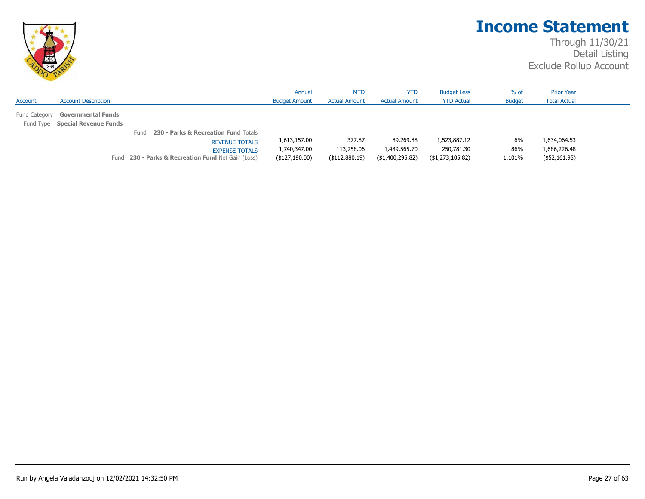

|               |                                 |                                                    | Annual               | <b>MTD</b>           | <b>YTD</b>           | <b>Budget Less</b> | $%$ of        | <b>Prior Year</b>   |  |
|---------------|---------------------------------|----------------------------------------------------|----------------------|----------------------|----------------------|--------------------|---------------|---------------------|--|
| Account       | <b>Account Description</b>      |                                                    | <b>Budget Amount</b> | <b>Actual Amount</b> | <b>Actual Amount</b> | <b>YTD Actual</b>  | <b>Budget</b> | <b>Total Actual</b> |  |
| Fund Category | <b>Governmental Funds</b>       |                                                    |                      |                      |                      |                    |               |                     |  |
|               | Fund Type Special Revenue Funds |                                                    |                      |                      |                      |                    |               |                     |  |
|               |                                 | Fund 230 - Parks & Recreation Fund Totals          |                      |                      |                      |                    |               |                     |  |
|               |                                 | <b>REVENUE TOTALS</b>                              | 1,613,157.00         | 377.87               | 89,269.88            | 1,523,887.12       | 6%            | 1,634,064.53        |  |
|               |                                 | <b>EXPENSE TOTALS</b>                              | 1,740,347.00         | 113,258.06           | 1,489,565.70         | 250,781.30         | 86%           | 1,686,226.48        |  |
|               |                                 | Fund 230 - Parks & Recreation Fund Net Gain (Loss) | (\$127,190.00)       | $($ \$112,880.19)    | (\$1,400,295.82)     | (\$1,273,105.82)   | 1,101%        | $($ \$52,161.95)    |  |
|               |                                 |                                                    |                      |                      |                      |                    |               |                     |  |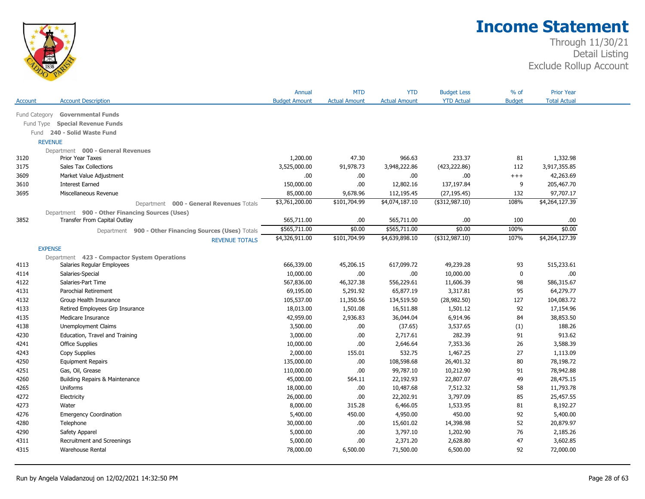

|               |                                                        | Annual               | <b>MTD</b>           | <b>YTD</b>           | <b>Budget Less</b> | $%$ of        | <b>Prior Year</b>   |  |
|---------------|--------------------------------------------------------|----------------------|----------------------|----------------------|--------------------|---------------|---------------------|--|
| Account       | <b>Account Description</b>                             | <b>Budget Amount</b> | <b>Actual Amount</b> | <b>Actual Amount</b> | <b>YTD Actual</b>  | <b>Budget</b> | <b>Total Actual</b> |  |
| Fund Category | <b>Governmental Funds</b>                              |                      |                      |                      |                    |               |                     |  |
| Fund Type     | <b>Special Revenue Funds</b>                           |                      |                      |                      |                    |               |                     |  |
| Fund          | 240 - Solid Waste Fund                                 |                      |                      |                      |                    |               |                     |  |
|               | <b>REVENUE</b>                                         |                      |                      |                      |                    |               |                     |  |
|               | Department 000 - General Revenues                      |                      |                      |                      |                    |               |                     |  |
| 3120          | <b>Prior Year Taxes</b>                                | 1,200.00             | 47.30                | 966.63               | 233.37             | 81            | 1,332.98            |  |
| 3175          | Sales Tax Collections                                  | 3,525,000.00         | 91,978.73            | 3,948,222.86         | (423, 222.86)      | 112           | 3,917,355.85        |  |
| 3609          | Market Value Adjustment                                | .00.                 | .00                  | .00                  | .00                | $++++$        | 42,263.69           |  |
| 3610          | <b>Interest Earned</b>                                 | 150,000.00           | .00.                 | 12,802.16            | 137,197.84         | 9             | 205,467.70          |  |
| 3695          | Miscellaneous Revenue                                  | 85,000.00            | 9,678.96             | 112,195.45           | (27, 195.45)       | 132           | 97,707.17           |  |
|               | Department 000 - General Revenues Totals               | \$3,761,200.00       | \$101,704.99         | \$4,074,187.10       | (\$312,987.10)     | 108%          | \$4,264,127.39      |  |
|               | Department 900 - Other Financing Sources (Uses)        |                      |                      |                      |                    |               |                     |  |
| 3852          | Transfer From Capital Outlay                           | 565,711.00           | .00.                 | 565,711.00           | .00.               | 100           | .00                 |  |
|               | Department 900 - Other Financing Sources (Uses) Totals | \$565,711.00         | \$0.00               | \$565,711.00         | \$0.00             | 100%          | \$0.00              |  |
|               | <b>REVENUE TOTALS</b>                                  | \$4,326,911.00       | \$101,704.99         | \$4,639,898.10       | $($ \$312,987.10)  | 107%          | \$4,264,127.39      |  |
|               | <b>EXPENSE</b>                                         |                      |                      |                      |                    |               |                     |  |
|               | Department 423 - Compactor System Operations           |                      |                      |                      |                    |               |                     |  |
| 4113          | Salaries Regular Employees                             | 666,339.00           | 45,206.15            | 617,099.72           | 49,239.28          | 93            | 515,233.61          |  |
| 4114          | Salaries-Special                                       | 10,000.00            | .00.                 | .00                  | 10,000.00          | $\mathbf 0$   | .00                 |  |
| 4122          | Salaries-Part Time                                     | 567,836.00           | 46,327.38            | 556,229.61           | 11,606.39          | 98            | 586,315.67          |  |
| 4131          | Parochial Retirement                                   | 69,195.00            | 5,291.92             | 65,877.19            | 3,317.81           | 95            | 64,279.77           |  |
| 4132          | Group Health Insurance                                 | 105,537.00           | 11,350.56            | 134,519.50           | (28, 982.50)       | 127           | 104,083.72          |  |
| 4133          | Retired Employees Grp Insurance                        | 18,013.00            | 1,501.08             | 16,511.88            | 1,501.12           | 92            | 17,154.96           |  |
| 4135          | Medicare Insurance                                     | 42,959.00            | 2,936.83             | 36,044.04            | 6,914.96           | 84            | 38,853.50           |  |
| 4138          | Unemployment Claims                                    | 3,500.00             | .00.                 | (37.65)              | 3,537.65           | (1)           | 188.26              |  |
| 4230          | Education, Travel and Training                         | 3,000.00             | .00.                 | 2,717.61             | 282.39             | 91            | 913.62              |  |
| 4241          | <b>Office Supplies</b>                                 | 10,000.00            | .00.                 | 2,646.64             | 7,353.36           | 26            | 3,588.39            |  |
| 4243          | Copy Supplies                                          | 2,000.00             | 155.01               | 532.75               | 1,467.25           | 27            | 1,113.09            |  |
| 4250          | <b>Equipment Repairs</b>                               | 135,000.00           | .00.                 | 108,598.68           | 26,401.32          | 80            | 78,198.72           |  |
| 4251          | Gas, Oil, Grease                                       | 110,000.00           | .00.                 | 99,787.10            | 10,212.90          | 91            | 78,942.88           |  |
| 4260          | Building Repairs & Maintenance                         | 45,000.00            | 564.11               | 22,192.93            | 22,807.07          | 49            | 28,475.15           |  |
| 4265          | Uniforms                                               | 18,000.00            | .00                  | 10,487.68            | 7,512.32           | 58            | 11,793.78           |  |
| 4272          | Electricity                                            | 26,000.00            | .00                  | 22,202.91            | 3,797.09           | 85            | 25,457.55           |  |
| 4273          | Water                                                  | 8,000.00             | 315.28               | 6,466.05             | 1,533.95           | 81            | 8,192.27            |  |
| 4276          | <b>Emergency Coordination</b>                          | 5,400.00             | 450.00               | 4,950.00             | 450.00             | 92            | 5,400.00            |  |
| 4280          | Telephone                                              | 30,000.00            | .00.                 | 15,601.02            | 14,398.98          | 52            | 20,879.97           |  |
| 4290          | Safety Apparel                                         | 5,000.00             | .00.                 | 3,797.10             | 1,202.90           | 76            | 2,185.26            |  |
| 4311          | Recruitment and Screenings                             | 5,000.00             | .00.                 | 2,371.20             | 2,628.80           | 47            | 3,602.85            |  |
| 4315          | <b>Warehouse Rental</b>                                | 78,000.00            | 6,500.00             | 71,500.00            | 6,500.00           | 92            | 72,000.00           |  |
|               |                                                        |                      |                      |                      |                    |               |                     |  |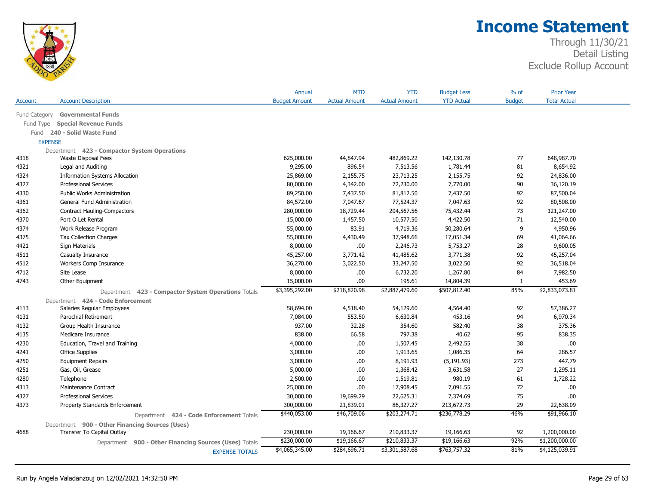

|                |                                                        | Annual               | <b>MTD</b>           | <b>YTD</b>           | <b>Budget Less</b> | $%$ of        | <b>Prior Year</b>   |
|----------------|--------------------------------------------------------|----------------------|----------------------|----------------------|--------------------|---------------|---------------------|
| Account        | <b>Account Description</b>                             | <b>Budget Amount</b> | <b>Actual Amount</b> | <b>Actual Amount</b> | <b>YTD Actual</b>  | <b>Budget</b> | <b>Total Actual</b> |
| Fund Category  | <b>Governmental Funds</b>                              |                      |                      |                      |                    |               |                     |
| Fund Type      | <b>Special Revenue Funds</b>                           |                      |                      |                      |                    |               |                     |
|                | Fund 240 - Solid Waste Fund                            |                      |                      |                      |                    |               |                     |
| <b>EXPENSE</b> |                                                        |                      |                      |                      |                    |               |                     |
|                | Department 423 - Compactor System Operations           |                      |                      |                      |                    |               |                     |
| 4318           | Waste Disposal Fees                                    | 625,000.00           | 44,847.94            | 482,869.22           | 142,130.78         | 77            | 648,987.70          |
| 4321           | Legal and Auditing                                     | 9,295.00             | 896.54               | 7,513.56             | 1,781.44           | 81            | 8,654.92            |
| 4324           | <b>Information Systems Allocation</b>                  | 25,869.00            | 2,155.75             | 23,713.25            | 2,155.75           | 92            | 24,836.00           |
| 4327           | <b>Professional Services</b>                           | 80,000.00            | 4,342.00             | 72,230.00            | 7,770.00           | 90            | 36,120.19           |
| 4330           | Public Works Administration                            | 89,250.00            | 7,437.50             | 81,812.50            | 7,437.50           | 92            | 87,500.04           |
| 4361           | General Fund Administration                            | 84,572.00            | 7,047.67             | 77,524.37            | 7,047.63           | 92            | 80,508.00           |
| 4362           | <b>Contract Hauling-Compactors</b>                     | 280,000.00           | 18,729.44            | 204,567.56           | 75,432.44          | 73            | 121,247.00          |
| 4370           | Port O Let Rental                                      | 15,000.00            | 1,457.50             | 10,577.50            | 4,422.50           | 71            | 12,540.00           |
| 4374           | Work Release Program                                   | 55,000.00            | 83.91                | 4,719.36             | 50,280.64          | 9             | 4,950.96            |
| 4375           | <b>Tax Collection Charges</b>                          | 55,000.00            | 4,430.49             | 37,948.66            | 17,051.34          | 69            | 41,064.66           |
| 4421           | Sign Materials                                         | 8,000.00             | .00.                 | 2,246.73             | 5,753.27           | 28            | 9,600.05            |
| 4511           | Casualty Insurance                                     | 45,257.00            | 3,771.42             | 41,485.62            | 3,771.38           | 92            | 45,257.04           |
| 4512           | Workers Comp Insurance                                 | 36,270.00            | 3,022.50             | 33,247.50            | 3,022.50           | 92            | 36,518.04           |
| 4712           | Site Lease                                             | 8,000.00             | .00.                 | 6,732.20             | 1,267.80           | 84            | 7,982.50            |
| 4743           | Other Equipment                                        | 15,000.00            | .00.                 | 195.61               | 14,804.39          | 1             | 453.69              |
|                | Department 423 - Compactor System Operations Totals    | \$3,395,292.00       | \$218,820.98         | \$2,887,479.60       | \$507,812.40       | 85%           | \$2,833,073.81      |
|                | Department 424 - Code Enforcement                      |                      |                      |                      |                    |               |                     |
| 4113           | Salaries Regular Employees                             | 58,694.00            | 4,518.40             | 54,129.60            | 4,564.40           | 92            | 57,386.27           |
| 4131           | Parochial Retirement                                   | 7,084.00             | 553.50               | 6,630.84             | 453.16             | 94            | 6,970.34            |
| 4132           | Group Health Insurance                                 | 937.00               | 32.28                | 354.60               | 582.40             | 38            | 375.36              |
| 4135           | Medicare Insurance                                     | 838.00               | 66.58                | 797.38               | 40.62              | 95            | 838.35              |
| 4230           | Education, Travel and Training                         | 4,000.00             | .00.                 | 1,507.45             | 2,492.55           | 38            | .00                 |
| 4241           | <b>Office Supplies</b>                                 | 3,000.00             | .00.                 | 1,913.65             | 1,086.35           | 64            | 286.57              |
| 4250           | <b>Equipment Repairs</b>                               | 3,000.00             | .00.                 | 8,191.93             | (5, 191.93)        | 273           | 447.79              |
| 4251           | Gas, Oil, Grease                                       | 5,000.00             | .00.                 | 1,368.42             | 3,631.58           | 27            | 1,295.11            |
| 4280           | Telephone                                              | 2,500.00             | .00.                 | 1,519.81             | 980.19             | 61            | 1,728.22            |
| 4313           | Maintenance Contract                                   | 25,000.00            | .00.                 | 17,908.45            | 7,091.55           | 72            | .00                 |
| 4327           | <b>Professional Services</b>                           | 30,000.00            | 19,699.29            | 22,625.31            | 7,374.69           | 75            | .00                 |
| 4373           | Property Standards Enforcement                         | 300,000.00           | 21,839.01            | 86,327.27            | 213,672.73         | 29            | 22,638.09           |
|                | Department 424 - Code Enforcement Totals               | \$440,053.00         | \$46,709.06          | \$203,274.71         | \$236,778.29       | 46%           | \$91,966.10         |
|                | Department 900 - Other Financing Sources (Uses)        |                      |                      |                      |                    |               |                     |
| 4688           | Transfer To Capital Outlay                             | 230,000.00           | 19,166.67            | 210,833.37           | 19,166.63          | 92            | 1,200,000.00        |
|                |                                                        | \$230,000.00         | \$19,166.67          | \$210,833.37         | \$19,166.63        | 92%           | \$1,200,000.00      |
|                | Department 900 - Other Financing Sources (Uses) Totals |                      |                      |                      |                    |               |                     |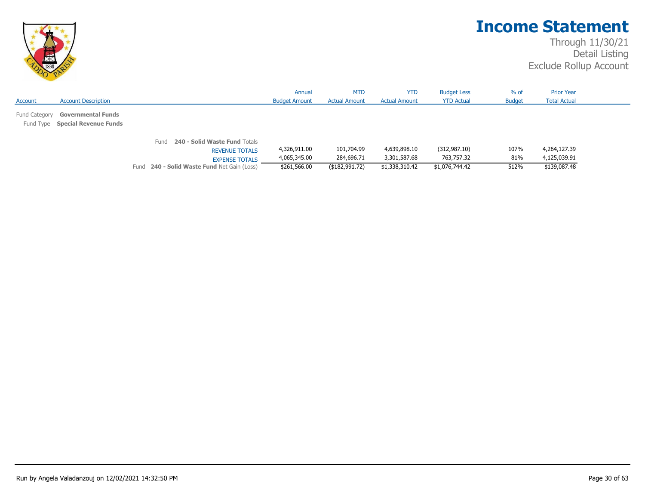

|         |                                  |                                             | Annual               | <b>MTD</b>           | <b>YTD</b>           | <b>Budget Less</b> | $%$ of        | <b>Prior Year</b>   |
|---------|----------------------------------|---------------------------------------------|----------------------|----------------------|----------------------|--------------------|---------------|---------------------|
| Account | <b>Account Description</b>       |                                             | <b>Budget Amount</b> | <b>Actual Amount</b> | <b>Actual Amount</b> | <b>YTD Actual</b>  | <b>Budget</b> | <b>Total Actual</b> |
|         | Fund Category Governmental Funds |                                             |                      |                      |                      |                    |               |                     |
|         | Fund Type Special Revenue Funds  |                                             |                      |                      |                      |                    |               |                     |
|         |                                  |                                             |                      |                      |                      |                    |               |                     |
|         |                                  | 240 - Solid Waste Fund Totals<br>Fund       |                      |                      |                      |                    |               |                     |
|         |                                  | <b>REVENUE TOTALS</b>                       | 4,326,911.00         | 101,704.99           | 4,639,898.10         | (312, 987.10)      | 107%          | 4,264,127.39        |
|         |                                  | <b>EXPENSE TOTALS</b>                       | 4,065,345.00         | 284,696.71           | 3,301,587.68         | 763,757.32         | 81%           | 4,125,039.91        |
|         |                                  | Fund 240 - Solid Waste Fund Net Gain (Loss) | \$261,566.00         | (\$182,991.72)       | \$1,338,310.42       | \$1,076,744.42     | 512%          | \$139,087.48        |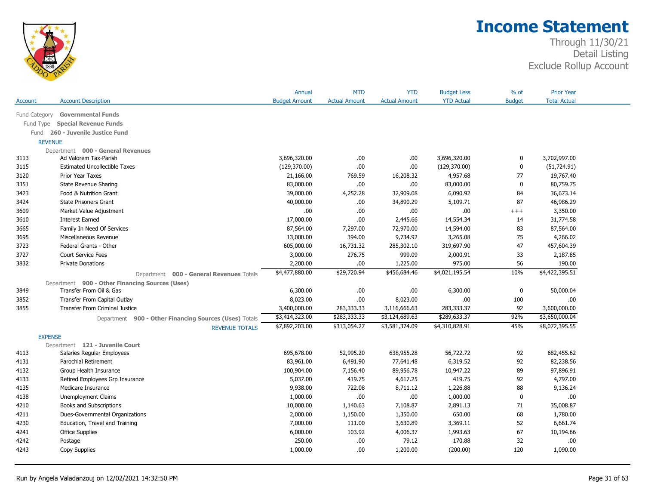

|                |                                                        | Annual               | <b>MTD</b>           | <b>YTD</b>           | <b>Budget Less</b> | $%$ of        | <b>Prior Year</b>   |  |
|----------------|--------------------------------------------------------|----------------------|----------------------|----------------------|--------------------|---------------|---------------------|--|
| Account        | <b>Account Description</b>                             | <b>Budget Amount</b> | <b>Actual Amount</b> | <b>Actual Amount</b> | <b>YTD Actual</b>  | <b>Budget</b> | <b>Total Actual</b> |  |
|                | Fund Category Governmental Funds                       |                      |                      |                      |                    |               |                     |  |
| Fund Type      | <b>Special Revenue Funds</b>                           |                      |                      |                      |                    |               |                     |  |
| Fund           | 260 - Juvenile Justice Fund                            |                      |                      |                      |                    |               |                     |  |
| <b>REVENUE</b> |                                                        |                      |                      |                      |                    |               |                     |  |
|                | Department 000 - General Revenues                      |                      |                      |                      |                    |               |                     |  |
| 3113           | Ad Valorem Tax-Parish                                  | 3,696,320.00         | .00.                 | .00                  | 3,696,320.00       | 0             | 3,702,997.00        |  |
| 3115           | <b>Estimated Uncollectible Taxes</b>                   | (129,370.00)         | .00.                 | .00                  | (129, 370.00)      | 0             | (51, 724.91)        |  |
| 3120           | Prior Year Taxes                                       | 21,166.00            | 769.59               | 16,208.32            | 4,957.68           | 77            | 19,767.40           |  |
| 3351           | State Revenue Sharing                                  | 83,000.00            | .00                  | .00                  | 83,000.00          | 0             | 80,759.75           |  |
| 3423           | Food & Nutrition Grant                                 | 39,000.00            | 4,252.28             | 32,909.08            | 6,090.92           | 84            | 36,673.14           |  |
| 3424           | <b>State Prisoners Grant</b>                           | 40,000.00            | .00.                 | 34,890.29            | 5,109.71           | 87            | 46,986.29           |  |
| 3609           | Market Value Adjustment                                | .00.                 | .00.                 | .00                  | .00.               | $+++$         | 3,350.00            |  |
| 3610           | <b>Interest Earned</b>                                 | 17,000.00            | .00                  | 2,445.66             | 14,554.34          | 14            | 31,774.58           |  |
| 3665           | Family In Need Of Services                             | 87,564.00            | 7,297.00             | 72,970.00            | 14,594.00          | 83            | 87,564.00           |  |
| 3695           | Miscellaneous Revenue                                  | 13,000.00            | 394.00               | 9,734.92             | 3,265.08           | 75            | 4,266.02            |  |
| 3723           | Federal Grants - Other                                 | 605,000.00           | 16,731.32            | 285,302.10           | 319,697.90         | 47            | 457,604.39          |  |
| 3727           | <b>Court Service Fees</b>                              | 3,000.00             | 276.75               | 999.09               | 2,000.91           | 33            | 2,187.85            |  |
| 3832           | <b>Private Donations</b>                               | 2,200.00             | .00                  | 1,225.00             | 975.00             | 56            | 190.00              |  |
|                | Department 000 - General Revenues Totals               | \$4,477,880.00       | \$29,720.94          | \$456,684.46         | \$4,021,195.54     | 10%           | \$4,422,395.51      |  |
|                | Department 900 - Other Financing Sources (Uses)        |                      |                      |                      |                    |               |                     |  |
| 3849           | Transfer From Oil & Gas                                | 6,300.00             | .00.                 | .00                  | 6,300.00           | 0             | 50,000.04           |  |
| 3852           | Transfer From Capital Outlay                           | 8,023.00             | .00                  | 8,023.00             | .00.               | 100           | .00                 |  |
| 3855           | <b>Transfer From Criminal Justice</b>                  | 3,400,000.00         | 283,333.33           | 3,116,666.63         | 283,333.37         | 92            | 3,600,000.00        |  |
|                | Department 900 - Other Financing Sources (Uses) Totals | \$3,414,323.00       | \$283,333.33         | \$3,124,689.63       | \$289,633.37       | 92%           | \$3,650,000.04      |  |
|                | <b>REVENUE TOTALS</b>                                  | \$7,892,203.00       | \$313,054.27         | \$3,581,374.09       | \$4,310,828.91     | 45%           | \$8,072,395.55      |  |
| <b>EXPENSE</b> |                                                        |                      |                      |                      |                    |               |                     |  |
|                | Department 121 - Juvenile Court                        |                      |                      |                      |                    |               |                     |  |
| 4113           | Salaries Regular Employees                             | 695,678.00           | 52,995.20            | 638,955.28           | 56,722.72          | 92            | 682,455.62          |  |
| 4131           | Parochial Retirement                                   | 83,961.00            | 6,491.90             | 77,641.48            | 6,319.52           | 92            | 82,238.56           |  |
| 4132           | Group Health Insurance                                 | 100,904.00           | 7,156.40             | 89,956.78            | 10,947.22          | 89            | 97,896.91           |  |
| 4133           | Retired Employees Grp Insurance                        | 5,037.00             | 419.75               | 4,617.25             | 419.75             | 92            | 4,797.00            |  |
| 4135           | Medicare Insurance                                     | 9,938.00             | 722.08               | 8,711.12             | 1,226.88           | 88            | 9,136.24            |  |
| 4138           | Unemployment Claims                                    | 1,000.00             | .00.                 | .00                  | 1,000.00           | 0             | .00                 |  |
| 4210           | <b>Books and Subscriptions</b>                         | 10,000.00            | 1,140.63             | 7,108.87             | 2,891.13           | 71            | 35,008.87           |  |
| 4211           | Dues-Governmental Organizations                        | 2,000.00             | 1,150.00             | 1,350.00             | 650.00             | 68            | 1,780.00            |  |
| 4230           | Education, Travel and Training                         | 7,000.00             | 111.00               | 3,630.89             | 3,369.11           | 52            | 6,661.74            |  |
| 4241           | <b>Office Supplies</b>                                 | 6,000.00             | 103.92               | 4,006.37             | 1,993.63           | 67            | 10,194.66           |  |
| 4242           | Postage                                                | 250.00               | .00                  | 79.12                | 170.88             | 32            | .00                 |  |
| 4243           | Copy Supplies                                          | 1,000.00             | .00                  | 1,200.00             | (200.00)           | 120           | 1,090.00            |  |
|                |                                                        |                      |                      |                      |                    |               |                     |  |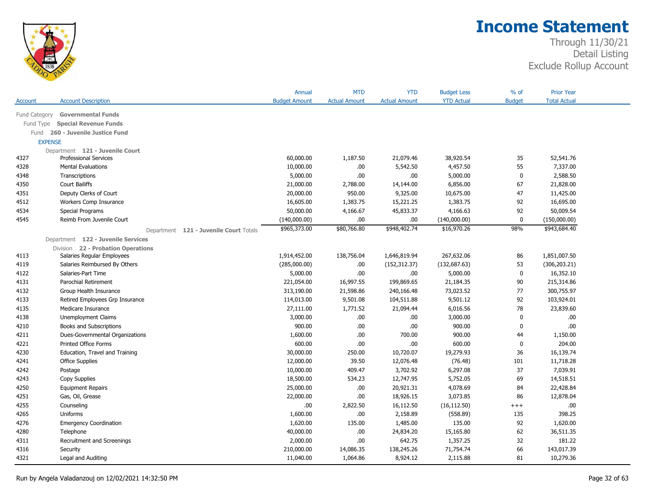

|               |                                        | Annual               | <b>MTD</b>           | <b>YTD</b>           | <b>Budget Less</b> | % of          | <b>Prior Year</b>   |  |
|---------------|----------------------------------------|----------------------|----------------------|----------------------|--------------------|---------------|---------------------|--|
| Account       | <b>Account Description</b>             | <b>Budget Amount</b> | <b>Actual Amount</b> | <b>Actual Amount</b> | <b>YTD Actual</b>  | <b>Budget</b> | <b>Total Actual</b> |  |
| Fund Category | <b>Governmental Funds</b>              |                      |                      |                      |                    |               |                     |  |
| Fund Type     | <b>Special Revenue Funds</b>           |                      |                      |                      |                    |               |                     |  |
| Fund          | 260 - Juvenile Justice Fund            |                      |                      |                      |                    |               |                     |  |
|               | <b>EXPENSE</b>                         |                      |                      |                      |                    |               |                     |  |
|               | Department 121 - Juvenile Court        |                      |                      |                      |                    |               |                     |  |
| 4327          | <b>Professional Services</b>           | 60,000.00            | 1,187.50             | 21,079.46            | 38,920.54          | 35            | 52,541.76           |  |
| 4328          | <b>Mental Evaluations</b>              | 10,000.00            | .00                  | 5,542.50             | 4,457.50           | 55            | 7,337.00            |  |
| 4348          | Transcriptions                         | 5,000.00             | .00                  | .00.                 | 5,000.00           | $\mathbf 0$   | 2,588.50            |  |
| 4350          | <b>Court Bailiffs</b>                  | 21,000.00            | 2,788.00             | 14,144.00            | 6,856.00           | 67            | 21,828.00           |  |
| 4351          | Deputy Clerks of Court                 | 20,000.00            | 950.00               | 9,325.00             | 10,675.00          | 47            | 11,425.00           |  |
| 4512          | Workers Comp Insurance                 | 16,605.00            | 1,383.75             | 15,221.25            | 1,383.75           | 92            | 16,695.00           |  |
| 4534          | Special Programs                       | 50,000.00            | 4,166.67             | 45,833.37            | 4,166.63           | 92            | 50,009.54           |  |
| 4545          | Reimb From Juvenile Court              | (140,000.00)         | .00                  | .00.                 | (140,000.00)       | $\mathbf 0$   | (150,000.00)        |  |
|               | Department 121 - Juvenile Court Totals | \$965,373.00         | \$80,766.80          | \$948,402.74         | \$16,970.26        | 98%           | \$943,684.40        |  |
|               | Department 122 - Juvenile Services     |                      |                      |                      |                    |               |                     |  |
|               | Division 22 - Probation Operations     |                      |                      |                      |                    |               |                     |  |
| 4113          | Salaries Regular Employees             | 1,914,452.00         | 138,756.04           | 1,646,819.94         | 267,632.06         | 86            | 1,851,007.50        |  |
| 4119          | Salaries Reimbursed By Others          | (285,000.00)         | .00.                 | (152, 312.37)        | (132, 687.63)      | 53            | (306, 203.21)       |  |
| 4122          | Salaries-Part Time                     | 5,000.00             | .00                  | .00                  | 5,000.00           | $\bf{0}$      | 16,352.10           |  |
| 4131          | Parochial Retirement                   | 221,054.00           | 16,997.55            | 199,869.65           | 21,184.35          | 90            | 215,314.86          |  |
| 4132          | Group Health Insurance                 | 313,190.00           | 21,598.86            | 240,166.48           | 73,023.52          | 77            | 300,755.97          |  |
| 4133          | Retired Employees Grp Insurance        | 114,013.00           | 9,501.08             | 104,511.88           | 9,501.12           | 92            | 103,924.01          |  |
| 4135          | Medicare Insurance                     | 27,111.00            | 1,771.52             | 21,094.44            | 6,016.56           | 78            | 23,839.60           |  |
| 4138          | <b>Unemployment Claims</b>             | 3,000.00             | .00.                 | .00.                 | 3,000.00           | $\mathbf 0$   | .00.                |  |
| 4210          | Books and Subscriptions                | 900.00               | .00                  | .00                  | 900.00             | $\mathbf 0$   | .00                 |  |
| 4211          | Dues-Governmental Organizations        | 1,600.00             | .00                  | 700.00               | 900.00             | 44            | 1,150.00            |  |
| 4221          | Printed Office Forms                   | 600.00               | .00                  | .00                  | 600.00             | $\mathbf 0$   | 204.00              |  |
| 4230          | Education, Travel and Training         | 30,000.00            | 250.00               | 10,720.07            | 19,279.93          | 36            | 16,139.74           |  |
| 4241          | <b>Office Supplies</b>                 | 12,000.00            | 39.50                | 12,076.48            | (76.48)            | 101           | 11,718.28           |  |
| 4242          | Postage                                | 10,000.00            | 409.47               | 3,702.92             | 6,297.08           | 37            | 7,039.91            |  |
| 4243          | Copy Supplies                          | 18,500.00            | 534.23               | 12,747.95            | 5,752.05           | 69            | 14,518.51           |  |
| 4250          | <b>Equipment Repairs</b>               | 25,000.00            | .00                  | 20,921.31            | 4,078.69           | 84            | 22,428.84           |  |
| 4251          | Gas, Oil, Grease                       | 22,000.00            | .00                  | 18,926.15            | 3,073.85           | 86            | 12,878.04           |  |
| 4255          | Counseling                             | .00                  | 2,822.50             | 16,112.50            | (16, 112.50)       | $^{+++}$      | .00.                |  |
| 4265          | Uniforms                               | 1,600.00             | .00.                 | 2,158.89             | (558.89)           | 135           | 398.25              |  |
| 4276          | <b>Emergency Coordination</b>          | 1,620.00             | 135.00               | 1,485.00             | 135.00             | 92            | 1,620.00            |  |
| 4280          | Telephone                              | 40,000.00            | .00.                 | 24,834.20            | 15,165.80          | 62            | 36,511.35           |  |
| 4311          | Recruitment and Screenings             | 2,000.00             | .00                  | 642.75               | 1,357.25           | 32            | 181.22              |  |
| 4316          | Security                               | 210,000.00           | 14,086.35            | 138,245.26           | 71,754.74          | 66            | 143,017.39          |  |
| 4321          | Legal and Auditing                     | 11,040.00            | 1,064.86             | 8,924.12             | 2,115.88           | 81            | 10,279.36           |  |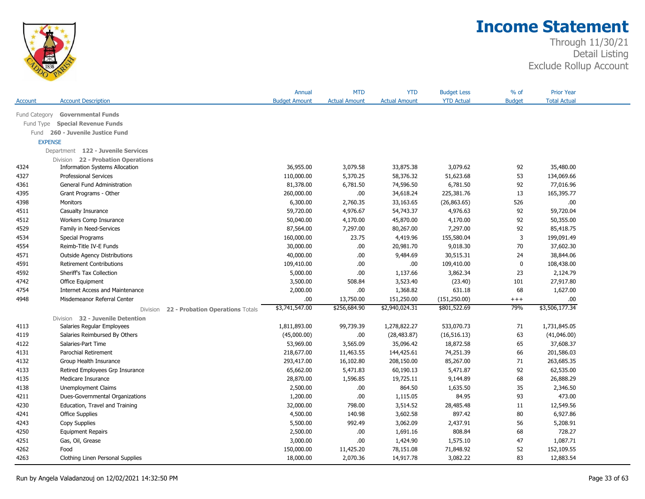

|                |                                              | Annual               | <b>MTD</b>           | <b>YTD</b>           | <b>Budget Less</b> | $%$ of        | <b>Prior Year</b>   |  |
|----------------|----------------------------------------------|----------------------|----------------------|----------------------|--------------------|---------------|---------------------|--|
| Account        | <b>Account Description</b>                   | <b>Budget Amount</b> | <b>Actual Amount</b> | <b>Actual Amount</b> | <b>YTD Actual</b>  | <b>Budget</b> | <b>Total Actual</b> |  |
| Fund Category  | <b>Governmental Funds</b>                    |                      |                      |                      |                    |               |                     |  |
| Fund Type      | <b>Special Revenue Funds</b>                 |                      |                      |                      |                    |               |                     |  |
| Fund           | 260 - Juvenile Justice Fund                  |                      |                      |                      |                    |               |                     |  |
| <b>EXPENSE</b> |                                              |                      |                      |                      |                    |               |                     |  |
|                | Department 122 - Juvenile Services           |                      |                      |                      |                    |               |                     |  |
|                | Division 22 - Probation Operations           |                      |                      |                      |                    |               |                     |  |
| 4324           | <b>Information Systems Allocation</b>        | 36,955.00            | 3,079.58             | 33,875.38            | 3,079.62           | 92            | 35,480.00           |  |
| 4327           | <b>Professional Services</b>                 | 110,000.00           | 5,370.25             | 58,376.32            | 51,623.68          | 53            | 134,069.66          |  |
| 4361           | General Fund Administration                  | 81,378.00            | 6,781.50             | 74,596.50            | 6,781.50           | 92            | 77,016.96           |  |
| 4395           | Grant Programs - Other                       | 260,000.00           | .00.                 | 34,618.24            | 225,381.76         | 13            | 165,395.77          |  |
| 4398           | Monitors                                     | 6,300.00             | 2,760.35             | 33,163.65            | (26, 863.65)       | 526           | .00.                |  |
| 4511           | Casualty Insurance                           | 59,720.00            | 4,976.67             | 54,743.37            | 4,976.63           | 92            | 59,720.04           |  |
| 4512           | Workers Comp Insurance                       | 50,040.00            | 4,170.00             | 45,870.00            | 4,170.00           | 92            | 50,355.00           |  |
| 4529           | Family in Need-Services                      | 87,564.00            | 7,297.00             | 80,267.00            | 7,297.00           | 92            | 85,418.75           |  |
| 4534           | Special Programs                             | 160,000.00           | 23.75                | 4,419.96             | 155,580.04         | 3             | 199,091.49          |  |
| 4554           | Reimb-Title IV-E Funds                       | 30,000.00            | .00.                 | 20,981.70            | 9,018.30           | 70            | 37,602.30           |  |
| 4571           | <b>Outside Agency Distributions</b>          | 40,000.00            | .00.                 | 9,484.69             | 30,515.31          | 24            | 38,844.06           |  |
| 4591           | <b>Retirement Contributions</b>              | 109,410.00           | .00.                 | .00.                 | 109,410.00         | $\mathbf 0$   | 108,438.00          |  |
| 4592           | Sheriff's Tax Collection                     | 5,000.00             | .00.                 | 1,137.66             | 3,862.34           | 23            | 2,124.79            |  |
| 4742           | Office Equipment                             | 3,500.00             | 508.84               | 3,523.40             | (23.40)            | 101           | 27,917.80           |  |
| 4754           | <b>Internet Access and Maintenance</b>       | 2,000.00             | .00                  | 1,368.82             | 631.18             | 68            | 1,627.00            |  |
| 4948           | Misdemeanor Referral Center                  | .00.                 | 13,750.00            | 151,250.00           | (151, 250.00)      | $++++$        | .00.                |  |
|                | Division<br>22 - Probation Operations Totals | \$3,741,547.00       | \$256,684.90         | \$2,940,024.31       | \$801,522.69       | 79%           | \$3,506,177.34      |  |
|                | Division 32 - Juvenile Detention             |                      |                      |                      |                    |               |                     |  |
| 4113           | Salaries Regular Employees                   | 1,811,893.00         | 99,739.39            | 1,278,822.27         | 533,070.73         | 71            | 1,731,845.05        |  |
| 4119           | Salaries Reimbursed By Others                | (45,000.00)          | .00.                 | (28, 483.87)         | (16, 516.13)       | 63            | (41,046.00)         |  |
| 4122           | Salaries-Part Time                           | 53,969.00            | 3,565.09             | 35,096.42            | 18,872.58          | 65            | 37,608.37           |  |
| 4131           | Parochial Retirement                         | 218,677.00           | 11,463.55            | 144,425.61           | 74,251.39          | 66            | 201,586.03          |  |
| 4132           | Group Health Insurance                       | 293,417.00           | 16,102.80            | 208,150.00           | 85,267.00          | 71            | 263,685.35          |  |
| 4133           | Retired Employees Grp Insurance              | 65,662.00            | 5,471.83             | 60,190.13            | 5,471.87           | 92            | 62,535.00           |  |
| 4135           | Medicare Insurance                           | 28,870.00            | 1,596.85             | 19,725.11            | 9,144.89           | 68            | 26,888.29           |  |
| 4138           | Unemployment Claims                          | 2,500.00             | .00.                 | 864.50               | 1,635.50           | 35            | 2,346.50            |  |
| 4211           | Dues-Governmental Organizations              | 1,200.00             | .00.                 | 1,115.05             | 84.95              | 93            | 473.00              |  |
| 4230           | Education, Travel and Training               | 32,000.00            | 798.00               | 3,514.52             | 28,485.48          | 11            | 12,549.56           |  |
| 4241           | <b>Office Supplies</b>                       | 4,500.00             | 140.98               | 3,602.58             | 897.42             | 80            | 6,927.86            |  |
| 4243           | Copy Supplies                                | 5,500.00             | 992.49               | 3,062.09             | 2,437.91           | 56            | 5,208.91            |  |
| 4250           | <b>Equipment Repairs</b>                     | 2,500.00             | .00.                 | 1,691.16             | 808.84             | 68            | 728.27              |  |
| 4251           | Gas, Oil, Grease                             | 3,000.00             | .00.                 | 1,424.90             | 1,575.10           | 47            | 1,087.71            |  |
| 4262           | Food                                         | 150,000.00           | 11,425.20            | 78,151.08            | 71,848.92          | 52            | 152,109.55          |  |
| 4263           | Clothing Linen Personal Supplies             | 18,000.00            | 2,070.36             | 14,917.78            | 3,082.22           | 83            | 12,883.54           |  |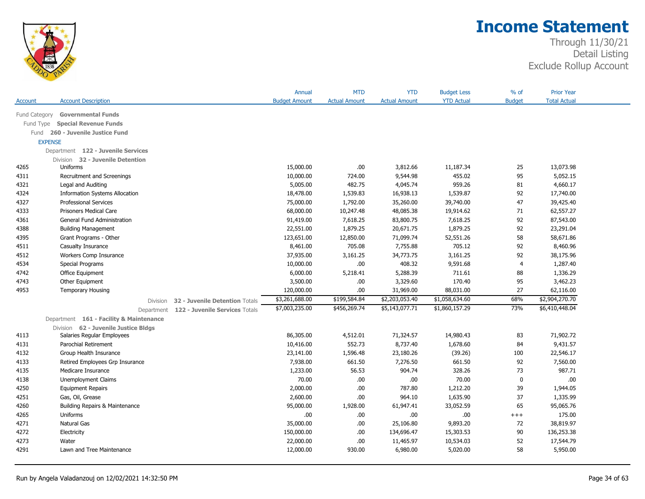

|                |                                         |                                | Annual               | <b>MTD</b>           | <b>YTD</b>           | <b>Budget Less</b> | % of           | <b>Prior Year</b>   |
|----------------|-----------------------------------------|--------------------------------|----------------------|----------------------|----------------------|--------------------|----------------|---------------------|
| Account        | <b>Account Description</b>              |                                | <b>Budget Amount</b> | <b>Actual Amount</b> | <b>Actual Amount</b> | <b>YTD Actual</b>  | <b>Budget</b>  | <b>Total Actual</b> |
| Fund Category  | <b>Governmental Funds</b>               |                                |                      |                      |                      |                    |                |                     |
| Fund Type      | <b>Special Revenue Funds</b>            |                                |                      |                      |                      |                    |                |                     |
|                | Fund 260 - Juvenile Justice Fund        |                                |                      |                      |                      |                    |                |                     |
| <b>EXPENSE</b> |                                         |                                |                      |                      |                      |                    |                |                     |
|                | Department 122 - Juvenile Services      |                                |                      |                      |                      |                    |                |                     |
|                | Division 32 - Juvenile Detention        |                                |                      |                      |                      |                    |                |                     |
| 4265           | Uniforms                                |                                | 15,000.00            | .00                  | 3,812.66             | 11,187.34          | 25             | 13,073.98           |
| 4311           | Recruitment and Screenings              |                                | 10,000.00            | 724.00               | 9,544.98             | 455.02             | 95             | 5,052.15            |
| 4321           | Legal and Auditing                      |                                | 5,005.00             | 482.75               | 4,045.74             | 959.26             | 81             | 4,660.17            |
| 4324           | <b>Information Systems Allocation</b>   |                                | 18,478.00            | 1,539.83             | 16,938.13            | 1,539.87           | 92             | 17,740.00           |
| 4327           | <b>Professional Services</b>            |                                | 75,000.00            | 1,792.00             | 35,260.00            | 39,740.00          | 47             | 39,425.40           |
| 4333           | <b>Prisoners Medical Care</b>           |                                | 68,000.00            | 10,247.48            | 48,085.38            | 19,914.62          | 71             | 62,557.27           |
| 4361           | <b>General Fund Administration</b>      |                                | 91,419.00            | 7,618.25             | 83,800.75            | 7,618.25           | 92             | 87,543.00           |
| 4388           | <b>Building Management</b>              |                                | 22,551.00            | 1,879.25             | 20,671.75            | 1,879.25           | 92             | 23,291.04           |
| 4395           | Grant Programs - Other                  |                                | 123,651.00           | 12,850.00            | 71,099.74            | 52,551.26          | 58             | 58,671.86           |
| 4511           | Casualty Insurance                      |                                | 8,461.00             | 705.08               | 7,755.88             | 705.12             | 92             | 8,460.96            |
| 4512           | Workers Comp Insurance                  |                                | 37,935.00            | 3,161.25             | 34,773.75            | 3,161.25           | 92             | 38,175.96           |
| 4534           | Special Programs                        |                                | 10,000.00            | .00.                 | 408.32               | 9,591.68           | $\overline{4}$ | 1,287.40            |
| 4742           | Office Equipment                        |                                | 6,000.00             | 5,218.41             | 5,288.39             | 711.61             | 88             | 1,336.29            |
| 4743           | Other Equipment                         |                                | 3,500.00             | .00.                 | 3,329.60             | 170.40             | 95             | 3,462.23            |
| 4953           | <b>Temporary Housing</b>                |                                | 120,000.00           | .00.                 | 31,969.00            | 88,031.00          | 27             | 62,116.00           |
|                | Division                                | 32 - Juvenile Detention Totals | \$3,261,688.00       | \$199,584.84         | \$2,203,053.40       | \$1,058,634.60     | 68%            | \$2,904,270.70      |
|                | Department                              | 122 - Juvenile Services Totals | \$7,003,235.00       | \$456,269.74         | \$5,143,077.71       | \$1,860,157.29     | 73%            | \$6,410,448.04      |
|                | Department 161 - Facility & Maintenance |                                |                      |                      |                      |                    |                |                     |
|                | Division 62 - Juvenile Justice Bldgs    |                                |                      |                      |                      |                    |                |                     |
| 4113           | Salaries Regular Employees              |                                | 86,305.00            | 4,512.01             | 71,324.57            | 14,980.43          | 83             | 71,902.72           |
| 4131           | Parochial Retirement                    |                                | 10,416.00            | 552.73               | 8,737.40             | 1,678.60           | 84             | 9,431.57            |
| 4132           | Group Health Insurance                  |                                | 23,141.00            | 1,596.48             | 23,180.26            | (39.26)            | 100            | 22,546.17           |
| 4133           | Retired Employees Grp Insurance         |                                | 7,938.00             | 661.50               | 7,276.50             | 661.50             | 92             | 7,560.00            |
| 4135           | Medicare Insurance                      |                                | 1,233.00             | 56.53                | 904.74               | 328.26             | 73             | 987.71              |
| 4138           | Unemployment Claims                     |                                | 70.00                | .00.                 | .00                  | 70.00              | $\mathbf{0}$   | .00                 |
| 4250           | <b>Equipment Repairs</b>                |                                | 2,000.00             | .00.                 | 787.80               | 1,212.20           | 39             | 1,944.05            |
| 4251           | Gas, Oil, Grease                        |                                | 2,600.00             | .00.                 | 964.10               | 1,635.90           | 37             | 1,335.99            |
| 4260           | Building Repairs & Maintenance          |                                | 95,000.00            | 1,928.00             | 61,947.41            | 33,052.59          | 65             | 95,065.76           |
| 4265           | Uniforms                                |                                | .00                  | .00.                 | .00                  | .00                | $^{+++}$       | 175.00              |
| 4271           | Natural Gas                             |                                | 35,000.00            | .00.                 | 25,106.80            | 9,893.20           | 72             | 38,819.97           |
| 4272           | Electricity                             |                                | 150,000.00           | .00.                 | 134,696.47           | 15,303.53          | 90             | 136,253.38          |
|                |                                         |                                |                      |                      |                      |                    |                |                     |
| 4273           | Water                                   |                                | 22,000.00            | .00.                 | 11,465.97            | 10,534.03          | 52             | 17,544.79           |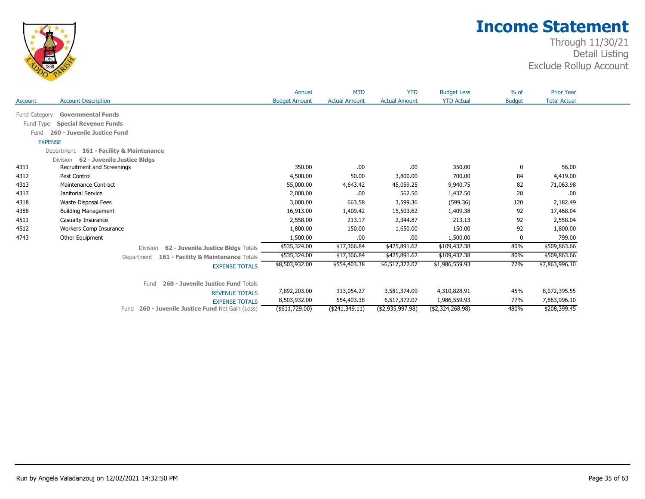

|               |                                                            | Annual               | <b>MTD</b>           | <b>YTD</b>           | <b>Budget Less</b> | $%$ of        | <b>Prior Year</b>   |  |
|---------------|------------------------------------------------------------|----------------------|----------------------|----------------------|--------------------|---------------|---------------------|--|
| Account       | <b>Account Description</b>                                 | <b>Budget Amount</b> | <b>Actual Amount</b> | <b>Actual Amount</b> | <b>YTD Actual</b>  | <b>Budget</b> | <b>Total Actual</b> |  |
| Fund Category | <b>Governmental Funds</b>                                  |                      |                      |                      |                    |               |                     |  |
| Fund Type     | <b>Special Revenue Funds</b>                               |                      |                      |                      |                    |               |                     |  |
| Fund          | 260 - Juvenile Justice Fund                                |                      |                      |                      |                    |               |                     |  |
|               | <b>EXPENSE</b>                                             |                      |                      |                      |                    |               |                     |  |
|               | Department 161 - Facility & Maintenance                    |                      |                      |                      |                    |               |                     |  |
|               | 62 - Juvenile Justice Bldgs<br><b>Division</b>             |                      |                      |                      |                    |               |                     |  |
| 4311          | Recruitment and Screenings                                 | 350.00               | .00.                 | .00                  | 350.00             | 0             | 56.00               |  |
| 4312          | Pest Control                                               | 4,500.00             | 50.00                | 3,800.00             | 700.00             | 84            | 4,419.00            |  |
| 4313          | <b>Maintenance Contract</b>                                | 55,000.00            | 4,643.42             | 45,059.25            | 9,940.75           | 82            | 71,063.98           |  |
| 4317          | Janitorial Service                                         | 2,000.00             | .00.                 | 562.50               | 1,437.50           | 28            | .00                 |  |
| 4318          | Waste Disposal Fees                                        | 3,000.00             | 663.58               | 3,599.36             | (599.36)           | 120           | 2,182.49            |  |
| 4388          | <b>Building Management</b>                                 | 16,913.00            | 1,409.42             | 15,503.62            | 1,409.38           | 92            | 17,468.04           |  |
| 4511          | Casualty Insurance                                         | 2,558.00             | 213.17               | 2,344.87             | 213.13             | 92            | 2,558.04            |  |
| 4512          | Workers Comp Insurance                                     | 1,800.00             | 150.00               | 1,650.00             | 150.00             | 92            | 1,800.00            |  |
| 4743          | Other Equipment                                            | 1,500.00             | .00                  | .00                  | 1,500.00           | 0             | 799.00              |  |
|               | 62 - Juvenile Justice Bldgs Totals<br><b>Division</b>      | \$535,324.00         | \$17,366.84          | \$425,891.62         | \$109,432.38       | 80%           | \$509,863.66        |  |
|               | 161 - Facility & Maintenance Totals<br>Department          | \$535,324.00         | \$17,366.84          | \$425,891.62         | \$109,432.38       | 80%           | \$509,863.66        |  |
|               | <b>EXPENSE TOTALS</b>                                      | \$8,503,932.00       | \$554,403.38         | \$6,517,372.07       | \$1,986,559.93     | 77%           | \$7,863,996.10      |  |
|               | 260 - Juvenile Justice Fund Totals<br>Fund                 |                      |                      |                      |                    |               |                     |  |
|               | <b>REVENUE TOTALS</b>                                      | 7,892,203.00         | 313,054.27           | 3,581,374.09         | 4,310,828.91       | 45%           | 8,072,395.55        |  |
|               | <b>EXPENSE TOTALS</b>                                      | 8,503,932.00         | 554,403.38           | 6,517,372.07         | 1,986,559.93       | 77%           | 7,863,996.10        |  |
|               | <b>260 - Juvenile Justice Fund Net Gain (Loss)</b><br>Fund | (\$611,729.00)       | ( \$241, 349.11)     | (\$2,935,997.98)     | (\$2,324,268.98)   | 480%          | \$208,399.45        |  |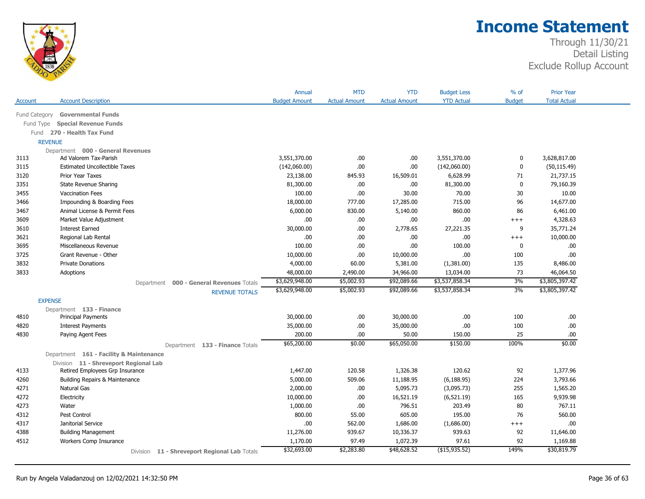

|                |                                              | Annual               | <b>MTD</b>           | <b>YTD</b>           | <b>Budget Less</b> | $%$ of        | <b>Prior Year</b>   |
|----------------|----------------------------------------------|----------------------|----------------------|----------------------|--------------------|---------------|---------------------|
| Account        | <b>Account Description</b>                   | <b>Budget Amount</b> | <b>Actual Amount</b> | <b>Actual Amount</b> | <b>YTD Actual</b>  | <b>Budget</b> | <b>Total Actual</b> |
| Fund Category  | <b>Governmental Funds</b>                    |                      |                      |                      |                    |               |                     |
| Fund Type      | <b>Special Revenue Funds</b>                 |                      |                      |                      |                    |               |                     |
|                | Fund 270 - Health Tax Fund                   |                      |                      |                      |                    |               |                     |
| <b>REVENUE</b> |                                              |                      |                      |                      |                    |               |                     |
|                | Department 000 - General Revenues            |                      |                      |                      |                    |               |                     |
| 3113           | Ad Valorem Tax-Parish                        | 3,551,370.00         | .00                  | .00                  | 3,551,370.00       | 0             | 3,628,817.00        |
| 3115           | <b>Estimated Uncollectible Taxes</b>         | (142,060.00)         | .00                  | .00                  | (142,060.00)       | $\mathbf 0$   | (50, 115.49)        |
| 3120           | Prior Year Taxes                             | 23,138.00            | 845.93               | 16,509.01            | 6,628.99           | 71            | 21,737.15           |
| 3351           | State Revenue Sharing                        | 81,300.00            | .00                  | .00                  | 81,300.00          | $\mathbf 0$   | 79,160.39           |
| 3455           | <b>Vaccination Fees</b>                      | 100.00               | .00                  | 30.00                | 70.00              | 30            | 10.00               |
| 3466           | Impounding & Boarding Fees                   | 18,000.00            | 777.00               | 17,285.00            | 715.00             | 96            | 14,677.00           |
| 3467           | Animal License & Permit Fees                 | 6,000.00             | 830.00               | 5,140.00             | 860.00             | 86            | 6,461.00            |
| 3609           | Market Value Adjustment                      | .00.                 | .00                  | .00                  | .00                | $+++$         | 4,328.63            |
| 3610           | <b>Interest Earned</b>                       | 30,000.00            | .00.                 | 2,778.65             | 27,221.35          | 9             | 35,771.24           |
| 3621           | Regional Lab Rental                          | .00.                 | .00                  | .00                  | .00.               | $+++$         | 10,000.00           |
| 3695           | Miscellaneous Revenue                        | 100.00               | .00                  | .00                  | 100.00             | 0             | .00                 |
| 3725           | Grant Revenue - Other                        | 10,000.00            | .00                  | 10,000.00            | .00                | 100           | .00.                |
| 3832           | <b>Private Donations</b>                     | 4,000.00             | 60.00                | 5,381.00             | (1,381.00)         | 135           | 8,486.00            |
| 3833           | Adoptions                                    | 48,000.00            | 2,490.00             | 34,966.00            | 13,034.00          | 73            | 46,064.50           |
|                | Department 000 - General Revenues Totals     | \$3,629,948.00       | \$5,002.93           | \$92,089.66          | \$3,537,858.34     | 3%            | \$3,805,397.42      |
|                | <b>REVENUE TOTALS</b>                        | \$3,629,948.00       | \$5,002.93           | \$92,089.66          | \$3,537,858.34     | 3%            | \$3,805,397.42      |
| <b>EXPENSE</b> |                                              |                      |                      |                      |                    |               |                     |
|                | Department 133 - Finance                     |                      |                      |                      |                    |               |                     |
| 4810           | <b>Principal Payments</b>                    | 30,000.00            | .00.                 | 30,000.00            | .00                | 100           | .00                 |
| 4820           | <b>Interest Payments</b>                     | 35,000.00            | .00                  | 35,000.00            | .00                | 100           | .00.                |
| 4830           | Paying Agent Fees                            | 200.00               | .00.                 | 50.00                | 150.00             | 25            | .00                 |
|                | Department 133 - Finance Totals              | \$65,200.00          | \$0.00               | \$65,050.00          | \$150.00           | 100%          | \$0.00              |
|                | Department 161 - Facility & Maintenance      |                      |                      |                      |                    |               |                     |
|                | Division 11 - Shreveport Regional Lab        |                      |                      |                      |                    |               |                     |
| 4133           | Retired Employees Grp Insurance              | 1,447.00             | 120.58               | 1,326.38             | 120.62             | 92            | 1,377.96            |
| 4260           | Building Repairs & Maintenance               | 5,000.00             | 509.06               | 11,188.95            | (6, 188.95)        | 224           | 3,793.66            |
| 4271           | Natural Gas                                  | 2,000.00             | .00.                 | 5,095.73             | (3,095.73)         | 255           | 1,565.20            |
| 4272           | Electricity                                  | 10,000.00            | .00.                 | 16,521.19            | (6, 521.19)        | 165           | 9,939.98            |
| 4273           | Water                                        | 1,000.00             | .00                  | 796.51               | 203.49             | 80            | 767.11              |
| 4312           | Pest Control                                 | 800.00               | 55.00                | 605.00               | 195.00             | 76            | 560.00              |
| 4317           | Janitorial Service                           | .00                  | 562.00               | 1,686.00             | (1,686.00)         | $+++$         | .00                 |
| 4388           | <b>Building Management</b>                   | 11,276.00            | 939.67               | 10,336.37            | 939.63             | 92            | 11,646.00           |
| 4512           | Workers Comp Insurance                       | 1,170.00             | 97.49                | 1,072.39             | 97.61              | 92            | 1,169.88            |
|                | Division 11 - Shreveport Regional Lab Totals | \$32,693.00          | \$2,283.80           | \$48,628.52          | $($ \$15,935.52)   | 149%          | \$30,819.79         |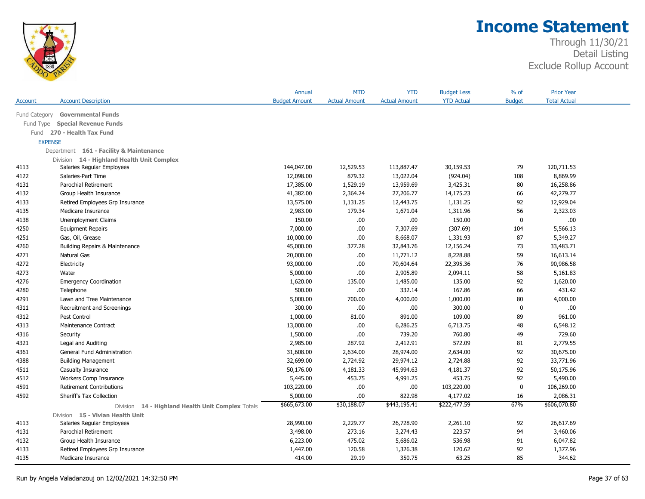

|                |                                                      | Annual               | <b>MTD</b>           | <b>YTD</b>           | <b>Budget Less</b> | $%$ of        | <b>Prior Year</b>   |  |
|----------------|------------------------------------------------------|----------------------|----------------------|----------------------|--------------------|---------------|---------------------|--|
| Account        | <b>Account Description</b>                           | <b>Budget Amount</b> | <b>Actual Amount</b> | <b>Actual Amount</b> | <b>YTD Actual</b>  | <b>Budget</b> | <b>Total Actual</b> |  |
| Fund Category  | <b>Governmental Funds</b>                            |                      |                      |                      |                    |               |                     |  |
| Fund Type      | <b>Special Revenue Funds</b>                         |                      |                      |                      |                    |               |                     |  |
| Fund           | 270 - Health Tax Fund                                |                      |                      |                      |                    |               |                     |  |
| <b>EXPENSE</b> |                                                      |                      |                      |                      |                    |               |                     |  |
|                | Department 161 - Facility & Maintenance              |                      |                      |                      |                    |               |                     |  |
|                | Division 14 - Highland Health Unit Complex           |                      |                      |                      |                    |               |                     |  |
| 4113           | Salaries Regular Employees                           | 144,047.00           | 12,529.53            | 113,887.47           | 30,159.53          | 79            | 120,711.53          |  |
| 4122           | Salaries-Part Time                                   | 12,098.00            | 879.32               | 13,022.04            | (924.04)           | 108           | 8,869.99            |  |
| 4131           | Parochial Retirement                                 | 17,385.00            | 1,529.19             | 13,959.69            | 3,425.31           | 80            | 16,258.86           |  |
| 4132           | Group Health Insurance                               | 41,382.00            | 2,364.24             | 27,206.77            | 14,175.23          | 66            | 42,279.77           |  |
| 4133           | Retired Employees Grp Insurance                      | 13,575.00            | 1,131.25             | 12,443.75            | 1,131.25           | 92            | 12,929.04           |  |
| 4135           | Medicare Insurance                                   | 2,983.00             | 179.34               | 1,671.04             | 1,311.96           | 56            | 2,323.03            |  |
| 4138           | <b>Unemployment Claims</b>                           | 150.00               | .00                  | .00                  | 150.00             | $\mathbf 0$   | .00                 |  |
| 4250           | <b>Equipment Repairs</b>                             | 7,000.00             | .00                  | 7,307.69             | (307.69)           | 104           | 5,566.13            |  |
| 4251           | Gas, Oil, Grease                                     | 10,000.00            | .00                  | 8,668.07             | 1,331.93           | 87            | 5,349.27            |  |
| 4260           | Building Repairs & Maintenance                       | 45,000.00            | 377.28               | 32,843.76            | 12,156.24          | 73            | 33,483.71           |  |
| 4271           | Natural Gas                                          | 20,000.00            | .00                  | 11,771.12            | 8,228.88           | 59            | 16,613.14           |  |
| 4272           | Electricity                                          | 93,000.00            | .00                  | 70,604.64            | 22,395.36          | 76            | 90,986.58           |  |
| 4273           | Water                                                | 5,000.00             | .00                  | 2,905.89             | 2,094.11           | 58            | 5,161.83            |  |
| 4276           | <b>Emergency Coordination</b>                        | 1,620.00             | 135.00               | 1,485.00             | 135.00             | 92            | 1,620.00            |  |
| 4280           | Telephone                                            | 500.00               | .00                  | 332.14               | 167.86             | 66            | 431.42              |  |
| 4291           | Lawn and Tree Maintenance                            | 5,000.00             | 700.00               | 4,000.00             | 1,000.00           | 80            | 4,000.00            |  |
| 4311           | Recruitment and Screenings                           | 300.00               | .00                  | .00                  | 300.00             | $\mathbf 0$   | .00                 |  |
| 4312           | Pest Control                                         | 1,000.00             | 81.00                | 891.00               | 109.00             | 89            | 961.00              |  |
| 4313           | Maintenance Contract                                 | 13,000.00            | .00                  | 6,286.25             | 6,713.75           | 48            | 6,548.12            |  |
| 4316           | Security                                             | 1,500.00             | .00                  | 739.20               | 760.80             | 49            | 729.60              |  |
| 4321           | Legal and Auditing                                   | 2,985.00             | 287.92               | 2,412.91             | 572.09             | 81            | 2,779.55            |  |
| 4361           | General Fund Administration                          | 31,608.00            | 2,634.00             | 28,974.00            | 2,634.00           | 92            | 30,675.00           |  |
| 4388           | <b>Building Management</b>                           | 32,699.00            | 2,724.92             | 29,974.12            | 2,724.88           | 92            | 33,771.96           |  |
| 4511           | Casualty Insurance                                   | 50,176.00            | 4,181.33             | 45,994.63            | 4,181.37           | 92            | 50,175.96           |  |
| 4512           | Workers Comp Insurance                               | 5,445.00             | 453.75               | 4,991.25             | 453.75             | 92            | 5,490.00            |  |
| 4591           | <b>Retirement Contributions</b>                      | 103,220.00           | .00                  | .00.                 | 103,220.00         | $\mathbf 0$   | 106,269.00          |  |
| 4592           | Sheriff's Tax Collection                             | 5,000.00             | .00                  | 822.98               | 4,177.02           | 16            | 2,086.31            |  |
|                | 14 - Highland Health Unit Complex Totals<br>Division | \$665,673.00         | \$30,188.07          | \$443,195.41         | \$222,477.59       | 67%           | \$606,070.80        |  |
|                | Division 15 - Vivian Health Unit                     |                      |                      |                      |                    |               |                     |  |
| 4113           | Salaries Regular Employees                           | 28,990.00            | 2,229.77             | 26,728.90            | 2,261.10           | 92            | 26,617.69           |  |
| 4131           | Parochial Retirement                                 | 3,498.00             | 273.16               | 3,274.43             | 223.57             | 94            | 3,460.06            |  |
| 4132           | Group Health Insurance                               | 6,223.00             | 475.02               | 5,686.02             | 536.98             | 91            | 6,047.82            |  |
| 4133           | Retired Employees Grp Insurance                      | 1,447.00             | 120.58               | 1,326.38             | 120.62             | 92            | 1,377.96            |  |
| 4135           | Medicare Insurance                                   | 414.00               | 29.19                | 350.75               | 63.25              | 85            | 344.62              |  |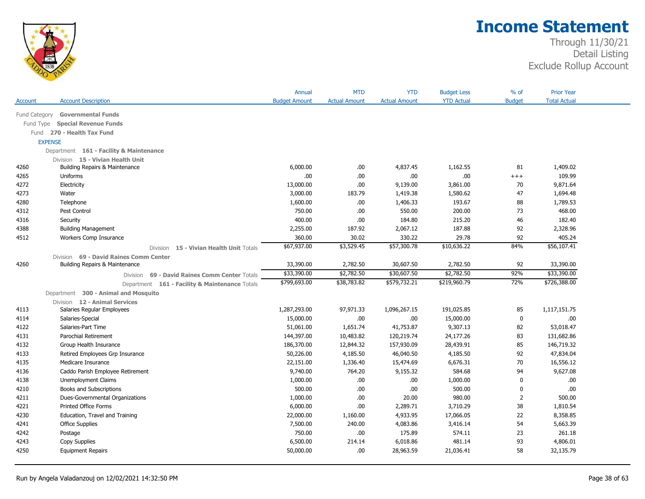

|                |                                                         | Annual               | <b>MTD</b>           | <b>YTD</b>           | <b>Budget Less</b> | % of          | <b>Prior Year</b>   |  |
|----------------|---------------------------------------------------------|----------------------|----------------------|----------------------|--------------------|---------------|---------------------|--|
| <b>Account</b> | <b>Account Description</b>                              | <b>Budget Amount</b> | <b>Actual Amount</b> | <b>Actual Amount</b> | <b>YTD Actual</b>  | <b>Budget</b> | <b>Total Actual</b> |  |
| Fund Category  | <b>Governmental Funds</b>                               |                      |                      |                      |                    |               |                     |  |
| Fund Type      | <b>Special Revenue Funds</b>                            |                      |                      |                      |                    |               |                     |  |
|                | Fund 270 - Health Tax Fund                              |                      |                      |                      |                    |               |                     |  |
| <b>EXPENSE</b> |                                                         |                      |                      |                      |                    |               |                     |  |
|                | Department 161 - Facility & Maintenance                 |                      |                      |                      |                    |               |                     |  |
|                | Division 15 - Vivian Health Unit                        |                      |                      |                      |                    |               |                     |  |
| 4260           | Building Repairs & Maintenance                          | 6,000.00             | .00                  | 4,837.45             | 1,162.55           | 81            | 1,409.02            |  |
| 4265           | Uniforms                                                | .00.                 | .00.                 | .00                  | .00.               | $+++$         | 109.99              |  |
| 4272           | Electricity                                             | 13,000.00            | .00.                 | 9,139.00             | 3,861.00           | 70            | 9,871.64            |  |
| 4273           | Water                                                   | 3,000.00             | 183.79               | 1,419.38             | 1,580.62           | 47            | 1,694.48            |  |
| 4280           | Telephone                                               | 1,600.00             | .00.                 | 1,406.33             | 193.67             | 88            | 1,789.53            |  |
| 4312           | Pest Control                                            | 750.00               | .00.                 | 550.00               | 200.00             | 73            | 468.00              |  |
| 4316           | Security                                                | 400.00               | .00.                 | 184.80               | 215.20             | 46            | 182.40              |  |
| 4388           | <b>Building Management</b>                              | 2,255.00             | 187.92               | 2,067.12             | 187.88             | 92            | 2,328.96            |  |
| 4512           | Workers Comp Insurance                                  | 360.00               | 30.02                | 330.22               | 29.78              | 92            | 405.24              |  |
|                | <b>Division</b><br>15 - Vivian Health Unit Totals       | \$67,937.00          | \$3,529.45           | \$57,300.78          | \$10,636.22        | 84%           | \$56,107.41         |  |
|                | Division 69 - David Raines Comm Center                  |                      |                      |                      |                    |               |                     |  |
| 4260           | Building Repairs & Maintenance                          | 33,390.00            | 2,782.50             | 30,607.50            | 2,782.50           | 92            | 33,390.00           |  |
|                | 69 - David Raines Comm Center Totals<br><b>Division</b> | \$33,390.00          | \$2,782.50           | \$30,607.50          | \$2,782.50         | 92%           | \$33,390.00         |  |
|                | Department 161 - Facility & Maintenance Totals          | \$799,693.00         | \$38,783.82          | \$579,732.21         | \$219,960.79       | 72%           | \$726,388.00        |  |
|                | Department 300 - Animal and Mosquito                    |                      |                      |                      |                    |               |                     |  |
|                | Division 12 - Animal Services                           |                      |                      |                      |                    |               |                     |  |
| 4113           | Salaries Regular Employees                              | 1,287,293.00         | 97,971.33            | 1,096,267.15         | 191,025.85         | 85            | 1,117,151.75        |  |
| 4114           | Salaries-Special                                        | 15,000.00            | .00.                 | .00                  | 15,000.00          | $\mathbf 0$   | .00.                |  |
| 4122           | Salaries-Part Time                                      | 51,061.00            | 1,651.74             | 41,753.87            | 9,307.13           | 82            | 53,018.47           |  |
| 4131           | Parochial Retirement                                    | 144,397.00           | 10,483.82            | 120,219.74           | 24,177.26          | 83            | 131,682.86          |  |
| 4132           | Group Health Insurance                                  | 186,370.00           | 12,844.32            | 157,930.09           | 28,439.91          | 85            | 146,719.32          |  |
| 4133           | Retired Employees Grp Insurance                         | 50,226.00            | 4,185.50             | 46,040.50            | 4,185.50           | 92            | 47,834.04           |  |
| 4135           | Medicare Insurance                                      | 22,151.00            | 1,336.40             | 15,474.69            | 6,676.31           | 70            | 16,556.12           |  |
| 4136           | Caddo Parish Employee Retirement                        | 9,740.00             | 764.20               | 9,155.32             | 584.68             | 94            | 9,627.08            |  |
| 4138           | <b>Unemployment Claims</b>                              | 1,000.00             | .00.                 | .00                  | 1,000.00           | $\mathbf{0}$  | .00.                |  |
| 4210           | Books and Subscriptions                                 | 500.00               | .00.                 | .00                  | 500.00             | 0             | .00                 |  |
| 4211           | Dues-Governmental Organizations                         | 1,000.00             | .00.                 | 20.00                | 980.00             | 2             | 500.00              |  |
| 4221           | Printed Office Forms                                    | 6,000.00             | .00.                 | 2,289.71             | 3,710.29           | 38            | 1,810.54            |  |
| 4230           | Education, Travel and Training                          | 22,000.00            | 1,160.00             | 4,933.95             | 17,066.05          | 22            | 8,358.85            |  |
| 4241           | Office Supplies                                         | 7,500.00             | 240.00               | 4,083.86             | 3,416.14           | 54            | 5,663.39            |  |
| 4242           | Postage                                                 | 750.00               | .00.                 | 175.89               | 574.11             | 23            | 261.18              |  |
| 4243           | Copy Supplies                                           | 6,500.00             | 214.14               | 6,018.86             | 481.14             | 93            | 4,806.01            |  |
| 4250           | <b>Equipment Repairs</b>                                | 50,000.00            | .00.                 | 28,963.59            | 21,036.41          | 58            | 32,135.79           |  |
|                |                                                         |                      |                      |                      |                    |               |                     |  |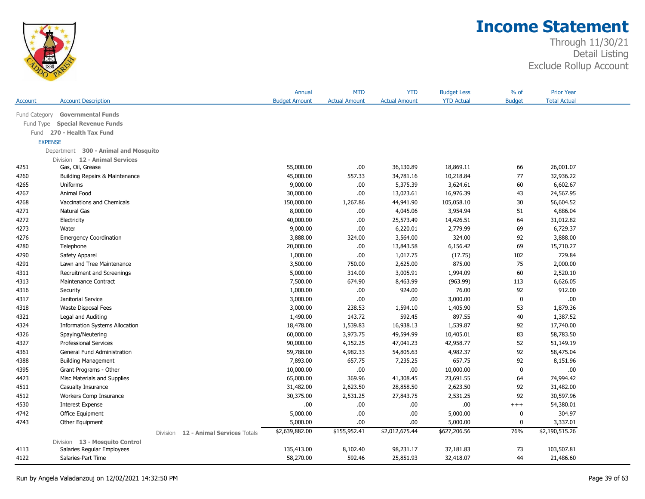

|                |                                       |          |                             | Annual               | <b>MTD</b>           | <b>YTD</b>           | <b>Budget Less</b> | % of          | <b>Prior Year</b>   |  |
|----------------|---------------------------------------|----------|-----------------------------|----------------------|----------------------|----------------------|--------------------|---------------|---------------------|--|
| Account        | <b>Account Description</b>            |          |                             | <b>Budget Amount</b> | <b>Actual Amount</b> | <b>Actual Amount</b> | <b>YTD Actual</b>  | <b>Budget</b> | <b>Total Actual</b> |  |
| Fund Category  | <b>Governmental Funds</b>             |          |                             |                      |                      |                      |                    |               |                     |  |
| Fund Type      | <b>Special Revenue Funds</b>          |          |                             |                      |                      |                      |                    |               |                     |  |
|                | Fund 270 - Health Tax Fund            |          |                             |                      |                      |                      |                    |               |                     |  |
| <b>EXPENSE</b> |                                       |          |                             |                      |                      |                      |                    |               |                     |  |
|                | Department 300 - Animal and Mosquito  |          |                             |                      |                      |                      |                    |               |                     |  |
|                | Division 12 - Animal Services         |          |                             |                      |                      |                      |                    |               |                     |  |
| 4251           | Gas, Oil, Grease                      |          |                             | 55,000.00            | .00                  | 36,130.89            | 18,869.11          | 66            | 26,001.07           |  |
| 4260           | Building Repairs & Maintenance        |          |                             | 45,000.00            | 557.33               | 34,781.16            | 10,218.84          | 77            | 32,936.22           |  |
| 4265           | Uniforms                              |          |                             | 9,000.00             | .00                  | 5,375.39             | 3,624.61           | 60            | 6,602.67            |  |
| 4267           | Animal Food                           |          |                             | 30,000.00            | .00                  | 13,023.61            | 16,976.39          | 43            | 24,567.95           |  |
| 4268           | Vaccinations and Chemicals            |          |                             | 150,000.00           | 1,267.86             | 44,941.90            | 105,058.10         | 30            | 56,604.52           |  |
| 4271           | Natural Gas                           |          |                             | 8,000.00             | .00                  | 4,045.06             | 3,954.94           | 51            | 4,886.04            |  |
| 4272           | Electricity                           |          |                             | 40,000.00            | .00                  | 25,573.49            | 14,426.51          | 64            | 31,012.82           |  |
| 4273           | Water                                 |          |                             | 9,000.00             | .00                  | 6,220.01             | 2,779.99           | 69            | 6,729.37            |  |
| 4276           | <b>Emergency Coordination</b>         |          |                             | 3,888.00             | 324.00               | 3,564.00             | 324.00             | 92            | 3,888.00            |  |
| 4280           | Telephone                             |          |                             | 20,000.00            | .00                  | 13,843.58            | 6,156.42           | 69            | 15,710.27           |  |
| 4290           | Safety Apparel                        |          |                             | 1,000.00             | .00                  | 1,017.75             | (17.75)            | 102           | 729.84              |  |
| 4291           | Lawn and Tree Maintenance             |          |                             | 3,500.00             | 750.00               | 2,625.00             | 875.00             | 75            | 2,000.00            |  |
| 4311           | Recruitment and Screenings            |          |                             | 5,000.00             | 314.00               | 3,005.91             | 1,994.09           | 60            | 2,520.10            |  |
| 4313           | Maintenance Contract                  |          |                             | 7,500.00             | 674.90               | 8,463.99             | (963.99)           | 113           | 6,626.05            |  |
| 4316           | Security                              |          |                             | 1,000.00             | .00                  | 924.00               | 76.00              | 92            | 912.00              |  |
| 4317           | Janitorial Service                    |          |                             | 3,000.00             | .00                  | .00                  | 3,000.00           | $\mathbf 0$   | .00.                |  |
| 4318           | Waste Disposal Fees                   |          |                             | 3,000.00             | 238.53               | 1,594.10             | 1,405.90           | 53            | 1,879.36            |  |
| 4321           | Legal and Auditing                    |          |                             | 1,490.00             | 143.72               | 592.45               | 897.55             | 40            | 1,387.52            |  |
| 4324           | <b>Information Systems Allocation</b> |          |                             | 18,478.00            | 1,539.83             | 16,938.13            | 1,539.87           | 92            | 17,740.00           |  |
| 4326           | Spaying/Neutering                     |          |                             | 60,000.00            | 3,973.75             | 49,594.99            | 10,405.01          | 83            | 58,783.50           |  |
| 4327           | <b>Professional Services</b>          |          |                             | 90,000.00            | 4,152.25             | 47,041.23            | 42,958.77          | 52            | 51,149.19           |  |
| 4361           | General Fund Administration           |          |                             | 59,788.00            | 4,982.33             | 54,805.63            | 4,982.37           | 92            | 58,475.04           |  |
| 4388           | <b>Building Management</b>            |          |                             | 7,893.00             | 657.75               | 7,235.25             | 657.75             | 92            | 8,151.96            |  |
| 4395           | Grant Programs - Other                |          |                             | 10,000.00            | .00                  | .00                  | 10,000.00          | $\pmb{0}$     | .00.                |  |
| 4423           | Misc Materials and Supplies           |          |                             | 65,000.00            | 369.96               | 41,308.45            | 23,691.55          | 64            | 74,994.42           |  |
| 4511           | Casualty Insurance                    |          |                             | 31,482.00            | 2,623.50             | 28,858.50            | 2,623.50           | 92            | 31,482.00           |  |
| 4512           | Workers Comp Insurance                |          |                             | 30,375.00            | 2,531.25             | 27,843.75            | 2,531.25           | 92            | 30,597.96           |  |
| 4530           | <b>Interest Expense</b>               |          |                             | .00.                 | .00                  | .00                  | .00                | $^{+++}$      | 54,380.01           |  |
| 4742           | Office Equipment                      |          |                             | 5,000.00             | .00                  | .00                  | 5,000.00           | 0             | 304.97              |  |
| 4743           | Other Equipment                       |          |                             | 5,000.00             | .00                  | .00.                 | 5,000.00           | $\mathbf 0$   | 3,337.01            |  |
|                |                                       | Division | 12 - Animal Services Totals | \$2,639,882.00       | \$155,952.41         | \$2,012,675.44       | \$627,206.56       | 76%           | \$2,190,515.26      |  |
|                | Division 13 - Mosquito Control        |          |                             |                      |                      |                      |                    |               |                     |  |
| 4113           | Salaries Regular Employees            |          |                             | 135,413.00           | 8,102.40             | 98,231.17            | 37,181.83          | 73            | 103,507.81          |  |
| 4122           | Salaries-Part Time                    |          |                             | 58,270.00            | 592.46               | 25,851.93            | 32,418.07          | 44            | 21,486.60           |  |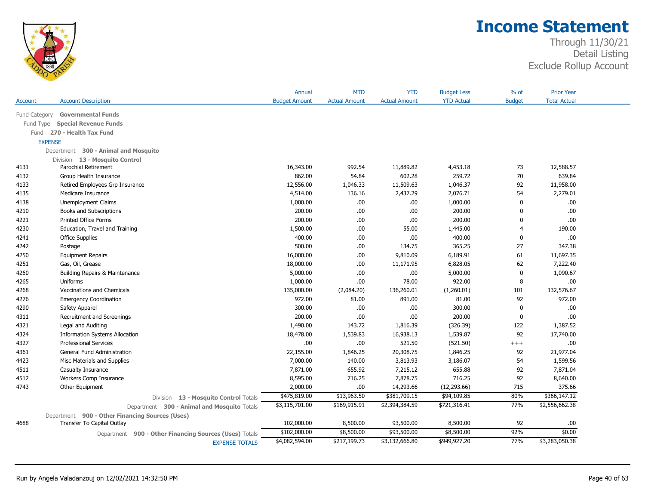

|               |                                                           | Annual               | <b>MTD</b>           | <b>YTD</b>           | <b>Budget Less</b> | $%$ of         | <b>Prior Year</b>   |
|---------------|-----------------------------------------------------------|----------------------|----------------------|----------------------|--------------------|----------------|---------------------|
| Account       | <b>Account Description</b>                                | <b>Budget Amount</b> | <b>Actual Amount</b> | <b>Actual Amount</b> | <b>YTD Actual</b>  | <b>Budget</b>  | <b>Total Actual</b> |
| Fund Category | <b>Governmental Funds</b>                                 |                      |                      |                      |                    |                |                     |
| Fund Type     | <b>Special Revenue Funds</b>                              |                      |                      |                      |                    |                |                     |
| Fund          | 270 - Health Tax Fund                                     |                      |                      |                      |                    |                |                     |
|               | <b>EXPENSE</b>                                            |                      |                      |                      |                    |                |                     |
|               | Department 300 - Animal and Mosquito                      |                      |                      |                      |                    |                |                     |
|               | Division 13 - Mosquito Control                            |                      |                      |                      |                    |                |                     |
| 4131          | Parochial Retirement                                      | 16,343.00            | 992.54               | 11,889.82            | 4,453.18           | 73             | 12,588.57           |
| 4132          | Group Health Insurance                                    | 862.00               | 54.84                | 602.28               | 259.72             | 70             | 639.84              |
| 4133          | Retired Employees Grp Insurance                           | 12,556.00            | 1,046.33             | 11,509.63            | 1,046.37           | 92             | 11,958.00           |
| 4135          | Medicare Insurance                                        | 4,514.00             | 136.16               | 2,437.29             | 2,076.71           | 54             | 2,279.01            |
| 4138          | Unemployment Claims                                       | 1,000.00             | .00.                 | .00                  | 1,000.00           | 0              | .00                 |
| 4210          | Books and Subscriptions                                   | 200.00               | .00                  | .00.                 | 200.00             | $\mathbf 0$    | .00                 |
| 4221          | Printed Office Forms                                      | 200.00               | .00                  | .00                  | 200.00             | 0              | .00                 |
| 4230          | Education, Travel and Training                            | 1,500.00             | .00.                 | 55.00                | 1,445.00           | $\overline{4}$ | 190.00              |
| 4241          | <b>Office Supplies</b>                                    | 400.00               | .00                  | .00.                 | 400.00             | $\bf{0}$       | .00.                |
| 4242          | Postage                                                   | 500.00               | .00                  | 134.75               | 365.25             | 27             | 347.38              |
| 4250          | <b>Equipment Repairs</b>                                  | 16,000.00            | .00                  | 9,810.09             | 6,189.91           | 61             | 11,697.35           |
| 4251          | Gas, Oil, Grease                                          | 18,000.00            | .00                  | 11,171.95            | 6,828.05           | 62             | 7,222.40            |
| 4260          | Building Repairs & Maintenance                            | 5,000.00             | .00                  | .00.                 | 5,000.00           | 0              | 1,090.67            |
| 4265          | Uniforms                                                  | 1,000.00             | .00                  | 78.00                | 922.00             | 8              | .00                 |
| 4268          | Vaccinations and Chemicals                                | 135,000.00           | (2,084.20)           | 136,260.01           | (1,260.01)         | 101            | 132,576.67          |
| 4276          | <b>Emergency Coordination</b>                             | 972.00               | 81.00                | 891.00               | 81.00              | 92             | 972.00              |
| 4290          | Safety Apparel                                            | 300.00               | .00                  | .00                  | 300.00             | 0              | .00                 |
| 4311          | Recruitment and Screenings                                | 200.00               | .00                  | .00.                 | 200.00             | $\mathbf 0$    | .00                 |
| 4321          | Legal and Auditing                                        | 1,490.00             | 143.72               | 1,816.39             | (326.39)           | 122            | 1,387.52            |
| 4324          | <b>Information Systems Allocation</b>                     | 18,478.00            | 1,539.83             | 16,938.13            | 1,539.87           | 92             | 17,740.00           |
| 4327          | <b>Professional Services</b>                              | .00.                 | .00.                 | 521.50               | (521.50)           | $+++$          | .00                 |
| 4361          | General Fund Administration                               | 22,155.00            | 1,846.25             | 20,308.75            | 1,846.25           | 92             | 21,977.04           |
| 4423          | Misc Materials and Supplies                               | 7,000.00             | 140.00               | 3,813.93             | 3,186.07           | 54             | 1,599.56            |
| 4511          | Casualty Insurance                                        | 7,871.00             | 655.92               | 7,215.12             | 655.88             | 92             | 7,871.04            |
| 4512          | Workers Comp Insurance                                    | 8,595.00             | 716.25               | 7,878.75             | 716.25             | 92             | 8,640.00            |
| 4743          | Other Equipment                                           | 2,000.00             | .00.                 | 14,293.66            | (12, 293.66)       | 715            | 375.66              |
|               | Division 13 - Mosquito Control Totals                     | \$475,819.00         | \$13,963.50          | \$381,709.15         | \$94,109.85        | 80%            | \$366,147.12        |
|               | Department 300 - Animal and Mosquito Totals               | \$3,115,701.00       | \$169,915.91         | \$2,394,384.59       | \$721,316.41       | 77%            | \$2,556,662.38      |
|               | Department 900 - Other Financing Sources (Uses)           |                      |                      |                      |                    |                |                     |
| 4688          | Transfer To Capital Outlay                                | 102,000.00           | 8,500.00             | 93,500.00            | 8,500.00           | 92             | .00                 |
|               | 900 - Other Financing Sources (Uses) Totals<br>Department | \$102,000.00         | \$8,500.00           | \$93,500.00          | \$8,500.00         | 92%            | \$0.00              |
|               | <b>EXPENSE TOTALS</b>                                     | \$4,082,594.00       | \$217,199.73         | \$3,132,666.80       | \$949,927.20       | 77%            | \$3,283,050.38      |
|               |                                                           |                      |                      |                      |                    |                |                     |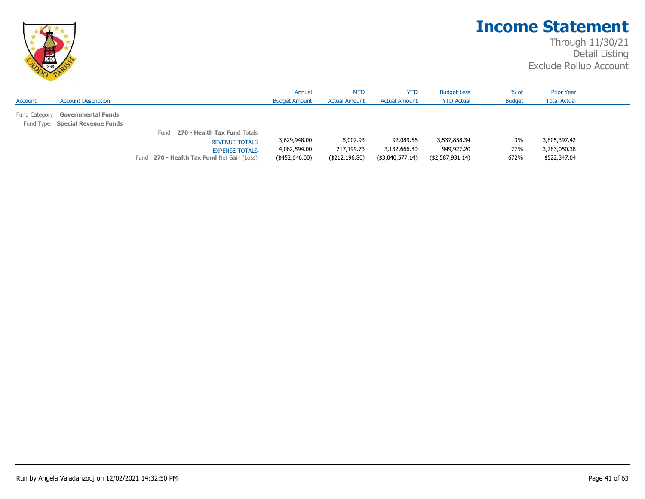

|                                                                               |                                                                                                                                             | Annual                                         | <b>MTD</b>                                 | <b>YTD</b>                                    | <b>Budget Less</b>                             | $%$ of            | <b>Prior Year</b>                            |  |
|-------------------------------------------------------------------------------|---------------------------------------------------------------------------------------------------------------------------------------------|------------------------------------------------|--------------------------------------------|-----------------------------------------------|------------------------------------------------|-------------------|----------------------------------------------|--|
| <b>Account Description</b><br>Account                                         |                                                                                                                                             | <b>Budget Amount</b>                           | <b>Actual Amount</b>                       | <b>Actual Amount</b>                          | <b>YTD Actual</b>                              | <b>Budget</b>     | <b>Total Actual</b>                          |  |
| <b>Governmental Funds</b><br>Fund Category<br>Fund Type Special Revenue Funds |                                                                                                                                             |                                                |                                            |                                               |                                                |                   |                                              |  |
|                                                                               | <b>270 - Health Tax Fund Totals</b><br>Fund<br><b>REVENUE TOTALS</b><br><b>EXPENSE TOTALS</b><br>Fund 270 - Health Tax Fund Net Gain (Loss) | 3,629,948.00<br>4,082,594.00<br>(\$452,646.00) | 5,002.93<br>217,199.73<br>( \$212, 196.80) | 92,089.66<br>3,132,666.80<br>(\$3,040,577.14) | 3,537,858.34<br>949,927.20<br>(\$2,587,931.14) | 3%<br>77%<br>672% | 3,805,397.42<br>3,283,050.38<br>\$522,347.04 |  |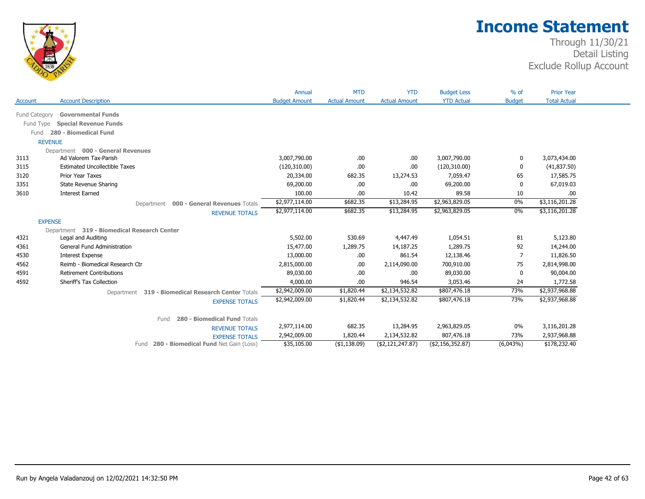

|               |                                                    | Annual               | <b>MTD</b>           | <b>YTD</b>           | <b>Budget Less</b> | $%$ of        | <b>Prior Year</b>   |
|---------------|----------------------------------------------------|----------------------|----------------------|----------------------|--------------------|---------------|---------------------|
| Account       | <b>Account Description</b>                         | <b>Budget Amount</b> | <b>Actual Amount</b> | <b>Actual Amount</b> | <b>YTD Actual</b>  | <b>Budget</b> | <b>Total Actual</b> |
| Fund Category | <b>Governmental Funds</b>                          |                      |                      |                      |                    |               |                     |
| Fund Type     | <b>Special Revenue Funds</b>                       |                      |                      |                      |                    |               |                     |
| Fund          | 280 - Biomedical Fund                              |                      |                      |                      |                    |               |                     |
|               | <b>REVENUE</b>                                     |                      |                      |                      |                    |               |                     |
|               | Department 000 - General Revenues                  |                      |                      |                      |                    |               |                     |
| 3113          | Ad Valorem Tax-Parish                              | 3,007,790.00         | .00.                 | .00                  | 3,007,790.00       | 0             | 3,073,434.00        |
| 3115          | <b>Estimated Uncollectible Taxes</b>               | (120,310.00)         | .00                  | .00                  | (120,310.00)       |               | (41, 837.50)        |
| 3120          | Prior Year Taxes                                   | 20,334.00            | 682.35               | 13,274.53            | 7,059.47           | 65            | 17,585.75           |
| 3351          | <b>State Revenue Sharing</b>                       | 69,200.00            | .00                  | .00                  | 69,200.00          |               | 67,019.03           |
| 3610          | <b>Interest Earned</b>                             | 100.00               | .00                  | 10.42                | 89.58              | 10            | .00                 |
|               | Department 000 - General Revenues Totals           | \$2,977,114.00       | \$682.35             | \$13,284.95          | \$2,963,829.05     | 0%            | \$3,116,201.28      |
|               | <b>REVENUE TOTALS</b>                              | \$2,977,114.00       | \$682.35             | \$13,284.95          | \$2,963,829.05     | 0%            | \$3,116,201.28      |
|               | <b>EXPENSE</b>                                     |                      |                      |                      |                    |               |                     |
|               | Department 319 - Biomedical Research Center        |                      |                      |                      |                    |               |                     |
| 4321          | Legal and Auditing                                 | 5,502.00             | 530.69               | 4,447.49             | 1,054.51           | 81            | 5,123.80            |
| 4361          | <b>General Fund Administration</b>                 | 15,477.00            | 1,289.75             | 14,187.25            | 1,289.75           | 92            | 14,244.00           |
| 4530          | <b>Interest Expense</b>                            | 13,000.00            | .00.                 | 861.54               | 12,138.46          | 7             | 11,826.50           |
| 4562          | Reimb - Biomedical Research Ctr                    | 2,815,000.00         | .00.                 | 2,114,090.00         | 700,910.00         | 75            | 2,814,998.00        |
| 4591          | <b>Retirement Contributions</b>                    | 89,030.00            | .00.                 | .00                  | 89,030.00          | 0             | 90,004.00           |
| 4592          | Sheriff's Tax Collection                           | 4,000.00             | .00.                 | 946.54               | 3,053.46           | 24            | 1,772.58            |
|               | Department 319 - Biomedical Research Center Totals | \$2,942,009.00       | \$1,820.44           | \$2,134,532.82       | \$807,476.18       | 73%           | \$2,937,968.88      |
|               | <b>EXPENSE TOTALS</b>                              | \$2,942,009.00       | \$1,820.44           | \$2,134,532.82       | \$807,476.18       | 73%           | \$2,937,968.88      |
|               | 280 - Biomedical Fund Totals<br>Fund               |                      |                      |                      |                    |               |                     |
|               | <b>REVENUE TOTALS</b>                              | 2,977,114.00         | 682.35               | 13,284.95            | 2,963,829.05       | 0%            | 3,116,201.28        |
|               | <b>EXPENSE TOTALS</b>                              | 2,942,009.00         | 1,820.44             | 2,134,532.82         | 807,476.18         | 73%           | 2,937,968.88        |
|               | Fund 280 - Biomedical Fund Net Gain (Loss)         | \$35,105.00          | ( \$1,138.09)        | ( \$2,121,247.87)    | (\$2,156,352.87)   | (6,043%)      | \$178,232.40        |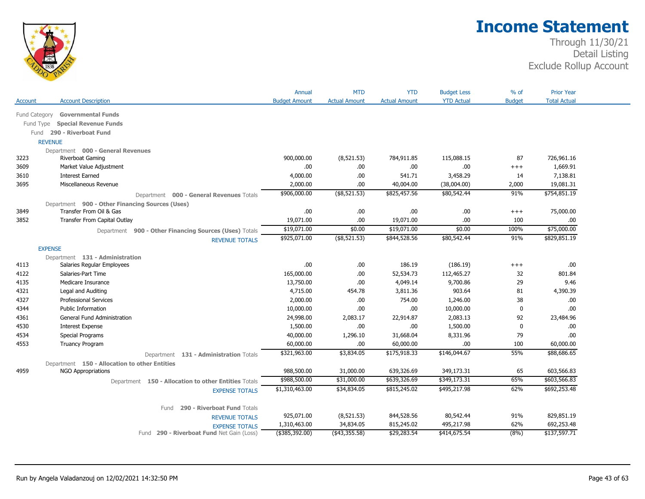

|               |                                                        | Annual               | <b>MTD</b>               | <b>YTD</b>                | <b>Budget Less</b> | $%$ of        | <b>Prior Year</b>          |
|---------------|--------------------------------------------------------|----------------------|--------------------------|---------------------------|--------------------|---------------|----------------------------|
| Account       | <b>Account Description</b>                             | <b>Budget Amount</b> | <b>Actual Amount</b>     | <b>Actual Amount</b>      | <b>YTD Actual</b>  | <b>Budget</b> | <b>Total Actual</b>        |
| Fund Category | <b>Governmental Funds</b>                              |                      |                          |                           |                    |               |                            |
| Fund Type     | <b>Special Revenue Funds</b>                           |                      |                          |                           |                    |               |                            |
|               | Fund 290 - Riverboat Fund                              |                      |                          |                           |                    |               |                            |
|               | <b>REVENUE</b>                                         |                      |                          |                           |                    |               |                            |
|               | Department 000 - General Revenues                      |                      |                          |                           |                    |               |                            |
| 3223          | Riverboat Gaming                                       | 900,000.00           | (8,521.53)               | 784,911.85                | 115,088.15         | 87            | 726,961.16                 |
| 3609          | Market Value Adjustment                                | .00                  | .00                      | .00                       | .00                | $^{+++}$      | 1,669.91                   |
| 3610          | <b>Interest Earned</b>                                 | 4,000.00             | .00                      | 541.71                    | 3,458.29           | 14            | 7,138.81                   |
| 3695          | Miscellaneous Revenue                                  | 2,000.00             | .00                      | 40,004.00                 | (38,004.00)        | 2,000         | 19,081.31                  |
|               | Department 000 - General Revenues Totals               | \$906,000.00         | $($ \$8,521.53)          | \$825,457.56              | \$80,542.44        | 91%           | \$754,851.19               |
|               | Department 900 - Other Financing Sources (Uses)        |                      |                          |                           |                    |               |                            |
| 3849          | Transfer From Oil & Gas                                | .00                  | .00                      | .00                       | .00.               | $^{+++}$      | 75,000.00                  |
| 3852          | Transfer From Capital Outlay                           | 19,071.00            | .00                      | 19,071.00                 | .00.               | 100           | .00                        |
|               | Department 900 - Other Financing Sources (Uses) Totals | \$19,071.00          | \$0.00                   | \$19,071.00               | \$0.00             | 100%          | \$75,000.00                |
|               | <b>REVENUE TOTALS</b>                                  | \$925,071.00         | $($ \$8,521.53)          | \$844,528.56              | \$80,542.44        | 91%           | \$829,851.19               |
|               | <b>EXPENSE</b>                                         |                      |                          |                           |                    |               |                            |
|               | Department 131 - Administration                        |                      |                          |                           |                    |               |                            |
| 4113          | Salaries Regular Employees                             | .00                  | .00                      | 186.19                    | (186.19)           | $^{+++}$      | .00.                       |
| 4122          | Salaries-Part Time                                     | 165,000.00           | .00                      | 52,534.73                 | 112,465.27         | 32            | 801.84                     |
| 4135          | Medicare Insurance                                     | 13,750.00            | .00                      | 4,049.14                  | 9,700.86           | 29            | 9.46                       |
| 4321          | Legal and Auditing                                     | 4,715.00             | 454.78                   | 3,811.36                  | 903.64             | 81            | 4,390.39                   |
| 4327          | <b>Professional Services</b>                           | 2,000.00             | .00                      | 754.00                    | 1,246.00           | 38            | .00.                       |
| 4344          | <b>Public Information</b>                              | 10,000.00            | .00.                     | .00                       | 10,000.00          | $\bf{0}$      | .00.                       |
| 4361          | General Fund Administration                            | 24,998.00            | 2,083.17                 | 22,914.87                 | 2,083.13           | 92            | 23,484.96                  |
| 4530          | <b>Interest Expense</b>                                | 1,500.00             | .00.                     | .00                       | 1,500.00           | 0             | .00                        |
| 4534          | <b>Special Programs</b>                                | 40,000.00            | 1,296.10                 | 31,668.04                 | 8,331.96           | 79            | .00                        |
| 4553          | <b>Truancy Program</b>                                 | 60,000.00            | .00.                     | 60,000.00                 | .00                | 100           | 60,000.00                  |
|               | Department 131 - Administration Totals                 | \$321,963.00         | \$3,834.05               | \$175,918.33              | \$146,044.67       | 55%           | \$88,686.65                |
|               | Department 150 - Allocation to other Entities          |                      |                          |                           |                    |               |                            |
| 4959          | <b>NGO Appropriations</b>                              | 988,500.00           | 31,000.00                | 639,326.69                | 349,173.31         | 65            | 603,566.83                 |
|               | Department 150 - Allocation to other Entities Totals   | \$988,500.00         | \$31,000.00              | \$639,326.69              | \$349,173.31       | 65%           | \$603,566.83               |
|               | <b>EXPENSE TOTALS</b>                                  | \$1,310,463.00       | \$34,834.05              | \$815,245.02              | \$495,217.98       | 62%           | \$692,253.48               |
|               |                                                        |                      |                          |                           |                    |               |                            |
|               | 290 - Riverboat Fund Totals<br>Fund                    |                      |                          |                           |                    |               |                            |
|               | <b>REVENUE TOTALS</b>                                  | 925,071.00           | (8, 521.53)              | 844,528.56                | 80,542.44          | 91%           | 829,851.19                 |
|               |                                                        |                      |                          |                           |                    |               |                            |
|               | <b>EXPENSE TOTALS</b>                                  | 1,310,463.00         | 34,834.05<br>(43,355.58) | 815,245.02<br>\$29,283.54 | 495,217.98         | 62%           | 692,253.48<br>\$137,597.71 |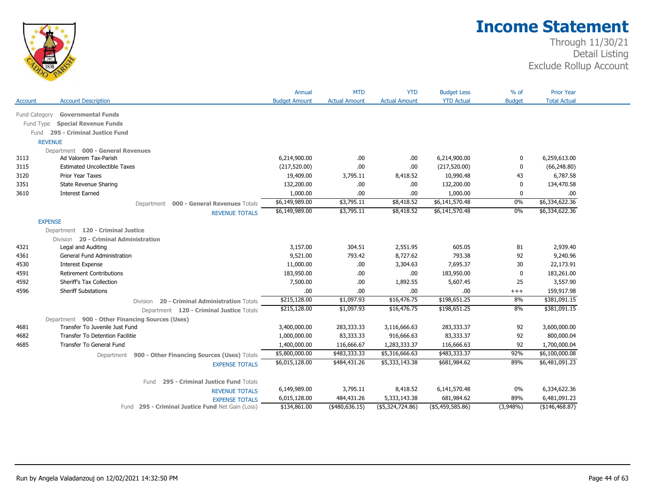

| <b>Total Actual</b><br><b>Account Description</b><br><b>Budget Amount</b><br><b>Actual Amount</b><br><b>Actual Amount</b><br><b>YTD Actual</b><br><b>Budget</b><br><b>Governmental Funds</b><br>Fund Category<br><b>Special Revenue Funds</b><br>Fund Type<br>295 - Criminal Justice Fund<br>Fund<br><b>REVENUE</b><br>Department 000 - General Revenues<br>3113<br>Ad Valorem Tax-Parish<br>6,214,900.00<br>.00.<br>6,214,900.00<br>6,259,613.00<br>.00<br>0<br>.00<br><b>Estimated Uncollectible Taxes</b><br>.00<br>(217, 520.00)<br>$\mathbf{0}$<br>(66, 248.80)<br>3115<br>(217,520.00)<br>6,787.58<br>3120<br><b>Prior Year Taxes</b><br>19,409.00<br>3,795.11<br>8,418.52<br>10,990.48<br>43<br>3351<br><b>State Revenue Sharing</b><br>132,200.00<br>.00.<br>.00<br>132,200.00<br>$\mathbf{0}$<br>134,470.58<br><b>Interest Earned</b><br>1,000.00<br>3610<br>1,000.00<br>.00.<br>.00<br>$\Omega$<br>.00<br>\$6,334,622.36<br>\$6,149,989.00<br>\$3,795.11<br>\$8,418.52<br>\$6,141,570.48<br>0%<br>Department 000 - General Revenues Totals<br>\$6,334,622.36<br>\$6,149,989.00<br>\$3,795.11<br>\$8,418.52<br>\$6,141,570.48<br>$0\%$<br><b>REVENUE TOTALS</b><br><b>EXPENSE</b><br>Department 120 - Criminal Justice<br>Division 20 - Criminal Administration<br>605.05<br>3,157.00<br>304.51<br>2,551.95<br>81<br>2,939.40<br>4321<br>Legal and Auditing<br>793.42<br>8,727.62<br>793.38<br>9,240.96<br>4361<br>General Fund Administration<br>9,521.00<br>92<br>11,000.00<br>7,695.37<br>22,173.91<br>4530<br><b>Interest Expense</b><br>.00.<br>3,304.63<br>30<br>4591<br><b>Retirement Contributions</b><br>183,950.00<br>.00.<br>.00<br>183,950.00<br>$\mathbf 0$<br>183,261.00<br>4592<br>Sheriff's Tax Collection<br>7,500.00<br>.00<br>5,607.45<br>3,557.90<br>1,892.55<br>25<br><b>Sheriff Substations</b><br>.00<br>.00.<br>.00<br>159,917.98<br>.00.<br>$+++$<br>\$198,651.25<br>\$381,091.15<br>\$215,128.00<br>\$1,097.93<br>\$16,476.75<br>8%<br>20 - Criminal Administration Totals<br>Division<br>\$381,091.15<br>8%<br>\$215,128.00<br>\$1,097.93<br>\$16,476.75<br>\$198,651.25<br>Department 120 - Criminal Justice Totals<br>Department 900 - Other Financing Sources (Uses)<br>Transfer To Juvenile Just Fund<br>92<br>3,600,000.00<br>3,400,000.00<br>283,333.33<br>3,116,666.63<br>283,333.37<br>83,333.33<br>916,666.63<br>83,333.37<br>800,000.04<br><b>Transfer To Detention Facilitie</b><br>1,000,000.00<br>92<br><b>Transfer To General Fund</b><br>1,400,000.00<br>116,666.67<br>1,283,333.37<br>116,666.63<br>92<br>1,700,000.04<br>\$5,800,000.00<br>\$483,333.33<br>\$483,333.37<br>92%<br>\$6,100,000.08<br>\$5,316,666.63<br>Department 900 - Other Financing Sources (Uses) Totals<br>\$6,481,091.23<br>\$6,015,128.00<br>\$484,431.26<br>\$5,333,143.38<br>\$681,984.62<br>89%<br><b>EXPENSE TOTALS</b><br>295 - Criminal Justice Fund Totals<br>Fund<br>6,149,989.00<br>3,795.11<br>6,141,570.48<br>6,334,622.36<br>8,418.52<br>$0\%$<br><b>REVENUE TOTALS</b><br>6,015,128.00<br>484,431.26<br>681,984.62<br>89%<br>6,481,091.23<br>5,333,143.38<br><b>EXPENSE TOTALS</b><br>(\$146,468.87)<br>\$134,861.00<br>(480, 636.15)<br>$($ \$5,324,724.86)<br>$($ \$5,459,585.86)<br>$(3,948\%)$<br>Fund 295 - Criminal Justice Fund Net Gain (Loss) |         | Annual | <b>MTD</b> | <b>YTD</b> | <b>Budget Less</b> | $%$ of | <b>Prior Year</b> |
|-------------------------------------------------------------------------------------------------------------------------------------------------------------------------------------------------------------------------------------------------------------------------------------------------------------------------------------------------------------------------------------------------------------------------------------------------------------------------------------------------------------------------------------------------------------------------------------------------------------------------------------------------------------------------------------------------------------------------------------------------------------------------------------------------------------------------------------------------------------------------------------------------------------------------------------------------------------------------------------------------------------------------------------------------------------------------------------------------------------------------------------------------------------------------------------------------------------------------------------------------------------------------------------------------------------------------------------------------------------------------------------------------------------------------------------------------------------------------------------------------------------------------------------------------------------------------------------------------------------------------------------------------------------------------------------------------------------------------------------------------------------------------------------------------------------------------------------------------------------------------------------------------------------------------------------------------------------------------------------------------------------------------------------------------------------------------------------------------------------------------------------------------------------------------------------------------------------------------------------------------------------------------------------------------------------------------------------------------------------------------------------------------------------------------------------------------------------------------------------------------------------------------------------------------------------------------------------------------------------------------------------------------------------------------------------------------------------------------------------------------------------------------------------------------------------------------------------------------------------------------------------------------------------------------------------------------------------------------------------------------------------------------------------------------------------------------------------------------------------------------------------------------------------------------------------------------------------------------------------------------------------------------------------------------|---------|--------|------------|------------|--------------------|--------|-------------------|
|                                                                                                                                                                                                                                                                                                                                                                                                                                                                                                                                                                                                                                                                                                                                                                                                                                                                                                                                                                                                                                                                                                                                                                                                                                                                                                                                                                                                                                                                                                                                                                                                                                                                                                                                                                                                                                                                                                                                                                                                                                                                                                                                                                                                                                                                                                                                                                                                                                                                                                                                                                                                                                                                                                                                                                                                                                                                                                                                                                                                                                                                                                                                                                                                                                                                                                 | Account |        |            |            |                    |        |                   |
|                                                                                                                                                                                                                                                                                                                                                                                                                                                                                                                                                                                                                                                                                                                                                                                                                                                                                                                                                                                                                                                                                                                                                                                                                                                                                                                                                                                                                                                                                                                                                                                                                                                                                                                                                                                                                                                                                                                                                                                                                                                                                                                                                                                                                                                                                                                                                                                                                                                                                                                                                                                                                                                                                                                                                                                                                                                                                                                                                                                                                                                                                                                                                                                                                                                                                                 |         |        |            |            |                    |        |                   |
|                                                                                                                                                                                                                                                                                                                                                                                                                                                                                                                                                                                                                                                                                                                                                                                                                                                                                                                                                                                                                                                                                                                                                                                                                                                                                                                                                                                                                                                                                                                                                                                                                                                                                                                                                                                                                                                                                                                                                                                                                                                                                                                                                                                                                                                                                                                                                                                                                                                                                                                                                                                                                                                                                                                                                                                                                                                                                                                                                                                                                                                                                                                                                                                                                                                                                                 |         |        |            |            |                    |        |                   |
|                                                                                                                                                                                                                                                                                                                                                                                                                                                                                                                                                                                                                                                                                                                                                                                                                                                                                                                                                                                                                                                                                                                                                                                                                                                                                                                                                                                                                                                                                                                                                                                                                                                                                                                                                                                                                                                                                                                                                                                                                                                                                                                                                                                                                                                                                                                                                                                                                                                                                                                                                                                                                                                                                                                                                                                                                                                                                                                                                                                                                                                                                                                                                                                                                                                                                                 |         |        |            |            |                    |        |                   |
|                                                                                                                                                                                                                                                                                                                                                                                                                                                                                                                                                                                                                                                                                                                                                                                                                                                                                                                                                                                                                                                                                                                                                                                                                                                                                                                                                                                                                                                                                                                                                                                                                                                                                                                                                                                                                                                                                                                                                                                                                                                                                                                                                                                                                                                                                                                                                                                                                                                                                                                                                                                                                                                                                                                                                                                                                                                                                                                                                                                                                                                                                                                                                                                                                                                                                                 |         |        |            |            |                    |        |                   |
|                                                                                                                                                                                                                                                                                                                                                                                                                                                                                                                                                                                                                                                                                                                                                                                                                                                                                                                                                                                                                                                                                                                                                                                                                                                                                                                                                                                                                                                                                                                                                                                                                                                                                                                                                                                                                                                                                                                                                                                                                                                                                                                                                                                                                                                                                                                                                                                                                                                                                                                                                                                                                                                                                                                                                                                                                                                                                                                                                                                                                                                                                                                                                                                                                                                                                                 |         |        |            |            |                    |        |                   |
|                                                                                                                                                                                                                                                                                                                                                                                                                                                                                                                                                                                                                                                                                                                                                                                                                                                                                                                                                                                                                                                                                                                                                                                                                                                                                                                                                                                                                                                                                                                                                                                                                                                                                                                                                                                                                                                                                                                                                                                                                                                                                                                                                                                                                                                                                                                                                                                                                                                                                                                                                                                                                                                                                                                                                                                                                                                                                                                                                                                                                                                                                                                                                                                                                                                                                                 |         |        |            |            |                    |        |                   |
|                                                                                                                                                                                                                                                                                                                                                                                                                                                                                                                                                                                                                                                                                                                                                                                                                                                                                                                                                                                                                                                                                                                                                                                                                                                                                                                                                                                                                                                                                                                                                                                                                                                                                                                                                                                                                                                                                                                                                                                                                                                                                                                                                                                                                                                                                                                                                                                                                                                                                                                                                                                                                                                                                                                                                                                                                                                                                                                                                                                                                                                                                                                                                                                                                                                                                                 |         |        |            |            |                    |        |                   |
|                                                                                                                                                                                                                                                                                                                                                                                                                                                                                                                                                                                                                                                                                                                                                                                                                                                                                                                                                                                                                                                                                                                                                                                                                                                                                                                                                                                                                                                                                                                                                                                                                                                                                                                                                                                                                                                                                                                                                                                                                                                                                                                                                                                                                                                                                                                                                                                                                                                                                                                                                                                                                                                                                                                                                                                                                                                                                                                                                                                                                                                                                                                                                                                                                                                                                                 |         |        |            |            |                    |        |                   |
|                                                                                                                                                                                                                                                                                                                                                                                                                                                                                                                                                                                                                                                                                                                                                                                                                                                                                                                                                                                                                                                                                                                                                                                                                                                                                                                                                                                                                                                                                                                                                                                                                                                                                                                                                                                                                                                                                                                                                                                                                                                                                                                                                                                                                                                                                                                                                                                                                                                                                                                                                                                                                                                                                                                                                                                                                                                                                                                                                                                                                                                                                                                                                                                                                                                                                                 |         |        |            |            |                    |        |                   |
|                                                                                                                                                                                                                                                                                                                                                                                                                                                                                                                                                                                                                                                                                                                                                                                                                                                                                                                                                                                                                                                                                                                                                                                                                                                                                                                                                                                                                                                                                                                                                                                                                                                                                                                                                                                                                                                                                                                                                                                                                                                                                                                                                                                                                                                                                                                                                                                                                                                                                                                                                                                                                                                                                                                                                                                                                                                                                                                                                                                                                                                                                                                                                                                                                                                                                                 |         |        |            |            |                    |        |                   |
|                                                                                                                                                                                                                                                                                                                                                                                                                                                                                                                                                                                                                                                                                                                                                                                                                                                                                                                                                                                                                                                                                                                                                                                                                                                                                                                                                                                                                                                                                                                                                                                                                                                                                                                                                                                                                                                                                                                                                                                                                                                                                                                                                                                                                                                                                                                                                                                                                                                                                                                                                                                                                                                                                                                                                                                                                                                                                                                                                                                                                                                                                                                                                                                                                                                                                                 |         |        |            |            |                    |        |                   |
|                                                                                                                                                                                                                                                                                                                                                                                                                                                                                                                                                                                                                                                                                                                                                                                                                                                                                                                                                                                                                                                                                                                                                                                                                                                                                                                                                                                                                                                                                                                                                                                                                                                                                                                                                                                                                                                                                                                                                                                                                                                                                                                                                                                                                                                                                                                                                                                                                                                                                                                                                                                                                                                                                                                                                                                                                                                                                                                                                                                                                                                                                                                                                                                                                                                                                                 |         |        |            |            |                    |        |                   |
|                                                                                                                                                                                                                                                                                                                                                                                                                                                                                                                                                                                                                                                                                                                                                                                                                                                                                                                                                                                                                                                                                                                                                                                                                                                                                                                                                                                                                                                                                                                                                                                                                                                                                                                                                                                                                                                                                                                                                                                                                                                                                                                                                                                                                                                                                                                                                                                                                                                                                                                                                                                                                                                                                                                                                                                                                                                                                                                                                                                                                                                                                                                                                                                                                                                                                                 |         |        |            |            |                    |        |                   |
|                                                                                                                                                                                                                                                                                                                                                                                                                                                                                                                                                                                                                                                                                                                                                                                                                                                                                                                                                                                                                                                                                                                                                                                                                                                                                                                                                                                                                                                                                                                                                                                                                                                                                                                                                                                                                                                                                                                                                                                                                                                                                                                                                                                                                                                                                                                                                                                                                                                                                                                                                                                                                                                                                                                                                                                                                                                                                                                                                                                                                                                                                                                                                                                                                                                                                                 |         |        |            |            |                    |        |                   |
|                                                                                                                                                                                                                                                                                                                                                                                                                                                                                                                                                                                                                                                                                                                                                                                                                                                                                                                                                                                                                                                                                                                                                                                                                                                                                                                                                                                                                                                                                                                                                                                                                                                                                                                                                                                                                                                                                                                                                                                                                                                                                                                                                                                                                                                                                                                                                                                                                                                                                                                                                                                                                                                                                                                                                                                                                                                                                                                                                                                                                                                                                                                                                                                                                                                                                                 |         |        |            |            |                    |        |                   |
|                                                                                                                                                                                                                                                                                                                                                                                                                                                                                                                                                                                                                                                                                                                                                                                                                                                                                                                                                                                                                                                                                                                                                                                                                                                                                                                                                                                                                                                                                                                                                                                                                                                                                                                                                                                                                                                                                                                                                                                                                                                                                                                                                                                                                                                                                                                                                                                                                                                                                                                                                                                                                                                                                                                                                                                                                                                                                                                                                                                                                                                                                                                                                                                                                                                                                                 |         |        |            |            |                    |        |                   |
|                                                                                                                                                                                                                                                                                                                                                                                                                                                                                                                                                                                                                                                                                                                                                                                                                                                                                                                                                                                                                                                                                                                                                                                                                                                                                                                                                                                                                                                                                                                                                                                                                                                                                                                                                                                                                                                                                                                                                                                                                                                                                                                                                                                                                                                                                                                                                                                                                                                                                                                                                                                                                                                                                                                                                                                                                                                                                                                                                                                                                                                                                                                                                                                                                                                                                                 |         |        |            |            |                    |        |                   |
|                                                                                                                                                                                                                                                                                                                                                                                                                                                                                                                                                                                                                                                                                                                                                                                                                                                                                                                                                                                                                                                                                                                                                                                                                                                                                                                                                                                                                                                                                                                                                                                                                                                                                                                                                                                                                                                                                                                                                                                                                                                                                                                                                                                                                                                                                                                                                                                                                                                                                                                                                                                                                                                                                                                                                                                                                                                                                                                                                                                                                                                                                                                                                                                                                                                                                                 |         |        |            |            |                    |        |                   |
|                                                                                                                                                                                                                                                                                                                                                                                                                                                                                                                                                                                                                                                                                                                                                                                                                                                                                                                                                                                                                                                                                                                                                                                                                                                                                                                                                                                                                                                                                                                                                                                                                                                                                                                                                                                                                                                                                                                                                                                                                                                                                                                                                                                                                                                                                                                                                                                                                                                                                                                                                                                                                                                                                                                                                                                                                                                                                                                                                                                                                                                                                                                                                                                                                                                                                                 |         |        |            |            |                    |        |                   |
|                                                                                                                                                                                                                                                                                                                                                                                                                                                                                                                                                                                                                                                                                                                                                                                                                                                                                                                                                                                                                                                                                                                                                                                                                                                                                                                                                                                                                                                                                                                                                                                                                                                                                                                                                                                                                                                                                                                                                                                                                                                                                                                                                                                                                                                                                                                                                                                                                                                                                                                                                                                                                                                                                                                                                                                                                                                                                                                                                                                                                                                                                                                                                                                                                                                                                                 |         |        |            |            |                    |        |                   |
|                                                                                                                                                                                                                                                                                                                                                                                                                                                                                                                                                                                                                                                                                                                                                                                                                                                                                                                                                                                                                                                                                                                                                                                                                                                                                                                                                                                                                                                                                                                                                                                                                                                                                                                                                                                                                                                                                                                                                                                                                                                                                                                                                                                                                                                                                                                                                                                                                                                                                                                                                                                                                                                                                                                                                                                                                                                                                                                                                                                                                                                                                                                                                                                                                                                                                                 |         |        |            |            |                    |        |                   |
|                                                                                                                                                                                                                                                                                                                                                                                                                                                                                                                                                                                                                                                                                                                                                                                                                                                                                                                                                                                                                                                                                                                                                                                                                                                                                                                                                                                                                                                                                                                                                                                                                                                                                                                                                                                                                                                                                                                                                                                                                                                                                                                                                                                                                                                                                                                                                                                                                                                                                                                                                                                                                                                                                                                                                                                                                                                                                                                                                                                                                                                                                                                                                                                                                                                                                                 | 4596    |        |            |            |                    |        |                   |
|                                                                                                                                                                                                                                                                                                                                                                                                                                                                                                                                                                                                                                                                                                                                                                                                                                                                                                                                                                                                                                                                                                                                                                                                                                                                                                                                                                                                                                                                                                                                                                                                                                                                                                                                                                                                                                                                                                                                                                                                                                                                                                                                                                                                                                                                                                                                                                                                                                                                                                                                                                                                                                                                                                                                                                                                                                                                                                                                                                                                                                                                                                                                                                                                                                                                                                 |         |        |            |            |                    |        |                   |
|                                                                                                                                                                                                                                                                                                                                                                                                                                                                                                                                                                                                                                                                                                                                                                                                                                                                                                                                                                                                                                                                                                                                                                                                                                                                                                                                                                                                                                                                                                                                                                                                                                                                                                                                                                                                                                                                                                                                                                                                                                                                                                                                                                                                                                                                                                                                                                                                                                                                                                                                                                                                                                                                                                                                                                                                                                                                                                                                                                                                                                                                                                                                                                                                                                                                                                 |         |        |            |            |                    |        |                   |
|                                                                                                                                                                                                                                                                                                                                                                                                                                                                                                                                                                                                                                                                                                                                                                                                                                                                                                                                                                                                                                                                                                                                                                                                                                                                                                                                                                                                                                                                                                                                                                                                                                                                                                                                                                                                                                                                                                                                                                                                                                                                                                                                                                                                                                                                                                                                                                                                                                                                                                                                                                                                                                                                                                                                                                                                                                                                                                                                                                                                                                                                                                                                                                                                                                                                                                 |         |        |            |            |                    |        |                   |
|                                                                                                                                                                                                                                                                                                                                                                                                                                                                                                                                                                                                                                                                                                                                                                                                                                                                                                                                                                                                                                                                                                                                                                                                                                                                                                                                                                                                                                                                                                                                                                                                                                                                                                                                                                                                                                                                                                                                                                                                                                                                                                                                                                                                                                                                                                                                                                                                                                                                                                                                                                                                                                                                                                                                                                                                                                                                                                                                                                                                                                                                                                                                                                                                                                                                                                 | 4681    |        |            |            |                    |        |                   |
|                                                                                                                                                                                                                                                                                                                                                                                                                                                                                                                                                                                                                                                                                                                                                                                                                                                                                                                                                                                                                                                                                                                                                                                                                                                                                                                                                                                                                                                                                                                                                                                                                                                                                                                                                                                                                                                                                                                                                                                                                                                                                                                                                                                                                                                                                                                                                                                                                                                                                                                                                                                                                                                                                                                                                                                                                                                                                                                                                                                                                                                                                                                                                                                                                                                                                                 | 4682    |        |            |            |                    |        |                   |
|                                                                                                                                                                                                                                                                                                                                                                                                                                                                                                                                                                                                                                                                                                                                                                                                                                                                                                                                                                                                                                                                                                                                                                                                                                                                                                                                                                                                                                                                                                                                                                                                                                                                                                                                                                                                                                                                                                                                                                                                                                                                                                                                                                                                                                                                                                                                                                                                                                                                                                                                                                                                                                                                                                                                                                                                                                                                                                                                                                                                                                                                                                                                                                                                                                                                                                 | 4685    |        |            |            |                    |        |                   |
|                                                                                                                                                                                                                                                                                                                                                                                                                                                                                                                                                                                                                                                                                                                                                                                                                                                                                                                                                                                                                                                                                                                                                                                                                                                                                                                                                                                                                                                                                                                                                                                                                                                                                                                                                                                                                                                                                                                                                                                                                                                                                                                                                                                                                                                                                                                                                                                                                                                                                                                                                                                                                                                                                                                                                                                                                                                                                                                                                                                                                                                                                                                                                                                                                                                                                                 |         |        |            |            |                    |        |                   |
|                                                                                                                                                                                                                                                                                                                                                                                                                                                                                                                                                                                                                                                                                                                                                                                                                                                                                                                                                                                                                                                                                                                                                                                                                                                                                                                                                                                                                                                                                                                                                                                                                                                                                                                                                                                                                                                                                                                                                                                                                                                                                                                                                                                                                                                                                                                                                                                                                                                                                                                                                                                                                                                                                                                                                                                                                                                                                                                                                                                                                                                                                                                                                                                                                                                                                                 |         |        |            |            |                    |        |                   |
|                                                                                                                                                                                                                                                                                                                                                                                                                                                                                                                                                                                                                                                                                                                                                                                                                                                                                                                                                                                                                                                                                                                                                                                                                                                                                                                                                                                                                                                                                                                                                                                                                                                                                                                                                                                                                                                                                                                                                                                                                                                                                                                                                                                                                                                                                                                                                                                                                                                                                                                                                                                                                                                                                                                                                                                                                                                                                                                                                                                                                                                                                                                                                                                                                                                                                                 |         |        |            |            |                    |        |                   |
|                                                                                                                                                                                                                                                                                                                                                                                                                                                                                                                                                                                                                                                                                                                                                                                                                                                                                                                                                                                                                                                                                                                                                                                                                                                                                                                                                                                                                                                                                                                                                                                                                                                                                                                                                                                                                                                                                                                                                                                                                                                                                                                                                                                                                                                                                                                                                                                                                                                                                                                                                                                                                                                                                                                                                                                                                                                                                                                                                                                                                                                                                                                                                                                                                                                                                                 |         |        |            |            |                    |        |                   |
|                                                                                                                                                                                                                                                                                                                                                                                                                                                                                                                                                                                                                                                                                                                                                                                                                                                                                                                                                                                                                                                                                                                                                                                                                                                                                                                                                                                                                                                                                                                                                                                                                                                                                                                                                                                                                                                                                                                                                                                                                                                                                                                                                                                                                                                                                                                                                                                                                                                                                                                                                                                                                                                                                                                                                                                                                                                                                                                                                                                                                                                                                                                                                                                                                                                                                                 |         |        |            |            |                    |        |                   |
|                                                                                                                                                                                                                                                                                                                                                                                                                                                                                                                                                                                                                                                                                                                                                                                                                                                                                                                                                                                                                                                                                                                                                                                                                                                                                                                                                                                                                                                                                                                                                                                                                                                                                                                                                                                                                                                                                                                                                                                                                                                                                                                                                                                                                                                                                                                                                                                                                                                                                                                                                                                                                                                                                                                                                                                                                                                                                                                                                                                                                                                                                                                                                                                                                                                                                                 |         |        |            |            |                    |        |                   |
|                                                                                                                                                                                                                                                                                                                                                                                                                                                                                                                                                                                                                                                                                                                                                                                                                                                                                                                                                                                                                                                                                                                                                                                                                                                                                                                                                                                                                                                                                                                                                                                                                                                                                                                                                                                                                                                                                                                                                                                                                                                                                                                                                                                                                                                                                                                                                                                                                                                                                                                                                                                                                                                                                                                                                                                                                                                                                                                                                                                                                                                                                                                                                                                                                                                                                                 |         |        |            |            |                    |        |                   |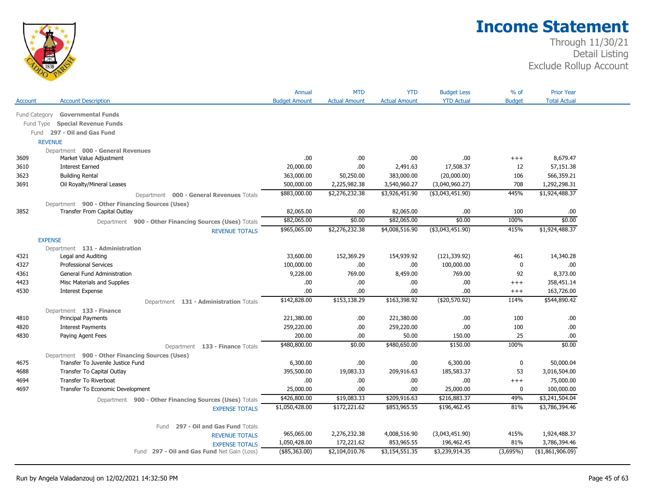

|               |                                                 |                                                        | Annual               | <b>MTD</b>           | <b>YTD</b>           | <b>Budget Less</b> | % of          | <b>Prior Year</b>   |
|---------------|-------------------------------------------------|--------------------------------------------------------|----------------------|----------------------|----------------------|--------------------|---------------|---------------------|
| Account       | <b>Account Description</b>                      |                                                        | <b>Budget Amount</b> | <b>Actual Amount</b> | <b>Actual Amount</b> | <b>YTD Actual</b>  | <b>Budget</b> | <b>Total Actual</b> |
| Fund Category | <b>Governmental Funds</b>                       |                                                        |                      |                      |                      |                    |               |                     |
| Fund Type     | <b>Special Revenue Funds</b>                    |                                                        |                      |                      |                      |                    |               |                     |
|               | Fund 297 - Oil and Gas Fund                     |                                                        |                      |                      |                      |                    |               |                     |
|               | <b>REVENUE</b>                                  |                                                        |                      |                      |                      |                    |               |                     |
|               | Department 000 - General Revenues               |                                                        |                      |                      |                      |                    |               |                     |
| 3609          | Market Value Adjustment                         |                                                        | .00                  | .00.                 | .00.                 | .00                | $+++$         | 8,679.47            |
| 3610          | <b>Interest Earned</b>                          |                                                        | 20,000.00            | .00.                 | 2,491.63             | 17,508.37          | 12            | 57,151.38           |
| 3623          | <b>Building Rental</b>                          |                                                        | 363,000.00           | 50,250.00            | 383,000.00           | (20,000.00)        | 106           | 566,359.21          |
| 3691          | Oil Royalty/Mineral Leases                      |                                                        | 500,000.00           | 2,225,982.38         | 3,540,960.27         | (3,040,960.27)     | 708           | 1,292,298.31        |
|               |                                                 | Department 000 - General Revenues Totals               | \$883,000.00         | \$2,276,232.38       | \$3,926,451.90       | ( \$3,043,451.90)  | 445%          | \$1,924,488.37      |
|               | Department 900 - Other Financing Sources (Uses) |                                                        |                      |                      |                      |                    |               |                     |
| 3852          | Transfer From Capital Outlay                    |                                                        | 82,065.00            | .00                  | 82,065.00            | .00.               | 100           | .00.                |
|               |                                                 | Department 900 - Other Financing Sources (Uses) Totals | \$82,065.00          | \$0.00               | \$82,065.00          | \$0.00             | 100%          | \$0.00              |
|               |                                                 | <b>REVENUE TOTALS</b>                                  | \$965,065.00         | \$2,276,232.38       | \$4,008,516.90       | ( \$3,043,451.90)  | 415%          | \$1,924,488.37      |
|               | <b>EXPENSE</b>                                  |                                                        |                      |                      |                      |                    |               |                     |
|               | Department 131 - Administration                 |                                                        |                      |                      |                      |                    |               |                     |
| 4321          | Legal and Auditing                              |                                                        | 33,600.00            | 152,369.29           | 154,939.92           | (121, 339.92)      | 461           | 14,340.28           |
| 4327          | <b>Professional Services</b>                    |                                                        | 100,000.00           | .00                  | .00.                 | 100,000.00         | 0             | .00.                |
| 4361          | General Fund Administration                     |                                                        | 9,228.00             | 769.00               | 8,459.00             | 769.00             | 92            | 8,373.00            |
| 4423          | Misc Materials and Supplies                     |                                                        | .00                  | .00                  | .00.                 | .00.               | $^{+++}$      | 358,451.14          |
| 4530          | <b>Interest Expense</b>                         |                                                        | .00                  | .00                  | .00                  | .00.               | $^{+++}$      | 163,726.00          |
|               |                                                 | Department 131 - Administration Totals                 | \$142,828.00         | \$153,138.29         | \$163,398.92         | (\$20,570.92)      | 114%          | \$544,890.42        |
|               | Department 133 - Finance                        |                                                        |                      |                      |                      |                    |               |                     |
| 4810          | <b>Principal Payments</b>                       |                                                        | 221,380.00           | .00.                 | 221,380.00           | .00.               | 100           | .00                 |
| 4820          | <b>Interest Payments</b>                        |                                                        | 259,220.00           | .00                  | 259,220.00           | .00.               | 100           | .00                 |
| 4830          | Paying Agent Fees                               |                                                        | 200.00               | .00                  | 50.00                | 150.00             | 25            | .00                 |
|               |                                                 | Department 133 - Finance Totals                        | \$480,800.00         | \$0.00               | \$480,650.00         | \$150.00           | 100%          | \$0.00              |
|               | Department 900 - Other Financing Sources (Uses) |                                                        |                      |                      |                      |                    |               |                     |
| 4675          | Transfer To Juvenile Justice Fund               |                                                        | 6,300.00             | .00                  | .00.                 | 6,300.00           | 0             | 50,000.04           |
| 4688          | Transfer To Capital Outlay                      |                                                        | 395,500.00           | 19,083.33            | 209,916.63           | 185,583.37         | 53            | 3,016,504.00        |
| 4694          | Transfer To Riverboat                           |                                                        | .00                  | .00                  | .00                  | .00.               | $+++$         | 75,000.00           |
| 4697          | Transfer To Economic Development                |                                                        | 25,000.00            | .00                  | .00.                 | 25,000.00          | 0             | 100,000.00          |
|               |                                                 | Department 900 - Other Financing Sources (Uses) Totals | \$426,800.00         | \$19,083.33          | \$209,916.63         | \$216,883.37       | 49%           | \$3,241,504.04      |
|               |                                                 | <b>EXPENSE TOTALS</b>                                  | \$1,050,428.00       | \$172,221.62         | \$853,965.55         | \$196,462.45       | 81%           | \$3,786,394.46      |
|               |                                                 |                                                        |                      |                      |                      |                    |               |                     |
|               |                                                 | 297 - Oil and Gas Fund Totals<br>Fund                  |                      |                      |                      |                    |               |                     |
|               |                                                 | <b>REVENUE TOTALS</b>                                  | 965,065.00           | 2,276,232.38         | 4,008,516.90         | (3,043,451.90)     | 415%          | 1,924,488.37        |
|               |                                                 | <b>EXPENSE TOTALS</b>                                  | 1,050,428.00         | 172,221.62           | 853,965.55           | 196,462.45         | 81%           | 3,786,394.46        |
|               |                                                 | Fund 297 - Oil and Gas Fund Net Gain (Loss)            | (\$85,363.00)        | \$2,104,010.76       | \$3,154,551.35       | \$3,239,914.35     | (3,695%)      | (\$1,861,906.09)    |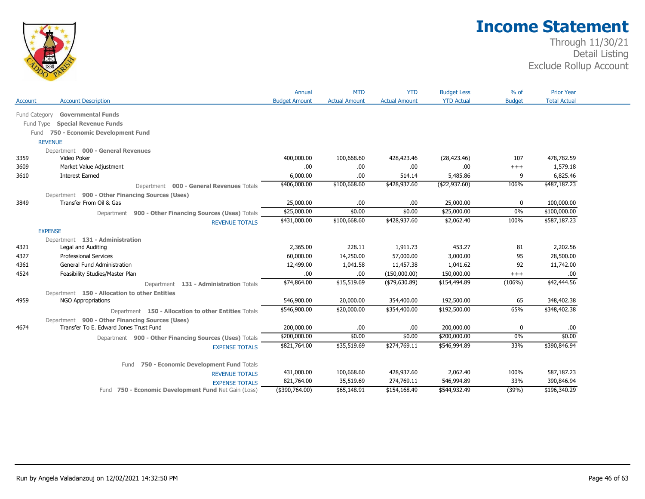

|               |                                                        | Annual               | <b>MTD</b>           | <b>YTD</b>           | <b>Budget Less</b> | $%$ of        | <b>Prior Year</b>   |
|---------------|--------------------------------------------------------|----------------------|----------------------|----------------------|--------------------|---------------|---------------------|
| Account       | <b>Account Description</b>                             | <b>Budget Amount</b> | <b>Actual Amount</b> | <b>Actual Amount</b> | <b>YTD Actual</b>  | <b>Budget</b> | <b>Total Actual</b> |
|               |                                                        |                      |                      |                      |                    |               |                     |
| Fund Category | <b>Governmental Funds</b>                              |                      |                      |                      |                    |               |                     |
|               | <b>Special Revenue Funds</b><br>Fund Type              |                      |                      |                      |                    |               |                     |
|               | 750 - Economic Development Fund<br>Fund                |                      |                      |                      |                    |               |                     |
|               | <b>REVENUE</b>                                         |                      |                      |                      |                    |               |                     |
|               | Department 000 - General Revenues                      |                      |                      |                      |                    |               |                     |
| 3359          | Video Poker                                            | 400,000.00           | 100,668.60           | 428,423.46           | (28, 423.46)       | 107           | 478,782.59          |
| 3609          | Market Value Adjustment                                | .00                  | .00.                 | .00                  | .00.               | $++++$        | 1,579.18            |
| 3610          | <b>Interest Earned</b>                                 | 6,000.00             | .00                  | 514.14               | 5,485.86           | 9             | 6,825.46            |
|               | Department 000 - General Revenues Totals               | \$406,000.00         | \$100,668.60         | \$428,937.60         | (\$22,937.60)      | 106%          | \$487,187.23        |
|               | Department 900 - Other Financing Sources (Uses)        |                      |                      |                      |                    |               |                     |
| 3849          | Transfer From Oil & Gas                                | 25,000.00            | .00.                 | .00                  | 25,000.00          | 0             | 100,000.00          |
|               | Department 900 - Other Financing Sources (Uses) Totals | \$25,000.00          | \$0.00               | \$0.00               | \$25,000.00        | 0%            | \$100,000.00        |
|               | <b>REVENUE TOTALS</b>                                  | \$431,000.00         | \$100,668.60         | \$428,937.60         | \$2,062.40         | 100%          | \$587,187.23        |
|               | <b>EXPENSE</b>                                         |                      |                      |                      |                    |               |                     |
|               | Department 131 - Administration                        |                      |                      |                      |                    |               |                     |
| 4321          | Legal and Auditing                                     | 2,365.00             | 228.11               | 1,911.73             | 453.27             | 81            | 2,202.56            |
| 4327          | <b>Professional Services</b>                           | 60,000.00            | 14,250.00            | 57,000.00            | 3,000.00           | 95            | 28,500.00           |
| 4361          | General Fund Administration                            | 12,499.00            | 1,041.58             | 11,457.38            | 1,041.62           | 92            | 11,742.00           |
| 4524          | Feasibility Studies/Master Plan                        | .00                  | .00.                 | (150,000.00)         | 150,000.00         | $^{+++}$      | .00                 |
|               | Department 131 - Administration Totals                 | \$74,864.00          | \$15,519.69          | ( \$79,630.89)       | \$154,494.89       | (106%)        | \$42,444.56         |
|               | Department 150 - Allocation to other Entities          |                      |                      |                      |                    |               |                     |
| 4959          | <b>NGO Appropriations</b>                              | 546,900.00           | 20,000.00            | 354,400.00           | 192,500.00         | 65            | 348,402.38          |
|               | Department 150 - Allocation to other Entities Totals   | \$546,900.00         | \$20,000.00          | \$354,400.00         | \$192,500.00       | 65%           | \$348,402.38        |
|               | Department 900 - Other Financing Sources (Uses)        |                      |                      |                      |                    |               |                     |
| 4674          | Transfer To E. Edward Jones Trust Fund                 | 200,000.00           | .00                  | .00                  | 200,000.00         | $\mathbf{0}$  | .00                 |
|               | Department 900 - Other Financing Sources (Uses) Totals | \$200,000.00         | \$0.00               | \$0.00               | \$200,000.00       | 0%            | \$0.00              |
|               | <b>EXPENSE TOTALS</b>                                  | \$821,764.00         | \$35,519.69          | \$274,769.11         | \$546,994.89       | 33%           | \$390,846.94        |
|               |                                                        |                      |                      |                      |                    |               |                     |
|               | 750 - Economic Development Fund Totals<br>Fund         |                      |                      |                      |                    |               |                     |
|               | <b>REVENUE TOTALS</b>                                  | 431,000.00           | 100,668.60           | 428,937.60           | 2,062.40           | 100%          | 587,187.23          |
|               | <b>EXPENSE TOTALS</b>                                  | 821,764.00           | 35,519.69            | 274,769.11           | 546,994.89         | 33%           | 390,846.94          |
|               | Fund 750 - Economic Development Fund Net Gain (Loss)   | $(*390,764.00)$      | \$65,148.91          | \$154,168.49         | \$544,932.49       | (39%)         | \$196,340.29        |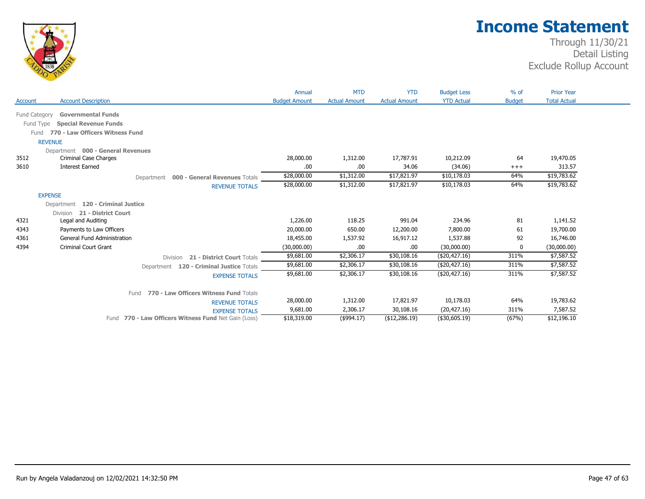

|               |                                                                               | Annual               | <b>MTD</b>           | <b>YTD</b>           | <b>Budget Less</b> | $%$ of        | <b>Prior Year</b>   |  |
|---------------|-------------------------------------------------------------------------------|----------------------|----------------------|----------------------|--------------------|---------------|---------------------|--|
| Account       | <b>Account Description</b>                                                    | <b>Budget Amount</b> | <b>Actual Amount</b> | <b>Actual Amount</b> | <b>YTD Actual</b>  | <b>Budget</b> | <b>Total Actual</b> |  |
| Fund Category | <b>Governmental Funds</b>                                                     |                      |                      |                      |                    |               |                     |  |
| Fund Type     | <b>Special Revenue Funds</b>                                                  |                      |                      |                      |                    |               |                     |  |
| Fund          | 770 - Law Officers Witness Fund                                               |                      |                      |                      |                    |               |                     |  |
|               | <b>REVENUE</b>                                                                |                      |                      |                      |                    |               |                     |  |
|               | Department 000 - General Revenues                                             |                      |                      |                      |                    |               |                     |  |
| 3512          | Criminal Case Charges                                                         | 28,000.00            | 1,312.00             | 17,787.91            | 10,212.09          | 64            | 19,470.05           |  |
| 3610          | <b>Interest Earned</b>                                                        | .00                  | .00.                 | 34.06                | (34.06)            | $+++$         | 313.57              |  |
|               | Department 000 - General Revenues Totals                                      | \$28,000.00          | \$1,312.00           | \$17,821.97          | \$10,178.03        | 64%           | \$19,783.62         |  |
|               | <b>REVENUE TOTALS</b>                                                         | \$28,000.00          | \$1,312.00           | \$17,821.97          | \$10,178.03        | 64%           | \$19,783.62         |  |
|               | <b>EXPENSE</b>                                                                |                      |                      |                      |                    |               |                     |  |
|               | Department 120 - Criminal Justice                                             |                      |                      |                      |                    |               |                     |  |
|               | 21 - District Court<br><b>Division</b>                                        |                      |                      |                      |                    |               |                     |  |
| 4321          | Legal and Auditing                                                            | 1,226.00             | 118.25               | 991.04               | 234.96             | 81            | 1,141.52            |  |
| 4343          | Payments to Law Officers                                                      | 20,000.00            | 650.00               | 12,200.00            | 7,800.00           | 61            | 19,700.00           |  |
| 4361          | <b>General Fund Administration</b>                                            | 18,455.00            | 1,537.92             | 16,917.12            | 1,537.88           | 92            | 16,746.00           |  |
| 4394          | <b>Criminal Court Grant</b>                                                   | (30,000.00)          | .00.                 | .00                  | (30,000.00)        | 0             | (30,000.00)         |  |
|               | 21 - District Court Totals<br>Division                                        | \$9,681.00           | \$2,306.17           | \$30,108.16          | (\$20,427.16)      | 311%          | \$7,587.52          |  |
|               | Department 120 - Criminal Justice Totals                                      | \$9,681.00           | \$2,306.17           | \$30,108.16          | (\$20,427.16)      | 311%          | \$7,587.52          |  |
|               | <b>EXPENSE TOTALS</b>                                                         | \$9,681.00           | \$2,306.17           | \$30,108.16          | (\$20,427.16)      | 311%          | \$7,587.52          |  |
|               |                                                                               |                      |                      |                      |                    |               |                     |  |
|               | 770 - Law Officers Witness Fund Totals<br>Fund                                | 28,000.00            | 1,312.00             | 17,821.97            | 10,178.03          | 64%           | 19,783.62           |  |
|               | <b>REVENUE TOTALS</b>                                                         | 9,681.00             | 2,306.17             | 30,108.16            | (20, 427.16)       | 311%          | 7,587.52            |  |
|               | <b>EXPENSE TOTALS</b><br>Fund 770 - Law Officers Witness Fund Net Gain (Loss) | \$18,319.00          | $($ \$994.17)        | (\$12,286.19)        | (\$30,605.19)      | (67%)         | \$12,196.10         |  |
|               |                                                                               |                      |                      |                      |                    |               |                     |  |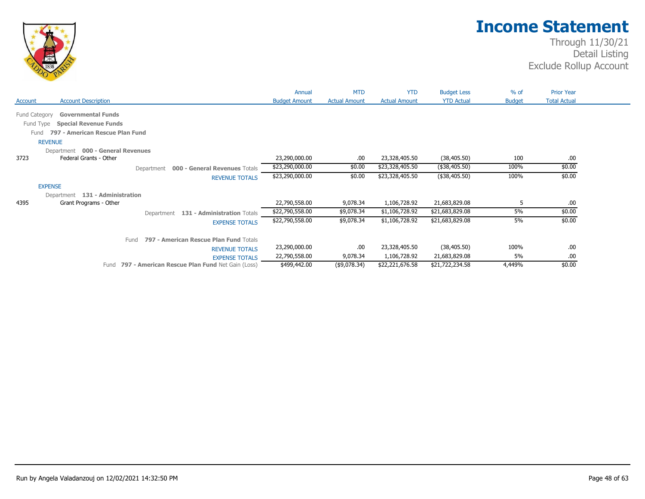

|                                                | Annual               | <b>MTD</b>           | <b>YTD</b>           | <b>Budget Less</b> | % of          | <b>Prior Year</b>   |
|------------------------------------------------|----------------------|----------------------|----------------------|--------------------|---------------|---------------------|
| <b>Account Description</b><br>Account          | <b>Budget Amount</b> | <b>Actual Amount</b> | <b>Actual Amount</b> | <b>YTD Actual</b>  | <b>Budget</b> | <b>Total Actual</b> |
| Fund Category<br><b>Governmental Funds</b>     |                      |                      |                      |                    |               |                     |
| <b>Special Revenue Funds</b><br>Fund Type      |                      |                      |                      |                    |               |                     |
| 797 - American Rescue Plan Fund<br>Fund        |                      |                      |                      |                    |               |                     |
| <b>REVENUE</b>                                 |                      |                      |                      |                    |               |                     |
| Department 000 - General Revenues              |                      |                      |                      |                    |               |                     |
| 3723<br>Federal Grants - Other                 | 23,290,000.00        | .00                  | 23,328,405.50        | (38, 405.50)       | 100           | .00                 |
| 000 - General Revenues Totals<br>Department    | \$23,290,000.00      | \$0.00               | \$23,328,405.50      | (\$38,405.50)      | 100%          | \$0.00              |
| <b>REVENUE TOTALS</b>                          | \$23,290,000.00      | \$0.00               | \$23,328,405.50      | (\$38,405.50)      | 100%          | \$0.00              |
| <b>EXPENSE</b>                                 |                      |                      |                      |                    |               |                     |
| 131 - Administration<br>Department             |                      |                      |                      |                    |               |                     |
| 4395<br>Grant Programs - Other                 | 22,790,558.00        | 9,078.34             | 1,106,728.92         | 21,683,829.08      | 5             | .00.                |
| Department 131 - Administration Totals         | \$22,790,558.00      | \$9,078.34           | \$1,106,728.92       | \$21,683,829.08    | 5%            | \$0.00              |
| <b>EXPENSE TOTALS</b>                          | \$22,790,558.00      | \$9,078.34           | \$1,106,728.92       | \$21,683,829.08    | 5%            | \$0.00              |
| 797 - American Rescue Plan Fund Totals<br>Fund |                      |                      |                      |                    |               |                     |
| <b>REVENUE TOTALS</b>                          | 23,290,000.00        | .00                  | 23,328,405.50        | (38, 405.50)       | 100%          | .00.                |
|                                                | 22,790,558.00        | 9,078.34             | 1,106,728.92         | 21,683,829.08      | 5%            | .00                 |
| <b>EXPENSE TOTALS</b>                          |                      |                      |                      |                    |               |                     |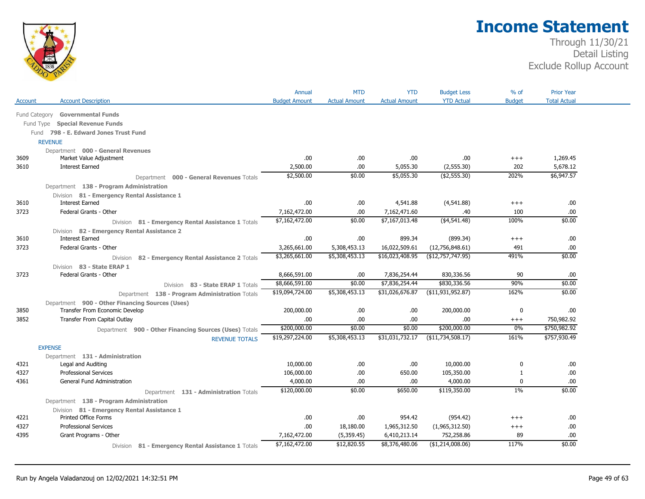

|               |                                                        | Annual               | <b>MTD</b>           | <b>YTD</b>           | <b>Budget Less</b>  | $%$ of        | <b>Prior Year</b>   |
|---------------|--------------------------------------------------------|----------------------|----------------------|----------------------|---------------------|---------------|---------------------|
| Account       | <b>Account Description</b>                             | <b>Budget Amount</b> | <b>Actual Amount</b> | <b>Actual Amount</b> | <b>YTD Actual</b>   | <b>Budget</b> | <b>Total Actual</b> |
| Fund Category | <b>Governmental Funds</b>                              |                      |                      |                      |                     |               |                     |
| Fund Type     | <b>Special Revenue Funds</b>                           |                      |                      |                      |                     |               |                     |
|               | Fund 798 - E. Edward Jones Trust Fund                  |                      |                      |                      |                     |               |                     |
|               | <b>REVENUE</b>                                         |                      |                      |                      |                     |               |                     |
|               | Department 000 - General Revenues                      |                      |                      |                      |                     |               |                     |
| 3609          | Market Value Adjustment                                | .00                  | .00                  | .00                  | .00                 | $^{+++}$      | 1,269.45            |
| 3610          | <b>Interest Earned</b>                                 | 2,500.00             | .00.                 | 5,055.30             | (2,555.30)          | 202           | 5,678.12            |
|               | Department 000 - General Revenues Totals               | \$2,500.00           | \$0.00               | \$5,055.30           | ( \$2,555.30)       | 202%          | \$6,947.57          |
|               | Department 138 - Program Administration                |                      |                      |                      |                     |               |                     |
|               | Division 81 - Emergency Rental Assistance 1            |                      |                      |                      |                     |               |                     |
| 3610          | <b>Interest Earned</b>                                 | .00.                 | .00                  | 4,541.88             | (4,541.88)          | $+++$         | .00                 |
| 3723          | Federal Grants - Other                                 | 7,162,472.00         | .00                  | 7,162,471.60         | .40                 | 100           | .00                 |
|               | Division 81 - Emergency Rental Assistance 1 Totals     | \$7,162,472.00       | \$0.00               | \$7,167,013.48       | ( \$4,541.48)       | 100%          | \$0.00              |
|               | Division 82 - Emergency Rental Assistance 2            |                      |                      |                      |                     |               |                     |
| 3610          | <b>Interest Earned</b>                                 | .00                  | 00.                  | 899.34               | (899.34)            | $+++$         | .00.                |
| 3723          | Federal Grants - Other                                 | 3,265,661.00         | 5,308,453.13         | 16,022,509.61        | (12,756,848.61)     | 491           | .00                 |
|               | 82 - Emergency Rental Assistance 2 Totals<br>Division  | \$3,265,661.00       | \$5,308,453.13       | \$16,023,408.95      | (\$12,757,747.95)   | 491%          | \$0.00              |
|               | Division 83 - State ERAP 1                             |                      |                      |                      |                     |               |                     |
| 3723          | Federal Grants - Other                                 | 8,666,591.00         | .00                  | 7,836,254.44         | 830,336.56          | 90            | .00.                |
|               | Division 83 - State ERAP 1 Totals                      | \$8,666,591.00       | \$0.00               | \$7,836,254.44       | \$830,336.56        | 90%           | \$0.00              |
|               | Department 138 - Program Administration Totals         | \$19,094,724.00      | \$5,308,453.13       | \$31,026,676.87      | ( \$11,931,952.87)  | 162%          | \$0.00              |
|               | Department 900 - Other Financing Sources (Uses)        |                      |                      |                      |                     |               |                     |
| 3850          | Transfer From Economic Develop                         | 200,000.00           | .00                  | .00                  | 200,000.00          | 0             | .00                 |
| 3852          | Transfer From Capital Outlay                           | .00                  | .00                  | .00                  | .00                 | $^{+++}$      | 750,982.92          |
|               | Department 900 - Other Financing Sources (Uses) Totals | \$200,000.00         | \$0.00               | \$0.00               | \$200,000.00        | 0%            | \$750,982.92        |
|               | <b>REVENUE TOTALS</b>                                  | \$19,297,224.00      | \$5,308,453.13       | \$31,031,732.17      | ( \$11,734,508.17)  | 161%          | \$757,930.49        |
|               | <b>EXPENSE</b>                                         |                      |                      |                      |                     |               |                     |
|               | Department 131 - Administration                        |                      |                      |                      |                     |               |                     |
| 4321          | Legal and Auditing                                     | 10,000.00            | .00                  | .00                  | 10,000.00           | 0             | .00                 |
| 4327          | <b>Professional Services</b>                           | 106,000.00           | .00                  | 650.00               | 105,350.00          | 1             | .00                 |
| 4361          | General Fund Administration                            | 4,000.00             | .00                  | .00                  | 4,000.00            | 0             | .00                 |
|               | Department 131 - Administration Totals                 | \$120,000.00         | \$0.00               | \$650.00             | \$119,350.00        | $1\%$         | \$0.00              |
|               | Department 138 - Program Administration                |                      |                      |                      |                     |               |                     |
|               | Division 81 - Emergency Rental Assistance 1            |                      |                      |                      |                     |               |                     |
| 4221          | <b>Printed Office Forms</b>                            | .00                  | .00                  | 954.42               | (954.42)            | $^{+++}$      | .00                 |
| 4327          | <b>Professional Services</b>                           | .00                  | 18,180.00            | 1,965,312.50         | (1,965,312.50)      | $^{+++}$      | .00                 |
| 4395          | Grant Programs - Other                                 | 7,162,472.00         | (5,359.45)           | 6,410,213.14         | 752,258.86          | 89            | .00                 |
|               | Division 81 - Emergency Rental Assistance 1 Totals     | \$7,162,472.00       | \$12,820.55          | \$8,376,480.06       | ( \$1, 214, 008.06) | 117%          | \$0.00              |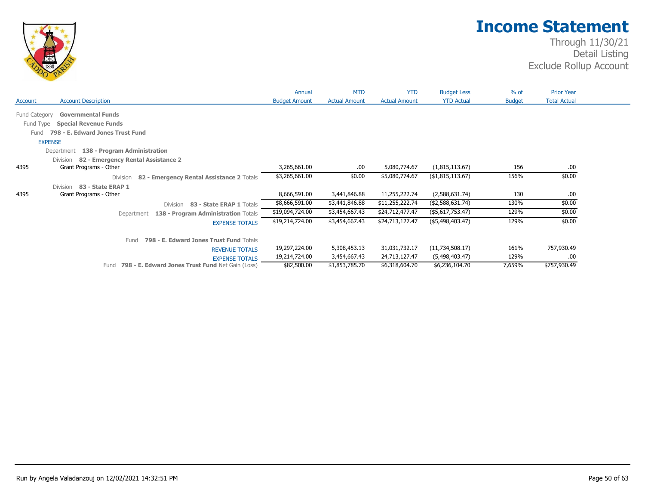

|               |                                                          | Annual               | <b>MTD</b>           | <b>YTD</b>           | <b>Budget Less</b> | $%$ of        | <b>Prior Year</b>   |
|---------------|----------------------------------------------------------|----------------------|----------------------|----------------------|--------------------|---------------|---------------------|
| Account       | <b>Account Description</b>                               | <b>Budget Amount</b> | <b>Actual Amount</b> | <b>Actual Amount</b> | <b>YTD Actual</b>  | <b>Budget</b> | <b>Total Actual</b> |
| Fund Category | <b>Governmental Funds</b>                                |                      |                      |                      |                    |               |                     |
|               |                                                          |                      |                      |                      |                    |               |                     |
| Fund Type     | <b>Special Revenue Funds</b>                             |                      |                      |                      |                    |               |                     |
| Fund          | 798 - E. Edward Jones Trust Fund                         |                      |                      |                      |                    |               |                     |
|               | <b>EXPENSE</b>                                           |                      |                      |                      |                    |               |                     |
|               | 138 - Program Administration<br>Department               |                      |                      |                      |                    |               |                     |
|               | 82 - Emergency Rental Assistance 2<br>Division           |                      |                      |                      |                    |               |                     |
| 4395          | Grant Programs - Other                                   | 3,265,661.00         | .00.                 | 5,080,774.67         | (1,815,113.67)     | 156           | .00                 |
|               | 82 - Emergency Rental Assistance 2 Totals<br>Division    | \$3,265,661.00       | \$0.00               | \$5,080,774.67       | (\$1,815,113.67)   | 156%          | \$0.00              |
|               | Division 83 - State ERAP 1                               |                      |                      |                      |                    |               |                     |
| 4395          | Grant Programs - Other                                   | 8,666,591.00         | 3,441,846.88         | 11,255,222.74        | (2,588,631.74)     | 130           | .00                 |
|               | 83 - State ERAP 1 Totals<br>Division                     | \$8,666,591.00       | \$3,441,846.88       | \$11,255,222.74      | (\$2,588,631.74)   | 130%          | \$0.00              |
|               | 138 - Program Administration Totals<br>Department        | \$19,094,724.00      | \$3,454,667.43       | \$24,712,477.47      | (\$5,617,753.47)   | 129%          | \$0.00              |
|               | <b>EXPENSE TOTALS</b>                                    | \$19,214,724.00      | \$3,454,667.43       | \$24,713,127.47      | (\$5,498,403.47)   | 129%          | \$0.00              |
|               | 798 - E. Edward Jones Trust Fund Totals<br>Fund          |                      |                      |                      |                    |               |                     |
|               | <b>REVENUE TOTALS</b>                                    | 19,297,224.00        | 5,308,453.13         | 31,031,732.17        | (11, 734, 508.17)  | 161%          | 757,930.49          |
|               | <b>EXPENSE TOTALS</b>                                    | 19,214,724.00        | 3,454,667.43         | 24,713,127.47        | (5,498,403.47)     | 129%          | .00                 |
|               | 798 - E. Edward Jones Trust Fund Net Gain (Loss)<br>Fund | \$82,500.00          | \$1,853,785.70       | \$6,318,604.70       | \$6,236,104.70     | 7,659%        | \$757,930.49        |
|               |                                                          |                      |                      |                      |                    |               |                     |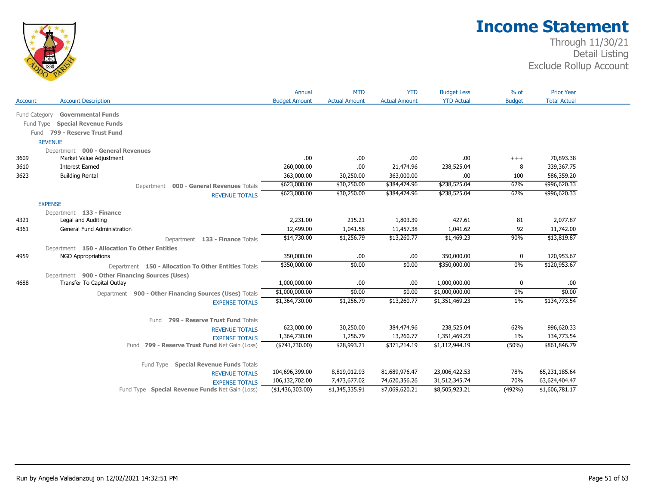

|                |                                                                                                                                             | Annual                                               | <b>MTD</b>                                     | <b>YTD</b>                                       | <b>Budget Less</b>                               | $%$ of                  | <b>Prior Year</b>                                |
|----------------|---------------------------------------------------------------------------------------------------------------------------------------------|------------------------------------------------------|------------------------------------------------|--------------------------------------------------|--------------------------------------------------|-------------------------|--------------------------------------------------|
| <b>Account</b> | <b>Account Description</b>                                                                                                                  | <b>Budget Amount</b>                                 | <b>Actual Amount</b>                           | <b>Actual Amount</b>                             | <b>YTD Actual</b>                                | <b>Budget</b>           | <b>Total Actual</b>                              |
| Fund Category  | <b>Governmental Funds</b>                                                                                                                   |                                                      |                                                |                                                  |                                                  |                         |                                                  |
|                |                                                                                                                                             |                                                      |                                                |                                                  |                                                  |                         |                                                  |
| Fund Type      | <b>Special Revenue Funds</b>                                                                                                                |                                                      |                                                |                                                  |                                                  |                         |                                                  |
| Fund           | 799 - Reserve Trust Fund                                                                                                                    |                                                      |                                                |                                                  |                                                  |                         |                                                  |
|                | <b>REVENUE</b>                                                                                                                              |                                                      |                                                |                                                  |                                                  |                         |                                                  |
| 3609           | Department 000 - General Revenues<br>Market Value Adjustment                                                                                | .00                                                  | .00                                            | .00                                              | .00                                              | $^{+++}$                | 70,893.38                                        |
| 3610           | <b>Interest Earned</b>                                                                                                                      | 260,000.00                                           | .00.                                           | 21,474.96                                        | 238,525.04                                       | 8                       | 339,367.75                                       |
|                |                                                                                                                                             |                                                      |                                                |                                                  | .00                                              |                         | 586,359.20                                       |
| 3623           | <b>Building Rental</b>                                                                                                                      | 363,000.00                                           | 30,250.00                                      | 363,000.00                                       |                                                  | 100                     |                                                  |
|                | Department 000 - General Revenues Totals                                                                                                    | \$623,000.00                                         | \$30,250.00                                    | \$384,474.96                                     | \$238,525.04                                     | 62%                     | \$996,620.33                                     |
|                | <b>REVENUE TOTALS</b>                                                                                                                       | \$623,000.00                                         | \$30,250.00                                    | \$384,474.96                                     | \$238,525.04                                     | 62%                     | \$996,620.33                                     |
|                | <b>EXPENSE</b>                                                                                                                              |                                                      |                                                |                                                  |                                                  |                         |                                                  |
|                | Department 133 - Finance                                                                                                                    |                                                      |                                                |                                                  |                                                  |                         |                                                  |
| 4321           | Legal and Auditing                                                                                                                          | 2,231.00                                             | 215.21                                         | 1,803.39                                         | 427.61                                           | 81                      | 2,077.87                                         |
| 4361           | General Fund Administration                                                                                                                 | 12,499.00                                            | 1,041.58                                       | 11,457.38                                        | 1,041.62                                         | 92                      | 11,742.00                                        |
|                | Department 133 - Finance Totals                                                                                                             | \$14,730.00                                          | \$1,256.79                                     | \$13,260.77                                      | \$1,469.23                                       | 90%                     | \$13,819.87                                      |
|                | Department 150 - Allocation To Other Entities                                                                                               |                                                      |                                                |                                                  |                                                  |                         |                                                  |
| 4959           | <b>NGO Appropriations</b>                                                                                                                   | 350,000.00                                           | .00                                            | .00                                              | 350,000.00                                       | 0                       | 120,953.67                                       |
|                | Department 150 - Allocation To Other Entities Totals                                                                                        | \$350,000.00                                         | \$0.00                                         | \$0.00                                           | \$350,000.00                                     | $0\%$                   | \$120,953.67                                     |
|                | Department 900 - Other Financing Sources (Uses)                                                                                             |                                                      |                                                |                                                  |                                                  |                         |                                                  |
| 4688           | Transfer To Capital Outlay                                                                                                                  | 1,000,000.00                                         | .00                                            | .00                                              | 1,000,000.00                                     | 0                       | .00                                              |
|                | 900 - Other Financing Sources (Uses) Totals<br>Department                                                                                   | \$1,000,000.00                                       | \$0.00                                         | \$0.00                                           | \$1,000,000.00                                   | 0%                      | \$0.00                                           |
|                | <b>EXPENSE TOTALS</b>                                                                                                                       | \$1,364,730.00                                       | \$1,256.79                                     | \$13,260.77                                      | \$1,351,469.23                                   | 1%                      | \$134,773.54                                     |
|                |                                                                                                                                             |                                                      |                                                |                                                  |                                                  |                         |                                                  |
|                | 799 - Reserve Trust Fund Totals<br>Fund                                                                                                     |                                                      |                                                |                                                  |                                                  |                         |                                                  |
|                | <b>REVENUE TOTALS</b>                                                                                                                       | 623,000.00                                           | 30,250.00                                      | 384,474.96                                       | 238,525.04                                       | 62%                     | 996,620.33                                       |
|                | <b>EXPENSE TOTALS</b>                                                                                                                       | 1,364,730.00                                         | 1,256.79                                       | 13,260.77                                        | 1,351,469.23                                     | 1%                      | 134,773.54                                       |
|                | Fund 799 - Reserve Trust Fund Net Gain (Loss)                                                                                               | (\$741,730.00)                                       | \$28,993.21                                    | \$371,214.19                                     | \$1,112,944.19                                   | $(50\%)$                | \$861,846.79                                     |
|                |                                                                                                                                             |                                                      |                                                |                                                  |                                                  |                         |                                                  |
|                |                                                                                                                                             |                                                      |                                                |                                                  |                                                  |                         |                                                  |
|                |                                                                                                                                             |                                                      |                                                |                                                  |                                                  |                         |                                                  |
|                |                                                                                                                                             |                                                      |                                                |                                                  |                                                  |                         |                                                  |
|                |                                                                                                                                             |                                                      |                                                |                                                  |                                                  |                         |                                                  |
|                | Fund Type Special Revenue Funds Totals<br><b>REVENUE TOTALS</b><br><b>EXPENSE TOTALS</b><br>Fund Type Special Revenue Funds Net Gain (Loss) | 104,696,399.00<br>106,132,702.00<br>(\$1,436,303.00) | 8,819,012.93<br>7,473,677.02<br>\$1,345,335.91 | 81,689,976.47<br>74,620,356.26<br>\$7,069,620.21 | 23,006,422.53<br>31,512,345.74<br>\$8,505,923.21 | 78%<br>70%<br>$(492\%)$ | 65,231,185.64<br>63,624,404.47<br>\$1,606,781.17 |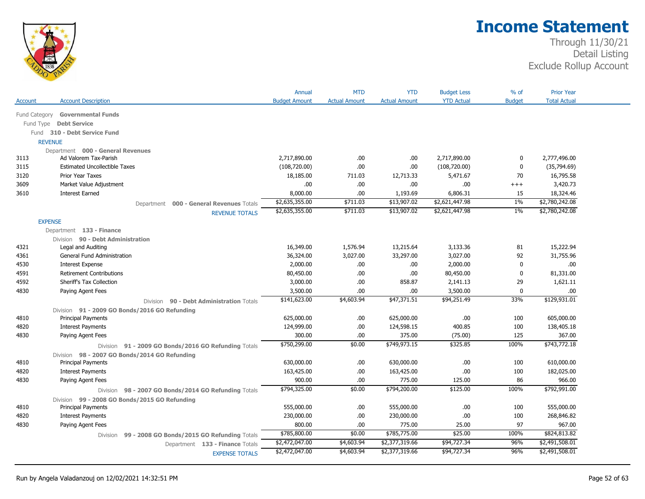

|               |                                                                | Annual               | <b>MTD</b>           | <b>YTD</b>           | <b>Budget Less</b> | % of          | <b>Prior Year</b>   |
|---------------|----------------------------------------------------------------|----------------------|----------------------|----------------------|--------------------|---------------|---------------------|
| Account       | <b>Account Description</b>                                     | <b>Budget Amount</b> | <b>Actual Amount</b> | <b>Actual Amount</b> | <b>YTD Actual</b>  | <b>Budget</b> | <b>Total Actual</b> |
| Fund Category | <b>Governmental Funds</b>                                      |                      |                      |                      |                    |               |                     |
| Fund Type     | <b>Debt Service</b>                                            |                      |                      |                      |                    |               |                     |
|               | Fund 310 - Debt Service Fund                                   |                      |                      |                      |                    |               |                     |
|               | <b>REVENUE</b>                                                 |                      |                      |                      |                    |               |                     |
|               | Department 000 - General Revenues                              |                      |                      |                      |                    |               |                     |
| 3113          | Ad Valorem Tax-Parish                                          | 2,717,890.00         | .00.                 | .00                  | 2,717,890.00       | 0             | 2,777,496.00        |
| 3115          | <b>Estimated Uncollectible Taxes</b>                           | (108, 720.00)        | .00                  | .00                  | (108, 720.00)      | 0             | (35,794.69)         |
| 3120          | Prior Year Taxes                                               | 18,185.00            | 711.03               | 12,713.33            | 5,471.67           | 70            | 16,795.58           |
| 3609          | Market Value Adjustment                                        | .00.                 | .00.                 | .00.                 | .00                | $^{+++}$      | 3,420.73            |
| 3610          | <b>Interest Earned</b>                                         | 8,000.00             | .00.                 | 1,193.69             | 6,806.31           | 15            | 18,324.46           |
|               | Department 000 - General Revenues Totals                       | \$2,635,355.00       | \$711.03             | \$13,907.02          | \$2,621,447.98     | $1\%$         | \$2,780,242.08      |
|               | <b>REVENUE TOTALS</b>                                          | \$2,635,355.00       | \$711.03             | \$13,907.02          | \$2,621,447.98     | $1\%$         | \$2,780,242.08      |
|               | <b>EXPENSE</b>                                                 |                      |                      |                      |                    |               |                     |
|               | Department 133 - Finance                                       |                      |                      |                      |                    |               |                     |
|               | Division 90 - Debt Administration                              |                      |                      |                      |                    |               |                     |
| 4321          | Legal and Auditing                                             | 16,349.00            | 1,576.94             | 13,215.64            | 3,133.36           | 81            | 15,222.94           |
| 4361          | General Fund Administration                                    | 36,324.00            | 3,027.00             | 33,297.00            | 3,027.00           | 92            | 31,755.96           |
| 4530          | <b>Interest Expense</b>                                        | 2,000.00             | .00.                 | .00                  | 2,000.00           | 0             | .00                 |
| 4591          | <b>Retirement Contributions</b>                                | 80,450.00            | .00.                 | .00                  | 80,450.00          | $\mathbf{0}$  | 81,331.00           |
| 4592          | Sheriff's Tax Collection                                       | 3,000.00             | .00.                 | 858.87               | 2,141.13           | 29            | 1,621.11            |
| 4830          | Paying Agent Fees                                              | 3,500.00             | .00                  | .00                  | 3,500.00           | 0             | .00                 |
|               | Division 90 - Debt Administration Totals                       | \$141,623.00         | \$4,603.94           | \$47,371.51          | \$94,251.49        | 33%           | \$129,931.01        |
|               | Division 91 - 2009 GO Bonds/2016 GO Refunding                  |                      |                      |                      |                    |               |                     |
| 4810          | <b>Principal Payments</b>                                      | 625,000.00           | .00.                 | 625,000.00           | .00                | 100           | 605,000.00          |
| 4820          | <b>Interest Payments</b>                                       | 124,999.00           | .00.                 | 124,598.15           | 400.85             | 100           | 138,405.18          |
| 4830          | Paying Agent Fees                                              | 300.00               | .00                  | 375.00               | (75.00)            | 125           | 367.00              |
|               | Division 91 - 2009 GO Bonds/2016 GO Refunding Totals           | \$750,299.00         | \$0.00               | \$749,973.15         | \$325.85           | 100%          | \$743,772.18        |
|               | Division 98 - 2007 GO Bonds/2014 GO Refunding                  |                      |                      |                      |                    |               |                     |
| 4810          | Principal Payments                                             | 630,000.00           | .00.                 | 630,000.00           | .00.               | 100           | 610,000.00          |
| 4820          | <b>Interest Payments</b>                                       | 163,425.00           | .00.                 | 163,425.00           | .00                | 100           | 182,025.00          |
| 4830          | Paying Agent Fees                                              | 900.00               | .00.                 | 775.00               | 125.00             | 86            | 966.00              |
|               | Division 98 - 2007 GO Bonds/2014 GO Refunding Totals           | \$794,325.00         | \$0.00               | \$794,200.00         | \$125.00           | 100%          | \$792,991.00        |
|               | Division 99 - 2008 GO Bonds/2015 GO Refunding                  |                      |                      |                      |                    |               |                     |
| 4810          | <b>Principal Payments</b>                                      | 555,000.00           | .00.                 | 555,000.00           | .00.               | 100           | 555,000.00          |
| 4820          | <b>Interest Payments</b>                                       | 230,000.00           | .00.                 | 230,000.00           | .00                | 100           | 268,846.82          |
| 4830          | Paying Agent Fees                                              | 800.00               | .00.                 | 775.00               | 25.00              | 97            | 967.00              |
|               | 99 - 2008 GO Bonds/2015 GO Refunding Totals<br><b>Division</b> | \$785,800.00         | \$0.00               | \$785,775.00         | \$25.00            | 100%          | \$824,813.82        |
|               | Department 133 - Finance Totals                                | \$2,472,047.00       | \$4,603.94           | \$2,377,319.66       | \$94,727.34        | 96%           | \$2,491,508.01      |
|               | <b>EXPENSE TOTALS</b>                                          | \$2,472,047.00       | \$4,603.94           | \$2,377,319.66       | \$94,727.34        | 96%           | \$2,491,508.01      |
|               |                                                                |                      |                      |                      |                    |               |                     |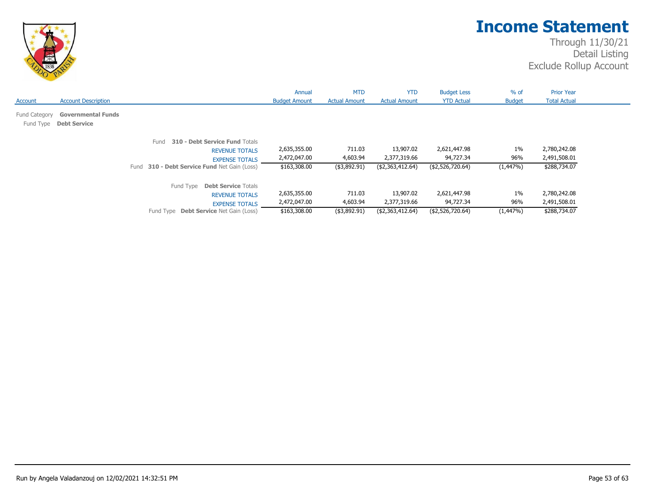

|                            |                                                  |                                                                                                                                            | Annual                                       | <b>MTD</b>                            | <b>YTD</b>                                    | <b>Budget Less</b>                            | $%$ of                   | <b>Prior Year</b>                            |
|----------------------------|--------------------------------------------------|--------------------------------------------------------------------------------------------------------------------------------------------|----------------------------------------------|---------------------------------------|-----------------------------------------------|-----------------------------------------------|--------------------------|----------------------------------------------|
| Account                    | <b>Account Description</b>                       |                                                                                                                                            | <b>Budget Amount</b>                         | <b>Actual Amount</b>                  | <b>Actual Amount</b>                          | <b>YTD Actual</b>                             | <b>Budget</b>            | <b>Total Actual</b>                          |
| Fund Category<br>Fund Type | <b>Governmental Funds</b><br><b>Debt Service</b> |                                                                                                                                            |                                              |                                       |                                               |                                               |                          |                                              |
|                            |                                                  | 310 - Debt Service Fund Totals<br>Fund<br><b>REVENUE TOTALS</b><br><b>EXPENSE TOTALS</b><br>Fund 310 - Debt Service Fund Net Gain (Loss)   | 2,635,355.00<br>2,472,047.00<br>\$163,308.00 | 711.03<br>4,603.94<br>$($ \$3,892.91) | 13,907.02<br>2,377,319.66<br>(\$2,363,412.64) | 2,621,447.98<br>94,727.34<br>(\$2,526,720.64) | $1\%$<br>96%<br>(1,447%) | 2,780,242.08<br>2,491,508.01<br>\$288,734.07 |
|                            |                                                  | Fund Type<br><b>Debt Service Totals</b><br><b>REVENUE TOTALS</b><br><b>EXPENSE TOTALS</b><br>Fund Type <b>Debt Service</b> Net Gain (Loss) | 2,635,355.00<br>2,472,047.00<br>\$163,308.00 | 711.03<br>4,603.94<br>$($ \$3,892.91) | 13,907.02<br>2,377,319.66<br>(\$2,363,412.64) | 2,621,447.98<br>94,727.34<br>(\$2,526,720.64) | $1\%$<br>96%<br>(1,447%) | 2,780,242.08<br>2,491,508.01<br>\$288,734.07 |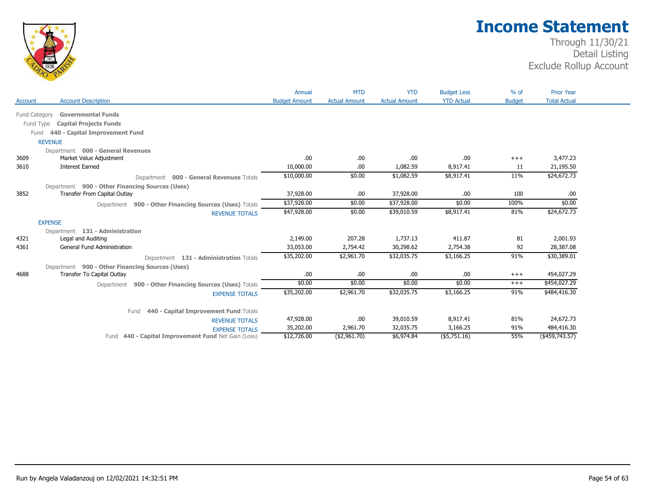

|                |                                                                               | Annual               | <b>MTD</b>           | <b>YTD</b>           | <b>Budget Less</b> | $%$ of        | <b>Prior Year</b>          |
|----------------|-------------------------------------------------------------------------------|----------------------|----------------------|----------------------|--------------------|---------------|----------------------------|
| <b>Account</b> | <b>Account Description</b>                                                    | <b>Budget Amount</b> | <b>Actual Amount</b> | <b>Actual Amount</b> | <b>YTD Actual</b>  | <b>Budget</b> | <b>Total Actual</b>        |
| Fund Category  | <b>Governmental Funds</b>                                                     |                      |                      |                      |                    |               |                            |
|                | Fund Type<br><b>Capital Projects Funds</b>                                    |                      |                      |                      |                    |               |                            |
|                | 440 - Capital Improvement Fund<br>Fund                                        |                      |                      |                      |                    |               |                            |
|                | <b>REVENUE</b>                                                                |                      |                      |                      |                    |               |                            |
|                | Department 000 - General Revenues                                             |                      |                      |                      |                    |               |                            |
| 3609           | Market Value Adjustment                                                       | .00                  | .00.                 | .00                  | .00                | $^{+++}$      | 3,477.23                   |
| 3610           | <b>Interest Earned</b>                                                        | 10,000.00            | .00.                 | 1,082.59             | 8,917.41           | 11            | 21,195.50                  |
|                | Department 000 - General Revenues Totals                                      | \$10,000.00          | \$0.00               | \$1,082.59           | \$8,917.41         | 11%           | \$24,672.73                |
|                | Department 900 - Other Financing Sources (Uses)                               |                      |                      |                      |                    |               |                            |
| 3852           | Transfer From Capital Outlay                                                  | 37,928.00            | .00.                 | 37,928.00            | .00.               | 100           | .00.                       |
|                | Department 900 - Other Financing Sources (Uses) Totals                        | \$37,928.00          | \$0.00               | \$37,928.00          | \$0.00             | 100%          | \$0.00                     |
|                | <b>REVENUE TOTALS</b>                                                         | \$47,928.00          | \$0.00               | \$39,010.59          | \$8,917.41         | 81%           | \$24,672.73                |
|                | <b>EXPENSE</b>                                                                |                      |                      |                      |                    |               |                            |
|                | Department 131 - Administration                                               |                      |                      |                      |                    |               |                            |
| 4321           | Legal and Auditing                                                            | 2,149.00             | 207.28               | 1,737.13             | 411.87             | 81            | 2,001.93                   |
| 4361           | General Fund Administration                                                   | 33,053.00            | 2,754.42             | 30,298.62            | 2,754.38           | 92            | 28,387.08                  |
|                |                                                                               | \$35,202.00          | \$2,961.70           | \$32,035.75          | \$3,166.25         | 91%           | \$30,389.01                |
|                | Department 131 - Administration Totals                                        |                      |                      |                      |                    |               |                            |
| 4688           | Department 900 - Other Financing Sources (Uses)<br>Transfer To Capital Outlay | .00                  | .00.                 | .00                  | .00                | $^{+++}$      | 454,027.29                 |
|                |                                                                               | \$0.00               | \$0.00               | \$0.00               | \$0.00             | $+++$         | \$454,027.29               |
|                | Department 900 - Other Financing Sources (Uses) Totals                        | \$35,202.00          | \$2,961.70           | \$32,035.75          | \$3,166.25         | 91%           | \$484,416.30               |
|                | <b>EXPENSE TOTALS</b>                                                         |                      |                      |                      |                    |               |                            |
|                | 440 - Capital Improvement Fund Totals<br>Fund                                 |                      |                      |                      |                    |               |                            |
|                | <b>REVENUE TOTALS</b>                                                         | 47,928.00            | .00.                 | 39,010.59            | 8,917.41           | 81%           | 24,672.73                  |
|                | <b>EXPENSE TOTALS</b>                                                         | 35,202.00            | 2,961.70             | 32,035.75            | 3,166.25           | 91%           | 484,416.30                 |
|                | Fund 440 - Capital Improvement Fund Net Gain (Loss)                           | \$12,726.00          | ( \$2,961.70)        | \$6,974.84           | (\$5,751.16)       | 55%           | $(*459,743.\overline{57})$ |
|                |                                                                               |                      |                      |                      |                    |               |                            |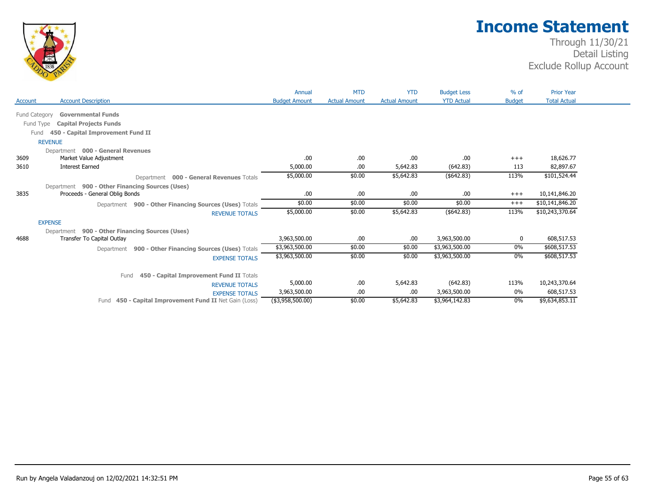

|                |                                                           | Annual               | <b>MTD</b>           | <b>YTD</b>           | <b>Budget Less</b> | $%$ of        | <b>Prior Year</b>   |
|----------------|-----------------------------------------------------------|----------------------|----------------------|----------------------|--------------------|---------------|---------------------|
| <b>Account</b> | <b>Account Description</b>                                | <b>Budget Amount</b> | <b>Actual Amount</b> | <b>Actual Amount</b> | <b>YTD Actual</b>  | <b>Budget</b> | <b>Total Actual</b> |
| Fund Category  | <b>Governmental Funds</b>                                 |                      |                      |                      |                    |               |                     |
|                | <b>Capital Projects Funds</b><br>Fund Type                |                      |                      |                      |                    |               |                     |
|                | 450 - Capital Improvement Fund II<br>Fund                 |                      |                      |                      |                    |               |                     |
|                | <b>REVENUE</b>                                            |                      |                      |                      |                    |               |                     |
|                | Department 000 - General Revenues                         |                      |                      |                      |                    |               |                     |
| 3609           | Market Value Adjustment                                   | .00                  | .00                  | .00                  | .00                | $+++$         | 18,626.77           |
| 3610           | <b>Interest Earned</b>                                    | 5,000.00             | .00                  | 5,642.83             | (642.83)           | 113           | 82,897.67           |
|                | <b>000 - General Revenues Totals</b><br>Department        | \$5,000.00           | \$0.00               | \$5,642.83           | (\$642.83)         | 113%          | \$101,524.44        |
|                | Department 900 - Other Financing Sources (Uses)           |                      |                      |                      |                    |               |                     |
| 3835           | Proceeds - General Oblig Bonds                            | .00                  | .00.                 | .00.                 | .00                | $+++$         | 10,141,846.20       |
|                | Department 900 - Other Financing Sources (Uses) Totals    | \$0.00               | \$0.00               | \$0.00               | \$0.00             | $+++$         | \$10,141,846.20     |
|                | <b>REVENUE TOTALS</b>                                     | \$5,000.00           | \$0.00               | \$5,642.83           | (\$642.83)         | 113%          | \$10,243,370.64     |
|                | <b>EXPENSE</b>                                            |                      |                      |                      |                    |               |                     |
|                | Department 900 - Other Financing Sources (Uses)           |                      |                      |                      |                    |               |                     |
| 4688           | Transfer To Capital Outlay                                | 3,963,500.00         | .00                  | .00.                 | 3,963,500.00       | 0             | 608,517.53          |
|                | Department 900 - Other Financing Sources (Uses) Totals    | \$3,963,500.00       | \$0.00               | \$0.00               | \$3,963,500.00     | 0%            | \$608,517.53        |
|                | <b>EXPENSE TOTALS</b>                                     | \$3,963,500.00       | \$0.00               | \$0.00               | \$3,963,500.00     | 0%            | \$608,517.53        |
|                | Fund<br>450 - Capital Improvement Fund II Totals          |                      |                      |                      |                    |               |                     |
|                | <b>REVENUE TOTALS</b>                                     | 5,000.00             | .00                  | 5,642.83             | (642.83)           | 113%          | 10,243,370.64       |
|                | <b>EXPENSE TOTALS</b>                                     | 3,963,500.00         | .00.                 | .00                  | 3,963,500.00       | 0%            | 608,517.53          |
|                | 450 - Capital Improvement Fund II Net Gain (Loss)<br>Fund | (\$3,958,500.00)     | \$0.00               | \$5,642.83           | \$3,964,142.83     | $0\%$         | \$9,634,853.11      |
|                |                                                           |                      |                      |                      |                    |               |                     |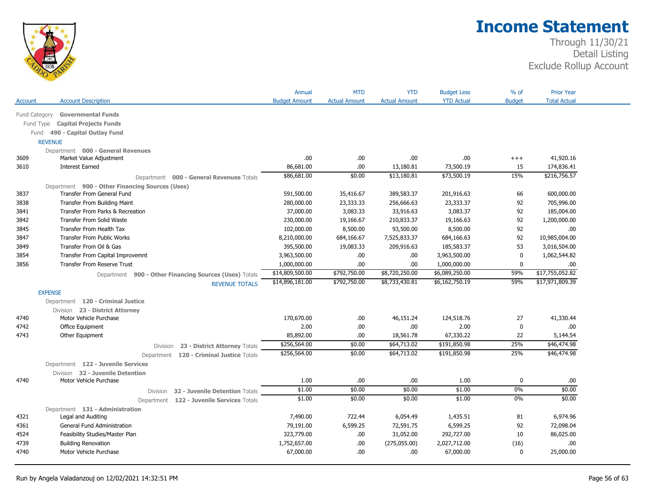

|                |                                                                               |                                                        | Annual               | <b>MTD</b>           | <b>YTD</b>           | <b>Budget Less</b> | % of          | <b>Prior Year</b>   |
|----------------|-------------------------------------------------------------------------------|--------------------------------------------------------|----------------------|----------------------|----------------------|--------------------|---------------|---------------------|
| Account        | <b>Account Description</b>                                                    |                                                        | <b>Budget Amount</b> | <b>Actual Amount</b> | <b>Actual Amount</b> | <b>YTD Actual</b>  | <b>Budget</b> | <b>Total Actual</b> |
|                | Fund Category Governmental Funds                                              |                                                        |                      |                      |                      |                    |               |                     |
| Fund Type      | <b>Capital Projects Funds</b>                                                 |                                                        |                      |                      |                      |                    |               |                     |
| Fund           | 490 - Capital Outlay Fund                                                     |                                                        |                      |                      |                      |                    |               |                     |
| <b>REVENUE</b> |                                                                               |                                                        |                      |                      |                      |                    |               |                     |
|                | Department 000 - General Revenues                                             |                                                        |                      |                      |                      |                    |               |                     |
| 3609           | Market Value Adjustment                                                       |                                                        | .00                  | .00.                 | .00                  | .00                | $++++$        | 41,920.16           |
| 3610           | <b>Interest Earned</b>                                                        |                                                        | 86,681.00            | .00                  | 13,180.81            | 73,500.19          | 15            | 174,836.41          |
|                |                                                                               |                                                        | \$86,681.00          | \$0.00               | \$13,180.81          | \$73,500.19        | 15%           | \$216,756.57        |
|                |                                                                               | Department 000 - General Revenues Totals               |                      |                      |                      |                    |               |                     |
| 3837           | Department 900 - Other Financing Sources (Uses)<br>Transfer From General Fund |                                                        | 591,500.00           | 35,416.67            | 389,583.37           | 201,916.63         | 66            | 600,000.00          |
| 3838           | <b>Transfer From Building Maint</b>                                           |                                                        | 280,000.00           | 23,333.33            | 256,666.63           | 23,333.37          | 92            | 705,996.00          |
| 3841           | Transfer From Parks & Recreation                                              |                                                        | 37,000.00            | 3,083.33             | 33,916.63            | 3,083.37           | 92            | 185,004.00          |
| 3842           | <b>Transfer From Solid Waste</b>                                              |                                                        | 230,000.00           | 19,166.67            | 210,833.37           | 19,166.63          | 92            | 1,200,000.00        |
| 3845           | Transfer From Health Tax                                                      |                                                        | 102,000.00           | 8,500.00             | 93,500.00            | 8,500.00           | 92            | .00.                |
| 3847           | <b>Transfer From Public Works</b>                                             |                                                        | 8,210,000.00         | 684,166.67           | 7,525,833.37         | 684,166.63         | 92            | 10,985,004.00       |
| 3849           | Transfer From Oil & Gas                                                       |                                                        | 395,500.00           | 19,083.33            | 209,916.63           | 185,583.37         | 53            | 3,016,504.00        |
| 3854           | Transfer From Capital Improvemnt                                              |                                                        | 3,963,500.00         | .00.                 | .00                  | 3,963,500.00       | $\mathbf 0$   | 1,062,544.82        |
| 3856           | <b>Transfer From Reserve Trust</b>                                            |                                                        | 1,000,000.00         | .00                  | .00                  | 1,000,000.00       | $\mathbf 0$   | .00.                |
|                |                                                                               |                                                        | \$14,809,500.00      | \$792,750.00         | \$8,720,250.00       | \$6,089,250.00     | 59%           | \$17,755,052.82     |
|                |                                                                               | Department 900 - Other Financing Sources (Uses) Totals | \$14,896,181.00      | \$792,750.00         | \$8,733,430.81       | \$6,162,750.19     | 59%           | \$17,971,809.39     |
|                |                                                                               | <b>REVENUE TOTALS</b>                                  |                      |                      |                      |                    |               |                     |
| <b>EXPENSE</b> |                                                                               |                                                        |                      |                      |                      |                    |               |                     |
|                | Department 120 - Criminal Justice                                             |                                                        |                      |                      |                      |                    |               |                     |
|                | Division 23 - District Attorney                                               |                                                        |                      |                      |                      |                    |               |                     |
| 4740           | Motor Vehicle Purchase                                                        |                                                        | 170,670.00           | .00.                 | 46,151.24            | 124,518.76         | 27            | 41,330.44           |
| 4742           | Office Equipment                                                              |                                                        | 2.00                 | .00.                 | .00                  | 2.00               | $\mathbf 0$   | .00.                |
| 4743           | Other Equipment                                                               |                                                        | 85,892.00            | .00.                 | 18,561.78            | 67,330.22          | 22            | 5,144.54            |
|                |                                                                               | 23 - District Attorney Totals<br>Division              | \$256,564.00         | \$0.00               | \$64,713.02          | \$191,850.98       | 25%           | \$46,474.98         |
|                |                                                                               | Department 120 - Criminal Justice Totals               | \$256,564.00         | \$0.00               | \$64,713.02          | \$191,850.98       | 25%           | \$46,474.98         |
|                | Department 122 - Juvenile Services                                            |                                                        |                      |                      |                      |                    |               |                     |
|                | Division 32 - Juvenile Detention                                              |                                                        |                      |                      |                      |                    |               |                     |
| 4740           | Motor Vehicle Purchase                                                        |                                                        | 1.00                 | .00                  | .00                  | 1.00               | $\mathbf 0$   | .00.                |
|                |                                                                               | 32 - Juvenile Detention Totals<br><b>Division</b>      | \$1.00               | \$0.00               | \$0.00               | \$1.00             | 0%            | \$0.00              |
|                |                                                                               | Department 122 - Juvenile Services Totals              | \$1.00               | \$0.00               | \$0.00               | \$1.00             | 0%            | \$0.00              |
|                | Department 131 - Administration                                               |                                                        |                      |                      |                      |                    |               |                     |
| 4321           | Legal and Auditing                                                            |                                                        | 7,490.00             | 722.44               | 6,054.49             | 1,435.51           | 81            | 6,974.96            |
| 4361           | <b>General Fund Administration</b>                                            |                                                        | 79,191.00            | 6,599.25             | 72,591.75            | 6,599.25           | 92            | 72,098.04           |
|                |                                                                               |                                                        |                      |                      |                      |                    |               |                     |
|                | Feasibility Studies/Master Plan                                               |                                                        | 323,779.00           | .00.                 | 31,052.00            | 292,727.00         | 10            | 86,025.00           |
| 4524<br>4739   | <b>Building Renovation</b>                                                    |                                                        | 1,752,657.00         | .00.                 | (275,055.00)         | 2,027,712.00       | (16)          | .00                 |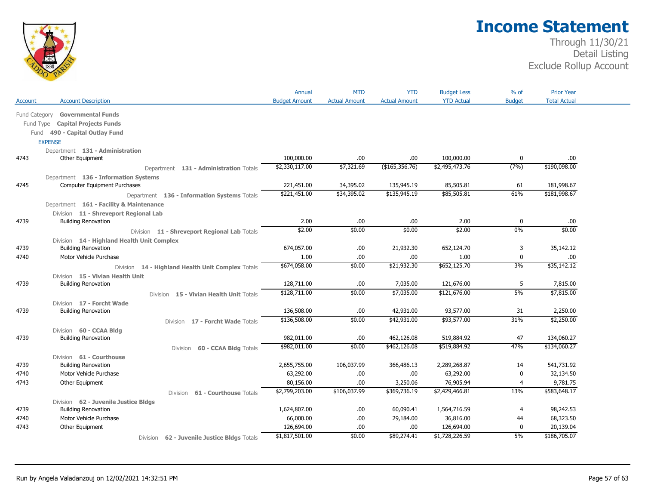

|               |                                                   | Annual               | <b>MTD</b>           | <b>YTD</b>           | <b>Budget Less</b> | $%$ of         | <b>Prior Year</b>   |
|---------------|---------------------------------------------------|----------------------|----------------------|----------------------|--------------------|----------------|---------------------|
| Account       | <b>Account Description</b>                        | <b>Budget Amount</b> | <b>Actual Amount</b> | <b>Actual Amount</b> | <b>YTD Actual</b>  | <b>Budget</b>  | <b>Total Actual</b> |
| Fund Category | <b>Governmental Funds</b>                         |                      |                      |                      |                    |                |                     |
| Fund Type     | <b>Capital Projects Funds</b>                     |                      |                      |                      |                    |                |                     |
|               | Fund 490 - Capital Outlay Fund                    |                      |                      |                      |                    |                |                     |
|               | <b>EXPENSE</b>                                    |                      |                      |                      |                    |                |                     |
|               | Department 131 - Administration                   |                      |                      |                      |                    |                |                     |
| 4743          | Other Equipment                                   | 100,000.00           | .00                  | .00.                 | 100,000.00         | 0              | .00                 |
|               | Department 131 - Administration Totals            | \$2,330,117.00       | \$7,321.69           | (\$165,356.76)       | \$2,495,473.76     | (7%)           | \$190,098.00        |
|               | Department 136 - Information Systems              |                      |                      |                      |                    |                |                     |
| 4745          | <b>Computer Equipment Purchases</b>               | 221,451.00           | 34,395.02            | 135,945.19           | 85,505.81          | 61             | 181,998.67          |
|               |                                                   | \$221,451.00         | \$34,395.02          | \$135,945.19         | \$85,505.81        | 61%            | \$181,998.67        |
|               | Department 136 - Information Systems Totals       |                      |                      |                      |                    |                |                     |
|               | Department 161 - Facility & Maintenance           |                      |                      |                      |                    |                |                     |
|               | Division 11 - Shreveport Regional Lab             |                      |                      |                      |                    |                |                     |
| 4739          | <b>Building Renovation</b>                        | 2.00<br>\$2.00       | .00.<br>\$0.00       | .00<br>\$0.00        | 2.00<br>\$2.00     | 0<br>0%        | .00<br>\$0.00       |
|               | Division 11 - Shreveport Regional Lab Totals      |                      |                      |                      |                    |                |                     |
|               | Division 14 - Highland Health Unit Complex        |                      |                      |                      |                    |                |                     |
| 4739          | <b>Building Renovation</b>                        | 674,057.00           | .00                  | 21,932.30            | 652,124.70         | 3              | 35,142.12           |
| 4740          | Motor Vehicle Purchase                            | 1.00                 | .00.                 | .00.                 | 1.00               | $\mathbf{0}$   | .00                 |
|               | Division 14 - Highland Health Unit Complex Totals | \$674,058.00         | \$0.00               | \$21,932.30          | \$652,125.70       | 3%             | \$35,142.12         |
|               | Division 15 - Vivian Health Unit                  |                      |                      |                      |                    |                |                     |
| 4739          | <b>Building Renovation</b>                        | 128,711.00           | .00                  | 7,035.00             | 121,676.00         | 5              | 7,815.00            |
|               | Division 15 - Vivian Health Unit Totals           | \$128,711.00         | \$0.00               | \$7,035.00           | \$121,676.00       | 5%             | \$7,815.00          |
|               | Division 17 - Forcht Wade                         |                      |                      |                      |                    |                |                     |
| 4739          | <b>Building Renovation</b>                        | 136,508.00           | .00.                 | 42,931.00            | 93,577.00          | 31             | 2,250.00            |
|               | Division 17 - Forcht Wade Totals                  | \$136,508.00         | \$0.00               | \$42,931.00          | \$93,577.00        | 31%            | \$2,250.00          |
|               | Division 60 - CCAA Bldg                           |                      |                      |                      |                    |                |                     |
| 4739          | <b>Building Renovation</b>                        | 982,011.00           | .00                  | 462,126.08           | 519,884.92         | 47             | 134,060.27          |
|               | 60 - CCAA Bldg Totals<br>Division                 | \$982,011.00         | \$0.00               | \$462,126.08         | \$519,884.92       | 47%            | \$134,060.27        |
|               | Division 61 - Courthouse                          |                      |                      |                      |                    |                |                     |
| 4739          | <b>Building Renovation</b>                        | 2,655,755.00         | 106,037.99           | 366,486.13           | 2,289,268.87       | 14             | 541,731.92          |
| 4740          | Motor Vehicle Purchase                            | 63,292.00            | .00                  | .00.                 | 63,292.00          | $\mathbf{0}$   | 32,134.50           |
| 4743          | Other Equipment                                   | 80,156.00            | .00.                 | 3,250.06             | 76,905.94          | 4              | 9,781.75            |
|               | 61 - Courthouse Totals<br><b>Division</b>         | \$2,799,203.00       | \$106,037.99         | \$369,736.19         | \$2,429,466.81     | 13%            | \$583,648.17        |
|               | Division 62 - Juvenile Justice Bldgs              |                      |                      |                      |                    |                |                     |
| 4739          | <b>Building Renovation</b>                        | 1,624,807.00         | .00                  | 60,090.41            | 1,564,716.59       | $\overline{4}$ | 98,242.53           |
| 4740          | Motor Vehicle Purchase                            | 66,000.00            | .00.                 | 29,184.00            | 36,816.00          | 44             | 68,323.50           |
| 4743          | Other Equipment                                   | 126,694.00           | .00.                 | .00                  | 126,694.00         | 0              | 20,139.04           |
|               |                                                   | \$1,817,501.00       | \$0.00               | \$89,274.41          | \$1,728,226.59     | 5%             | \$186,705.07        |
|               | Division 62 - Juvenile Justice Bldgs Totals       |                      |                      |                      |                    |                |                     |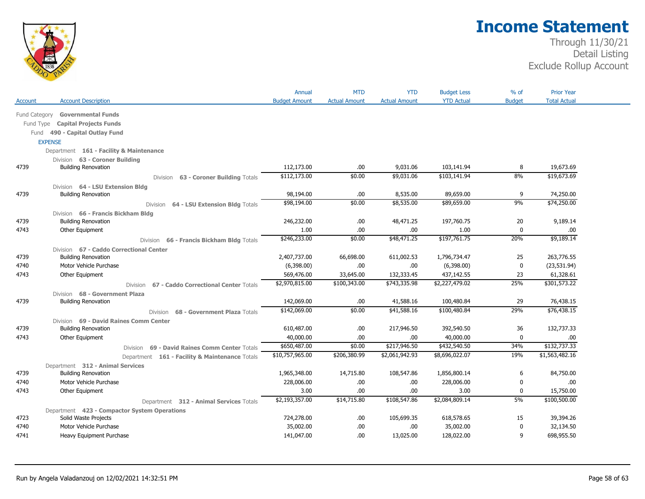

|               |                                                | Annual               | <b>MTD</b>           | <b>YTD</b>           | <b>Budget Less</b> | $%$ of        | <b>Prior Year</b>   |  |
|---------------|------------------------------------------------|----------------------|----------------------|----------------------|--------------------|---------------|---------------------|--|
| Account       | <b>Account Description</b>                     | <b>Budget Amount</b> | <b>Actual Amount</b> | <b>Actual Amount</b> | <b>YTD Actual</b>  | <b>Budget</b> | <b>Total Actual</b> |  |
| Fund Category | <b>Governmental Funds</b>                      |                      |                      |                      |                    |               |                     |  |
| Fund Type     | <b>Capital Projects Funds</b>                  |                      |                      |                      |                    |               |                     |  |
|               | Fund 490 - Capital Outlay Fund                 |                      |                      |                      |                    |               |                     |  |
|               | <b>EXPENSE</b>                                 |                      |                      |                      |                    |               |                     |  |
|               | Department 161 - Facility & Maintenance        |                      |                      |                      |                    |               |                     |  |
|               | Division 63 - Coroner Building                 |                      |                      |                      |                    |               |                     |  |
| 4739          | <b>Building Renovation</b>                     | 112,173.00           | .00                  | 9,031.06             | 103,141.94         | 8             | 19,673.69           |  |
|               | 63 - Coroner Building Totals<br>Division       | \$112,173.00         | \$0.00               | \$9,031.06           | \$103,141.94       | 8%            | \$19,673.69         |  |
|               | Division 64 - LSU Extension Bldg               |                      |                      |                      |                    |               |                     |  |
| 4739          | <b>Building Renovation</b>                     | 98,194.00            | .00                  | 8,535.00             | 89,659.00          | 9             | 74,250.00           |  |
|               | 64 - LSU Extension Bldg Totals<br>Division     | \$98,194.00          | \$0.00               | \$8,535.00           | \$89,659.00        | 9%            | \$74,250.00         |  |
|               | Division 66 - Francis Bickham Bldg             |                      |                      |                      |                    |               |                     |  |
| 4739          | <b>Building Renovation</b>                     | 246,232.00           | .00                  | 48,471.25            | 197,760.75         | 20            | 9,189.14            |  |
| 4743          | Other Equipment                                | 1.00                 | .00                  | .00.                 | 1.00               | 0             | .00                 |  |
|               | 66 - Francis Bickham Bldg Totals<br>Division   | \$246,233.00         | \$0.00               | \$48,471.25          | \$197,761.75       | 20%           | \$9,189.14          |  |
|               | Division 67 - Caddo Correctional Center        |                      |                      |                      |                    |               |                     |  |
| 4739          | <b>Building Renovation</b>                     | 2,407,737.00         | 66,698.00            | 611,002.53           | 1,796,734.47       | 25            | 263,776.55          |  |
| 4740          | Motor Vehicle Purchase                         | (6,398.00)           | .00                  | .00.                 | (6,398.00)         | $\mathbf 0$   | (23, 531.94)        |  |
| 4743          | Other Equipment                                | 569,476.00           | 33,645.00            | 132,333.45           | 437,142.55         | 23            | 61,328.61           |  |
|               | Division 67 - Caddo Correctional Center Totals | \$2,970,815.00       | \$100,343.00         | \$743,335.98         | \$2,227,479.02     | 25%           | \$301,573.22        |  |
|               | Division 68 - Government Plaza                 |                      |                      |                      |                    |               |                     |  |
| 4739          | <b>Building Renovation</b>                     | 142,069.00           | .00                  | 41,588.16            | 100,480.84         | 29            | 76,438.15           |  |
|               | 68 - Government Plaza Totals<br>Division       | \$142,069.00         | \$0.00               | \$41,588.16          | \$100,480.84       | 29%           | \$76,438.15         |  |
|               | Division 69 - David Raines Comm Center         |                      |                      |                      |                    |               |                     |  |
| 4739          | <b>Building Renovation</b>                     | 610,487.00           | .00.                 | 217,946.50           | 392,540.50         | 36            | 132,737.33          |  |
| 4743          | Other Equipment                                | 40,000.00            | .00                  | .00.                 | 40,000.00          | $\mathbf 0$   | .00                 |  |
|               | Division 69 - David Raines Comm Center Totals  | \$650,487.00         | \$0.00               | \$217,946.50         | \$432,540.50       | 34%           | \$132,737.33        |  |
|               | Department 161 - Facility & Maintenance Totals | \$10,757,965.00      | \$206,380.99         | \$2,061,942.93       | \$8,696,022.07     | 19%           | \$1,563,482.16      |  |
|               | Department 312 - Animal Services               |                      |                      |                      |                    |               |                     |  |
| 4739          | <b>Building Renovation</b>                     | 1,965,348.00         | 14,715.80            | 108,547.86           | 1,856,800.14       | 6             | 84,750.00           |  |
| 4740          | Motor Vehicle Purchase                         | 228,006.00           | .00                  | .00.                 | 228,006.00         | 0             | .00                 |  |
| 4743          | Other Equipment                                | 3.00                 | .00                  | .00.                 | 3.00               | 0             | 15,750.00           |  |
|               | Department 312 - Animal Services Totals        | \$2,193,357.00       | \$14,715.80          | \$108,547.86         | \$2,084,809.14     | 5%            | \$100,500.00        |  |
|               | Department 423 - Compactor System Operations   |                      |                      |                      |                    |               |                     |  |
| 4723          | Solid Waste Projects                           | 724,278.00           | .00                  | 105,699.35           | 618,578.65         | 15            | 39,394.26           |  |
| 4740          | Motor Vehicle Purchase                         | 35,002.00            | .00                  | .00.                 | 35,002.00          | 0             | 32,134.50           |  |
| 4741          | Heavy Equipment Purchase                       | 141,047.00           | .00                  | 13,025.00            | 128,022.00         | 9             | 698,955.50          |  |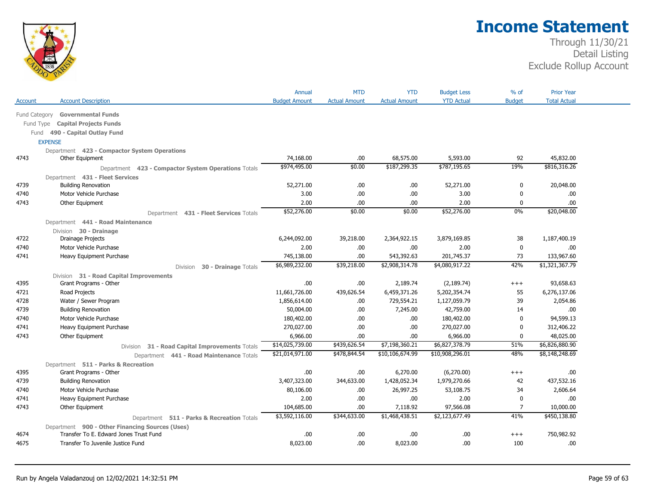

|               |                                                     | Annual               | <b>MTD</b>           | <b>YTD</b>           | <b>Budget Less</b> | % of           | <b>Prior Year</b>   |  |
|---------------|-----------------------------------------------------|----------------------|----------------------|----------------------|--------------------|----------------|---------------------|--|
| Account       | <b>Account Description</b>                          | <b>Budget Amount</b> | <b>Actual Amount</b> | <b>Actual Amount</b> | <b>YTD Actual</b>  | <b>Budget</b>  | <b>Total Actual</b> |  |
| Fund Category | <b>Governmental Funds</b>                           |                      |                      |                      |                    |                |                     |  |
| Fund Type     | <b>Capital Projects Funds</b>                       |                      |                      |                      |                    |                |                     |  |
| Fund          | 490 - Capital Outlay Fund                           |                      |                      |                      |                    |                |                     |  |
|               | <b>EXPENSE</b>                                      |                      |                      |                      |                    |                |                     |  |
|               | Department 423 - Compactor System Operations        |                      |                      |                      |                    |                |                     |  |
| 4743          | Other Equipment                                     | 74,168.00            | .00.                 | 68,575.00            | 5,593.00           | 92             | 45,832.00           |  |
|               | Department 423 - Compactor System Operations Totals | \$974,495.00         | \$0.00               | \$187,299.35         | \$787,195.65       | 19%            | \$816,316.26        |  |
|               | Department 431 - Fleet Services                     |                      |                      |                      |                    |                |                     |  |
| 4739          | <b>Building Renovation</b>                          | 52,271.00            | .00                  | .00.                 | 52,271.00          | 0              | 20,048.00           |  |
| 4740          | Motor Vehicle Purchase                              | 3.00                 | .00                  | .00.                 | 3.00               | 0              | .00                 |  |
| 4743          | Other Equipment                                     | 2.00                 | .00                  | .00                  | 2.00               | $\Omega$       | .00                 |  |
|               | Department 431 - Fleet Services Totals              | \$52,276.00          | \$0.00               | \$0.00               | \$52,276.00        | 0%             | \$20,048.00         |  |
|               | Department 441 - Road Maintenance                   |                      |                      |                      |                    |                |                     |  |
|               | Division 30 - Drainage                              |                      |                      |                      |                    |                |                     |  |
| 4722          | Drainage Projects                                   | 6,244,092.00         | 39,218.00            | 2,364,922.15         | 3,879,169.85       | 38             | 1,187,400.19        |  |
| 4740          | Motor Vehicle Purchase                              | 2.00                 | .00.                 | .00                  | 2.00               | 0              | .00.                |  |
| 4741          | Heavy Equipment Purchase                            | 745,138.00           | .00                  | 543,392.63           | 201,745.37         | 73             | 133,967.60          |  |
|               | 30 - Drainage Totals<br>Division                    | \$6,989,232.00       | \$39,218.00          | \$2,908,314.78       | \$4,080,917.22     | 42%            | \$1,321,367.79      |  |
|               | Division 31 - Road Capital Improvements             |                      |                      |                      |                    |                |                     |  |
| 4395          | Grant Programs - Other                              | .00                  | .00                  | 2,189.74             | (2, 189.74)        | $^{+++}$       | 93,658.63           |  |
| 4721          | Road Projects                                       | 11,661,726.00        | 439,626.54           | 6,459,371.26         | 5,202,354.74       | 55             | 6,276,137.06        |  |
| 4728          | Water / Sewer Program                               | 1,856,614.00         | .00                  | 729,554.21           | 1,127,059.79       | 39             | 2,054.86            |  |
| 4739          | <b>Building Renovation</b>                          | 50,004.00            | .00                  | 7,245.00             | 42,759.00          | 14             | .00                 |  |
| 4740          | Motor Vehicle Purchase                              | 180,402.00           | .00.                 | .00.                 | 180,402.00         | $\Omega$       | 94,599.13           |  |
| 4741          | Heavy Equipment Purchase                            | 270,027.00           | .00                  | .00.                 | 270,027.00         | $\mathbf{0}$   | 312,406.22          |  |
| 4743          | Other Equipment                                     | 6,966.00             | .00                  | .00.                 | 6,966.00           | 0              | 48,025.00           |  |
|               | 31 - Road Capital Improvements Totals<br>Division   | \$14,025,739.00      | \$439,626.54         | \$7,198,360.21       | \$6,827,378.79     | 51%            | \$6,826,880.90      |  |
|               | Department 441 - Road Maintenance Totals            | \$21,014,971.00      | \$478,844.54         | \$10,106,674.99      | \$10,908,296.01    | 48%            | \$8,148,248.69      |  |
|               | Department 511 - Parks & Recreation                 |                      |                      |                      |                    |                |                     |  |
| 4395          | Grant Programs - Other                              | .00                  | .00.                 | 6,270.00             | (6,270.00)         | $+++$          | .00                 |  |
| 4739          | <b>Building Renovation</b>                          | 3,407,323.00         | 344,633.00           | 1,428,052.34         | 1,979,270.66       | 42             | 437,532.16          |  |
| 4740          | Motor Vehicle Purchase                              | 80,106.00            | .00                  | 26,997.25            | 53,108.75          | 34             | 2,606.64            |  |
| 4741          | Heavy Equipment Purchase                            | 2.00                 | .00                  | .00.                 | 2.00               | $\mathbf 0$    | .00                 |  |
| 4743          | Other Equipment                                     | 104,685.00           | .00                  | 7,118.92             | 97,566.08          | $\overline{7}$ | 10,000.00           |  |
|               | Department 511 - Parks & Recreation Totals          | \$3,592,116.00       | \$344,633.00         | \$1,468,438.51       | \$2,123,677.49     | 41%            | \$450,138.80        |  |
|               | Department 900 - Other Financing Sources (Uses)     |                      |                      |                      |                    |                |                     |  |
| 4674          | Transfer To E. Edward Jones Trust Fund              | .00                  | .00                  | .00.                 | .00.               | $+++$          | 750,982.92          |  |
| 4675          | Transfer To Juvenile Justice Fund                   | 8,023.00             | .00                  | 8,023.00             | .00.               | 100            | .00.                |  |
|               |                                                     |                      |                      |                      |                    |                |                     |  |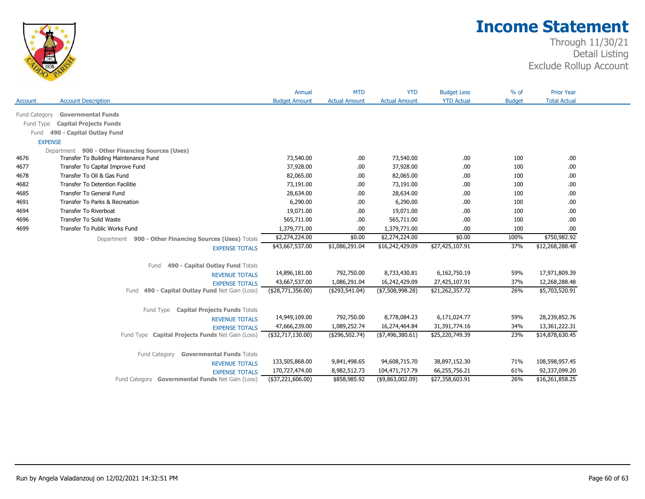

|                      |                                                        | Annual               | <b>MTD</b>           | <b>YTD</b>           | <b>Budget Less</b>          | % of          | <b>Prior Year</b>   |
|----------------------|--------------------------------------------------------|----------------------|----------------------|----------------------|-----------------------------|---------------|---------------------|
| Account              | <b>Account Description</b>                             | <b>Budget Amount</b> | <b>Actual Amount</b> | <b>Actual Amount</b> | <b>YTD Actual</b>           | <b>Budget</b> | <b>Total Actual</b> |
| <b>Fund Category</b> | <b>Governmental Funds</b>                              |                      |                      |                      |                             |               |                     |
| Fund Type            | <b>Capital Projects Funds</b>                          |                      |                      |                      |                             |               |                     |
| Fund                 | 490 - Capital Outlay Fund                              |                      |                      |                      |                             |               |                     |
|                      | <b>EXPENSE</b>                                         |                      |                      |                      |                             |               |                     |
|                      | Department 900 - Other Financing Sources (Uses)        |                      |                      |                      |                             |               |                     |
| 4676                 | Transfer To Building Maintenance Fund                  | 73,540.00            | .00                  | 73,540.00            | .00                         | 100           | .00.                |
| 4677                 | Transfer To Capital Improve Fund                       | 37,928.00            | .00.                 | 37,928.00            | .00                         | 100           | .00.                |
| 4678                 | Transfer To Oil & Gas Fund                             | 82,065.00            | .00.                 | 82,065.00            | .00                         | 100           | .00                 |
| 4682                 | <b>Transfer To Detention Facilitie</b>                 | 73,191.00            | .00.                 | 73,191.00            | .00.                        | 100           | .00.                |
| 4685                 | Transfer To General Fund                               | 28,634.00            | .00                  | 28,634.00            | .00                         | 100           | .00.                |
| 4691                 | Transfer To Parks & Recreation                         | 6,290.00             | .00                  | 6,290.00             | .00                         | 100           | .00.                |
| 4694                 | Transfer To Riverboat                                  | 19,071.00            | .00                  | 19,071.00            | .00                         | 100           | .00                 |
| 4696                 | Transfer To Solid Waste                                | 565,711.00           | .00.                 | 565,711.00           | .00                         | 100           | .00                 |
| 4699                 | Transfer To Public Works Fund                          | 1,379,771.00         | .00.                 | 1,379,771.00         | .00                         | 100           | .00                 |
|                      | Department 900 - Other Financing Sources (Uses) Totals | \$2,274,224.00       | \$0.00               | \$2,274,224.00       | \$0.00                      | 100%          | \$750,982.92        |
|                      | <b>EXPENSE TOTALS</b>                                  | \$43,667,537.00      | \$1,086,291.04       | \$16,242,429.09      | \$27,425,107.91             | 37%           | \$12,268,288.48     |
|                      |                                                        |                      |                      |                      |                             |               |                     |
|                      | 490 - Capital Outlay Fund Totals<br>Fund               |                      |                      |                      |                             |               |                     |
|                      | <b>REVENUE TOTALS</b>                                  | 14,896,181.00        | 792,750.00           | 8,733,430.81         | 6,162,750.19                | 59%           | 17,971,809.39       |
|                      | <b>EXPENSE TOTALS</b>                                  | 43,667,537.00        | 1,086,291.04         | 16,242,429.09        | 27,425,107.91               | 37%           | 12,268,288.48       |
|                      | 490 - Capital Outlay Fund Net Gain (Loss)<br>Fund      | ( \$28,771,356.00)   | ( \$293, 541.04)     | ( \$7,508,998.28 )   | $\overline{$21,262,357.72}$ | 26%           | \$5,703,520.91      |
|                      |                                                        |                      |                      |                      |                             |               |                     |
|                      | Fund Type Capital Projects Funds Totals                |                      |                      |                      |                             |               |                     |
|                      | <b>REVENUE TOTALS</b>                                  | 14,949,109.00        | 792,750.00           | 8,778,084.23         | 6,171,024.77                | 59%           | 28,239,852.76       |
|                      | <b>EXPENSE TOTALS</b>                                  | 47,666,239.00        | 1,089,252.74         | 16,274,464.84        | 31,391,774.16               | 34%           | 13,361,222.31       |
|                      | Fund Type Capital Projects Funds Net Gain (Loss)       | (\$32,717,130.00)    | (\$296,502.74)       | ( \$7,496,380.61)    | \$25,220,749.39             | 23%           | \$14,878,630.45     |
|                      |                                                        |                      |                      |                      |                             |               |                     |
|                      | Fund Category<br><b>Governmental Funds Totals</b>      |                      |                      |                      |                             |               |                     |
|                      | <b>REVENUE TOTALS</b>                                  | 133,505,868.00       | 9,841,498.65         | 94,608,715.70        | 38,897,152.30               | 71%           | 108,598,957.45      |
|                      | <b>EXPENSE TOTALS</b>                                  | 170,727,474.00       | 8,982,512.73         | 104,471,717.79       | 66,255,756.21               | 61%           | 92,337,099.20       |
|                      | Fund Category Governmental Funds Net Gain (Loss)       | (\$37,221,606.00)    | \$858,985.92         | ( \$9,863,002.09)    | \$27,358,603.91             | 26%           | \$16,261,858.25     |
|                      |                                                        |                      |                      |                      |                             |               |                     |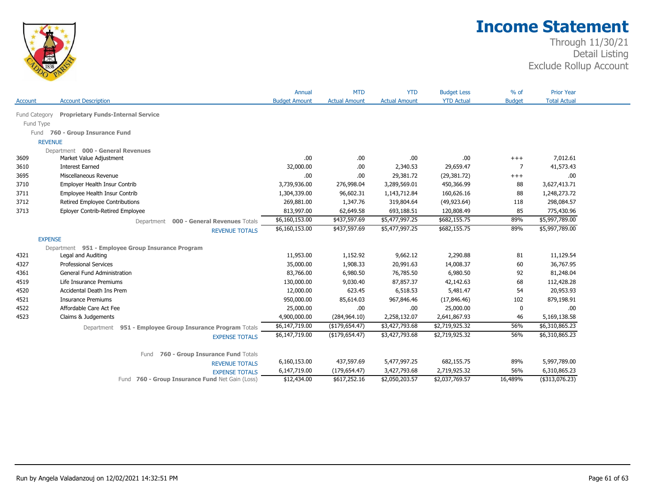

| <b>YTD Actual</b><br><b>Total Actual</b><br><b>Account Description</b><br><b>Budget Amount</b><br><b>Actual Amount</b><br><b>Actual Amount</b><br><b>Budget</b><br>Fund Category<br><b>Proprietary Funds-Internal Service</b><br>Fund Type<br>Fund 760 - Group Insurance Fund<br><b>REVENUE</b><br>Department 000 - General Revenues<br>.00.<br>Market Value Adjustment<br>.00<br>.00<br>.00<br>7,012.61<br>$^{+++}$<br>32,000.00<br>29,659.47<br>41,573.43<br><b>Interest Earned</b><br>.00<br>2,340.53<br>7<br>Miscellaneous Revenue<br>.00.<br>29,381.72<br>.00<br>.00.<br>(29, 381.72)<br>$^{+++}$<br>Employer Health Insur Contrib<br>3,739,936.00<br>450,366.99<br>3,627,413.71<br>276,998.04<br>3,289,569.01<br>88<br>Employee Health Insur Contrib<br>1,304,339.00<br>96,602.31<br>1,143,712.84<br>160,626.16<br>88<br>1,248,273.72<br>Retired Employee Contributions<br>269,881.00<br>1,347.76<br>319,804.64<br>298,084.57<br>(49, 923.64)<br>118<br>Eployer Contrib-Retired Employee<br>813,997.00<br>775,430.96<br>62,649.58<br>693,188.51<br>120,808.49<br>85<br>\$5,997,789.00<br>\$6,160,153.00<br>\$437,597.69<br>\$5,477,997.25<br>\$682,155.75<br>89%<br>000 - General Revenues Totals<br>Department<br>\$6,160,153.00<br>\$437,597.69<br>\$5,997,789.00<br>\$5,477,997.25<br>\$682,155.75<br>89%<br><b>REVENUE TOTALS</b><br><b>EXPENSE</b><br>Department 951 - Employee Group Insurance Program<br>11,953.00<br>1,152.92<br>9,662.12<br>2,290.88<br>11,129.54<br>Legal and Auditing<br>81<br><b>Professional Services</b><br>35,000.00<br>1,908.33<br>20,991.63<br>14,008.37<br>36,767.95<br>60<br>6,980.50<br>6,980.50<br>81,248.04<br>General Fund Administration<br>83,766.00<br>76,785.50<br>92<br>42,142.63<br>68<br>112,428.28<br>Life Insurance Premiums<br>130,000.00<br>9,030.40<br>87,857.37<br>623.45<br>20,953.93<br>Accidental Death Ins Prem<br>12,000.00<br>6,518.53<br>5,481.47<br>54<br>879,198.91<br><b>Insurance Premiums</b><br>950,000.00<br>85,614.03<br>967,846.46<br>102<br>(17,846.46)<br>Affordable Care Act Fee<br>25,000.00<br>25,000.00<br>.00<br>.00.<br>0<br>.00.<br>Claims & Judgements<br>4,900,000.00<br>2,258,132.07<br>2,641,867.93<br>46<br>5,169,138.58<br>(284, 964.10)<br>\$6,310,865.23<br>\$6,147,719.00<br>\$3,427,793.68<br>56%<br>( \$179, 654.47)<br>\$2,719,925.32<br>Department 951 - Employee Group Insurance Program Totals<br>\$6,310,865.23<br>\$6,147,719.00<br>\$3,427,793.68<br>\$2,719,925.32<br>56%<br>(\$179,654.47)<br><b>EXPENSE TOTALS</b><br>760 - Group Insurance Fund Totals<br>Fund<br>6,160,153.00<br>437,597.69<br>5,477,997.25<br>682,155.75<br>5,997,789.00<br>89%<br><b>REVENUE TOTALS</b><br>6,147,719.00<br>(179, 654.47)<br>3,427,793.68<br>2,719,925.32<br>56%<br>6,310,865.23<br><b>EXPENSE TOTALS</b><br>16,489%<br>(\$313,076.23)<br>\$12,434.00<br>\$617,252.16<br>\$2,050,203.57<br>\$2,037,769.57<br>Fund 760 - Group Insurance Fund Net Gain (Loss) |                | Annual | <b>MTD</b> | <b>YTD</b> | <b>Budget Less</b> | $%$ of | <b>Prior Year</b> |
|---------------------------------------------------------------------------------------------------------------------------------------------------------------------------------------------------------------------------------------------------------------------------------------------------------------------------------------------------------------------------------------------------------------------------------------------------------------------------------------------------------------------------------------------------------------------------------------------------------------------------------------------------------------------------------------------------------------------------------------------------------------------------------------------------------------------------------------------------------------------------------------------------------------------------------------------------------------------------------------------------------------------------------------------------------------------------------------------------------------------------------------------------------------------------------------------------------------------------------------------------------------------------------------------------------------------------------------------------------------------------------------------------------------------------------------------------------------------------------------------------------------------------------------------------------------------------------------------------------------------------------------------------------------------------------------------------------------------------------------------------------------------------------------------------------------------------------------------------------------------------------------------------------------------------------------------------------------------------------------------------------------------------------------------------------------------------------------------------------------------------------------------------------------------------------------------------------------------------------------------------------------------------------------------------------------------------------------------------------------------------------------------------------------------------------------------------------------------------------------------------------------------------------------------------------------------------------------------------------------------------------------------------------------------------------------------------------------------------------------------------------------------------------------------------------------------------------------------------------------------------------------------------------------------------------------------------------|----------------|--------|------------|------------|--------------------|--------|-------------------|
|                                                                                                                                                                                                                                                                                                                                                                                                                                                                                                                                                                                                                                                                                                                                                                                                                                                                                                                                                                                                                                                                                                                                                                                                                                                                                                                                                                                                                                                                                                                                                                                                                                                                                                                                                                                                                                                                                                                                                                                                                                                                                                                                                                                                                                                                                                                                                                                                                                                                                                                                                                                                                                                                                                                                                                                                                                                                                                                                                         | <b>Account</b> |        |            |            |                    |        |                   |
|                                                                                                                                                                                                                                                                                                                                                                                                                                                                                                                                                                                                                                                                                                                                                                                                                                                                                                                                                                                                                                                                                                                                                                                                                                                                                                                                                                                                                                                                                                                                                                                                                                                                                                                                                                                                                                                                                                                                                                                                                                                                                                                                                                                                                                                                                                                                                                                                                                                                                                                                                                                                                                                                                                                                                                                                                                                                                                                                                         |                |        |            |            |                    |        |                   |
|                                                                                                                                                                                                                                                                                                                                                                                                                                                                                                                                                                                                                                                                                                                                                                                                                                                                                                                                                                                                                                                                                                                                                                                                                                                                                                                                                                                                                                                                                                                                                                                                                                                                                                                                                                                                                                                                                                                                                                                                                                                                                                                                                                                                                                                                                                                                                                                                                                                                                                                                                                                                                                                                                                                                                                                                                                                                                                                                                         |                |        |            |            |                    |        |                   |
|                                                                                                                                                                                                                                                                                                                                                                                                                                                                                                                                                                                                                                                                                                                                                                                                                                                                                                                                                                                                                                                                                                                                                                                                                                                                                                                                                                                                                                                                                                                                                                                                                                                                                                                                                                                                                                                                                                                                                                                                                                                                                                                                                                                                                                                                                                                                                                                                                                                                                                                                                                                                                                                                                                                                                                                                                                                                                                                                                         |                |        |            |            |                    |        |                   |
|                                                                                                                                                                                                                                                                                                                                                                                                                                                                                                                                                                                                                                                                                                                                                                                                                                                                                                                                                                                                                                                                                                                                                                                                                                                                                                                                                                                                                                                                                                                                                                                                                                                                                                                                                                                                                                                                                                                                                                                                                                                                                                                                                                                                                                                                                                                                                                                                                                                                                                                                                                                                                                                                                                                                                                                                                                                                                                                                                         |                |        |            |            |                    |        |                   |
|                                                                                                                                                                                                                                                                                                                                                                                                                                                                                                                                                                                                                                                                                                                                                                                                                                                                                                                                                                                                                                                                                                                                                                                                                                                                                                                                                                                                                                                                                                                                                                                                                                                                                                                                                                                                                                                                                                                                                                                                                                                                                                                                                                                                                                                                                                                                                                                                                                                                                                                                                                                                                                                                                                                                                                                                                                                                                                                                                         |                |        |            |            |                    |        |                   |
|                                                                                                                                                                                                                                                                                                                                                                                                                                                                                                                                                                                                                                                                                                                                                                                                                                                                                                                                                                                                                                                                                                                                                                                                                                                                                                                                                                                                                                                                                                                                                                                                                                                                                                                                                                                                                                                                                                                                                                                                                                                                                                                                                                                                                                                                                                                                                                                                                                                                                                                                                                                                                                                                                                                                                                                                                                                                                                                                                         | 3609           |        |            |            |                    |        |                   |
|                                                                                                                                                                                                                                                                                                                                                                                                                                                                                                                                                                                                                                                                                                                                                                                                                                                                                                                                                                                                                                                                                                                                                                                                                                                                                                                                                                                                                                                                                                                                                                                                                                                                                                                                                                                                                                                                                                                                                                                                                                                                                                                                                                                                                                                                                                                                                                                                                                                                                                                                                                                                                                                                                                                                                                                                                                                                                                                                                         | 3610           |        |            |            |                    |        |                   |
|                                                                                                                                                                                                                                                                                                                                                                                                                                                                                                                                                                                                                                                                                                                                                                                                                                                                                                                                                                                                                                                                                                                                                                                                                                                                                                                                                                                                                                                                                                                                                                                                                                                                                                                                                                                                                                                                                                                                                                                                                                                                                                                                                                                                                                                                                                                                                                                                                                                                                                                                                                                                                                                                                                                                                                                                                                                                                                                                                         | 3695           |        |            |            |                    |        |                   |
|                                                                                                                                                                                                                                                                                                                                                                                                                                                                                                                                                                                                                                                                                                                                                                                                                                                                                                                                                                                                                                                                                                                                                                                                                                                                                                                                                                                                                                                                                                                                                                                                                                                                                                                                                                                                                                                                                                                                                                                                                                                                                                                                                                                                                                                                                                                                                                                                                                                                                                                                                                                                                                                                                                                                                                                                                                                                                                                                                         | 3710           |        |            |            |                    |        |                   |
|                                                                                                                                                                                                                                                                                                                                                                                                                                                                                                                                                                                                                                                                                                                                                                                                                                                                                                                                                                                                                                                                                                                                                                                                                                                                                                                                                                                                                                                                                                                                                                                                                                                                                                                                                                                                                                                                                                                                                                                                                                                                                                                                                                                                                                                                                                                                                                                                                                                                                                                                                                                                                                                                                                                                                                                                                                                                                                                                                         | 3711           |        |            |            |                    |        |                   |
|                                                                                                                                                                                                                                                                                                                                                                                                                                                                                                                                                                                                                                                                                                                                                                                                                                                                                                                                                                                                                                                                                                                                                                                                                                                                                                                                                                                                                                                                                                                                                                                                                                                                                                                                                                                                                                                                                                                                                                                                                                                                                                                                                                                                                                                                                                                                                                                                                                                                                                                                                                                                                                                                                                                                                                                                                                                                                                                                                         | 3712           |        |            |            |                    |        |                   |
|                                                                                                                                                                                                                                                                                                                                                                                                                                                                                                                                                                                                                                                                                                                                                                                                                                                                                                                                                                                                                                                                                                                                                                                                                                                                                                                                                                                                                                                                                                                                                                                                                                                                                                                                                                                                                                                                                                                                                                                                                                                                                                                                                                                                                                                                                                                                                                                                                                                                                                                                                                                                                                                                                                                                                                                                                                                                                                                                                         | 3713           |        |            |            |                    |        |                   |
|                                                                                                                                                                                                                                                                                                                                                                                                                                                                                                                                                                                                                                                                                                                                                                                                                                                                                                                                                                                                                                                                                                                                                                                                                                                                                                                                                                                                                                                                                                                                                                                                                                                                                                                                                                                                                                                                                                                                                                                                                                                                                                                                                                                                                                                                                                                                                                                                                                                                                                                                                                                                                                                                                                                                                                                                                                                                                                                                                         |                |        |            |            |                    |        |                   |
|                                                                                                                                                                                                                                                                                                                                                                                                                                                                                                                                                                                                                                                                                                                                                                                                                                                                                                                                                                                                                                                                                                                                                                                                                                                                                                                                                                                                                                                                                                                                                                                                                                                                                                                                                                                                                                                                                                                                                                                                                                                                                                                                                                                                                                                                                                                                                                                                                                                                                                                                                                                                                                                                                                                                                                                                                                                                                                                                                         |                |        |            |            |                    |        |                   |
|                                                                                                                                                                                                                                                                                                                                                                                                                                                                                                                                                                                                                                                                                                                                                                                                                                                                                                                                                                                                                                                                                                                                                                                                                                                                                                                                                                                                                                                                                                                                                                                                                                                                                                                                                                                                                                                                                                                                                                                                                                                                                                                                                                                                                                                                                                                                                                                                                                                                                                                                                                                                                                                                                                                                                                                                                                                                                                                                                         |                |        |            |            |                    |        |                   |
|                                                                                                                                                                                                                                                                                                                                                                                                                                                                                                                                                                                                                                                                                                                                                                                                                                                                                                                                                                                                                                                                                                                                                                                                                                                                                                                                                                                                                                                                                                                                                                                                                                                                                                                                                                                                                                                                                                                                                                                                                                                                                                                                                                                                                                                                                                                                                                                                                                                                                                                                                                                                                                                                                                                                                                                                                                                                                                                                                         |                |        |            |            |                    |        |                   |
|                                                                                                                                                                                                                                                                                                                                                                                                                                                                                                                                                                                                                                                                                                                                                                                                                                                                                                                                                                                                                                                                                                                                                                                                                                                                                                                                                                                                                                                                                                                                                                                                                                                                                                                                                                                                                                                                                                                                                                                                                                                                                                                                                                                                                                                                                                                                                                                                                                                                                                                                                                                                                                                                                                                                                                                                                                                                                                                                                         | 4321           |        |            |            |                    |        |                   |
|                                                                                                                                                                                                                                                                                                                                                                                                                                                                                                                                                                                                                                                                                                                                                                                                                                                                                                                                                                                                                                                                                                                                                                                                                                                                                                                                                                                                                                                                                                                                                                                                                                                                                                                                                                                                                                                                                                                                                                                                                                                                                                                                                                                                                                                                                                                                                                                                                                                                                                                                                                                                                                                                                                                                                                                                                                                                                                                                                         | 4327           |        |            |            |                    |        |                   |
|                                                                                                                                                                                                                                                                                                                                                                                                                                                                                                                                                                                                                                                                                                                                                                                                                                                                                                                                                                                                                                                                                                                                                                                                                                                                                                                                                                                                                                                                                                                                                                                                                                                                                                                                                                                                                                                                                                                                                                                                                                                                                                                                                                                                                                                                                                                                                                                                                                                                                                                                                                                                                                                                                                                                                                                                                                                                                                                                                         | 4361           |        |            |            |                    |        |                   |
|                                                                                                                                                                                                                                                                                                                                                                                                                                                                                                                                                                                                                                                                                                                                                                                                                                                                                                                                                                                                                                                                                                                                                                                                                                                                                                                                                                                                                                                                                                                                                                                                                                                                                                                                                                                                                                                                                                                                                                                                                                                                                                                                                                                                                                                                                                                                                                                                                                                                                                                                                                                                                                                                                                                                                                                                                                                                                                                                                         | 4519           |        |            |            |                    |        |                   |
|                                                                                                                                                                                                                                                                                                                                                                                                                                                                                                                                                                                                                                                                                                                                                                                                                                                                                                                                                                                                                                                                                                                                                                                                                                                                                                                                                                                                                                                                                                                                                                                                                                                                                                                                                                                                                                                                                                                                                                                                                                                                                                                                                                                                                                                                                                                                                                                                                                                                                                                                                                                                                                                                                                                                                                                                                                                                                                                                                         | 4520           |        |            |            |                    |        |                   |
|                                                                                                                                                                                                                                                                                                                                                                                                                                                                                                                                                                                                                                                                                                                                                                                                                                                                                                                                                                                                                                                                                                                                                                                                                                                                                                                                                                                                                                                                                                                                                                                                                                                                                                                                                                                                                                                                                                                                                                                                                                                                                                                                                                                                                                                                                                                                                                                                                                                                                                                                                                                                                                                                                                                                                                                                                                                                                                                                                         | 4521           |        |            |            |                    |        |                   |
|                                                                                                                                                                                                                                                                                                                                                                                                                                                                                                                                                                                                                                                                                                                                                                                                                                                                                                                                                                                                                                                                                                                                                                                                                                                                                                                                                                                                                                                                                                                                                                                                                                                                                                                                                                                                                                                                                                                                                                                                                                                                                                                                                                                                                                                                                                                                                                                                                                                                                                                                                                                                                                                                                                                                                                                                                                                                                                                                                         | 4522           |        |            |            |                    |        |                   |
|                                                                                                                                                                                                                                                                                                                                                                                                                                                                                                                                                                                                                                                                                                                                                                                                                                                                                                                                                                                                                                                                                                                                                                                                                                                                                                                                                                                                                                                                                                                                                                                                                                                                                                                                                                                                                                                                                                                                                                                                                                                                                                                                                                                                                                                                                                                                                                                                                                                                                                                                                                                                                                                                                                                                                                                                                                                                                                                                                         | 4523           |        |            |            |                    |        |                   |
|                                                                                                                                                                                                                                                                                                                                                                                                                                                                                                                                                                                                                                                                                                                                                                                                                                                                                                                                                                                                                                                                                                                                                                                                                                                                                                                                                                                                                                                                                                                                                                                                                                                                                                                                                                                                                                                                                                                                                                                                                                                                                                                                                                                                                                                                                                                                                                                                                                                                                                                                                                                                                                                                                                                                                                                                                                                                                                                                                         |                |        |            |            |                    |        |                   |
|                                                                                                                                                                                                                                                                                                                                                                                                                                                                                                                                                                                                                                                                                                                                                                                                                                                                                                                                                                                                                                                                                                                                                                                                                                                                                                                                                                                                                                                                                                                                                                                                                                                                                                                                                                                                                                                                                                                                                                                                                                                                                                                                                                                                                                                                                                                                                                                                                                                                                                                                                                                                                                                                                                                                                                                                                                                                                                                                                         |                |        |            |            |                    |        |                   |
|                                                                                                                                                                                                                                                                                                                                                                                                                                                                                                                                                                                                                                                                                                                                                                                                                                                                                                                                                                                                                                                                                                                                                                                                                                                                                                                                                                                                                                                                                                                                                                                                                                                                                                                                                                                                                                                                                                                                                                                                                                                                                                                                                                                                                                                                                                                                                                                                                                                                                                                                                                                                                                                                                                                                                                                                                                                                                                                                                         |                |        |            |            |                    |        |                   |
|                                                                                                                                                                                                                                                                                                                                                                                                                                                                                                                                                                                                                                                                                                                                                                                                                                                                                                                                                                                                                                                                                                                                                                                                                                                                                                                                                                                                                                                                                                                                                                                                                                                                                                                                                                                                                                                                                                                                                                                                                                                                                                                                                                                                                                                                                                                                                                                                                                                                                                                                                                                                                                                                                                                                                                                                                                                                                                                                                         |                |        |            |            |                    |        |                   |
|                                                                                                                                                                                                                                                                                                                                                                                                                                                                                                                                                                                                                                                                                                                                                                                                                                                                                                                                                                                                                                                                                                                                                                                                                                                                                                                                                                                                                                                                                                                                                                                                                                                                                                                                                                                                                                                                                                                                                                                                                                                                                                                                                                                                                                                                                                                                                                                                                                                                                                                                                                                                                                                                                                                                                                                                                                                                                                                                                         |                |        |            |            |                    |        |                   |
|                                                                                                                                                                                                                                                                                                                                                                                                                                                                                                                                                                                                                                                                                                                                                                                                                                                                                                                                                                                                                                                                                                                                                                                                                                                                                                                                                                                                                                                                                                                                                                                                                                                                                                                                                                                                                                                                                                                                                                                                                                                                                                                                                                                                                                                                                                                                                                                                                                                                                                                                                                                                                                                                                                                                                                                                                                                                                                                                                         |                |        |            |            |                    |        |                   |
|                                                                                                                                                                                                                                                                                                                                                                                                                                                                                                                                                                                                                                                                                                                                                                                                                                                                                                                                                                                                                                                                                                                                                                                                                                                                                                                                                                                                                                                                                                                                                                                                                                                                                                                                                                                                                                                                                                                                                                                                                                                                                                                                                                                                                                                                                                                                                                                                                                                                                                                                                                                                                                                                                                                                                                                                                                                                                                                                                         |                |        |            |            |                    |        |                   |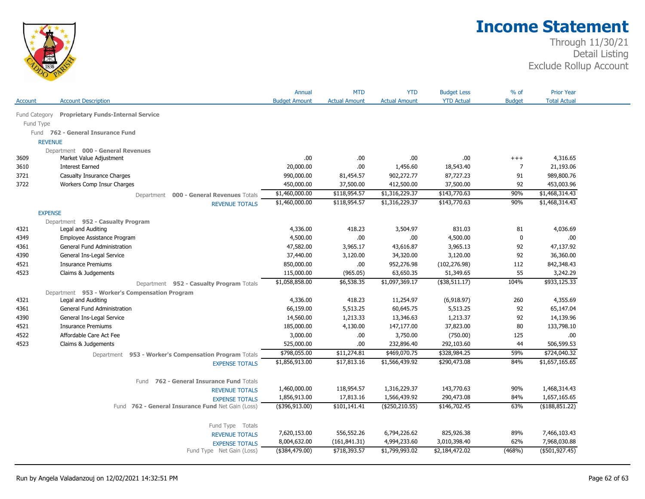

| <b>Proprietary Funds-Internal Service</b><br>Fund Category<br>Fund Type<br>Fund 762 - General Insurance Fund<br><b>REVENUE</b><br>Department 000 - General Revenues<br>4,316.65<br>3609<br>Market Value Adjustment<br>.00<br>.00<br>.00<br>.00<br>$^{+++}$<br>.00.<br>$\overline{7}$<br><b>Interest Earned</b><br>20,000.00<br>1,456.60<br>18,543.40<br>21,193.06<br>3610<br>87,727.23<br>91<br>989,800.76<br>3721<br>Casualty Insurance Charges<br>990,000.00<br>81,454.57<br>902,272.77<br>Workers Comp Insur Charges<br>453,003.96<br>3722<br>450,000.00<br>37,500.00<br>412,500.00<br>37,500.00<br>92<br>\$1,468,314.43<br>\$1,460,000.00<br>\$118,954.57<br>\$1,316,229.37<br>\$143,770.63<br>90%<br>Department 000 - General Revenues Totals<br>90%<br>\$1,460,000.00<br>\$118,954.57<br>\$1,316,229.37<br>\$143,770.63<br>\$1,468,314.43<br><b>REVENUE TOTALS</b><br><b>EXPENSE</b><br>Department 952 - Casualty Program<br>831.03<br>4321<br>Legal and Auditing<br>4,336.00<br>418.23<br>3,504.97<br>81<br>4,036.69<br>Employee Assistance Program<br>4,500.00<br>.00.<br>4,500.00<br>$\mathbf 0$<br>4349<br>.00<br>.00<br><b>General Fund Administration</b><br>47,582.00<br>3,965.13<br>92<br>47,137.92<br>3,965.17<br>43,616.87<br>4361<br>3,120.00<br>92<br>36,360.00<br>4390<br>General Ins-Legal Service<br>37,440.00<br>3,120.00<br>34,320.00<br><b>Insurance Premiums</b><br>850,000.00<br>952,276.98<br>842,348.43<br>4521<br>.00<br>(102, 276.98)<br>112<br>4523<br>Claims & Judgements<br>115,000.00<br>63,650.35<br>51,349.65<br>55<br>3,242.29<br>(965.05)<br>104%<br>\$6,538.35<br>\$1,097,369.17<br>\$933,125.33<br>\$1,058,858.00<br>$($ \$38,511.17)<br>Department 952 - Casualty Program Totals<br>Department 953 - Worker's Compensation Program<br>Legal and Auditing<br>4,336.00<br>418.23<br>11,254.97<br>(6,918.97)<br>260<br>4,355.69<br>4321<br>General Fund Administration<br>66,159.00<br>5,513.25<br>60,645.75<br>92<br>65,147.04<br>5,513.25<br>4361<br>14,560.00<br>1,213.33<br>1,213.37<br>92<br>14,139.96<br>4390<br>General Ins-Legal Service<br>13,346.63<br>147,177.00<br>37,823.00<br>80<br>133,798.10<br>4521<br><b>Insurance Premiums</b><br>185,000.00<br>4,130.00<br>Affordable Care Act Fee<br>3,000.00<br>.00.<br>3,750.00<br>(750.00)<br>125<br>.00.<br>4522<br>232,896.40<br>506,599.53<br>4523<br>Claims & Judgements<br>525,000.00<br>.00<br>292,103.60<br>44<br>59%<br>\$724,040.32<br>\$798,055.00<br>\$11,274.81<br>\$469,070.75<br>\$328,984.25<br>Department 953 - Worker's Compensation Program Totals<br>\$17,813.16<br>\$1,566,439.92<br>\$290,473.08<br>84%<br>\$1,657,165.65<br>\$1,856,913.00<br><b>EXPENSE TOTALS</b><br>762 - General Insurance Fund Totals<br>Fund<br>90%<br>1,468,314.43<br>1,460,000.00<br>118,954.57<br>1,316,229.37<br>143,770.63<br><b>REVENUE TOTALS</b><br>17,813.16<br>290,473.08<br>84%<br>1,657,165.65<br>1,856,913.00<br>1,566,439.92<br><b>EXPENSE TOTALS</b><br>63%<br>Fund 762 - General Insurance Fund Net Gain (Loss)<br>(\$250, 210.55)<br>\$146,702.45<br>(\$188,851.22)<br>(\$396,913.00)<br>\$101,141.41<br>Fund Type Totals<br>825,926.38<br>89%<br>7,466,103.43<br>7,620,153.00<br>556,552.26<br>6,794,226.62<br><b>REVENUE TOTALS</b><br>62%<br>8,004,632.00<br>4,994,233.60<br>3,010,398.40<br>7,968,030.88<br>(161, 841.31)<br><b>EXPENSE TOTALS</b><br>( \$501, 927.45)<br>(\$384,479.00)<br>\$718,393.57<br>\$1,799,993.02<br>\$2,184,472.02<br>(468%)<br>Fund Type Net Gain (Loss) | <b>Account</b> | <b>Account Description</b> | Annual<br><b>Budget Amount</b> | <b>MTD</b><br><b>Actual Amount</b> | <b>YTD</b><br><b>Actual Amount</b> | <b>Budget Less</b><br><b>YTD Actual</b> | $%$ of<br><b>Budget</b> | <b>Prior Year</b><br><b>Total Actual</b> |
|----------------------------------------------------------------------------------------------------------------------------------------------------------------------------------------------------------------------------------------------------------------------------------------------------------------------------------------------------------------------------------------------------------------------------------------------------------------------------------------------------------------------------------------------------------------------------------------------------------------------------------------------------------------------------------------------------------------------------------------------------------------------------------------------------------------------------------------------------------------------------------------------------------------------------------------------------------------------------------------------------------------------------------------------------------------------------------------------------------------------------------------------------------------------------------------------------------------------------------------------------------------------------------------------------------------------------------------------------------------------------------------------------------------------------------------------------------------------------------------------------------------------------------------------------------------------------------------------------------------------------------------------------------------------------------------------------------------------------------------------------------------------------------------------------------------------------------------------------------------------------------------------------------------------------------------------------------------------------------------------------------------------------------------------------------------------------------------------------------------------------------------------------------------------------------------------------------------------------------------------------------------------------------------------------------------------------------------------------------------------------------------------------------------------------------------------------------------------------------------------------------------------------------------------------------------------------------------------------------------------------------------------------------------------------------------------------------------------------------------------------------------------------------------------------------------------------------------------------------------------------------------------------------------------------------------------------------------------------------------------------------------------------------------------------------------------------------------------------------------------------------------------------------------------------------------------------------------------------------------------------------------------------------------------------------------------------------------------------------------------------------------------------------------------------------------------------------------------------------------------------|----------------|----------------------------|--------------------------------|------------------------------------|------------------------------------|-----------------------------------------|-------------------------|------------------------------------------|
|                                                                                                                                                                                                                                                                                                                                                                                                                                                                                                                                                                                                                                                                                                                                                                                                                                                                                                                                                                                                                                                                                                                                                                                                                                                                                                                                                                                                                                                                                                                                                                                                                                                                                                                                                                                                                                                                                                                                                                                                                                                                                                                                                                                                                                                                                                                                                                                                                                                                                                                                                                                                                                                                                                                                                                                                                                                                                                                                                                                                                                                                                                                                                                                                                                                                                                                                                                                                                                                                                                    |                |                            |                                |                                    |                                    |                                         |                         |                                          |
|                                                                                                                                                                                                                                                                                                                                                                                                                                                                                                                                                                                                                                                                                                                                                                                                                                                                                                                                                                                                                                                                                                                                                                                                                                                                                                                                                                                                                                                                                                                                                                                                                                                                                                                                                                                                                                                                                                                                                                                                                                                                                                                                                                                                                                                                                                                                                                                                                                                                                                                                                                                                                                                                                                                                                                                                                                                                                                                                                                                                                                                                                                                                                                                                                                                                                                                                                                                                                                                                                                    |                |                            |                                |                                    |                                    |                                         |                         |                                          |
|                                                                                                                                                                                                                                                                                                                                                                                                                                                                                                                                                                                                                                                                                                                                                                                                                                                                                                                                                                                                                                                                                                                                                                                                                                                                                                                                                                                                                                                                                                                                                                                                                                                                                                                                                                                                                                                                                                                                                                                                                                                                                                                                                                                                                                                                                                                                                                                                                                                                                                                                                                                                                                                                                                                                                                                                                                                                                                                                                                                                                                                                                                                                                                                                                                                                                                                                                                                                                                                                                                    |                |                            |                                |                                    |                                    |                                         |                         |                                          |
|                                                                                                                                                                                                                                                                                                                                                                                                                                                                                                                                                                                                                                                                                                                                                                                                                                                                                                                                                                                                                                                                                                                                                                                                                                                                                                                                                                                                                                                                                                                                                                                                                                                                                                                                                                                                                                                                                                                                                                                                                                                                                                                                                                                                                                                                                                                                                                                                                                                                                                                                                                                                                                                                                                                                                                                                                                                                                                                                                                                                                                                                                                                                                                                                                                                                                                                                                                                                                                                                                                    |                |                            |                                |                                    |                                    |                                         |                         |                                          |
|                                                                                                                                                                                                                                                                                                                                                                                                                                                                                                                                                                                                                                                                                                                                                                                                                                                                                                                                                                                                                                                                                                                                                                                                                                                                                                                                                                                                                                                                                                                                                                                                                                                                                                                                                                                                                                                                                                                                                                                                                                                                                                                                                                                                                                                                                                                                                                                                                                                                                                                                                                                                                                                                                                                                                                                                                                                                                                                                                                                                                                                                                                                                                                                                                                                                                                                                                                                                                                                                                                    |                |                            |                                |                                    |                                    |                                         |                         |                                          |
|                                                                                                                                                                                                                                                                                                                                                                                                                                                                                                                                                                                                                                                                                                                                                                                                                                                                                                                                                                                                                                                                                                                                                                                                                                                                                                                                                                                                                                                                                                                                                                                                                                                                                                                                                                                                                                                                                                                                                                                                                                                                                                                                                                                                                                                                                                                                                                                                                                                                                                                                                                                                                                                                                                                                                                                                                                                                                                                                                                                                                                                                                                                                                                                                                                                                                                                                                                                                                                                                                                    |                |                            |                                |                                    |                                    |                                         |                         |                                          |
|                                                                                                                                                                                                                                                                                                                                                                                                                                                                                                                                                                                                                                                                                                                                                                                                                                                                                                                                                                                                                                                                                                                                                                                                                                                                                                                                                                                                                                                                                                                                                                                                                                                                                                                                                                                                                                                                                                                                                                                                                                                                                                                                                                                                                                                                                                                                                                                                                                                                                                                                                                                                                                                                                                                                                                                                                                                                                                                                                                                                                                                                                                                                                                                                                                                                                                                                                                                                                                                                                                    |                |                            |                                |                                    |                                    |                                         |                         |                                          |
|                                                                                                                                                                                                                                                                                                                                                                                                                                                                                                                                                                                                                                                                                                                                                                                                                                                                                                                                                                                                                                                                                                                                                                                                                                                                                                                                                                                                                                                                                                                                                                                                                                                                                                                                                                                                                                                                                                                                                                                                                                                                                                                                                                                                                                                                                                                                                                                                                                                                                                                                                                                                                                                                                                                                                                                                                                                                                                                                                                                                                                                                                                                                                                                                                                                                                                                                                                                                                                                                                                    |                |                            |                                |                                    |                                    |                                         |                         |                                          |
|                                                                                                                                                                                                                                                                                                                                                                                                                                                                                                                                                                                                                                                                                                                                                                                                                                                                                                                                                                                                                                                                                                                                                                                                                                                                                                                                                                                                                                                                                                                                                                                                                                                                                                                                                                                                                                                                                                                                                                                                                                                                                                                                                                                                                                                                                                                                                                                                                                                                                                                                                                                                                                                                                                                                                                                                                                                                                                                                                                                                                                                                                                                                                                                                                                                                                                                                                                                                                                                                                                    |                |                            |                                |                                    |                                    |                                         |                         |                                          |
|                                                                                                                                                                                                                                                                                                                                                                                                                                                                                                                                                                                                                                                                                                                                                                                                                                                                                                                                                                                                                                                                                                                                                                                                                                                                                                                                                                                                                                                                                                                                                                                                                                                                                                                                                                                                                                                                                                                                                                                                                                                                                                                                                                                                                                                                                                                                                                                                                                                                                                                                                                                                                                                                                                                                                                                                                                                                                                                                                                                                                                                                                                                                                                                                                                                                                                                                                                                                                                                                                                    |                |                            |                                |                                    |                                    |                                         |                         |                                          |
|                                                                                                                                                                                                                                                                                                                                                                                                                                                                                                                                                                                                                                                                                                                                                                                                                                                                                                                                                                                                                                                                                                                                                                                                                                                                                                                                                                                                                                                                                                                                                                                                                                                                                                                                                                                                                                                                                                                                                                                                                                                                                                                                                                                                                                                                                                                                                                                                                                                                                                                                                                                                                                                                                                                                                                                                                                                                                                                                                                                                                                                                                                                                                                                                                                                                                                                                                                                                                                                                                                    |                |                            |                                |                                    |                                    |                                         |                         |                                          |
|                                                                                                                                                                                                                                                                                                                                                                                                                                                                                                                                                                                                                                                                                                                                                                                                                                                                                                                                                                                                                                                                                                                                                                                                                                                                                                                                                                                                                                                                                                                                                                                                                                                                                                                                                                                                                                                                                                                                                                                                                                                                                                                                                                                                                                                                                                                                                                                                                                                                                                                                                                                                                                                                                                                                                                                                                                                                                                                                                                                                                                                                                                                                                                                                                                                                                                                                                                                                                                                                                                    |                |                            |                                |                                    |                                    |                                         |                         |                                          |
|                                                                                                                                                                                                                                                                                                                                                                                                                                                                                                                                                                                                                                                                                                                                                                                                                                                                                                                                                                                                                                                                                                                                                                                                                                                                                                                                                                                                                                                                                                                                                                                                                                                                                                                                                                                                                                                                                                                                                                                                                                                                                                                                                                                                                                                                                                                                                                                                                                                                                                                                                                                                                                                                                                                                                                                                                                                                                                                                                                                                                                                                                                                                                                                                                                                                                                                                                                                                                                                                                                    |                |                            |                                |                                    |                                    |                                         |                         |                                          |
|                                                                                                                                                                                                                                                                                                                                                                                                                                                                                                                                                                                                                                                                                                                                                                                                                                                                                                                                                                                                                                                                                                                                                                                                                                                                                                                                                                                                                                                                                                                                                                                                                                                                                                                                                                                                                                                                                                                                                                                                                                                                                                                                                                                                                                                                                                                                                                                                                                                                                                                                                                                                                                                                                                                                                                                                                                                                                                                                                                                                                                                                                                                                                                                                                                                                                                                                                                                                                                                                                                    |                |                            |                                |                                    |                                    |                                         |                         |                                          |
|                                                                                                                                                                                                                                                                                                                                                                                                                                                                                                                                                                                                                                                                                                                                                                                                                                                                                                                                                                                                                                                                                                                                                                                                                                                                                                                                                                                                                                                                                                                                                                                                                                                                                                                                                                                                                                                                                                                                                                                                                                                                                                                                                                                                                                                                                                                                                                                                                                                                                                                                                                                                                                                                                                                                                                                                                                                                                                                                                                                                                                                                                                                                                                                                                                                                                                                                                                                                                                                                                                    |                |                            |                                |                                    |                                    |                                         |                         |                                          |
|                                                                                                                                                                                                                                                                                                                                                                                                                                                                                                                                                                                                                                                                                                                                                                                                                                                                                                                                                                                                                                                                                                                                                                                                                                                                                                                                                                                                                                                                                                                                                                                                                                                                                                                                                                                                                                                                                                                                                                                                                                                                                                                                                                                                                                                                                                                                                                                                                                                                                                                                                                                                                                                                                                                                                                                                                                                                                                                                                                                                                                                                                                                                                                                                                                                                                                                                                                                                                                                                                                    |                |                            |                                |                                    |                                    |                                         |                         |                                          |
|                                                                                                                                                                                                                                                                                                                                                                                                                                                                                                                                                                                                                                                                                                                                                                                                                                                                                                                                                                                                                                                                                                                                                                                                                                                                                                                                                                                                                                                                                                                                                                                                                                                                                                                                                                                                                                                                                                                                                                                                                                                                                                                                                                                                                                                                                                                                                                                                                                                                                                                                                                                                                                                                                                                                                                                                                                                                                                                                                                                                                                                                                                                                                                                                                                                                                                                                                                                                                                                                                                    |                |                            |                                |                                    |                                    |                                         |                         |                                          |
|                                                                                                                                                                                                                                                                                                                                                                                                                                                                                                                                                                                                                                                                                                                                                                                                                                                                                                                                                                                                                                                                                                                                                                                                                                                                                                                                                                                                                                                                                                                                                                                                                                                                                                                                                                                                                                                                                                                                                                                                                                                                                                                                                                                                                                                                                                                                                                                                                                                                                                                                                                                                                                                                                                                                                                                                                                                                                                                                                                                                                                                                                                                                                                                                                                                                                                                                                                                                                                                                                                    |                |                            |                                |                                    |                                    |                                         |                         |                                          |
|                                                                                                                                                                                                                                                                                                                                                                                                                                                                                                                                                                                                                                                                                                                                                                                                                                                                                                                                                                                                                                                                                                                                                                                                                                                                                                                                                                                                                                                                                                                                                                                                                                                                                                                                                                                                                                                                                                                                                                                                                                                                                                                                                                                                                                                                                                                                                                                                                                                                                                                                                                                                                                                                                                                                                                                                                                                                                                                                                                                                                                                                                                                                                                                                                                                                                                                                                                                                                                                                                                    |                |                            |                                |                                    |                                    |                                         |                         |                                          |
|                                                                                                                                                                                                                                                                                                                                                                                                                                                                                                                                                                                                                                                                                                                                                                                                                                                                                                                                                                                                                                                                                                                                                                                                                                                                                                                                                                                                                                                                                                                                                                                                                                                                                                                                                                                                                                                                                                                                                                                                                                                                                                                                                                                                                                                                                                                                                                                                                                                                                                                                                                                                                                                                                                                                                                                                                                                                                                                                                                                                                                                                                                                                                                                                                                                                                                                                                                                                                                                                                                    |                |                            |                                |                                    |                                    |                                         |                         |                                          |
|                                                                                                                                                                                                                                                                                                                                                                                                                                                                                                                                                                                                                                                                                                                                                                                                                                                                                                                                                                                                                                                                                                                                                                                                                                                                                                                                                                                                                                                                                                                                                                                                                                                                                                                                                                                                                                                                                                                                                                                                                                                                                                                                                                                                                                                                                                                                                                                                                                                                                                                                                                                                                                                                                                                                                                                                                                                                                                                                                                                                                                                                                                                                                                                                                                                                                                                                                                                                                                                                                                    |                |                            |                                |                                    |                                    |                                         |                         |                                          |
|                                                                                                                                                                                                                                                                                                                                                                                                                                                                                                                                                                                                                                                                                                                                                                                                                                                                                                                                                                                                                                                                                                                                                                                                                                                                                                                                                                                                                                                                                                                                                                                                                                                                                                                                                                                                                                                                                                                                                                                                                                                                                                                                                                                                                                                                                                                                                                                                                                                                                                                                                                                                                                                                                                                                                                                                                                                                                                                                                                                                                                                                                                                                                                                                                                                                                                                                                                                                                                                                                                    |                |                            |                                |                                    |                                    |                                         |                         |                                          |
|                                                                                                                                                                                                                                                                                                                                                                                                                                                                                                                                                                                                                                                                                                                                                                                                                                                                                                                                                                                                                                                                                                                                                                                                                                                                                                                                                                                                                                                                                                                                                                                                                                                                                                                                                                                                                                                                                                                                                                                                                                                                                                                                                                                                                                                                                                                                                                                                                                                                                                                                                                                                                                                                                                                                                                                                                                                                                                                                                                                                                                                                                                                                                                                                                                                                                                                                                                                                                                                                                                    |                |                            |                                |                                    |                                    |                                         |                         |                                          |
|                                                                                                                                                                                                                                                                                                                                                                                                                                                                                                                                                                                                                                                                                                                                                                                                                                                                                                                                                                                                                                                                                                                                                                                                                                                                                                                                                                                                                                                                                                                                                                                                                                                                                                                                                                                                                                                                                                                                                                                                                                                                                                                                                                                                                                                                                                                                                                                                                                                                                                                                                                                                                                                                                                                                                                                                                                                                                                                                                                                                                                                                                                                                                                                                                                                                                                                                                                                                                                                                                                    |                |                            |                                |                                    |                                    |                                         |                         |                                          |
|                                                                                                                                                                                                                                                                                                                                                                                                                                                                                                                                                                                                                                                                                                                                                                                                                                                                                                                                                                                                                                                                                                                                                                                                                                                                                                                                                                                                                                                                                                                                                                                                                                                                                                                                                                                                                                                                                                                                                                                                                                                                                                                                                                                                                                                                                                                                                                                                                                                                                                                                                                                                                                                                                                                                                                                                                                                                                                                                                                                                                                                                                                                                                                                                                                                                                                                                                                                                                                                                                                    |                |                            |                                |                                    |                                    |                                         |                         |                                          |
|                                                                                                                                                                                                                                                                                                                                                                                                                                                                                                                                                                                                                                                                                                                                                                                                                                                                                                                                                                                                                                                                                                                                                                                                                                                                                                                                                                                                                                                                                                                                                                                                                                                                                                                                                                                                                                                                                                                                                                                                                                                                                                                                                                                                                                                                                                                                                                                                                                                                                                                                                                                                                                                                                                                                                                                                                                                                                                                                                                                                                                                                                                                                                                                                                                                                                                                                                                                                                                                                                                    |                |                            |                                |                                    |                                    |                                         |                         |                                          |
|                                                                                                                                                                                                                                                                                                                                                                                                                                                                                                                                                                                                                                                                                                                                                                                                                                                                                                                                                                                                                                                                                                                                                                                                                                                                                                                                                                                                                                                                                                                                                                                                                                                                                                                                                                                                                                                                                                                                                                                                                                                                                                                                                                                                                                                                                                                                                                                                                                                                                                                                                                                                                                                                                                                                                                                                                                                                                                                                                                                                                                                                                                                                                                                                                                                                                                                                                                                                                                                                                                    |                |                            |                                |                                    |                                    |                                         |                         |                                          |
|                                                                                                                                                                                                                                                                                                                                                                                                                                                                                                                                                                                                                                                                                                                                                                                                                                                                                                                                                                                                                                                                                                                                                                                                                                                                                                                                                                                                                                                                                                                                                                                                                                                                                                                                                                                                                                                                                                                                                                                                                                                                                                                                                                                                                                                                                                                                                                                                                                                                                                                                                                                                                                                                                                                                                                                                                                                                                                                                                                                                                                                                                                                                                                                                                                                                                                                                                                                                                                                                                                    |                |                            |                                |                                    |                                    |                                         |                         |                                          |
|                                                                                                                                                                                                                                                                                                                                                                                                                                                                                                                                                                                                                                                                                                                                                                                                                                                                                                                                                                                                                                                                                                                                                                                                                                                                                                                                                                                                                                                                                                                                                                                                                                                                                                                                                                                                                                                                                                                                                                                                                                                                                                                                                                                                                                                                                                                                                                                                                                                                                                                                                                                                                                                                                                                                                                                                                                                                                                                                                                                                                                                                                                                                                                                                                                                                                                                                                                                                                                                                                                    |                |                            |                                |                                    |                                    |                                         |                         |                                          |
|                                                                                                                                                                                                                                                                                                                                                                                                                                                                                                                                                                                                                                                                                                                                                                                                                                                                                                                                                                                                                                                                                                                                                                                                                                                                                                                                                                                                                                                                                                                                                                                                                                                                                                                                                                                                                                                                                                                                                                                                                                                                                                                                                                                                                                                                                                                                                                                                                                                                                                                                                                                                                                                                                                                                                                                                                                                                                                                                                                                                                                                                                                                                                                                                                                                                                                                                                                                                                                                                                                    |                |                            |                                |                                    |                                    |                                         |                         |                                          |
|                                                                                                                                                                                                                                                                                                                                                                                                                                                                                                                                                                                                                                                                                                                                                                                                                                                                                                                                                                                                                                                                                                                                                                                                                                                                                                                                                                                                                                                                                                                                                                                                                                                                                                                                                                                                                                                                                                                                                                                                                                                                                                                                                                                                                                                                                                                                                                                                                                                                                                                                                                                                                                                                                                                                                                                                                                                                                                                                                                                                                                                                                                                                                                                                                                                                                                                                                                                                                                                                                                    |                |                            |                                |                                    |                                    |                                         |                         |                                          |
|                                                                                                                                                                                                                                                                                                                                                                                                                                                                                                                                                                                                                                                                                                                                                                                                                                                                                                                                                                                                                                                                                                                                                                                                                                                                                                                                                                                                                                                                                                                                                                                                                                                                                                                                                                                                                                                                                                                                                                                                                                                                                                                                                                                                                                                                                                                                                                                                                                                                                                                                                                                                                                                                                                                                                                                                                                                                                                                                                                                                                                                                                                                                                                                                                                                                                                                                                                                                                                                                                                    |                |                            |                                |                                    |                                    |                                         |                         |                                          |
|                                                                                                                                                                                                                                                                                                                                                                                                                                                                                                                                                                                                                                                                                                                                                                                                                                                                                                                                                                                                                                                                                                                                                                                                                                                                                                                                                                                                                                                                                                                                                                                                                                                                                                                                                                                                                                                                                                                                                                                                                                                                                                                                                                                                                                                                                                                                                                                                                                                                                                                                                                                                                                                                                                                                                                                                                                                                                                                                                                                                                                                                                                                                                                                                                                                                                                                                                                                                                                                                                                    |                |                            |                                |                                    |                                    |                                         |                         |                                          |
|                                                                                                                                                                                                                                                                                                                                                                                                                                                                                                                                                                                                                                                                                                                                                                                                                                                                                                                                                                                                                                                                                                                                                                                                                                                                                                                                                                                                                                                                                                                                                                                                                                                                                                                                                                                                                                                                                                                                                                                                                                                                                                                                                                                                                                                                                                                                                                                                                                                                                                                                                                                                                                                                                                                                                                                                                                                                                                                                                                                                                                                                                                                                                                                                                                                                                                                                                                                                                                                                                                    |                |                            |                                |                                    |                                    |                                         |                         |                                          |
|                                                                                                                                                                                                                                                                                                                                                                                                                                                                                                                                                                                                                                                                                                                                                                                                                                                                                                                                                                                                                                                                                                                                                                                                                                                                                                                                                                                                                                                                                                                                                                                                                                                                                                                                                                                                                                                                                                                                                                                                                                                                                                                                                                                                                                                                                                                                                                                                                                                                                                                                                                                                                                                                                                                                                                                                                                                                                                                                                                                                                                                                                                                                                                                                                                                                                                                                                                                                                                                                                                    |                |                            |                                |                                    |                                    |                                         |                         |                                          |
|                                                                                                                                                                                                                                                                                                                                                                                                                                                                                                                                                                                                                                                                                                                                                                                                                                                                                                                                                                                                                                                                                                                                                                                                                                                                                                                                                                                                                                                                                                                                                                                                                                                                                                                                                                                                                                                                                                                                                                                                                                                                                                                                                                                                                                                                                                                                                                                                                                                                                                                                                                                                                                                                                                                                                                                                                                                                                                                                                                                                                                                                                                                                                                                                                                                                                                                                                                                                                                                                                                    |                |                            |                                |                                    |                                    |                                         |                         |                                          |
|                                                                                                                                                                                                                                                                                                                                                                                                                                                                                                                                                                                                                                                                                                                                                                                                                                                                                                                                                                                                                                                                                                                                                                                                                                                                                                                                                                                                                                                                                                                                                                                                                                                                                                                                                                                                                                                                                                                                                                                                                                                                                                                                                                                                                                                                                                                                                                                                                                                                                                                                                                                                                                                                                                                                                                                                                                                                                                                                                                                                                                                                                                                                                                                                                                                                                                                                                                                                                                                                                                    |                |                            |                                |                                    |                                    |                                         |                         |                                          |
|                                                                                                                                                                                                                                                                                                                                                                                                                                                                                                                                                                                                                                                                                                                                                                                                                                                                                                                                                                                                                                                                                                                                                                                                                                                                                                                                                                                                                                                                                                                                                                                                                                                                                                                                                                                                                                                                                                                                                                                                                                                                                                                                                                                                                                                                                                                                                                                                                                                                                                                                                                                                                                                                                                                                                                                                                                                                                                                                                                                                                                                                                                                                                                                                                                                                                                                                                                                                                                                                                                    |                |                            |                                |                                    |                                    |                                         |                         |                                          |